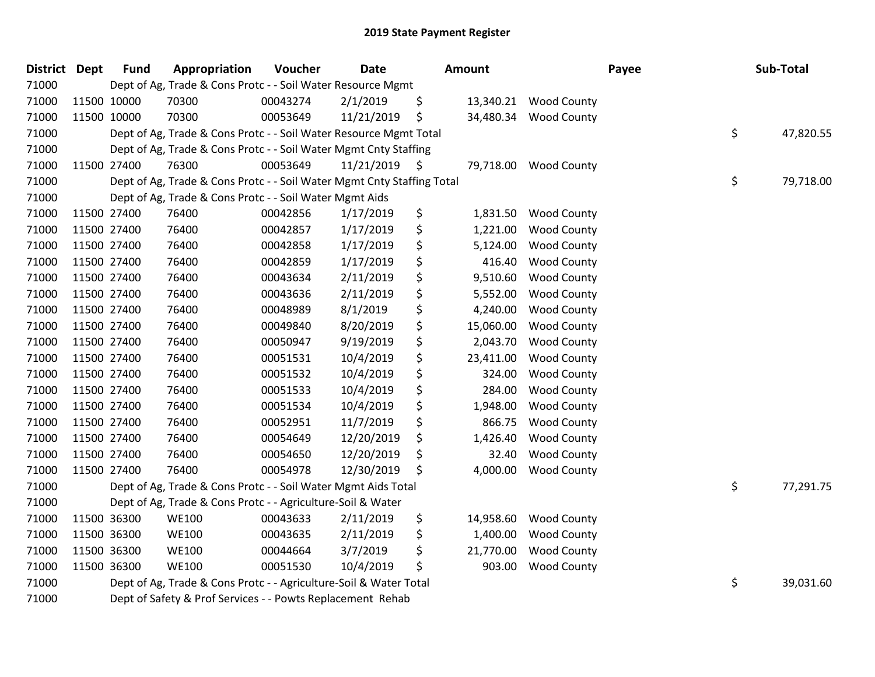| <b>District</b> | <b>Dept</b> | <b>Fund</b> | Appropriation                                                          | Voucher  | <b>Date</b>     | Amount          |                    | Payee | Sub-Total       |
|-----------------|-------------|-------------|------------------------------------------------------------------------|----------|-----------------|-----------------|--------------------|-------|-----------------|
| 71000           |             |             | Dept of Ag, Trade & Cons Protc - - Soil Water Resource Mgmt            |          |                 |                 |                    |       |                 |
| 71000           |             | 11500 10000 | 70300                                                                  | 00043274 | 2/1/2019        | \$<br>13,340.21 | <b>Wood County</b> |       |                 |
| 71000           |             | 11500 10000 | 70300                                                                  | 00053649 | 11/21/2019      | \$<br>34,480.34 | <b>Wood County</b> |       |                 |
| 71000           |             |             | Dept of Ag, Trade & Cons Protc - - Soil Water Resource Mgmt Total      |          |                 |                 |                    |       | \$<br>47,820.55 |
| 71000           |             |             | Dept of Ag, Trade & Cons Protc - - Soil Water Mgmt Cnty Staffing       |          |                 |                 |                    |       |                 |
| 71000           |             | 11500 27400 | 76300                                                                  | 00053649 | $11/21/2019$ \$ | 79,718.00       | <b>Wood County</b> |       |                 |
| 71000           |             |             | Dept of Ag, Trade & Cons Protc - - Soil Water Mgmt Cnty Staffing Total |          |                 |                 |                    |       | \$<br>79,718.00 |
| 71000           |             |             | Dept of Ag, Trade & Cons Protc - - Soil Water Mgmt Aids                |          |                 |                 |                    |       |                 |
| 71000           |             | 11500 27400 | 76400                                                                  | 00042856 | 1/17/2019       | \$<br>1,831.50  | <b>Wood County</b> |       |                 |
| 71000           |             | 11500 27400 | 76400                                                                  | 00042857 | 1/17/2019       | \$<br>1,221.00  | <b>Wood County</b> |       |                 |
| 71000           |             | 11500 27400 | 76400                                                                  | 00042858 | 1/17/2019       | \$<br>5,124.00  | <b>Wood County</b> |       |                 |
| 71000           |             | 11500 27400 | 76400                                                                  | 00042859 | 1/17/2019       | \$<br>416.40    | <b>Wood County</b> |       |                 |
| 71000           |             | 11500 27400 | 76400                                                                  | 00043634 | 2/11/2019       | \$<br>9,510.60  | <b>Wood County</b> |       |                 |
| 71000           |             | 11500 27400 | 76400                                                                  | 00043636 | 2/11/2019       | \$<br>5,552.00  | <b>Wood County</b> |       |                 |
| 71000           |             | 11500 27400 | 76400                                                                  | 00048989 | 8/1/2019        | \$<br>4,240.00  | <b>Wood County</b> |       |                 |
| 71000           |             | 11500 27400 | 76400                                                                  | 00049840 | 8/20/2019       | \$<br>15,060.00 | <b>Wood County</b> |       |                 |
| 71000           |             | 11500 27400 | 76400                                                                  | 00050947 | 9/19/2019       | \$<br>2,043.70  | <b>Wood County</b> |       |                 |
| 71000           |             | 11500 27400 | 76400                                                                  | 00051531 | 10/4/2019       | \$<br>23,411.00 | <b>Wood County</b> |       |                 |
| 71000           | 11500 27400 |             | 76400                                                                  | 00051532 | 10/4/2019       | \$<br>324.00    | <b>Wood County</b> |       |                 |
| 71000           |             | 11500 27400 | 76400                                                                  | 00051533 | 10/4/2019       | \$<br>284.00    | <b>Wood County</b> |       |                 |
| 71000           |             | 11500 27400 | 76400                                                                  | 00051534 | 10/4/2019       | \$<br>1,948.00  | <b>Wood County</b> |       |                 |
| 71000           | 11500 27400 |             | 76400                                                                  | 00052951 | 11/7/2019       | \$<br>866.75    | <b>Wood County</b> |       |                 |
| 71000           |             | 11500 27400 | 76400                                                                  | 00054649 | 12/20/2019      | \$<br>1,426.40  | <b>Wood County</b> |       |                 |
| 71000           |             | 11500 27400 | 76400                                                                  | 00054650 | 12/20/2019      | \$<br>32.40     | <b>Wood County</b> |       |                 |
| 71000           |             | 11500 27400 | 76400                                                                  | 00054978 | 12/30/2019      | \$<br>4,000.00  | <b>Wood County</b> |       |                 |
| 71000           |             |             | Dept of Ag, Trade & Cons Protc - - Soil Water Mgmt Aids Total          |          |                 |                 |                    |       | \$<br>77,291.75 |
| 71000           |             |             | Dept of Ag, Trade & Cons Protc - - Agriculture-Soil & Water            |          |                 |                 |                    |       |                 |
| 71000           |             | 11500 36300 | <b>WE100</b>                                                           | 00043633 | 2/11/2019       | \$<br>14,958.60 | <b>Wood County</b> |       |                 |
| 71000           |             | 11500 36300 | <b>WE100</b>                                                           | 00043635 | 2/11/2019       | \$<br>1,400.00  | <b>Wood County</b> |       |                 |
| 71000           |             | 11500 36300 | <b>WE100</b>                                                           | 00044664 | 3/7/2019        | \$<br>21,770.00 | <b>Wood County</b> |       |                 |
| 71000           |             | 11500 36300 | <b>WE100</b>                                                           | 00051530 | 10/4/2019       | \$<br>903.00    | <b>Wood County</b> |       |                 |
| 71000           |             |             | Dept of Ag, Trade & Cons Protc - - Agriculture-Soil & Water Total      |          |                 |                 |                    |       | \$<br>39,031.60 |
| 71000           |             |             | Dept of Safety & Prof Services - - Powts Replacement Rehab             |          |                 |                 |                    |       |                 |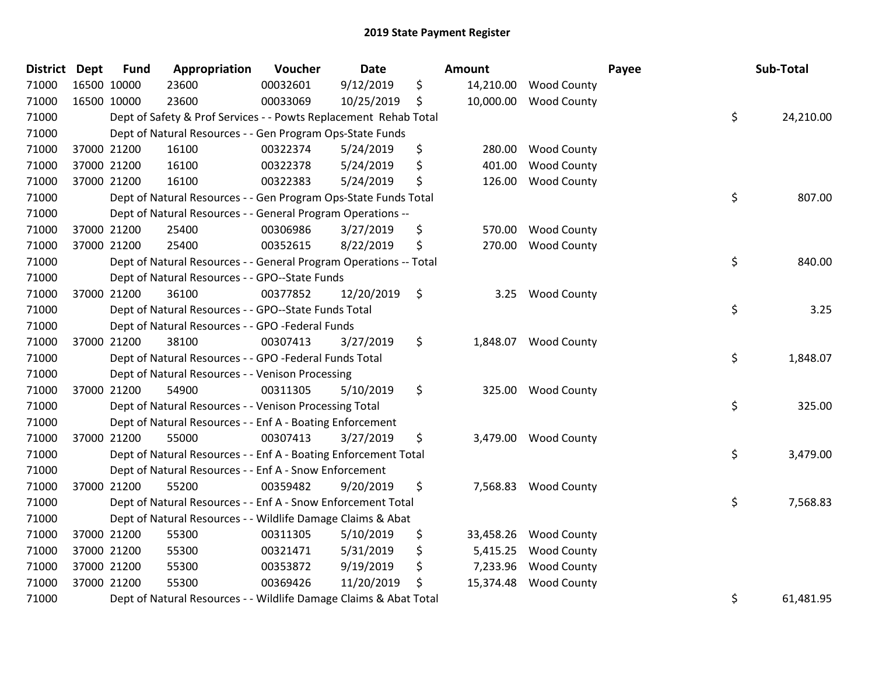| District Dept | <b>Fund</b> | Appropriation                                                     | Voucher  | <b>Date</b> | Amount          |                      | Payee | Sub-Total |
|---------------|-------------|-------------------------------------------------------------------|----------|-------------|-----------------|----------------------|-------|-----------|
| 71000         | 16500 10000 | 23600                                                             | 00032601 | 9/12/2019   | \$<br>14,210.00 | <b>Wood County</b>   |       |           |
| 71000         | 16500 10000 | 23600                                                             | 00033069 | 10/25/2019  | \$<br>10,000.00 | <b>Wood County</b>   |       |           |
| 71000         |             | Dept of Safety & Prof Services - - Powts Replacement Rehab Total  |          |             |                 |                      | \$    | 24,210.00 |
| 71000         |             | Dept of Natural Resources - - Gen Program Ops-State Funds         |          |             |                 |                      |       |           |
| 71000         | 37000 21200 | 16100                                                             | 00322374 | 5/24/2019   | \$<br>280.00    | <b>Wood County</b>   |       |           |
| 71000         | 37000 21200 | 16100                                                             | 00322378 | 5/24/2019   | \$<br>401.00    | <b>Wood County</b>   |       |           |
| 71000         | 37000 21200 | 16100                                                             | 00322383 | 5/24/2019   | \$<br>126.00    | <b>Wood County</b>   |       |           |
| 71000         |             | Dept of Natural Resources - - Gen Program Ops-State Funds Total   |          |             |                 |                      | \$    | 807.00    |
| 71000         |             | Dept of Natural Resources - - General Program Operations --       |          |             |                 |                      |       |           |
| 71000         | 37000 21200 | 25400                                                             | 00306986 | 3/27/2019   | \$<br>570.00    | <b>Wood County</b>   |       |           |
| 71000         | 37000 21200 | 25400                                                             | 00352615 | 8/22/2019   | \$<br>270.00    | <b>Wood County</b>   |       |           |
| 71000         |             | Dept of Natural Resources - - General Program Operations -- Total |          |             |                 |                      | \$    | 840.00    |
| 71000         |             | Dept of Natural Resources - - GPO--State Funds                    |          |             |                 |                      |       |           |
| 71000         | 37000 21200 | 36100                                                             | 00377852 | 12/20/2019  | \$<br>3.25      | <b>Wood County</b>   |       |           |
| 71000         |             | Dept of Natural Resources - - GPO--State Funds Total              |          |             |                 |                      | \$    | 3.25      |
| 71000         |             | Dept of Natural Resources - - GPO -Federal Funds                  |          |             |                 |                      |       |           |
| 71000         | 37000 21200 | 38100                                                             | 00307413 | 3/27/2019   | \$<br>1,848.07  | <b>Wood County</b>   |       |           |
| 71000         |             | Dept of Natural Resources - - GPO -Federal Funds Total            |          |             |                 |                      | \$    | 1,848.07  |
| 71000         |             | Dept of Natural Resources - - Venison Processing                  |          |             |                 |                      |       |           |
| 71000         | 37000 21200 | 54900                                                             | 00311305 | 5/10/2019   | \$<br>325.00    | <b>Wood County</b>   |       |           |
| 71000         |             | Dept of Natural Resources - - Venison Processing Total            |          |             |                 |                      | \$    | 325.00    |
| 71000         |             | Dept of Natural Resources - - Enf A - Boating Enforcement         |          |             |                 |                      |       |           |
| 71000         | 37000 21200 | 55000                                                             | 00307413 | 3/27/2019   | \$              | 3,479.00 Wood County |       |           |
| 71000         |             | Dept of Natural Resources - - Enf A - Boating Enforcement Total   |          |             |                 |                      | \$    | 3,479.00  |
| 71000         |             | Dept of Natural Resources - - Enf A - Snow Enforcement            |          |             |                 |                      |       |           |
| 71000         | 37000 21200 | 55200                                                             | 00359482 | 9/20/2019   | \$<br>7,568.83  | <b>Wood County</b>   |       |           |
| 71000         |             | Dept of Natural Resources - - Enf A - Snow Enforcement Total      |          |             |                 |                      | \$    | 7,568.83  |
| 71000         |             | Dept of Natural Resources - - Wildlife Damage Claims & Abat       |          |             |                 |                      |       |           |
| 71000         | 37000 21200 | 55300                                                             | 00311305 | 5/10/2019   | \$<br>33,458.26 | <b>Wood County</b>   |       |           |
| 71000         | 37000 21200 | 55300                                                             | 00321471 | 5/31/2019   | \$<br>5,415.25  | <b>Wood County</b>   |       |           |
| 71000         | 37000 21200 | 55300                                                             | 00353872 | 9/19/2019   | \$<br>7,233.96  | <b>Wood County</b>   |       |           |
| 71000         | 37000 21200 | 55300                                                             | 00369426 | 11/20/2019  | \$<br>15,374.48 | <b>Wood County</b>   |       |           |
| 71000         |             | Dept of Natural Resources - - Wildlife Damage Claims & Abat Total |          |             |                 |                      | \$    | 61,481.95 |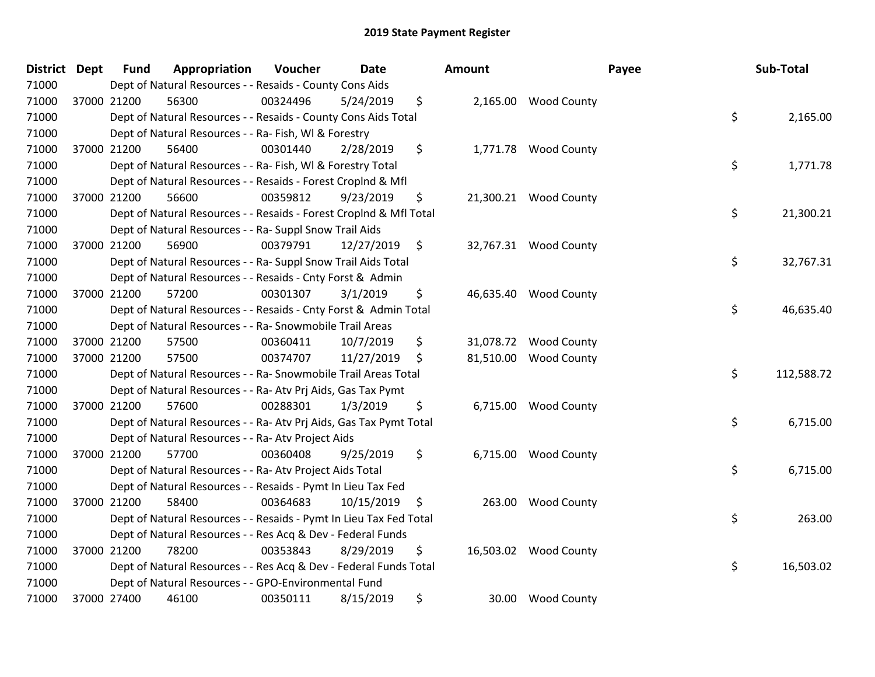| District Dept | <b>Fund</b> | Appropriation                                                      | Voucher  | <b>Date</b> |                    | <b>Amount</b> |                       | Payee | Sub-Total  |
|---------------|-------------|--------------------------------------------------------------------|----------|-------------|--------------------|---------------|-----------------------|-------|------------|
| 71000         |             | Dept of Natural Resources - - Resaids - County Cons Aids           |          |             |                    |               |                       |       |            |
| 71000         | 37000 21200 | 56300                                                              | 00324496 | 5/24/2019   | \$                 |               | 2,165.00 Wood County  |       |            |
| 71000         |             | Dept of Natural Resources - - Resaids - County Cons Aids Total     |          |             |                    |               |                       | \$    | 2,165.00   |
| 71000         |             | Dept of Natural Resources - - Ra- Fish, WI & Forestry              |          |             |                    |               |                       |       |            |
| 71000         | 37000 21200 | 56400                                                              | 00301440 | 2/28/2019   | \$                 |               | 1,771.78 Wood County  |       |            |
| 71000         |             | Dept of Natural Resources - - Ra- Fish, WI & Forestry Total        |          |             |                    |               |                       | \$    | 1,771.78   |
| 71000         |             | Dept of Natural Resources - - Resaids - Forest Croplnd & Mfl       |          |             |                    |               |                       |       |            |
| 71000         | 37000 21200 | 56600                                                              | 00359812 | 9/23/2019   | \$                 |               | 21,300.21 Wood County |       |            |
| 71000         |             | Dept of Natural Resources - - Resaids - Forest Croplnd & Mfl Total |          |             |                    |               |                       | \$    | 21,300.21  |
| 71000         |             | Dept of Natural Resources - - Ra- Suppl Snow Trail Aids            |          |             |                    |               |                       |       |            |
| 71000         | 37000 21200 | 56900                                                              | 00379791 | 12/27/2019  | $\ddot{\varsigma}$ |               | 32,767.31 Wood County |       |            |
| 71000         |             | Dept of Natural Resources - - Ra- Suppl Snow Trail Aids Total      |          |             |                    |               |                       | \$    | 32,767.31  |
| 71000         |             | Dept of Natural Resources - - Resaids - Cnty Forst & Admin         |          |             |                    |               |                       |       |            |
| 71000         | 37000 21200 | 57200                                                              | 00301307 | 3/1/2019    | \$                 |               | 46,635.40 Wood County |       |            |
| 71000         |             | Dept of Natural Resources - - Resaids - Cnty Forst & Admin Total   |          |             |                    |               |                       | \$    | 46,635.40  |
| 71000         |             | Dept of Natural Resources - - Ra- Snowmobile Trail Areas           |          |             |                    |               |                       |       |            |
| 71000         | 37000 21200 | 57500                                                              | 00360411 | 10/7/2019   | \$                 | 31,078.72     | <b>Wood County</b>    |       |            |
| 71000         | 37000 21200 | 57500                                                              | 00374707 | 11/27/2019  | \$                 | 81,510.00     | <b>Wood County</b>    |       |            |
| 71000         |             | Dept of Natural Resources - - Ra- Snowmobile Trail Areas Total     |          |             |                    |               |                       | \$    | 112,588.72 |
| 71000         |             | Dept of Natural Resources - - Ra- Atv Prj Aids, Gas Tax Pymt       |          |             |                    |               |                       |       |            |
| 71000         | 37000 21200 | 57600                                                              | 00288301 | 1/3/2019    | \$                 |               | 6,715.00 Wood County  |       |            |
| 71000         |             | Dept of Natural Resources - - Ra- Atv Prj Aids, Gas Tax Pymt Total |          |             |                    |               |                       | \$    | 6,715.00   |
| 71000         |             | Dept of Natural Resources - - Ra- Atv Project Aids                 |          |             |                    |               |                       |       |            |
| 71000         | 37000 21200 | 57700                                                              | 00360408 | 9/25/2019   | \$                 |               | 6,715.00 Wood County  |       |            |
| 71000         |             | Dept of Natural Resources - - Ra- Atv Project Aids Total           |          |             |                    |               |                       | \$    | 6,715.00   |
| 71000         |             | Dept of Natural Resources - - Resaids - Pymt In Lieu Tax Fed       |          |             |                    |               |                       |       |            |
| 71000         | 37000 21200 | 58400                                                              | 00364683 | 10/15/2019  | \$                 | 263.00        | <b>Wood County</b>    |       |            |
| 71000         |             | Dept of Natural Resources - - Resaids - Pymt In Lieu Tax Fed Total |          |             |                    |               |                       | \$    | 263.00     |
| 71000         |             | Dept of Natural Resources - - Res Acq & Dev - Federal Funds        |          |             |                    |               |                       |       |            |
| 71000         | 37000 21200 | 78200                                                              | 00353843 | 8/29/2019   | \$                 | 16,503.02     | <b>Wood County</b>    |       |            |
| 71000         |             | Dept of Natural Resources - - Res Acq & Dev - Federal Funds Total  |          |             |                    |               |                       | \$    | 16,503.02  |
| 71000         |             | Dept of Natural Resources - - GPO-Environmental Fund               |          |             |                    |               |                       |       |            |
| 71000         | 37000 27400 | 46100                                                              | 00350111 | 8/15/2019   | \$                 | 30.00         | <b>Wood County</b>    |       |            |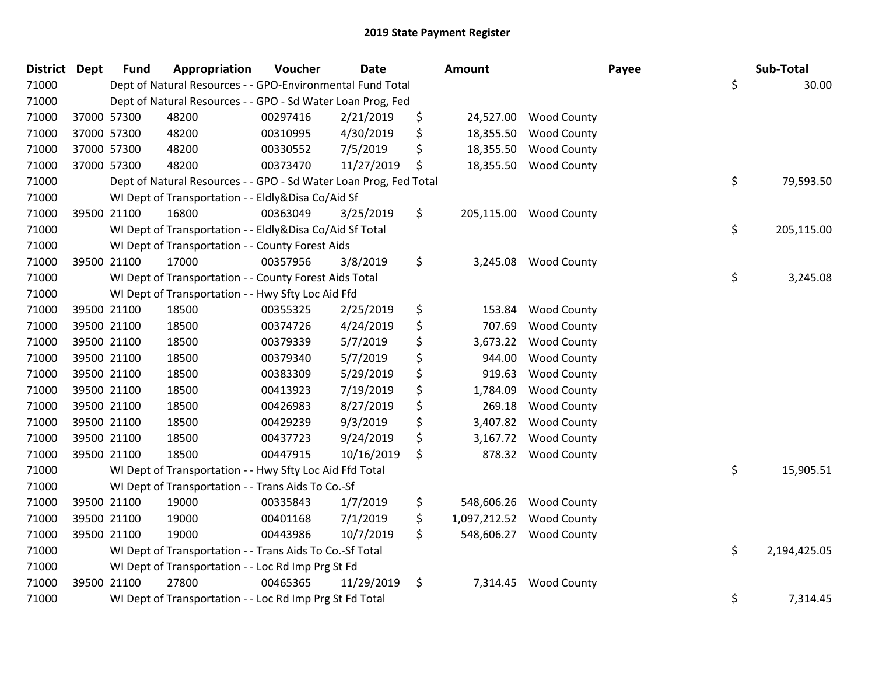| <b>District Dept</b> | <b>Fund</b> | Appropriation                                                     | Voucher  | <b>Date</b> | Amount             |                       | Payee | Sub-Total    |
|----------------------|-------------|-------------------------------------------------------------------|----------|-------------|--------------------|-----------------------|-------|--------------|
| 71000                |             | Dept of Natural Resources - - GPO-Environmental Fund Total        |          |             |                    |                       | \$    | 30.00        |
| 71000                |             | Dept of Natural Resources - - GPO - Sd Water Loan Prog, Fed       |          |             |                    |                       |       |              |
| 71000                | 37000 57300 | 48200                                                             | 00297416 | 2/21/2019   | \$                 | 24,527.00 Wood County |       |              |
| 71000                | 37000 57300 | 48200                                                             | 00310995 | 4/30/2019   | \$<br>18,355.50    | <b>Wood County</b>    |       |              |
| 71000                | 37000 57300 | 48200                                                             | 00330552 | 7/5/2019    | \$<br>18,355.50    | <b>Wood County</b>    |       |              |
| 71000                | 37000 57300 | 48200                                                             | 00373470 | 11/27/2019  | \$<br>18,355.50    | <b>Wood County</b>    |       |              |
| 71000                |             | Dept of Natural Resources - - GPO - Sd Water Loan Prog, Fed Total |          |             |                    |                       | \$    | 79,593.50    |
| 71000                |             | WI Dept of Transportation - - Eldly&Disa Co/Aid Sf                |          |             |                    |                       |       |              |
| 71000                | 39500 21100 | 16800                                                             | 00363049 | 3/25/2019   | \$<br>205,115.00   | <b>Wood County</b>    |       |              |
| 71000                |             | WI Dept of Transportation - - Eldly&Disa Co/Aid Sf Total          |          |             |                    |                       | \$    | 205,115.00   |
| 71000                |             | WI Dept of Transportation - - County Forest Aids                  |          |             |                    |                       |       |              |
| 71000                | 39500 21100 | 17000                                                             | 00357956 | 3/8/2019    | \$<br>3,245.08     | <b>Wood County</b>    |       |              |
| 71000                |             | WI Dept of Transportation - - County Forest Aids Total            |          |             |                    |                       | \$    | 3,245.08     |
| 71000                |             | WI Dept of Transportation - - Hwy Sfty Loc Aid Ffd                |          |             |                    |                       |       |              |
| 71000                | 39500 21100 | 18500                                                             | 00355325 | 2/25/2019   | \$<br>153.84       | <b>Wood County</b>    |       |              |
| 71000                | 39500 21100 | 18500                                                             | 00374726 | 4/24/2019   | \$<br>707.69       | <b>Wood County</b>    |       |              |
| 71000                | 39500 21100 | 18500                                                             | 00379339 | 5/7/2019    | \$<br>3,673.22     | <b>Wood County</b>    |       |              |
| 71000                | 39500 21100 | 18500                                                             | 00379340 | 5/7/2019    | \$<br>944.00       | <b>Wood County</b>    |       |              |
| 71000                | 39500 21100 | 18500                                                             | 00383309 | 5/29/2019   | \$<br>919.63       | <b>Wood County</b>    |       |              |
| 71000                | 39500 21100 | 18500                                                             | 00413923 | 7/19/2019   | \$<br>1,784.09     | <b>Wood County</b>    |       |              |
| 71000                | 39500 21100 | 18500                                                             | 00426983 | 8/27/2019   | \$<br>269.18       | <b>Wood County</b>    |       |              |
| 71000                | 39500 21100 | 18500                                                             | 00429239 | 9/3/2019    | \$<br>3,407.82     | <b>Wood County</b>    |       |              |
| 71000                | 39500 21100 | 18500                                                             | 00437723 | 9/24/2019   | \$<br>3,167.72     | <b>Wood County</b>    |       |              |
| 71000                | 39500 21100 | 18500                                                             | 00447915 | 10/16/2019  | \$<br>878.32       | <b>Wood County</b>    |       |              |
| 71000                |             | WI Dept of Transportation - - Hwy Sfty Loc Aid Ffd Total          |          |             |                    |                       | \$    | 15,905.51    |
| 71000                |             | WI Dept of Transportation - - Trans Aids To Co.-Sf                |          |             |                    |                       |       |              |
| 71000                | 39500 21100 | 19000                                                             | 00335843 | 1/7/2019    | \$<br>548,606.26   | <b>Wood County</b>    |       |              |
| 71000                | 39500 21100 | 19000                                                             | 00401168 | 7/1/2019    | \$<br>1,097,212.52 | <b>Wood County</b>    |       |              |
| 71000                | 39500 21100 | 19000                                                             | 00443986 | 10/7/2019   | \$<br>548,606.27   | <b>Wood County</b>    |       |              |
| 71000                |             | WI Dept of Transportation - - Trans Aids To Co.-Sf Total          |          |             |                    |                       | \$    | 2,194,425.05 |
| 71000                |             | WI Dept of Transportation - - Loc Rd Imp Prg St Fd                |          |             |                    |                       |       |              |
| 71000                | 39500 21100 | 27800                                                             | 00465365 | 11/29/2019  | \$<br>7,314.45     | <b>Wood County</b>    |       |              |
| 71000                |             | WI Dept of Transportation - - Loc Rd Imp Prg St Fd Total          |          |             |                    |                       | \$    | 7,314.45     |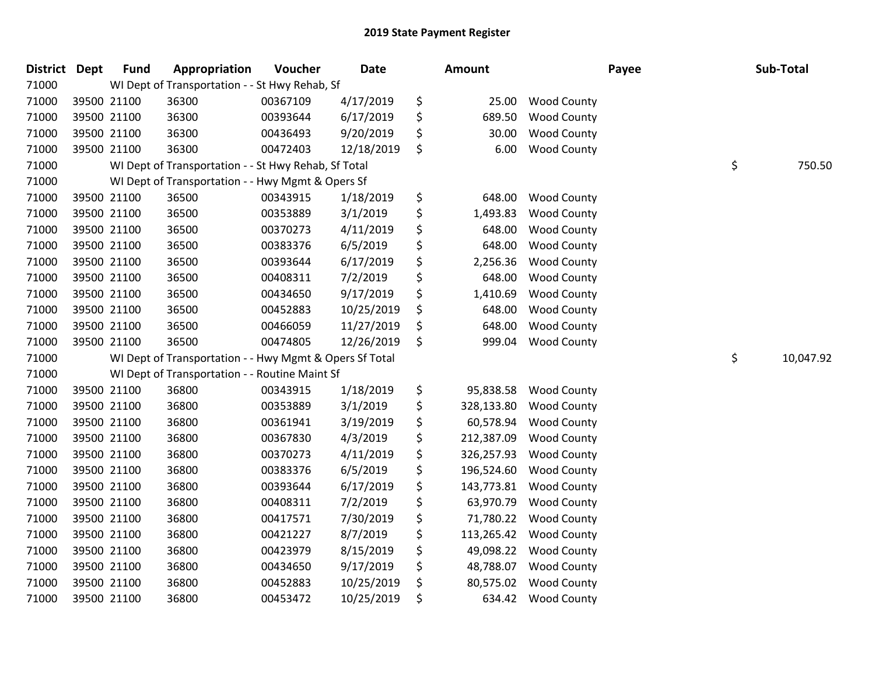| <b>District</b> | Dept        | <b>Fund</b> | Appropriation                                           | Voucher  | Date       | Amount           |                    | Payee | Sub-Total       |
|-----------------|-------------|-------------|---------------------------------------------------------|----------|------------|------------------|--------------------|-------|-----------------|
| 71000           |             |             | WI Dept of Transportation - - St Hwy Rehab, Sf          |          |            |                  |                    |       |                 |
| 71000           |             | 39500 21100 | 36300                                                   | 00367109 | 4/17/2019  | \$<br>25.00      | <b>Wood County</b> |       |                 |
| 71000           | 39500 21100 |             | 36300                                                   | 00393644 | 6/17/2019  | \$<br>689.50     | Wood County        |       |                 |
| 71000           | 39500 21100 |             | 36300                                                   | 00436493 | 9/20/2019  | \$<br>30.00      | <b>Wood County</b> |       |                 |
| 71000           | 39500 21100 |             | 36300                                                   | 00472403 | 12/18/2019 | \$<br>6.00       | <b>Wood County</b> |       |                 |
| 71000           |             |             | WI Dept of Transportation - - St Hwy Rehab, Sf Total    |          |            |                  |                    |       | \$<br>750.50    |
| 71000           |             |             | WI Dept of Transportation - - Hwy Mgmt & Opers Sf       |          |            |                  |                    |       |                 |
| 71000           |             | 39500 21100 | 36500                                                   | 00343915 | 1/18/2019  | \$<br>648.00     | <b>Wood County</b> |       |                 |
| 71000           |             | 39500 21100 | 36500                                                   | 00353889 | 3/1/2019   | \$<br>1,493.83   | <b>Wood County</b> |       |                 |
| 71000           | 39500 21100 |             | 36500                                                   | 00370273 | 4/11/2019  | \$<br>648.00     | <b>Wood County</b> |       |                 |
| 71000           |             | 39500 21100 | 36500                                                   | 00383376 | 6/5/2019   | \$<br>648.00     | <b>Wood County</b> |       |                 |
| 71000           | 39500 21100 |             | 36500                                                   | 00393644 | 6/17/2019  | \$<br>2,256.36   | <b>Wood County</b> |       |                 |
| 71000           | 39500 21100 |             | 36500                                                   | 00408311 | 7/2/2019   | \$<br>648.00     | <b>Wood County</b> |       |                 |
| 71000           | 39500 21100 |             | 36500                                                   | 00434650 | 9/17/2019  | \$<br>1,410.69   | <b>Wood County</b> |       |                 |
| 71000           | 39500 21100 |             | 36500                                                   | 00452883 | 10/25/2019 | \$<br>648.00     | <b>Wood County</b> |       |                 |
| 71000           | 39500 21100 |             | 36500                                                   | 00466059 | 11/27/2019 | \$<br>648.00     | <b>Wood County</b> |       |                 |
| 71000           | 39500 21100 |             | 36500                                                   | 00474805 | 12/26/2019 | \$<br>999.04     | <b>Wood County</b> |       |                 |
| 71000           |             |             | WI Dept of Transportation - - Hwy Mgmt & Opers Sf Total |          |            |                  |                    |       | \$<br>10,047.92 |
| 71000           |             |             | WI Dept of Transportation - - Routine Maint Sf          |          |            |                  |                    |       |                 |
| 71000           |             | 39500 21100 | 36800                                                   | 00343915 | 1/18/2019  | \$<br>95,838.58  | <b>Wood County</b> |       |                 |
| 71000           |             | 39500 21100 | 36800                                                   | 00353889 | 3/1/2019   | \$<br>328,133.80 | <b>Wood County</b> |       |                 |
| 71000           |             | 39500 21100 | 36800                                                   | 00361941 | 3/19/2019  | \$<br>60,578.94  | <b>Wood County</b> |       |                 |
| 71000           | 39500 21100 |             | 36800                                                   | 00367830 | 4/3/2019   | \$<br>212,387.09 | <b>Wood County</b> |       |                 |
| 71000           | 39500 21100 |             | 36800                                                   | 00370273 | 4/11/2019  | \$<br>326,257.93 | <b>Wood County</b> |       |                 |
| 71000           | 39500 21100 |             | 36800                                                   | 00383376 | 6/5/2019   | \$<br>196,524.60 | <b>Wood County</b> |       |                 |
| 71000           | 39500 21100 |             | 36800                                                   | 00393644 | 6/17/2019  | \$<br>143,773.81 | <b>Wood County</b> |       |                 |
| 71000           |             | 39500 21100 | 36800                                                   | 00408311 | 7/2/2019   | \$<br>63,970.79  | <b>Wood County</b> |       |                 |
| 71000           | 39500 21100 |             | 36800                                                   | 00417571 | 7/30/2019  | \$<br>71,780.22  | <b>Wood County</b> |       |                 |
| 71000           | 39500 21100 |             | 36800                                                   | 00421227 | 8/7/2019   | \$<br>113,265.42 | <b>Wood County</b> |       |                 |
| 71000           | 39500 21100 |             | 36800                                                   | 00423979 | 8/15/2019  | \$<br>49,098.22  | <b>Wood County</b> |       |                 |
| 71000           | 39500 21100 |             | 36800                                                   | 00434650 | 9/17/2019  | \$<br>48,788.07  | <b>Wood County</b> |       |                 |
| 71000           | 39500 21100 |             | 36800                                                   | 00452883 | 10/25/2019 | \$<br>80,575.02  | <b>Wood County</b> |       |                 |
| 71000           | 39500 21100 |             | 36800                                                   | 00453472 | 10/25/2019 | \$<br>634.42     | <b>Wood County</b> |       |                 |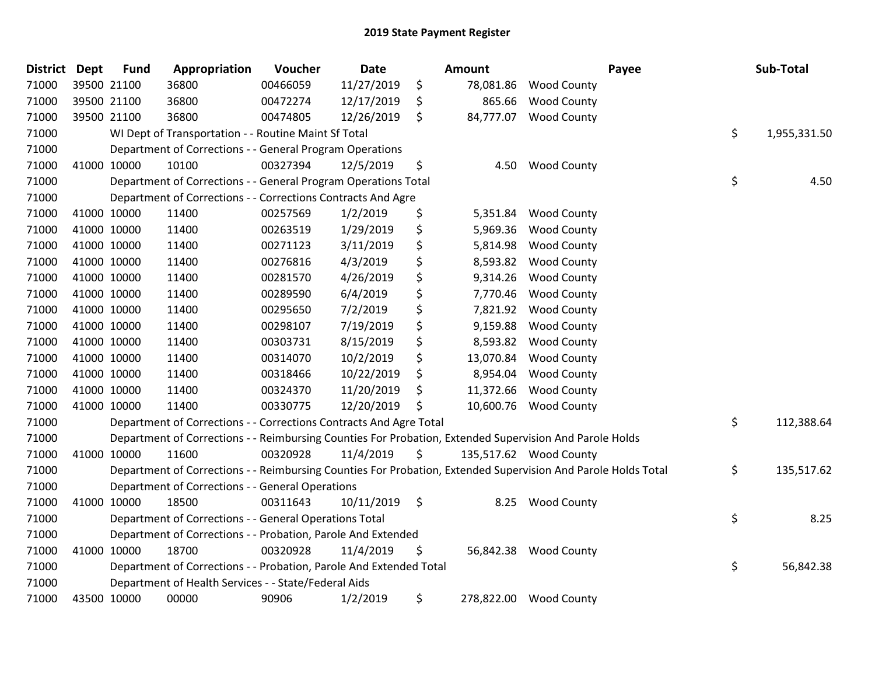| <b>District</b> | <b>Dept</b> | <b>Fund</b> | Appropriation                                                      | Voucher  | <b>Date</b>     | Amount          | Payee                                                                                                         | Sub-Total          |
|-----------------|-------------|-------------|--------------------------------------------------------------------|----------|-----------------|-----------------|---------------------------------------------------------------------------------------------------------------|--------------------|
| 71000           |             | 39500 21100 | 36800                                                              | 00466059 | 11/27/2019      | \$<br>78,081.86 | <b>Wood County</b>                                                                                            |                    |
| 71000           |             | 39500 21100 | 36800                                                              | 00472274 | 12/17/2019      | \$<br>865.66    | <b>Wood County</b>                                                                                            |                    |
| 71000           | 39500 21100 |             | 36800                                                              | 00474805 | 12/26/2019      | \$<br>84,777.07 | <b>Wood County</b>                                                                                            |                    |
| 71000           |             |             | WI Dept of Transportation - - Routine Maint Sf Total               |          |                 |                 |                                                                                                               | \$<br>1,955,331.50 |
| 71000           |             |             | Department of Corrections - - General Program Operations           |          |                 |                 |                                                                                                               |                    |
| 71000           |             | 41000 10000 | 10100                                                              | 00327394 | 12/5/2019       | \$<br>4.50      | <b>Wood County</b>                                                                                            |                    |
| 71000           |             |             | Department of Corrections - - General Program Operations Total     |          |                 |                 |                                                                                                               | \$<br>4.50         |
| 71000           |             |             | Department of Corrections - - Corrections Contracts And Agre       |          |                 |                 |                                                                                                               |                    |
| 71000           |             | 41000 10000 | 11400                                                              | 00257569 | 1/2/2019        | \$<br>5,351.84  | <b>Wood County</b>                                                                                            |                    |
| 71000           |             | 41000 10000 | 11400                                                              | 00263519 | 1/29/2019       | \$<br>5,969.36  | <b>Wood County</b>                                                                                            |                    |
| 71000           |             | 41000 10000 | 11400                                                              | 00271123 | 3/11/2019       | \$<br>5,814.98  | <b>Wood County</b>                                                                                            |                    |
| 71000           |             | 41000 10000 | 11400                                                              | 00276816 | 4/3/2019        | \$<br>8,593.82  | <b>Wood County</b>                                                                                            |                    |
| 71000           | 41000 10000 |             | 11400                                                              | 00281570 | 4/26/2019       | \$<br>9,314.26  | <b>Wood County</b>                                                                                            |                    |
| 71000           | 41000 10000 |             | 11400                                                              | 00289590 | 6/4/2019        | \$<br>7,770.46  | <b>Wood County</b>                                                                                            |                    |
| 71000           | 41000 10000 |             | 11400                                                              | 00295650 | 7/2/2019        | \$<br>7,821.92  | <b>Wood County</b>                                                                                            |                    |
| 71000           |             | 41000 10000 | 11400                                                              | 00298107 | 7/19/2019       | \$<br>9,159.88  | <b>Wood County</b>                                                                                            |                    |
| 71000           |             | 41000 10000 | 11400                                                              | 00303731 | 8/15/2019       | \$<br>8,593.82  | <b>Wood County</b>                                                                                            |                    |
| 71000           |             | 41000 10000 | 11400                                                              | 00314070 | 10/2/2019       | \$<br>13,070.84 | <b>Wood County</b>                                                                                            |                    |
| 71000           |             | 41000 10000 | 11400                                                              | 00318466 | 10/22/2019      | \$<br>8,954.04  | <b>Wood County</b>                                                                                            |                    |
| 71000           | 41000 10000 |             | 11400                                                              | 00324370 | 11/20/2019      | \$<br>11,372.66 | <b>Wood County</b>                                                                                            |                    |
| 71000           |             | 41000 10000 | 11400                                                              | 00330775 | 12/20/2019      | \$<br>10,600.76 | <b>Wood County</b>                                                                                            |                    |
| 71000           |             |             | Department of Corrections - - Corrections Contracts And Agre Total |          |                 |                 |                                                                                                               | \$<br>112,388.64   |
| 71000           |             |             |                                                                    |          |                 |                 | Department of Corrections - - Reimbursing Counties For Probation, Extended Supervision And Parole Holds       |                    |
| 71000           |             | 41000 10000 | 11600                                                              | 00320928 | 11/4/2019       | \$              | 135,517.62 Wood County                                                                                        |                    |
| 71000           |             |             |                                                                    |          |                 |                 | Department of Corrections - - Reimbursing Counties For Probation, Extended Supervision And Parole Holds Total | \$<br>135,517.62   |
| 71000           |             |             | Department of Corrections - - General Operations                   |          |                 |                 |                                                                                                               |                    |
| 71000           |             | 41000 10000 | 18500                                                              | 00311643 | $10/11/2019$ \$ | 8.25            | <b>Wood County</b>                                                                                            |                    |
| 71000           |             |             | Department of Corrections - - General Operations Total             |          |                 |                 |                                                                                                               | \$<br>8.25         |
| 71000           |             |             | Department of Corrections - - Probation, Parole And Extended       |          |                 |                 |                                                                                                               |                    |
| 71000           | 41000 10000 |             | 18700                                                              | 00320928 | 11/4/2019       | \$              | 56,842.38 Wood County                                                                                         |                    |
| 71000           |             |             | Department of Corrections - - Probation, Parole And Extended Total |          |                 |                 |                                                                                                               | \$<br>56,842.38    |
| 71000           |             |             | Department of Health Services - - State/Federal Aids               |          |                 |                 |                                                                                                               |                    |
| 71000           | 43500 10000 |             | 00000                                                              | 90906    | 1/2/2019        | \$              | 278,822.00 Wood County                                                                                        |                    |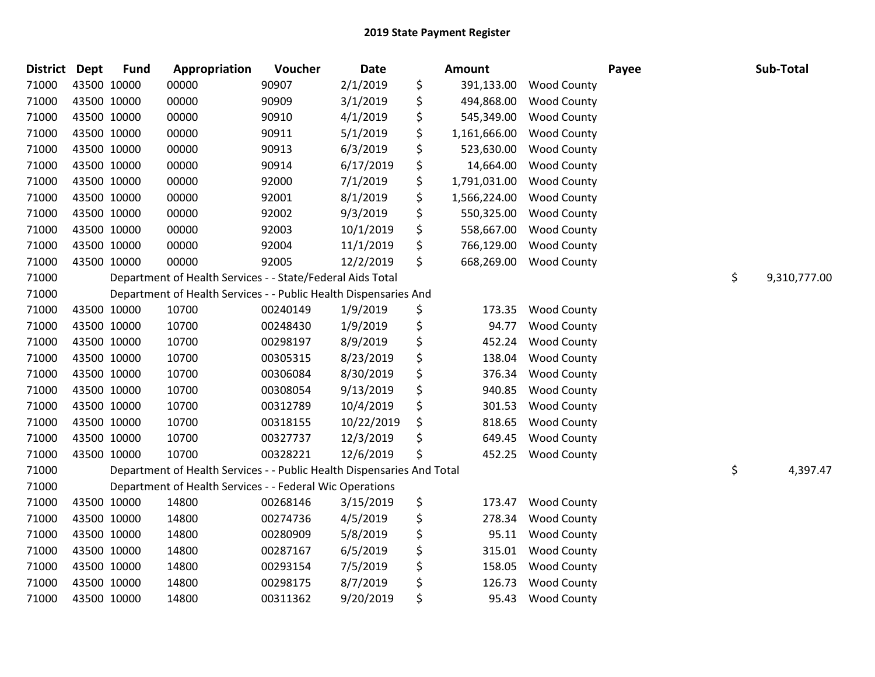| District Dept |             | <b>Fund</b> | Appropriation                                                          | Voucher  | <b>Date</b> | <b>Amount</b>      |                    | Payee | Sub-Total          |
|---------------|-------------|-------------|------------------------------------------------------------------------|----------|-------------|--------------------|--------------------|-------|--------------------|
| 71000         |             | 43500 10000 | 00000                                                                  | 90907    | 2/1/2019    | \$<br>391,133.00   | <b>Wood County</b> |       |                    |
| 71000         |             | 43500 10000 | 00000                                                                  | 90909    | 3/1/2019    | \$<br>494,868.00   | <b>Wood County</b> |       |                    |
| 71000         | 43500 10000 |             | 00000                                                                  | 90910    | 4/1/2019    | \$<br>545,349.00   | <b>Wood County</b> |       |                    |
| 71000         | 43500 10000 |             | 00000                                                                  | 90911    | 5/1/2019    | \$<br>1,161,666.00 | <b>Wood County</b> |       |                    |
| 71000         |             | 43500 10000 | 00000                                                                  | 90913    | 6/3/2019    | \$<br>523,630.00   | <b>Wood County</b> |       |                    |
| 71000         |             | 43500 10000 | 00000                                                                  | 90914    | 6/17/2019   | \$<br>14,664.00    | <b>Wood County</b> |       |                    |
| 71000         | 43500 10000 |             | 00000                                                                  | 92000    | 7/1/2019    | \$<br>1,791,031.00 | <b>Wood County</b> |       |                    |
| 71000         |             | 43500 10000 | 00000                                                                  | 92001    | 8/1/2019    | \$<br>1,566,224.00 | <b>Wood County</b> |       |                    |
| 71000         | 43500 10000 |             | 00000                                                                  | 92002    | 9/3/2019    | \$<br>550,325.00   | <b>Wood County</b> |       |                    |
| 71000         |             | 43500 10000 | 00000                                                                  | 92003    | 10/1/2019   | \$<br>558,667.00   | <b>Wood County</b> |       |                    |
| 71000         |             | 43500 10000 | 00000                                                                  | 92004    | 11/1/2019   | \$<br>766,129.00   | <b>Wood County</b> |       |                    |
| 71000         | 43500 10000 |             | 00000                                                                  | 92005    | 12/2/2019   | \$<br>668,269.00   | <b>Wood County</b> |       |                    |
| 71000         |             |             | Department of Health Services - - State/Federal Aids Total             |          |             |                    |                    |       | \$<br>9,310,777.00 |
| 71000         |             |             | Department of Health Services - - Public Health Dispensaries And       |          |             |                    |                    |       |                    |
| 71000         |             | 43500 10000 | 10700                                                                  | 00240149 | 1/9/2019    | \$<br>173.35       | <b>Wood County</b> |       |                    |
| 71000         |             | 43500 10000 | 10700                                                                  | 00248430 | 1/9/2019    | \$<br>94.77        | <b>Wood County</b> |       |                    |
| 71000         | 43500 10000 |             | 10700                                                                  | 00298197 | 8/9/2019    | \$<br>452.24       | <b>Wood County</b> |       |                    |
| 71000         |             | 43500 10000 | 10700                                                                  | 00305315 | 8/23/2019   | \$<br>138.04       | <b>Wood County</b> |       |                    |
| 71000         |             | 43500 10000 | 10700                                                                  | 00306084 | 8/30/2019   | \$<br>376.34       | <b>Wood County</b> |       |                    |
| 71000         |             | 43500 10000 | 10700                                                                  | 00308054 | 9/13/2019   | \$<br>940.85       | <b>Wood County</b> |       |                    |
| 71000         |             | 43500 10000 | 10700                                                                  | 00312789 | 10/4/2019   | \$<br>301.53       | <b>Wood County</b> |       |                    |
| 71000         |             | 43500 10000 | 10700                                                                  | 00318155 | 10/22/2019  | \$<br>818.65       | <b>Wood County</b> |       |                    |
| 71000         | 43500 10000 |             | 10700                                                                  | 00327737 | 12/3/2019   | \$<br>649.45       | <b>Wood County</b> |       |                    |
| 71000         | 43500 10000 |             | 10700                                                                  | 00328221 | 12/6/2019   | \$<br>452.25       | <b>Wood County</b> |       |                    |
| 71000         |             |             | Department of Health Services - - Public Health Dispensaries And Total |          |             |                    |                    |       | \$<br>4,397.47     |
| 71000         |             |             | Department of Health Services - - Federal Wic Operations               |          |             |                    |                    |       |                    |
| 71000         | 43500 10000 |             | 14800                                                                  | 00268146 | 3/15/2019   | \$<br>173.47       | <b>Wood County</b> |       |                    |
| 71000         |             | 43500 10000 | 14800                                                                  | 00274736 | 4/5/2019    | \$<br>278.34       | <b>Wood County</b> |       |                    |
| 71000         |             | 43500 10000 | 14800                                                                  | 00280909 | 5/8/2019    | \$<br>95.11        | <b>Wood County</b> |       |                    |
| 71000         | 43500 10000 |             | 14800                                                                  | 00287167 | 6/5/2019    | \$<br>315.01       | <b>Wood County</b> |       |                    |
| 71000         |             | 43500 10000 | 14800                                                                  | 00293154 | 7/5/2019    | \$<br>158.05       | <b>Wood County</b> |       |                    |
| 71000         | 43500 10000 |             | 14800                                                                  | 00298175 | 8/7/2019    | \$<br>126.73       | <b>Wood County</b> |       |                    |
| 71000         | 43500 10000 |             | 14800                                                                  | 00311362 | 9/20/2019   | \$<br>95.43        | <b>Wood County</b> |       |                    |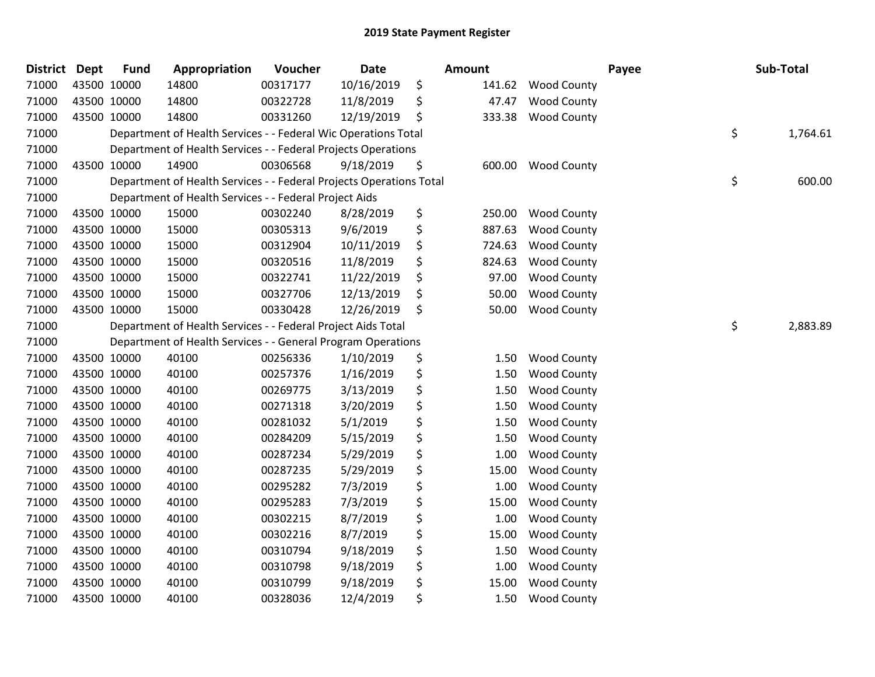| <b>District</b> | <b>Dept</b> | <b>Fund</b> | Appropriation                                                       | Voucher  | <b>Date</b> | <b>Amount</b> |                    | Payee | Sub-Total      |
|-----------------|-------------|-------------|---------------------------------------------------------------------|----------|-------------|---------------|--------------------|-------|----------------|
| 71000           | 43500 10000 |             | 14800                                                               | 00317177 | 10/16/2019  | \$<br>141.62  | <b>Wood County</b> |       |                |
| 71000           | 43500 10000 |             | 14800                                                               | 00322728 | 11/8/2019   | \$<br>47.47   | <b>Wood County</b> |       |                |
| 71000           | 43500 10000 |             | 14800                                                               | 00331260 | 12/19/2019  | \$<br>333.38  | <b>Wood County</b> |       |                |
| 71000           |             |             | Department of Health Services - - Federal Wic Operations Total      |          |             |               |                    |       | \$<br>1,764.61 |
| 71000           |             |             | Department of Health Services - - Federal Projects Operations       |          |             |               |                    |       |                |
| 71000           | 43500 10000 |             | 14900                                                               | 00306568 | 9/18/2019   | \$<br>600.00  | <b>Wood County</b> |       |                |
| 71000           |             |             | Department of Health Services - - Federal Projects Operations Total |          |             |               |                    |       | \$<br>600.00   |
| 71000           |             |             | Department of Health Services - - Federal Project Aids              |          |             |               |                    |       |                |
| 71000           | 43500 10000 |             | 15000                                                               | 00302240 | 8/28/2019   | \$<br>250.00  | <b>Wood County</b> |       |                |
| 71000           | 43500 10000 |             | 15000                                                               | 00305313 | 9/6/2019    | \$<br>887.63  | <b>Wood County</b> |       |                |
| 71000           | 43500 10000 |             | 15000                                                               | 00312904 | 10/11/2019  | \$<br>724.63  | <b>Wood County</b> |       |                |
| 71000           | 43500 10000 |             | 15000                                                               | 00320516 | 11/8/2019   | \$<br>824.63  | <b>Wood County</b> |       |                |
| 71000           | 43500 10000 |             | 15000                                                               | 00322741 | 11/22/2019  | \$<br>97.00   | <b>Wood County</b> |       |                |
| 71000           | 43500 10000 |             | 15000                                                               | 00327706 | 12/13/2019  | \$<br>50.00   | <b>Wood County</b> |       |                |
| 71000           | 43500 10000 |             | 15000                                                               | 00330428 | 12/26/2019  | \$<br>50.00   | <b>Wood County</b> |       |                |
| 71000           |             |             | Department of Health Services - - Federal Project Aids Total        |          |             |               |                    |       | \$<br>2,883.89 |
| 71000           |             |             | Department of Health Services - - General Program Operations        |          |             |               |                    |       |                |
| 71000           | 43500 10000 |             | 40100                                                               | 00256336 | 1/10/2019   | \$<br>1.50    | <b>Wood County</b> |       |                |
| 71000           | 43500 10000 |             | 40100                                                               | 00257376 | 1/16/2019   | \$<br>1.50    | <b>Wood County</b> |       |                |
| 71000           | 43500 10000 |             | 40100                                                               | 00269775 | 3/13/2019   | \$<br>1.50    | <b>Wood County</b> |       |                |
| 71000           | 43500 10000 |             | 40100                                                               | 00271318 | 3/20/2019   | \$<br>1.50    | <b>Wood County</b> |       |                |
| 71000           | 43500 10000 |             | 40100                                                               | 00281032 | 5/1/2019    | \$<br>1.50    | <b>Wood County</b> |       |                |
| 71000           | 43500 10000 |             | 40100                                                               | 00284209 | 5/15/2019   | \$<br>1.50    | <b>Wood County</b> |       |                |
| 71000           | 43500 10000 |             | 40100                                                               | 00287234 | 5/29/2019   | \$<br>1.00    | <b>Wood County</b> |       |                |
| 71000           | 43500 10000 |             | 40100                                                               | 00287235 | 5/29/2019   | \$<br>15.00   | <b>Wood County</b> |       |                |
| 71000           | 43500 10000 |             | 40100                                                               | 00295282 | 7/3/2019    | \$<br>1.00    | <b>Wood County</b> |       |                |
| 71000           | 43500 10000 |             | 40100                                                               | 00295283 | 7/3/2019    | \$<br>15.00   | <b>Wood County</b> |       |                |
| 71000           | 43500 10000 |             | 40100                                                               | 00302215 | 8/7/2019    | \$<br>1.00    | <b>Wood County</b> |       |                |
| 71000           | 43500 10000 |             | 40100                                                               | 00302216 | 8/7/2019    | \$<br>15.00   | <b>Wood County</b> |       |                |
| 71000           | 43500 10000 |             | 40100                                                               | 00310794 | 9/18/2019   | \$<br>1.50    | <b>Wood County</b> |       |                |
| 71000           | 43500 10000 |             | 40100                                                               | 00310798 | 9/18/2019   | \$<br>1.00    | <b>Wood County</b> |       |                |
| 71000           | 43500 10000 |             | 40100                                                               | 00310799 | 9/18/2019   | \$<br>15.00   | <b>Wood County</b> |       |                |
| 71000           | 43500 10000 |             | 40100                                                               | 00328036 | 12/4/2019   | \$<br>1.50    | <b>Wood County</b> |       |                |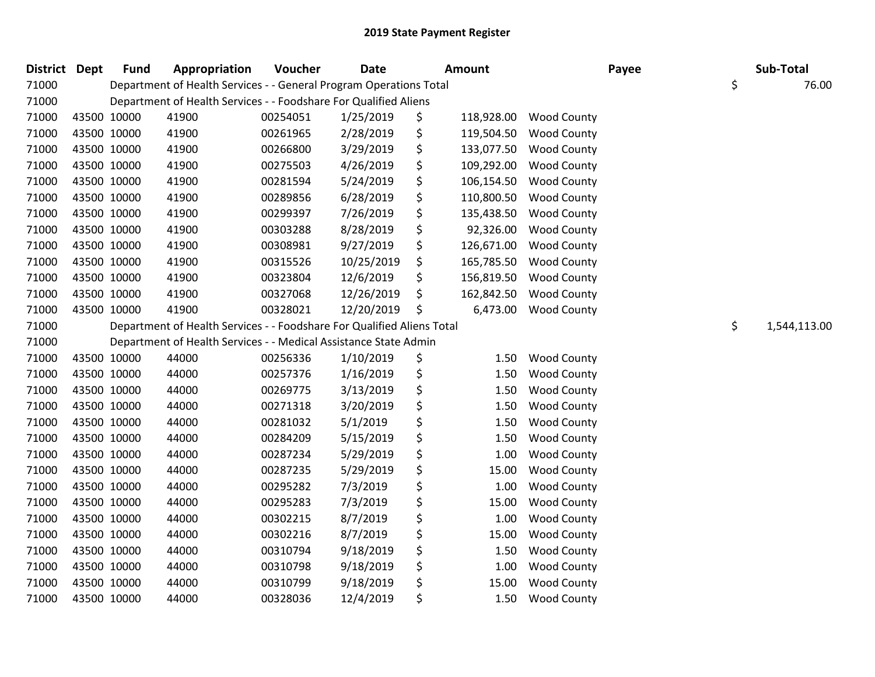| <b>District</b> | <b>Dept</b> | <b>Fund</b> | Appropriation                                                          | Voucher  | <b>Date</b> | <b>Amount</b>    |                    | Payee | Sub-Total          |
|-----------------|-------------|-------------|------------------------------------------------------------------------|----------|-------------|------------------|--------------------|-------|--------------------|
| 71000           |             |             | Department of Health Services - - General Program Operations Total     |          |             |                  |                    |       | \$<br>76.00        |
| 71000           |             |             | Department of Health Services - - Foodshare For Qualified Aliens       |          |             |                  |                    |       |                    |
| 71000           |             | 43500 10000 | 41900                                                                  | 00254051 | 1/25/2019   | \$<br>118,928.00 | <b>Wood County</b> |       |                    |
| 71000           | 43500 10000 |             | 41900                                                                  | 00261965 | 2/28/2019   | \$<br>119,504.50 | <b>Wood County</b> |       |                    |
| 71000           | 43500 10000 |             | 41900                                                                  | 00266800 | 3/29/2019   | \$<br>133,077.50 | <b>Wood County</b> |       |                    |
| 71000           |             | 43500 10000 | 41900                                                                  | 00275503 | 4/26/2019   | \$<br>109,292.00 | <b>Wood County</b> |       |                    |
| 71000           | 43500 10000 |             | 41900                                                                  | 00281594 | 5/24/2019   | \$<br>106,154.50 | <b>Wood County</b> |       |                    |
| 71000           | 43500 10000 |             | 41900                                                                  | 00289856 | 6/28/2019   | \$<br>110,800.50 | <b>Wood County</b> |       |                    |
| 71000           | 43500 10000 |             | 41900                                                                  | 00299397 | 7/26/2019   | \$<br>135,438.50 | <b>Wood County</b> |       |                    |
| 71000           | 43500 10000 |             | 41900                                                                  | 00303288 | 8/28/2019   | \$<br>92,326.00  | <b>Wood County</b> |       |                    |
| 71000           |             | 43500 10000 | 41900                                                                  | 00308981 | 9/27/2019   | \$<br>126,671.00 | <b>Wood County</b> |       |                    |
| 71000           | 43500 10000 |             | 41900                                                                  | 00315526 | 10/25/2019  | \$<br>165,785.50 | <b>Wood County</b> |       |                    |
| 71000           | 43500 10000 |             | 41900                                                                  | 00323804 | 12/6/2019   | \$<br>156,819.50 | <b>Wood County</b> |       |                    |
| 71000           | 43500 10000 |             | 41900                                                                  | 00327068 | 12/26/2019  | \$<br>162,842.50 | <b>Wood County</b> |       |                    |
| 71000           |             | 43500 10000 | 41900                                                                  | 00328021 | 12/20/2019  | \$<br>6,473.00   | <b>Wood County</b> |       |                    |
| 71000           |             |             | Department of Health Services - - Foodshare For Qualified Aliens Total |          |             |                  |                    |       | \$<br>1,544,113.00 |
| 71000           |             |             | Department of Health Services - - Medical Assistance State Admin       |          |             |                  |                    |       |                    |
| 71000           | 43500 10000 |             | 44000                                                                  | 00256336 | 1/10/2019   | \$<br>1.50       | Wood County        |       |                    |
| 71000           | 43500 10000 |             | 44000                                                                  | 00257376 | 1/16/2019   | \$<br>1.50       | <b>Wood County</b> |       |                    |
| 71000           |             | 43500 10000 | 44000                                                                  | 00269775 | 3/13/2019   | \$<br>1.50       | <b>Wood County</b> |       |                    |
| 71000           |             | 43500 10000 | 44000                                                                  | 00271318 | 3/20/2019   | \$<br>1.50       | <b>Wood County</b> |       |                    |
| 71000           | 43500 10000 |             | 44000                                                                  | 00281032 | 5/1/2019    | \$<br>1.50       | <b>Wood County</b> |       |                    |
| 71000           | 43500 10000 |             | 44000                                                                  | 00284209 | 5/15/2019   | \$<br>1.50       | <b>Wood County</b> |       |                    |
| 71000           | 43500 10000 |             | 44000                                                                  | 00287234 | 5/29/2019   | \$<br>1.00       | <b>Wood County</b> |       |                    |
| 71000           |             | 43500 10000 | 44000                                                                  | 00287235 | 5/29/2019   | \$<br>15.00      | <b>Wood County</b> |       |                    |
| 71000           |             | 43500 10000 | 44000                                                                  | 00295282 | 7/3/2019    | \$<br>1.00       | <b>Wood County</b> |       |                    |
| 71000           | 43500 10000 |             | 44000                                                                  | 00295283 | 7/3/2019    | \$<br>15.00      | <b>Wood County</b> |       |                    |
| 71000           | 43500 10000 |             | 44000                                                                  | 00302215 | 8/7/2019    | \$<br>1.00       | <b>Wood County</b> |       |                    |
| 71000           | 43500 10000 |             | 44000                                                                  | 00302216 | 8/7/2019    | \$<br>15.00      | <b>Wood County</b> |       |                    |
| 71000           |             | 43500 10000 | 44000                                                                  | 00310794 | 9/18/2019   | \$<br>1.50       | <b>Wood County</b> |       |                    |
| 71000           |             | 43500 10000 | 44000                                                                  | 00310798 | 9/18/2019   | \$<br>1.00       | <b>Wood County</b> |       |                    |
| 71000           | 43500 10000 |             | 44000                                                                  | 00310799 | 9/18/2019   | \$<br>15.00      | <b>Wood County</b> |       |                    |
| 71000           | 43500 10000 |             | 44000                                                                  | 00328036 | 12/4/2019   | \$<br>1.50       | <b>Wood County</b> |       |                    |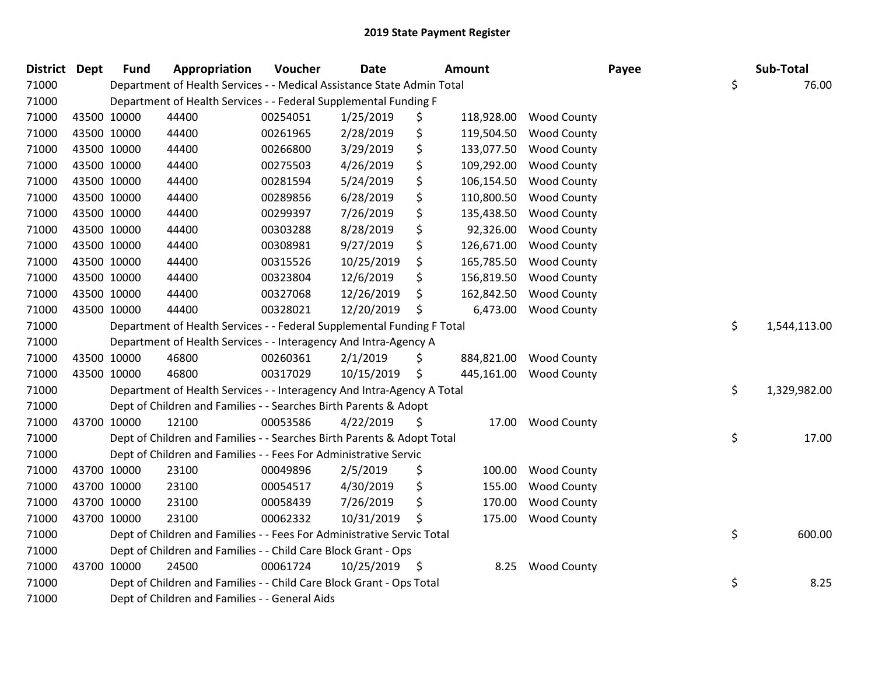| District Dept |             | <b>Fund</b> | Appropriation                                                          | Voucher  | <b>Date</b>   | Amount           |                    | Payee | Sub-Total          |
|---------------|-------------|-------------|------------------------------------------------------------------------|----------|---------------|------------------|--------------------|-------|--------------------|
| 71000         |             |             | Department of Health Services - - Medical Assistance State Admin Total |          |               |                  |                    |       | \$<br>76.00        |
| 71000         |             |             | Department of Health Services - - Federal Supplemental Funding F       |          |               |                  |                    |       |                    |
| 71000         | 43500 10000 |             | 44400                                                                  | 00254051 | 1/25/2019     | \$<br>118,928.00 | <b>Wood County</b> |       |                    |
| 71000         | 43500 10000 |             | 44400                                                                  | 00261965 | 2/28/2019     | \$<br>119,504.50 | <b>Wood County</b> |       |                    |
| 71000         | 43500 10000 |             | 44400                                                                  | 00266800 | 3/29/2019     | \$<br>133,077.50 | <b>Wood County</b> |       |                    |
| 71000         | 43500 10000 |             | 44400                                                                  | 00275503 | 4/26/2019     | \$<br>109,292.00 | <b>Wood County</b> |       |                    |
| 71000         | 43500 10000 |             | 44400                                                                  | 00281594 | 5/24/2019     | \$<br>106,154.50 | <b>Wood County</b> |       |                    |
| 71000         | 43500 10000 |             | 44400                                                                  | 00289856 | 6/28/2019     | \$<br>110,800.50 | <b>Wood County</b> |       |                    |
| 71000         | 43500 10000 |             | 44400                                                                  | 00299397 | 7/26/2019     | \$<br>135,438.50 | <b>Wood County</b> |       |                    |
| 71000         | 43500 10000 |             | 44400                                                                  | 00303288 | 8/28/2019     | \$<br>92,326.00  | <b>Wood County</b> |       |                    |
| 71000         | 43500 10000 |             | 44400                                                                  | 00308981 | 9/27/2019     | \$<br>126,671.00 | <b>Wood County</b> |       |                    |
| 71000         | 43500 10000 |             | 44400                                                                  | 00315526 | 10/25/2019    | \$<br>165,785.50 | <b>Wood County</b> |       |                    |
| 71000         | 43500 10000 |             | 44400                                                                  | 00323804 | 12/6/2019     | \$<br>156,819.50 | <b>Wood County</b> |       |                    |
| 71000         | 43500 10000 |             | 44400                                                                  | 00327068 | 12/26/2019    | \$<br>162,842.50 | <b>Wood County</b> |       |                    |
| 71000         | 43500 10000 |             | 44400                                                                  | 00328021 | 12/20/2019    | \$<br>6,473.00   | <b>Wood County</b> |       |                    |
| 71000         |             |             | Department of Health Services - - Federal Supplemental Funding F Total |          |               |                  |                    |       | \$<br>1,544,113.00 |
| 71000         |             |             | Department of Health Services - - Interagency And Intra-Agency A       |          |               |                  |                    |       |                    |
| 71000         | 43500 10000 |             | 46800                                                                  | 00260361 | 2/1/2019      | \$<br>884,821.00 | <b>Wood County</b> |       |                    |
| 71000         | 43500 10000 |             | 46800                                                                  | 00317029 | 10/15/2019    | \$<br>445,161.00 | <b>Wood County</b> |       |                    |
| 71000         |             |             | Department of Health Services - - Interagency And Intra-Agency A Total |          |               |                  |                    |       | \$<br>1,329,982.00 |
| 71000         |             |             | Dept of Children and Families - - Searches Birth Parents & Adopt       |          |               |                  |                    |       |                    |
| 71000         | 43700 10000 |             | 12100                                                                  | 00053586 | 4/22/2019     | \$<br>17.00      | <b>Wood County</b> |       |                    |
| 71000         |             |             | Dept of Children and Families - - Searches Birth Parents & Adopt Total |          |               |                  |                    |       | \$<br>17.00        |
| 71000         |             |             | Dept of Children and Families - - Fees For Administrative Servic       |          |               |                  |                    |       |                    |
| 71000         | 43700 10000 |             | 23100                                                                  | 00049896 | 2/5/2019      | \$<br>100.00     | <b>Wood County</b> |       |                    |
| 71000         | 43700 10000 |             | 23100                                                                  | 00054517 | 4/30/2019     | \$<br>155.00     | <b>Wood County</b> |       |                    |
| 71000         | 43700 10000 |             | 23100                                                                  | 00058439 | 7/26/2019     | \$<br>170.00     | <b>Wood County</b> |       |                    |
| 71000         | 43700 10000 |             | 23100                                                                  | 00062332 | 10/31/2019    | \$<br>175.00     | <b>Wood County</b> |       |                    |
| 71000         |             |             | Dept of Children and Families - - Fees For Administrative Servic Total |          |               |                  |                    |       | \$<br>600.00       |
| 71000         |             |             | Dept of Children and Families - - Child Care Block Grant - Ops         |          |               |                  |                    |       |                    |
| 71000         | 43700 10000 |             | 24500                                                                  | 00061724 | 10/25/2019 \$ | 8.25             | <b>Wood County</b> |       |                    |
| 71000         |             |             | Dept of Children and Families - - Child Care Block Grant - Ops Total   |          |               |                  |                    |       | \$<br>8.25         |
| 71000         |             |             | Dept of Children and Families - - General Aids                         |          |               |                  |                    |       |                    |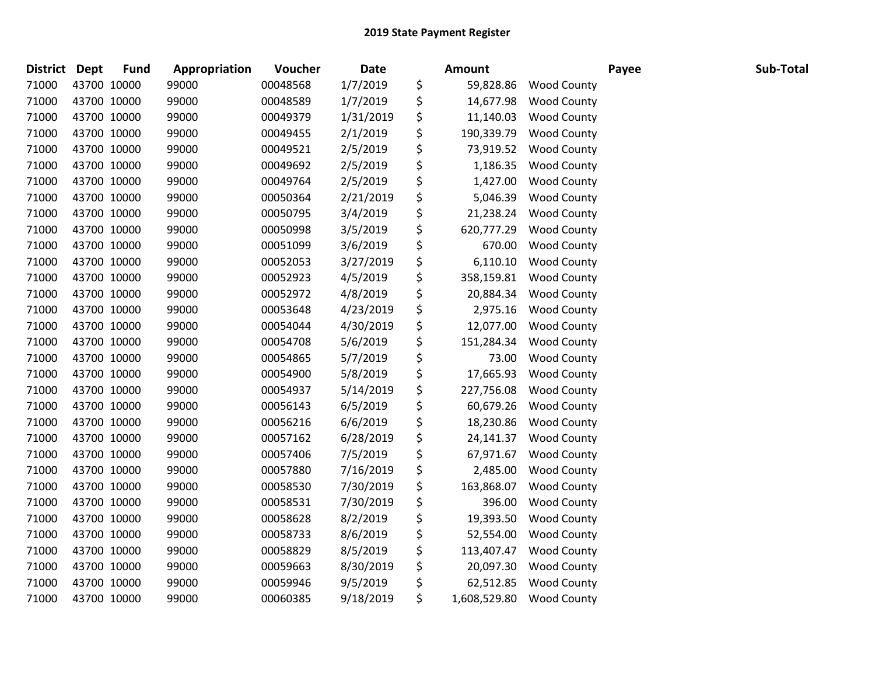| <b>District</b> | Dept        | <b>Fund</b> | Appropriation | Voucher  | <b>Date</b> | Amount             |                    | Payee | Sub-Total |
|-----------------|-------------|-------------|---------------|----------|-------------|--------------------|--------------------|-------|-----------|
| 71000           |             | 43700 10000 | 99000         | 00048568 | 1/7/2019    | \$<br>59,828.86    | <b>Wood County</b> |       |           |
| 71000           |             | 43700 10000 | 99000         | 00048589 | 1/7/2019    | \$<br>14,677.98    | <b>Wood County</b> |       |           |
| 71000           |             | 43700 10000 | 99000         | 00049379 | 1/31/2019   | \$<br>11,140.03    | <b>Wood County</b> |       |           |
| 71000           | 43700 10000 |             | 99000         | 00049455 | 2/1/2019    | \$<br>190,339.79   | <b>Wood County</b> |       |           |
| 71000           |             | 43700 10000 | 99000         | 00049521 | 2/5/2019    | \$<br>73,919.52    | <b>Wood County</b> |       |           |
| 71000           |             | 43700 10000 | 99000         | 00049692 | 2/5/2019    | \$<br>1,186.35     | <b>Wood County</b> |       |           |
| 71000           |             | 43700 10000 | 99000         | 00049764 | 2/5/2019    | \$<br>1,427.00     | <b>Wood County</b> |       |           |
| 71000           |             | 43700 10000 | 99000         | 00050364 | 2/21/2019   | \$<br>5,046.39     | Wood County        |       |           |
| 71000           |             | 43700 10000 | 99000         | 00050795 | 3/4/2019    | \$<br>21,238.24    | <b>Wood County</b> |       |           |
| 71000           |             | 43700 10000 | 99000         | 00050998 | 3/5/2019    | \$<br>620,777.29   | <b>Wood County</b> |       |           |
| 71000           |             | 43700 10000 | 99000         | 00051099 | 3/6/2019    | \$<br>670.00       | <b>Wood County</b> |       |           |
| 71000           |             | 43700 10000 | 99000         | 00052053 | 3/27/2019   | \$<br>6,110.10     | <b>Wood County</b> |       |           |
| 71000           |             | 43700 10000 | 99000         | 00052923 | 4/5/2019    | \$<br>358,159.81   | <b>Wood County</b> |       |           |
| 71000           |             | 43700 10000 | 99000         | 00052972 | 4/8/2019    | \$<br>20,884.34    | <b>Wood County</b> |       |           |
| 71000           |             | 43700 10000 | 99000         | 00053648 | 4/23/2019   | \$<br>2,975.16     | <b>Wood County</b> |       |           |
| 71000           |             | 43700 10000 | 99000         | 00054044 | 4/30/2019   | \$<br>12,077.00    | <b>Wood County</b> |       |           |
| 71000           |             | 43700 10000 | 99000         | 00054708 | 5/6/2019    | \$<br>151,284.34   | <b>Wood County</b> |       |           |
| 71000           |             | 43700 10000 | 99000         | 00054865 | 5/7/2019    | \$<br>73.00        | <b>Wood County</b> |       |           |
| 71000           |             | 43700 10000 | 99000         | 00054900 | 5/8/2019    | \$<br>17,665.93    | <b>Wood County</b> |       |           |
| 71000           |             | 43700 10000 | 99000         | 00054937 | 5/14/2019   | \$<br>227,756.08   | <b>Wood County</b> |       |           |
| 71000           |             | 43700 10000 | 99000         | 00056143 | 6/5/2019    | \$<br>60,679.26    | <b>Wood County</b> |       |           |
| 71000           |             | 43700 10000 | 99000         | 00056216 | 6/6/2019    | \$<br>18,230.86    | <b>Wood County</b> |       |           |
| 71000           |             | 43700 10000 | 99000         | 00057162 | 6/28/2019   | \$<br>24,141.37    | <b>Wood County</b> |       |           |
| 71000           |             | 43700 10000 | 99000         | 00057406 | 7/5/2019    | \$<br>67,971.67    | <b>Wood County</b> |       |           |
| 71000           |             | 43700 10000 | 99000         | 00057880 | 7/16/2019   | \$<br>2,485.00     | <b>Wood County</b> |       |           |
| 71000           |             | 43700 10000 | 99000         | 00058530 | 7/30/2019   | \$<br>163,868.07   | <b>Wood County</b> |       |           |
| 71000           |             | 43700 10000 | 99000         | 00058531 | 7/30/2019   | \$<br>396.00       | <b>Wood County</b> |       |           |
| 71000           |             | 43700 10000 | 99000         | 00058628 | 8/2/2019    | \$<br>19,393.50    | <b>Wood County</b> |       |           |
| 71000           |             | 43700 10000 | 99000         | 00058733 | 8/6/2019    | \$<br>52,554.00    | <b>Wood County</b> |       |           |
| 71000           |             | 43700 10000 | 99000         | 00058829 | 8/5/2019    | \$<br>113,407.47   | <b>Wood County</b> |       |           |
| 71000           |             | 43700 10000 | 99000         | 00059663 | 8/30/2019   | \$<br>20,097.30    | <b>Wood County</b> |       |           |
| 71000           |             | 43700 10000 | 99000         | 00059946 | 9/5/2019    | \$<br>62,512.85    | <b>Wood County</b> |       |           |
| 71000           | 43700 10000 |             | 99000         | 00060385 | 9/18/2019   | \$<br>1,608,529.80 | <b>Wood County</b> |       |           |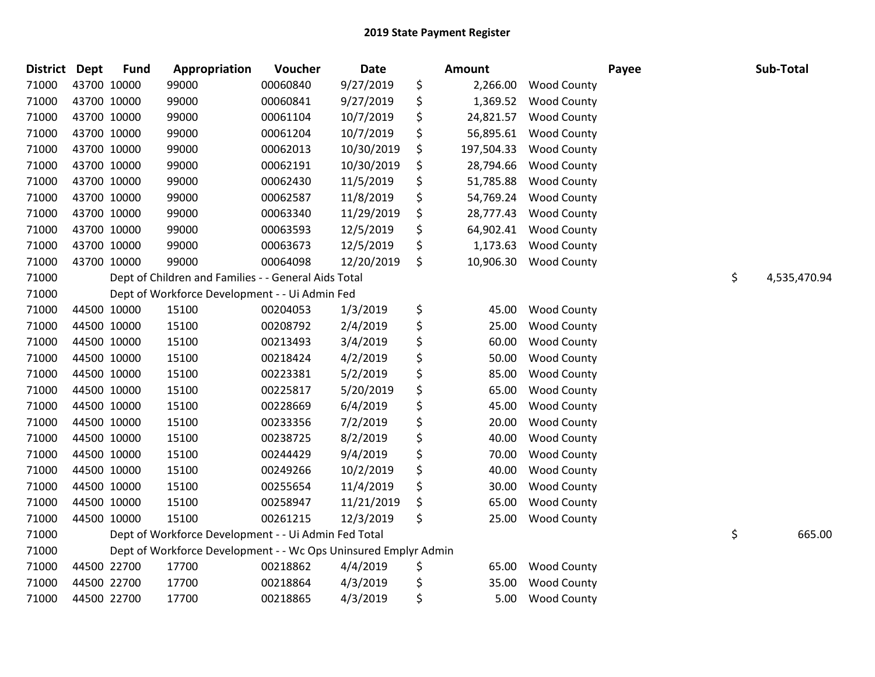| <b>District</b> | <b>Dept</b> | <b>Fund</b> | Appropriation                                                   | Voucher  | <b>Date</b> | Amount           |                    | Payee | Sub-Total          |
|-----------------|-------------|-------------|-----------------------------------------------------------------|----------|-------------|------------------|--------------------|-------|--------------------|
| 71000           |             | 43700 10000 | 99000                                                           | 00060840 | 9/27/2019   | \$<br>2,266.00   | <b>Wood County</b> |       |                    |
| 71000           |             | 43700 10000 | 99000                                                           | 00060841 | 9/27/2019   | \$<br>1,369.52   | <b>Wood County</b> |       |                    |
| 71000           |             | 43700 10000 | 99000                                                           | 00061104 | 10/7/2019   | \$<br>24,821.57  | <b>Wood County</b> |       |                    |
| 71000           |             | 43700 10000 | 99000                                                           | 00061204 | 10/7/2019   | \$<br>56,895.61  | <b>Wood County</b> |       |                    |
| 71000           |             | 43700 10000 | 99000                                                           | 00062013 | 10/30/2019  | \$<br>197,504.33 | <b>Wood County</b> |       |                    |
| 71000           |             | 43700 10000 | 99000                                                           | 00062191 | 10/30/2019  | \$<br>28,794.66  | <b>Wood County</b> |       |                    |
| 71000           |             | 43700 10000 | 99000                                                           | 00062430 | 11/5/2019   | \$<br>51,785.88  | <b>Wood County</b> |       |                    |
| 71000           |             | 43700 10000 | 99000                                                           | 00062587 | 11/8/2019   | \$<br>54,769.24  | <b>Wood County</b> |       |                    |
| 71000           |             | 43700 10000 | 99000                                                           | 00063340 | 11/29/2019  | \$<br>28,777.43  | Wood County        |       |                    |
| 71000           |             | 43700 10000 | 99000                                                           | 00063593 | 12/5/2019   | \$<br>64,902.41  | <b>Wood County</b> |       |                    |
| 71000           |             | 43700 10000 | 99000                                                           | 00063673 | 12/5/2019   | \$<br>1,173.63   | <b>Wood County</b> |       |                    |
| 71000           |             | 43700 10000 | 99000                                                           | 00064098 | 12/20/2019  | \$<br>10,906.30  | <b>Wood County</b> |       |                    |
| 71000           |             |             | Dept of Children and Families - - General Aids Total            |          |             |                  |                    |       | \$<br>4,535,470.94 |
| 71000           |             |             | Dept of Workforce Development - - Ui Admin Fed                  |          |             |                  |                    |       |                    |
| 71000           |             | 44500 10000 | 15100                                                           | 00204053 | 1/3/2019    | \$<br>45.00      | <b>Wood County</b> |       |                    |
| 71000           |             | 44500 10000 | 15100                                                           | 00208792 | 2/4/2019    | \$<br>25.00      | <b>Wood County</b> |       |                    |
| 71000           |             | 44500 10000 | 15100                                                           | 00213493 | 3/4/2019    | \$<br>60.00      | <b>Wood County</b> |       |                    |
| 71000           |             | 44500 10000 | 15100                                                           | 00218424 | 4/2/2019    | \$<br>50.00      | <b>Wood County</b> |       |                    |
| 71000           |             | 44500 10000 | 15100                                                           | 00223381 | 5/2/2019    | \$<br>85.00      | <b>Wood County</b> |       |                    |
| 71000           |             | 44500 10000 | 15100                                                           | 00225817 | 5/20/2019   | \$<br>65.00      | Wood County        |       |                    |
| 71000           |             | 44500 10000 | 15100                                                           | 00228669 | 6/4/2019    | \$<br>45.00      | <b>Wood County</b> |       |                    |
| 71000           |             | 44500 10000 | 15100                                                           | 00233356 | 7/2/2019    | \$<br>20.00      | <b>Wood County</b> |       |                    |
| 71000           |             | 44500 10000 | 15100                                                           | 00238725 | 8/2/2019    | \$<br>40.00      | <b>Wood County</b> |       |                    |
| 71000           |             | 44500 10000 | 15100                                                           | 00244429 | 9/4/2019    | \$<br>70.00      | Wood County        |       |                    |
| 71000           |             | 44500 10000 | 15100                                                           | 00249266 | 10/2/2019   | \$<br>40.00      | <b>Wood County</b> |       |                    |
| 71000           |             | 44500 10000 | 15100                                                           | 00255654 | 11/4/2019   | \$<br>30.00      | <b>Wood County</b> |       |                    |
| 71000           |             | 44500 10000 | 15100                                                           | 00258947 | 11/21/2019  | \$<br>65.00      | <b>Wood County</b> |       |                    |
| 71000           |             | 44500 10000 | 15100                                                           | 00261215 | 12/3/2019   | \$<br>25.00      | <b>Wood County</b> |       |                    |
| 71000           |             |             | Dept of Workforce Development - - Ui Admin Fed Total            |          |             |                  |                    |       | \$<br>665.00       |
| 71000           |             |             | Dept of Workforce Development - - Wc Ops Uninsured Emplyr Admin |          |             |                  |                    |       |                    |
| 71000           |             | 44500 22700 | 17700                                                           | 00218862 | 4/4/2019    | \$<br>65.00      | <b>Wood County</b> |       |                    |
| 71000           |             | 44500 22700 | 17700                                                           | 00218864 | 4/3/2019    | \$<br>35.00      | <b>Wood County</b> |       |                    |
| 71000           |             | 44500 22700 | 17700                                                           | 00218865 | 4/3/2019    | \$<br>5.00       | <b>Wood County</b> |       |                    |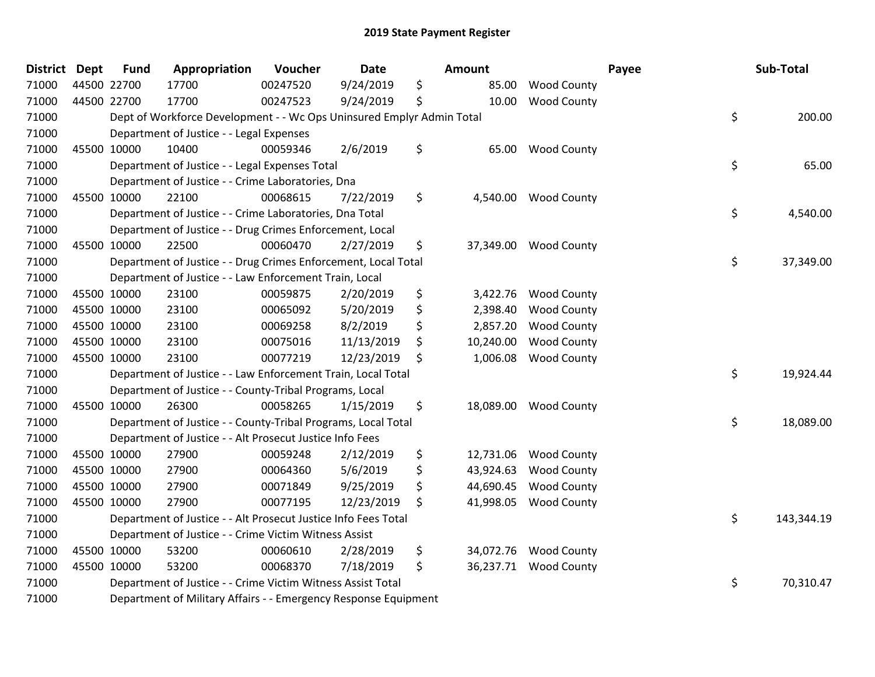| <b>District</b> | <b>Dept</b> | <b>Fund</b> | Appropriation                                                         | Voucher  | <b>Date</b> | <b>Amount</b>   |                    | Payee | Sub-Total  |
|-----------------|-------------|-------------|-----------------------------------------------------------------------|----------|-------------|-----------------|--------------------|-------|------------|
| 71000           |             | 44500 22700 | 17700                                                                 | 00247520 | 9/24/2019   | \$<br>85.00     | <b>Wood County</b> |       |            |
| 71000           |             | 44500 22700 | 17700                                                                 | 00247523 | 9/24/2019   | \$<br>10.00     | <b>Wood County</b> |       |            |
| 71000           |             |             | Dept of Workforce Development - - Wc Ops Uninsured Emplyr Admin Total |          |             |                 |                    | \$    | 200.00     |
| 71000           |             |             | Department of Justice - - Legal Expenses                              |          |             |                 |                    |       |            |
| 71000           |             | 45500 10000 | 10400                                                                 | 00059346 | 2/6/2019    | \$<br>65.00     | <b>Wood County</b> |       |            |
| 71000           |             |             | Department of Justice - - Legal Expenses Total                        |          |             |                 |                    | \$    | 65.00      |
| 71000           |             |             | Department of Justice - - Crime Laboratories, Dna                     |          |             |                 |                    |       |            |
| 71000           |             | 45500 10000 | 22100                                                                 | 00068615 | 7/22/2019   | \$<br>4,540.00  | <b>Wood County</b> |       |            |
| 71000           |             |             | Department of Justice - - Crime Laboratories, Dna Total               |          |             |                 |                    | \$    | 4,540.00   |
| 71000           |             |             | Department of Justice - - Drug Crimes Enforcement, Local              |          |             |                 |                    |       |            |
| 71000           |             | 45500 10000 | 22500                                                                 | 00060470 | 2/27/2019   | \$<br>37,349.00 | <b>Wood County</b> |       |            |
| 71000           |             |             | Department of Justice - - Drug Crimes Enforcement, Local Total        |          |             |                 |                    | \$    | 37,349.00  |
| 71000           |             |             | Department of Justice - - Law Enforcement Train, Local                |          |             |                 |                    |       |            |
| 71000           |             | 45500 10000 | 23100                                                                 | 00059875 | 2/20/2019   | \$<br>3,422.76  | <b>Wood County</b> |       |            |
| 71000           |             | 45500 10000 | 23100                                                                 | 00065092 | 5/20/2019   | \$<br>2,398.40  | <b>Wood County</b> |       |            |
| 71000           |             | 45500 10000 | 23100                                                                 | 00069258 | 8/2/2019    | \$<br>2,857.20  | <b>Wood County</b> |       |            |
| 71000           |             | 45500 10000 | 23100                                                                 | 00075016 | 11/13/2019  | \$<br>10,240.00 | <b>Wood County</b> |       |            |
| 71000           |             | 45500 10000 | 23100                                                                 | 00077219 | 12/23/2019  | \$<br>1,006.08  | <b>Wood County</b> |       |            |
| 71000           |             |             | Department of Justice - - Law Enforcement Train, Local Total          |          |             |                 |                    | \$    | 19,924.44  |
| 71000           |             |             | Department of Justice - - County-Tribal Programs, Local               |          |             |                 |                    |       |            |
| 71000           |             | 45500 10000 | 26300                                                                 | 00058265 | 1/15/2019   | \$<br>18,089.00 | <b>Wood County</b> |       |            |
| 71000           |             |             | Department of Justice - - County-Tribal Programs, Local Total         |          |             |                 |                    | \$    | 18,089.00  |
| 71000           |             |             | Department of Justice - - Alt Prosecut Justice Info Fees              |          |             |                 |                    |       |            |
| 71000           |             | 45500 10000 | 27900                                                                 | 00059248 | 2/12/2019   | \$<br>12,731.06 | <b>Wood County</b> |       |            |
| 71000           |             | 45500 10000 | 27900                                                                 | 00064360 | 5/6/2019    | \$<br>43,924.63 | <b>Wood County</b> |       |            |
| 71000           |             | 45500 10000 | 27900                                                                 | 00071849 | 9/25/2019   | \$<br>44,690.45 | <b>Wood County</b> |       |            |
| 71000           |             | 45500 10000 | 27900                                                                 | 00077195 | 12/23/2019  | \$<br>41,998.05 | <b>Wood County</b> |       |            |
| 71000           |             |             | Department of Justice - - Alt Prosecut Justice Info Fees Total        |          |             |                 |                    | \$    | 143,344.19 |
| 71000           |             |             | Department of Justice - - Crime Victim Witness Assist                 |          |             |                 |                    |       |            |
| 71000           |             | 45500 10000 | 53200                                                                 | 00060610 | 2/28/2019   | \$<br>34,072.76 | <b>Wood County</b> |       |            |
| 71000           |             | 45500 10000 | 53200                                                                 | 00068370 | 7/18/2019   | \$<br>36,237.71 | <b>Wood County</b> |       |            |
| 71000           |             |             | Department of Justice - - Crime Victim Witness Assist Total           |          |             |                 |                    | \$    | 70,310.47  |
| 71000           |             |             | Department of Military Affairs - - Emergency Response Equipment       |          |             |                 |                    |       |            |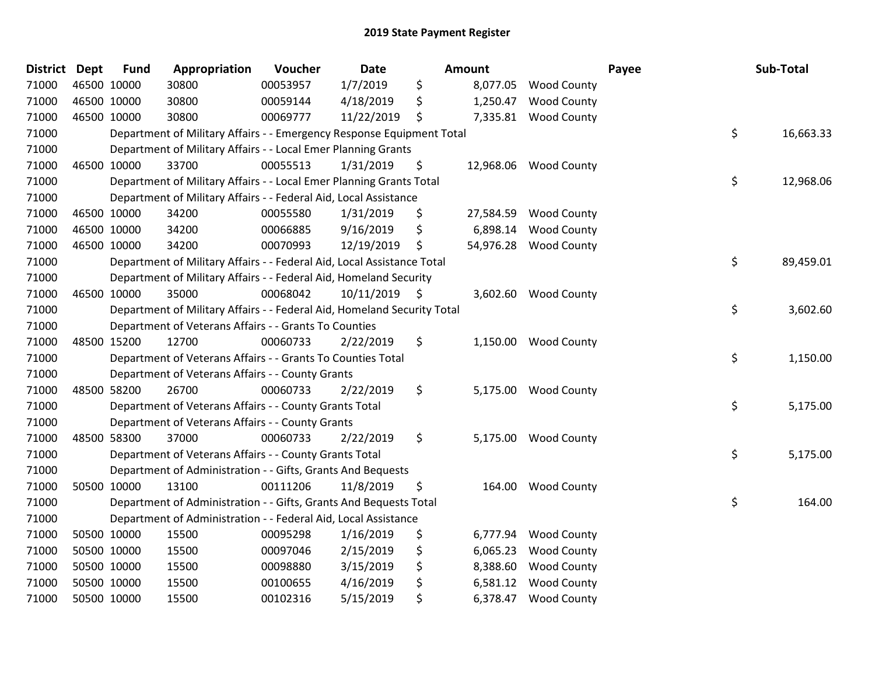| <b>District</b> | <b>Dept</b> | <b>Fund</b> | Appropriation                                                           | Voucher  | <b>Date</b>     | Amount          |                      | Payee | Sub-Total |
|-----------------|-------------|-------------|-------------------------------------------------------------------------|----------|-----------------|-----------------|----------------------|-------|-----------|
| 71000           | 46500 10000 |             | 30800                                                                   | 00053957 | 1/7/2019        | \$<br>8,077.05  | <b>Wood County</b>   |       |           |
| 71000           | 46500 10000 |             | 30800                                                                   | 00059144 | 4/18/2019       | \$<br>1,250.47  | <b>Wood County</b>   |       |           |
| 71000           | 46500 10000 |             | 30800                                                                   | 00069777 | 11/22/2019      | \$<br>7,335.81  | <b>Wood County</b>   |       |           |
| 71000           |             |             | Department of Military Affairs - - Emergency Response Equipment Total   |          |                 |                 |                      | \$    | 16,663.33 |
| 71000           |             |             | Department of Military Affairs - - Local Emer Planning Grants           |          |                 |                 |                      |       |           |
| 71000           |             | 46500 10000 | 33700                                                                   | 00055513 | 1/31/2019       | \$<br>12,968.06 | <b>Wood County</b>   |       |           |
| 71000           |             |             | Department of Military Affairs - - Local Emer Planning Grants Total     |          |                 |                 |                      | \$    | 12,968.06 |
| 71000           |             |             | Department of Military Affairs - - Federal Aid, Local Assistance        |          |                 |                 |                      |       |           |
| 71000           | 46500 10000 |             | 34200                                                                   | 00055580 | 1/31/2019       | \$<br>27,584.59 | <b>Wood County</b>   |       |           |
| 71000           | 46500 10000 |             | 34200                                                                   | 00066885 | 9/16/2019       | \$<br>6,898.14  | <b>Wood County</b>   |       |           |
| 71000           |             | 46500 10000 | 34200                                                                   | 00070993 | 12/19/2019      | \$<br>54,976.28 | <b>Wood County</b>   |       |           |
| 71000           |             |             | Department of Military Affairs - - Federal Aid, Local Assistance Total  |          |                 |                 |                      | \$    | 89,459.01 |
| 71000           |             |             | Department of Military Affairs - - Federal Aid, Homeland Security       |          |                 |                 |                      |       |           |
| 71000           | 46500 10000 |             | 35000                                                                   | 00068042 | $10/11/2019$ \$ |                 | 3,602.60 Wood County |       |           |
| 71000           |             |             | Department of Military Affairs - - Federal Aid, Homeland Security Total |          |                 |                 |                      | \$    | 3,602.60  |
| 71000           |             |             | Department of Veterans Affairs - - Grants To Counties                   |          |                 |                 |                      |       |           |
| 71000           |             | 48500 15200 | 12700                                                                   | 00060733 | 2/22/2019       | \$<br>1,150.00  | <b>Wood County</b>   |       |           |
| 71000           |             |             | Department of Veterans Affairs - - Grants To Counties Total             |          |                 |                 |                      | \$    | 1,150.00  |
| 71000           |             |             | Department of Veterans Affairs - - County Grants                        |          |                 |                 |                      |       |           |
| 71000           | 48500 58200 |             | 26700                                                                   | 00060733 | 2/22/2019       | \$<br>5,175.00  | <b>Wood County</b>   |       |           |
| 71000           |             |             | Department of Veterans Affairs - - County Grants Total                  |          |                 |                 |                      | \$    | 5,175.00  |
| 71000           |             |             | Department of Veterans Affairs - - County Grants                        |          |                 |                 |                      |       |           |
| 71000           | 48500 58300 |             | 37000                                                                   | 00060733 | 2/22/2019       | \$<br>5,175.00  | <b>Wood County</b>   |       |           |
| 71000           |             |             | Department of Veterans Affairs - - County Grants Total                  |          |                 |                 |                      | \$    | 5,175.00  |
| 71000           |             |             | Department of Administration - - Gifts, Grants And Bequests             |          |                 |                 |                      |       |           |
| 71000           |             | 50500 10000 | 13100                                                                   | 00111206 | 11/8/2019       | \$<br>164.00    | <b>Wood County</b>   |       |           |
| 71000           |             |             | Department of Administration - - Gifts, Grants And Bequests Total       |          |                 |                 |                      | \$    | 164.00    |
| 71000           |             |             | Department of Administration - - Federal Aid, Local Assistance          |          |                 |                 |                      |       |           |
| 71000           | 50500 10000 |             | 15500                                                                   | 00095298 | 1/16/2019       | \$<br>6,777.94  | <b>Wood County</b>   |       |           |
| 71000           | 50500 10000 |             | 15500                                                                   | 00097046 | 2/15/2019       | \$<br>6,065.23  | <b>Wood County</b>   |       |           |
| 71000           | 50500 10000 |             | 15500                                                                   | 00098880 | 3/15/2019       | \$<br>8,388.60  | <b>Wood County</b>   |       |           |
| 71000           |             | 50500 10000 | 15500                                                                   | 00100655 | 4/16/2019       | \$<br>6,581.12  | <b>Wood County</b>   |       |           |
| 71000           |             | 50500 10000 | 15500                                                                   | 00102316 | 5/15/2019       | \$<br>6,378.47  | <b>Wood County</b>   |       |           |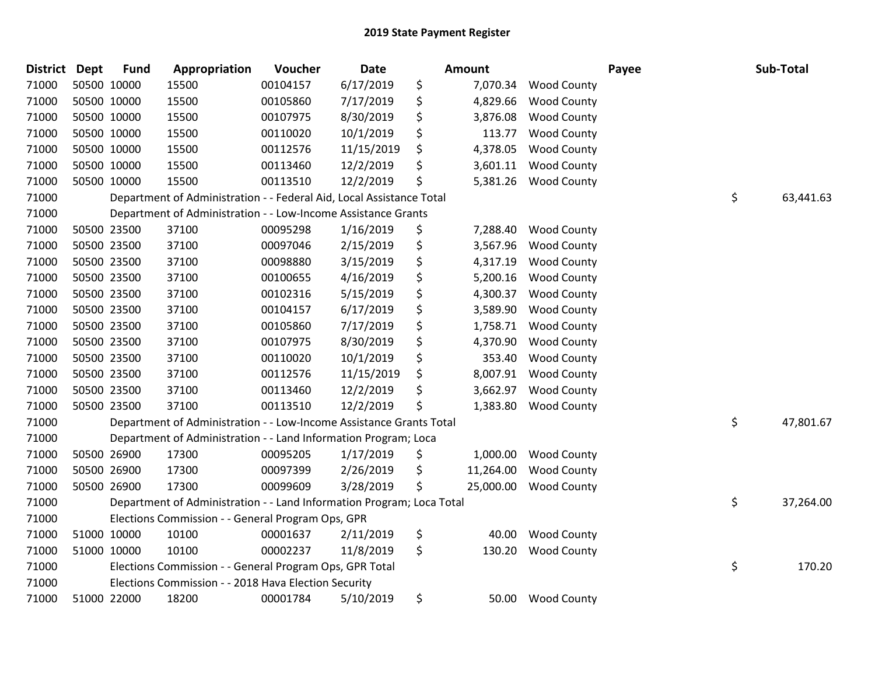| <b>District</b> | Dept | <b>Fund</b> | Appropriation                                                         | Voucher  | Date       | <b>Amount</b>   |                    | Payee | Sub-Total       |
|-----------------|------|-------------|-----------------------------------------------------------------------|----------|------------|-----------------|--------------------|-------|-----------------|
| 71000           |      | 50500 10000 | 15500                                                                 | 00104157 | 6/17/2019  | \$<br>7,070.34  | <b>Wood County</b> |       |                 |
| 71000           |      | 50500 10000 | 15500                                                                 | 00105860 | 7/17/2019  | \$<br>4,829.66  | <b>Wood County</b> |       |                 |
| 71000           |      | 50500 10000 | 15500                                                                 | 00107975 | 8/30/2019  | \$<br>3,876.08  | <b>Wood County</b> |       |                 |
| 71000           |      | 50500 10000 | 15500                                                                 | 00110020 | 10/1/2019  | \$<br>113.77    | <b>Wood County</b> |       |                 |
| 71000           |      | 50500 10000 | 15500                                                                 | 00112576 | 11/15/2019 | \$<br>4,378.05  | <b>Wood County</b> |       |                 |
| 71000           |      | 50500 10000 | 15500                                                                 | 00113460 | 12/2/2019  | \$<br>3,601.11  | <b>Wood County</b> |       |                 |
| 71000           |      | 50500 10000 | 15500                                                                 | 00113510 | 12/2/2019  | \$<br>5,381.26  | <b>Wood County</b> |       |                 |
| 71000           |      |             | Department of Administration - - Federal Aid, Local Assistance Total  |          |            |                 |                    |       | \$<br>63,441.63 |
| 71000           |      |             | Department of Administration - - Low-Income Assistance Grants         |          |            |                 |                    |       |                 |
| 71000           |      | 50500 23500 | 37100                                                                 | 00095298 | 1/16/2019  | \$<br>7,288.40  | <b>Wood County</b> |       |                 |
| 71000           |      | 50500 23500 | 37100                                                                 | 00097046 | 2/15/2019  | \$<br>3,567.96  | <b>Wood County</b> |       |                 |
| 71000           |      | 50500 23500 | 37100                                                                 | 00098880 | 3/15/2019  | \$<br>4,317.19  | <b>Wood County</b> |       |                 |
| 71000           |      | 50500 23500 | 37100                                                                 | 00100655 | 4/16/2019  | \$<br>5,200.16  | <b>Wood County</b> |       |                 |
| 71000           |      | 50500 23500 | 37100                                                                 | 00102316 | 5/15/2019  | \$<br>4,300.37  | <b>Wood County</b> |       |                 |
| 71000           |      | 50500 23500 | 37100                                                                 | 00104157 | 6/17/2019  | \$<br>3,589.90  | <b>Wood County</b> |       |                 |
| 71000           |      | 50500 23500 | 37100                                                                 | 00105860 | 7/17/2019  | \$<br>1,758.71  | <b>Wood County</b> |       |                 |
| 71000           |      | 50500 23500 | 37100                                                                 | 00107975 | 8/30/2019  | \$<br>4,370.90  | <b>Wood County</b> |       |                 |
| 71000           |      | 50500 23500 | 37100                                                                 | 00110020 | 10/1/2019  | \$<br>353.40    | <b>Wood County</b> |       |                 |
| 71000           |      | 50500 23500 | 37100                                                                 | 00112576 | 11/15/2019 | \$<br>8,007.91  | <b>Wood County</b> |       |                 |
| 71000           |      | 50500 23500 | 37100                                                                 | 00113460 | 12/2/2019  | \$<br>3,662.97  | <b>Wood County</b> |       |                 |
| 71000           |      | 50500 23500 | 37100                                                                 | 00113510 | 12/2/2019  | \$<br>1,383.80  | <b>Wood County</b> |       |                 |
| 71000           |      |             | Department of Administration - - Low-Income Assistance Grants Total   |          |            |                 |                    |       | \$<br>47,801.67 |
| 71000           |      |             | Department of Administration - - Land Information Program; Loca       |          |            |                 |                    |       |                 |
| 71000           |      | 50500 26900 | 17300                                                                 | 00095205 | 1/17/2019  | \$<br>1,000.00  | <b>Wood County</b> |       |                 |
| 71000           |      | 50500 26900 | 17300                                                                 | 00097399 | 2/26/2019  | \$<br>11,264.00 | <b>Wood County</b> |       |                 |
| 71000           |      | 50500 26900 | 17300                                                                 | 00099609 | 3/28/2019  | \$<br>25,000.00 | <b>Wood County</b> |       |                 |
| 71000           |      |             | Department of Administration - - Land Information Program; Loca Total |          |            |                 |                    |       | \$<br>37,264.00 |
| 71000           |      |             | Elections Commission - - General Program Ops, GPR                     |          |            |                 |                    |       |                 |
| 71000           |      | 51000 10000 | 10100                                                                 | 00001637 | 2/11/2019  | \$<br>40.00     | <b>Wood County</b> |       |                 |
| 71000           |      | 51000 10000 | 10100                                                                 | 00002237 | 11/8/2019  | \$<br>130.20    | <b>Wood County</b> |       |                 |
| 71000           |      |             | Elections Commission - - General Program Ops, GPR Total               |          |            |                 |                    |       | \$<br>170.20    |
| 71000           |      |             | Elections Commission - - 2018 Hava Election Security                  |          |            |                 |                    |       |                 |
| 71000           |      | 51000 22000 | 18200                                                                 | 00001784 | 5/10/2019  | \$<br>50.00     | <b>Wood County</b> |       |                 |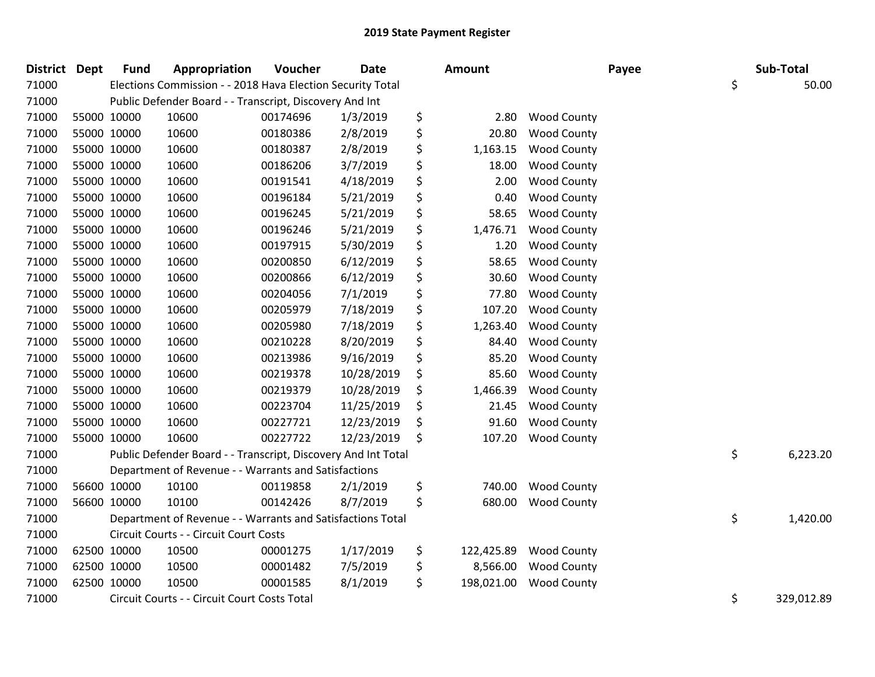| <b>District</b> | <b>Dept</b> | <b>Fund</b> | Appropriation                                                 | Voucher  | <b>Date</b> | Amount           |                    | Payee | Sub-Total        |
|-----------------|-------------|-------------|---------------------------------------------------------------|----------|-------------|------------------|--------------------|-------|------------------|
| 71000           |             |             | Elections Commission - - 2018 Hava Election Security Total    |          |             |                  |                    |       | \$<br>50.00      |
| 71000           |             |             | Public Defender Board - - Transcript, Discovery And Int       |          |             |                  |                    |       |                  |
| 71000           | 55000 10000 |             | 10600                                                         | 00174696 | 1/3/2019    | \$<br>2.80       | <b>Wood County</b> |       |                  |
| 71000           | 55000 10000 |             | 10600                                                         | 00180386 | 2/8/2019    | \$<br>20.80      | <b>Wood County</b> |       |                  |
| 71000           | 55000 10000 |             | 10600                                                         | 00180387 | 2/8/2019    | \$<br>1,163.15   | <b>Wood County</b> |       |                  |
| 71000           | 55000 10000 |             | 10600                                                         | 00186206 | 3/7/2019    | \$<br>18.00      | <b>Wood County</b> |       |                  |
| 71000           | 55000 10000 |             | 10600                                                         | 00191541 | 4/18/2019   | \$<br>2.00       | <b>Wood County</b> |       |                  |
| 71000           | 55000 10000 |             | 10600                                                         | 00196184 | 5/21/2019   | \$<br>0.40       | <b>Wood County</b> |       |                  |
| 71000           | 55000 10000 |             | 10600                                                         | 00196245 | 5/21/2019   | \$<br>58.65      | <b>Wood County</b> |       |                  |
| 71000           | 55000 10000 |             | 10600                                                         | 00196246 | 5/21/2019   | \$<br>1,476.71   | <b>Wood County</b> |       |                  |
| 71000           | 55000 10000 |             | 10600                                                         | 00197915 | 5/30/2019   | \$<br>1.20       | <b>Wood County</b> |       |                  |
| 71000           | 55000 10000 |             | 10600                                                         | 00200850 | 6/12/2019   | \$<br>58.65      | <b>Wood County</b> |       |                  |
| 71000           | 55000 10000 |             | 10600                                                         | 00200866 | 6/12/2019   | \$<br>30.60      | <b>Wood County</b> |       |                  |
| 71000           | 55000 10000 |             | 10600                                                         | 00204056 | 7/1/2019    | \$<br>77.80      | <b>Wood County</b> |       |                  |
| 71000           | 55000 10000 |             | 10600                                                         | 00205979 | 7/18/2019   | \$<br>107.20     | <b>Wood County</b> |       |                  |
| 71000           | 55000 10000 |             | 10600                                                         | 00205980 | 7/18/2019   | \$<br>1,263.40   | <b>Wood County</b> |       |                  |
| 71000           | 55000 10000 |             | 10600                                                         | 00210228 | 8/20/2019   | \$<br>84.40      | <b>Wood County</b> |       |                  |
| 71000           | 55000 10000 |             | 10600                                                         | 00213986 | 9/16/2019   | \$<br>85.20      | <b>Wood County</b> |       |                  |
| 71000           | 55000 10000 |             | 10600                                                         | 00219378 | 10/28/2019  | \$<br>85.60      | <b>Wood County</b> |       |                  |
| 71000           | 55000 10000 |             | 10600                                                         | 00219379 | 10/28/2019  | \$<br>1,466.39   | <b>Wood County</b> |       |                  |
| 71000           | 55000 10000 |             | 10600                                                         | 00223704 | 11/25/2019  | \$<br>21.45      | <b>Wood County</b> |       |                  |
| 71000           | 55000 10000 |             | 10600                                                         | 00227721 | 12/23/2019  | \$<br>91.60      | <b>Wood County</b> |       |                  |
| 71000           | 55000 10000 |             | 10600                                                         | 00227722 | 12/23/2019  | \$<br>107.20     | <b>Wood County</b> |       |                  |
| 71000           |             |             | Public Defender Board - - Transcript, Discovery And Int Total |          |             |                  |                    |       | \$<br>6,223.20   |
| 71000           |             |             | Department of Revenue - - Warrants and Satisfactions          |          |             |                  |                    |       |                  |
| 71000           | 56600 10000 |             | 10100                                                         | 00119858 | 2/1/2019    | \$<br>740.00     | <b>Wood County</b> |       |                  |
| 71000           | 56600 10000 |             | 10100                                                         | 00142426 | 8/7/2019    | \$<br>680.00     | <b>Wood County</b> |       |                  |
| 71000           |             |             | Department of Revenue - - Warrants and Satisfactions Total    |          |             |                  |                    |       | \$<br>1,420.00   |
| 71000           |             |             | Circuit Courts - - Circuit Court Costs                        |          |             |                  |                    |       |                  |
| 71000           | 62500 10000 |             | 10500                                                         | 00001275 | 1/17/2019   | \$<br>122,425.89 | <b>Wood County</b> |       |                  |
| 71000           | 62500 10000 |             | 10500                                                         | 00001482 | 7/5/2019    | \$<br>8,566.00   | <b>Wood County</b> |       |                  |
| 71000           | 62500 10000 |             | 10500                                                         | 00001585 | 8/1/2019    | \$<br>198,021.00 | <b>Wood County</b> |       |                  |
| 71000           |             |             | Circuit Courts - - Circuit Court Costs Total                  |          |             |                  |                    |       | \$<br>329,012.89 |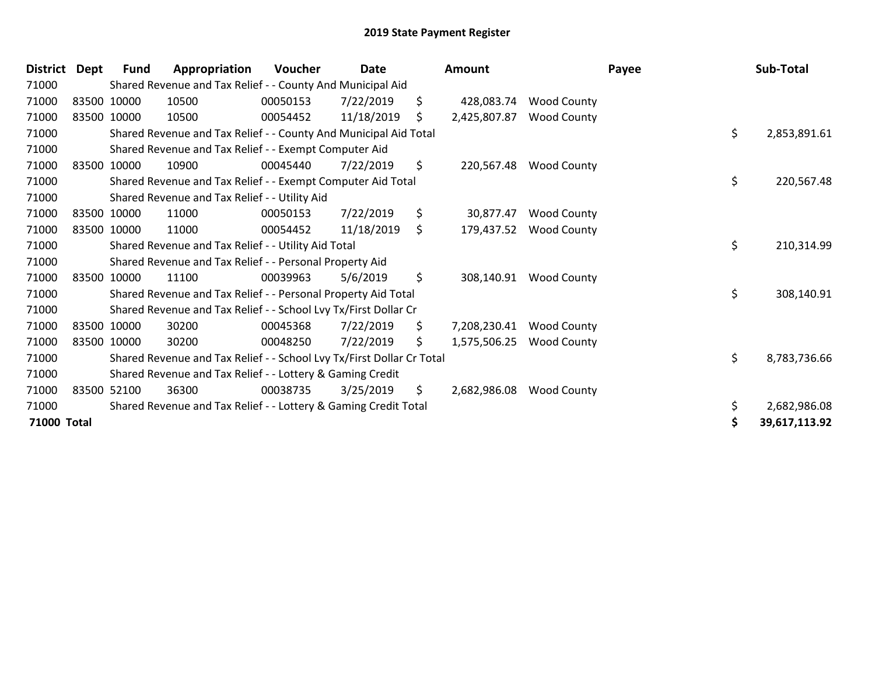| <b>District</b> | Dept | Fund        | Appropriation                                                         | Voucher  | Date       |     | Amount       |                    | Payee | Sub-Total     |
|-----------------|------|-------------|-----------------------------------------------------------------------|----------|------------|-----|--------------|--------------------|-------|---------------|
| 71000           |      |             | Shared Revenue and Tax Relief - - County And Municipal Aid            |          |            |     |              |                    |       |               |
| 71000           |      | 83500 10000 | 10500                                                                 | 00050153 | 7/22/2019  | \$  | 428,083.74   | <b>Wood County</b> |       |               |
| 71000           |      | 83500 10000 | 10500                                                                 | 00054452 | 11/18/2019 | \$  | 2,425,807.87 | <b>Wood County</b> |       |               |
| 71000           |      |             | Shared Revenue and Tax Relief - - County And Municipal Aid Total      |          |            |     |              |                    | \$    | 2,853,891.61  |
| 71000           |      |             | Shared Revenue and Tax Relief - - Exempt Computer Aid                 |          |            |     |              |                    |       |               |
| 71000           |      | 83500 10000 | 10900                                                                 | 00045440 | 7/22/2019  | \$  | 220,567.48   | <b>Wood County</b> |       |               |
| 71000           |      |             | Shared Revenue and Tax Relief - - Exempt Computer Aid Total           |          |            |     |              |                    | \$    | 220,567.48    |
| 71000           |      |             | Shared Revenue and Tax Relief - - Utility Aid                         |          |            |     |              |                    |       |               |
| 71000           |      | 83500 10000 | 11000                                                                 | 00050153 | 7/22/2019  | \$  | 30,877.47    | <b>Wood County</b> |       |               |
| 71000           |      | 83500 10000 | 11000                                                                 | 00054452 | 11/18/2019 | \$. | 179,437.52   | <b>Wood County</b> |       |               |
| 71000           |      |             | Shared Revenue and Tax Relief - - Utility Aid Total                   |          |            |     |              |                    | \$    | 210,314.99    |
| 71000           |      |             | Shared Revenue and Tax Relief - - Personal Property Aid               |          |            |     |              |                    |       |               |
| 71000           |      | 83500 10000 | 11100                                                                 | 00039963 | 5/6/2019   | \$  | 308,140.91   | <b>Wood County</b> |       |               |
| 71000           |      |             | Shared Revenue and Tax Relief - - Personal Property Aid Total         |          |            |     |              |                    | \$    | 308,140.91    |
| 71000           |      |             | Shared Revenue and Tax Relief - - School Lvy Tx/First Dollar Cr       |          |            |     |              |                    |       |               |
| 71000           |      | 83500 10000 | 30200                                                                 | 00045368 | 7/22/2019  | \$  | 7,208,230.41 | <b>Wood County</b> |       |               |
| 71000           |      | 83500 10000 | 30200                                                                 | 00048250 | 7/22/2019  | \$. | 1,575,506.25 | <b>Wood County</b> |       |               |
| 71000           |      |             | Shared Revenue and Tax Relief - - School Lvy Tx/First Dollar Cr Total |          |            |     |              |                    | \$    | 8,783,736.66  |
| 71000           |      |             | Shared Revenue and Tax Relief - - Lottery & Gaming Credit             |          |            |     |              |                    |       |               |
| 71000           |      | 83500 52100 | 36300                                                                 | 00038735 | 3/25/2019  | \$  | 2,682,986.08 | <b>Wood County</b> |       |               |
| 71000           |      |             | Shared Revenue and Tax Relief - - Lottery & Gaming Credit Total       |          |            |     |              |                    | \$    | 2,682,986.08  |
| 71000 Total     |      |             |                                                                       |          |            |     |              |                    | S     | 39,617,113.92 |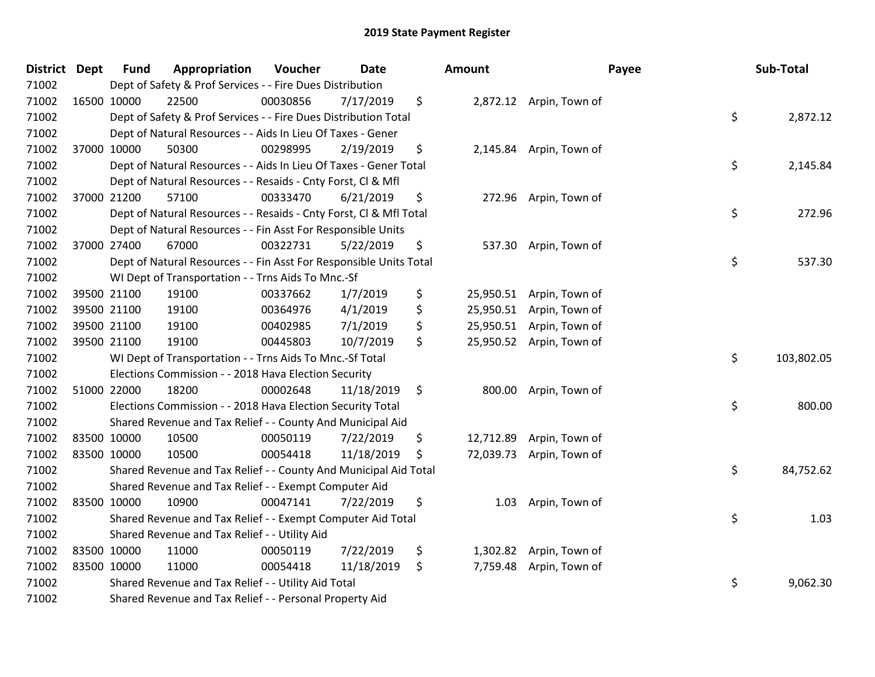| District Dept | <b>Fund</b> | Appropriation                                                      | Voucher  | <b>Date</b> | Amount          |                          | Payee | Sub-Total  |
|---------------|-------------|--------------------------------------------------------------------|----------|-------------|-----------------|--------------------------|-------|------------|
| 71002         |             | Dept of Safety & Prof Services - - Fire Dues Distribution          |          |             |                 |                          |       |            |
| 71002         | 16500 10000 | 22500                                                              | 00030856 | 7/17/2019   | \$              | 2,872.12 Arpin, Town of  |       |            |
| 71002         |             | Dept of Safety & Prof Services - - Fire Dues Distribution Total    |          |             |                 |                          | \$    | 2,872.12   |
| 71002         |             | Dept of Natural Resources - - Aids In Lieu Of Taxes - Gener        |          |             |                 |                          |       |            |
| 71002         | 37000 10000 | 50300                                                              | 00298995 | 2/19/2019   | \$<br>2,145.84  | Arpin, Town of           |       |            |
| 71002         |             | Dept of Natural Resources - - Aids In Lieu Of Taxes - Gener Total  |          |             |                 |                          | \$    | 2,145.84   |
| 71002         |             | Dept of Natural Resources - - Resaids - Cnty Forst, Cl & Mfl       |          |             |                 |                          |       |            |
| 71002         | 37000 21200 | 57100                                                              | 00333470 | 6/21/2019   | \$<br>272.96    | Arpin, Town of           |       |            |
| 71002         |             | Dept of Natural Resources - - Resaids - Cnty Forst, CI & Mfl Total |          |             |                 |                          | \$    | 272.96     |
| 71002         |             | Dept of Natural Resources - - Fin Asst For Responsible Units       |          |             |                 |                          |       |            |
| 71002         | 37000 27400 | 67000                                                              | 00322731 | 5/22/2019   | \$<br>537.30    | Arpin, Town of           |       |            |
| 71002         |             | Dept of Natural Resources - - Fin Asst For Responsible Units Total |          |             |                 |                          | \$    | 537.30     |
| 71002         |             | WI Dept of Transportation - - Trns Aids To Mnc.-Sf                 |          |             |                 |                          |       |            |
| 71002         | 39500 21100 | 19100                                                              | 00337662 | 1/7/2019    | \$<br>25,950.51 | Arpin, Town of           |       |            |
| 71002         | 39500 21100 | 19100                                                              | 00364976 | 4/1/2019    | \$<br>25,950.51 | Arpin, Town of           |       |            |
| 71002         | 39500 21100 | 19100                                                              | 00402985 | 7/1/2019    | \$<br>25,950.51 | Arpin, Town of           |       |            |
| 71002         | 39500 21100 | 19100                                                              | 00445803 | 10/7/2019   | \$              | 25,950.52 Arpin, Town of |       |            |
| 71002         |             | WI Dept of Transportation - - Trns Aids To Mnc.-Sf Total           |          |             |                 |                          | \$    | 103,802.05 |
| 71002         |             | Elections Commission - - 2018 Hava Election Security               |          |             |                 |                          |       |            |
| 71002         | 51000 22000 | 18200                                                              | 00002648 | 11/18/2019  | \$<br>800.00    | Arpin, Town of           |       |            |
| 71002         |             | Elections Commission - - 2018 Hava Election Security Total         |          |             |                 |                          | \$    | 800.00     |
| 71002         |             | Shared Revenue and Tax Relief - - County And Municipal Aid         |          |             |                 |                          |       |            |
| 71002         | 83500 10000 | 10500                                                              | 00050119 | 7/22/2019   | \$              | 12,712.89 Arpin, Town of |       |            |
| 71002         | 83500 10000 | 10500                                                              | 00054418 | 11/18/2019  | \$              | 72,039.73 Arpin, Town of |       |            |
| 71002         |             | Shared Revenue and Tax Relief - - County And Municipal Aid Total   |          |             |                 |                          | \$    | 84,752.62  |
| 71002         |             | Shared Revenue and Tax Relief - - Exempt Computer Aid              |          |             |                 |                          |       |            |
| 71002         | 83500 10000 | 10900                                                              | 00047141 | 7/22/2019   | \$<br>1.03      | Arpin, Town of           |       |            |
| 71002         |             | Shared Revenue and Tax Relief - - Exempt Computer Aid Total        |          |             |                 |                          | \$    | 1.03       |
| 71002         |             | Shared Revenue and Tax Relief - - Utility Aid                      |          |             |                 |                          |       |            |
| 71002         | 83500 10000 | 11000                                                              | 00050119 | 7/22/2019   | \$              | 1,302.82 Arpin, Town of  |       |            |
| 71002         | 83500 10000 | 11000                                                              | 00054418 | 11/18/2019  | \$              | 7,759.48 Arpin, Town of  |       |            |
| 71002         |             | Shared Revenue and Tax Relief - - Utility Aid Total                |          |             |                 |                          | \$    | 9,062.30   |
| 71002         |             | Shared Revenue and Tax Relief - - Personal Property Aid            |          |             |                 |                          |       |            |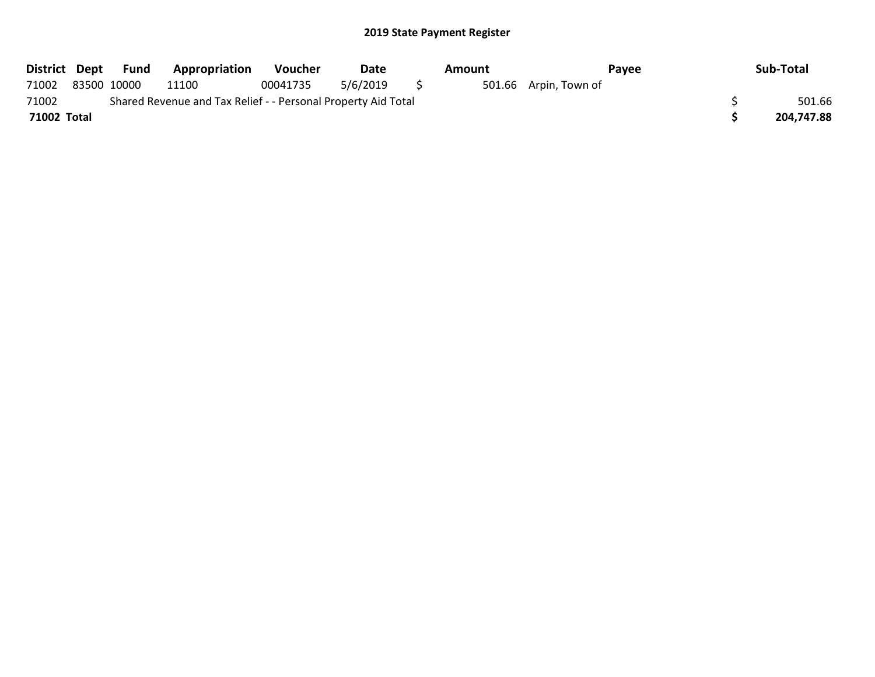| District Dept |             | Fund | <b>Appropriation</b>                                          | Voucher  | Date     | Amount |                       | Pavee | Sub-Total  |
|---------------|-------------|------|---------------------------------------------------------------|----------|----------|--------|-----------------------|-------|------------|
| 71002         | 83500 10000 |      | 11100                                                         | 00041735 | 5/6/2019 |        | 501.66 Arpin, Town of |       |            |
| 71002         |             |      | Shared Revenue and Tax Relief - - Personal Property Aid Total |          |          |        |                       |       | 501.66     |
| 71002 Total   |             |      |                                                               |          |          |        |                       |       | 204,747.88 |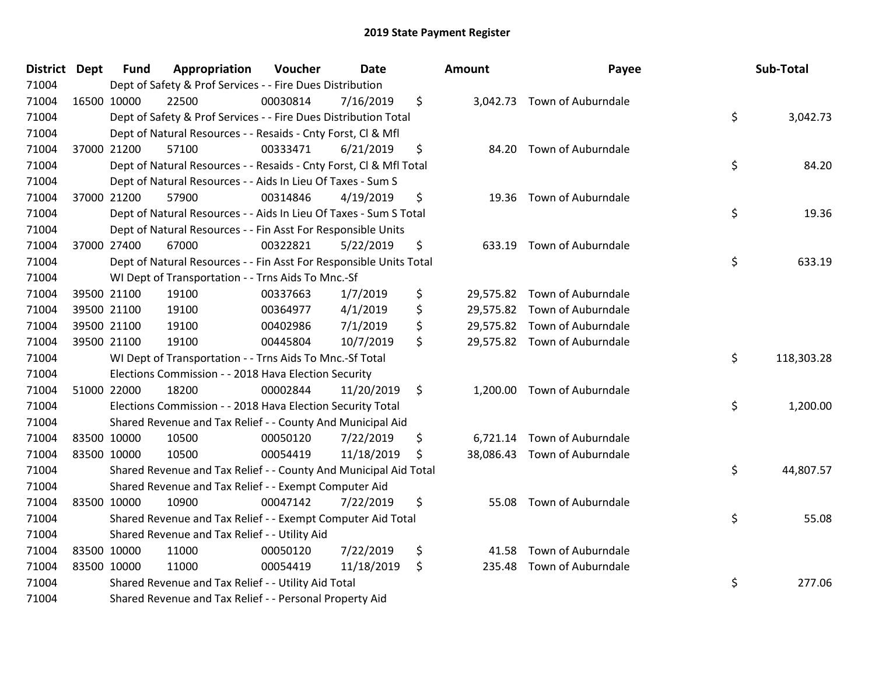| <b>District Dept</b> | <b>Fund</b> | Appropriation                                                      | Voucher  | <b>Date</b> |    | Amount | Payee                        | Sub-Total        |
|----------------------|-------------|--------------------------------------------------------------------|----------|-------------|----|--------|------------------------------|------------------|
| 71004                |             | Dept of Safety & Prof Services - - Fire Dues Distribution          |          |             |    |        |                              |                  |
| 71004                | 16500 10000 | 22500                                                              | 00030814 | 7/16/2019   | \$ |        | 3,042.73 Town of Auburndale  |                  |
| 71004                |             | Dept of Safety & Prof Services - - Fire Dues Distribution Total    |          |             |    |        |                              | \$<br>3,042.73   |
| 71004                |             | Dept of Natural Resources - - Resaids - Cnty Forst, Cl & Mfl       |          |             |    |        |                              |                  |
| 71004                | 37000 21200 | 57100                                                              | 00333471 | 6/21/2019   | \$ | 84.20  | Town of Auburndale           |                  |
| 71004                |             | Dept of Natural Resources - - Resaids - Cnty Forst, CI & Mfl Total |          |             |    |        |                              | \$<br>84.20      |
| 71004                |             | Dept of Natural Resources - - Aids In Lieu Of Taxes - Sum S        |          |             |    |        |                              |                  |
| 71004                | 37000 21200 | 57900                                                              | 00314846 | 4/19/2019   | \$ |        | 19.36 Town of Auburndale     |                  |
| 71004                |             | Dept of Natural Resources - - Aids In Lieu Of Taxes - Sum S Total  |          |             |    |        |                              | \$<br>19.36      |
| 71004                |             | Dept of Natural Resources - - Fin Asst For Responsible Units       |          |             |    |        |                              |                  |
| 71004                | 37000 27400 | 67000                                                              | 00322821 | 5/22/2019   | \$ |        | 633.19 Town of Auburndale    |                  |
| 71004                |             | Dept of Natural Resources - - Fin Asst For Responsible Units Total |          |             |    |        |                              | \$<br>633.19     |
| 71004                |             | WI Dept of Transportation - - Trns Aids To Mnc.-Sf                 |          |             |    |        |                              |                  |
| 71004                | 39500 21100 | 19100                                                              | 00337663 | 1/7/2019    | \$ |        | 29,575.82 Town of Auburndale |                  |
| 71004                | 39500 21100 | 19100                                                              | 00364977 | 4/1/2019    | \$ |        | 29,575.82 Town of Auburndale |                  |
| 71004                | 39500 21100 | 19100                                                              | 00402986 | 7/1/2019    | \$ |        | 29,575.82 Town of Auburndale |                  |
| 71004                | 39500 21100 | 19100                                                              | 00445804 | 10/7/2019   | \$ |        | 29,575.82 Town of Auburndale |                  |
| 71004                |             | WI Dept of Transportation - - Trns Aids To Mnc.-Sf Total           |          |             |    |        |                              | \$<br>118,303.28 |
| 71004                |             | Elections Commission - - 2018 Hava Election Security               |          |             |    |        |                              |                  |
| 71004                | 51000 22000 | 18200                                                              | 00002844 | 11/20/2019  | \$ |        | 1,200.00 Town of Auburndale  |                  |
| 71004                |             | Elections Commission - - 2018 Hava Election Security Total         |          |             |    |        |                              | \$<br>1,200.00   |
| 71004                |             | Shared Revenue and Tax Relief - - County And Municipal Aid         |          |             |    |        |                              |                  |
| 71004                | 83500 10000 | 10500                                                              | 00050120 | 7/22/2019   | \$ |        | 6,721.14 Town of Auburndale  |                  |
| 71004                | 83500 10000 | 10500                                                              | 00054419 | 11/18/2019  | S  |        | 38,086.43 Town of Auburndale |                  |
| 71004                |             | Shared Revenue and Tax Relief - - County And Municipal Aid Total   |          |             |    |        |                              | \$<br>44,807.57  |
| 71004                |             | Shared Revenue and Tax Relief - - Exempt Computer Aid              |          |             |    |        |                              |                  |
| 71004                | 83500 10000 | 10900                                                              | 00047142 | 7/22/2019   | \$ | 55.08  | Town of Auburndale           |                  |
| 71004                |             | Shared Revenue and Tax Relief - - Exempt Computer Aid Total        |          |             |    |        |                              | \$<br>55.08      |
| 71004                |             | Shared Revenue and Tax Relief - - Utility Aid                      |          |             |    |        |                              |                  |
| 71004                | 83500 10000 | 11000                                                              | 00050120 | 7/22/2019   | \$ | 41.58  | Town of Auburndale           |                  |
| 71004                | 83500 10000 | 11000                                                              | 00054419 | 11/18/2019  | \$ |        | 235.48 Town of Auburndale    |                  |
| 71004                |             | Shared Revenue and Tax Relief - - Utility Aid Total                |          |             |    |        |                              | \$<br>277.06     |
| 71004                |             | Shared Revenue and Tax Relief - - Personal Property Aid            |          |             |    |        |                              |                  |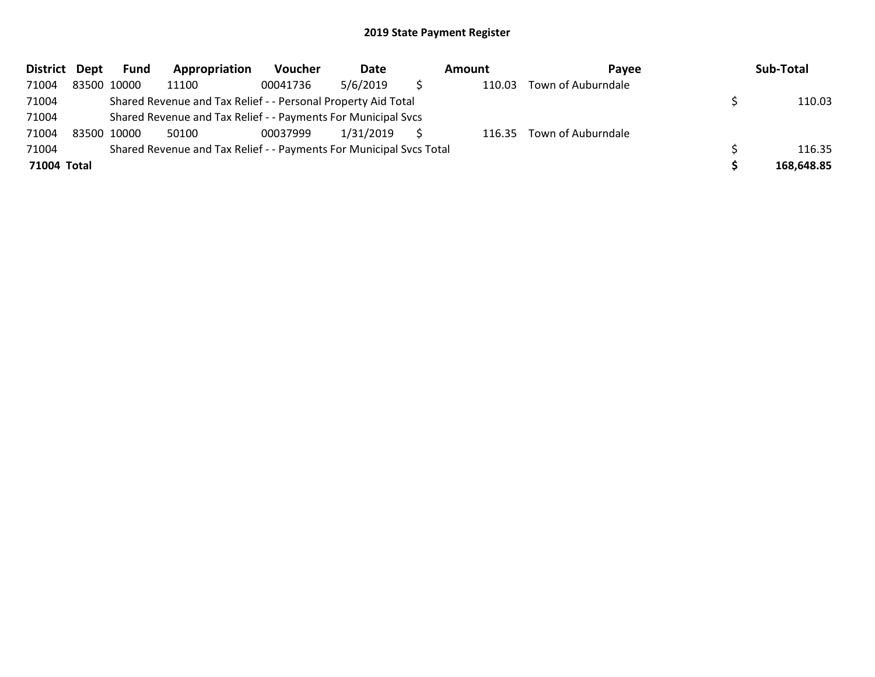| <b>District</b> | Dept | Fund        | Appropriation                                                       | <b>Voucher</b> | Date      | Amount | Payee                     | Sub-Total  |
|-----------------|------|-------------|---------------------------------------------------------------------|----------------|-----------|--------|---------------------------|------------|
| 71004           |      | 83500 10000 | 11100                                                               | 00041736       | 5/6/2019  | 110.03 | Town of Auburndale        |            |
| 71004           |      |             | Shared Revenue and Tax Relief - - Personal Property Aid Total       |                |           |        |                           | 110.03     |
| 71004           |      |             | Shared Revenue and Tax Relief - - Payments For Municipal Svcs       |                |           |        |                           |            |
| 71004           |      | 83500 10000 | 50100                                                               | 00037999       | 1/31/2019 |        | 116.35 Town of Auburndale |            |
| 71004           |      |             | Shared Revenue and Tax Relief - - Payments For Municipal Svcs Total |                |           |        |                           | 116.35     |
| 71004 Total     |      |             |                                                                     |                |           |        |                           | 168,648.85 |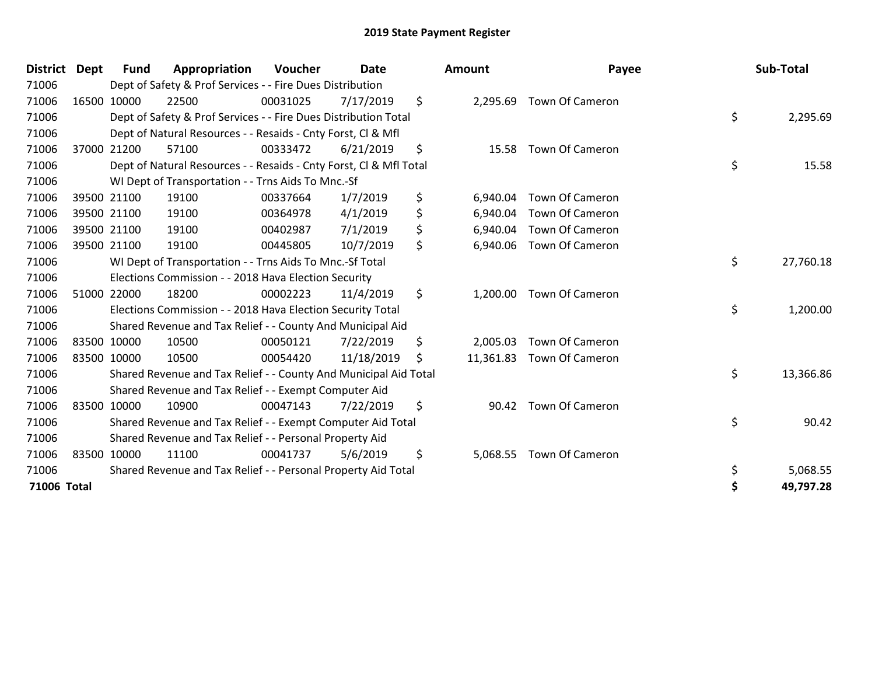| <b>District Dept</b> | <b>Fund</b> | Appropriation                                                      | <b>Voucher</b> | <b>Date</b> |    | <b>Amount</b> | Payee                  | Sub-Total       |
|----------------------|-------------|--------------------------------------------------------------------|----------------|-------------|----|---------------|------------------------|-----------------|
| 71006                |             | Dept of Safety & Prof Services - - Fire Dues Distribution          |                |             |    |               |                        |                 |
| 71006                | 16500 10000 | 22500                                                              | 00031025       | 7/17/2019   | \$ | 2,295.69      | <b>Town Of Cameron</b> |                 |
| 71006                |             | Dept of Safety & Prof Services - - Fire Dues Distribution Total    |                |             |    |               |                        | \$<br>2,295.69  |
| 71006                |             | Dept of Natural Resources - - Resaids - Cnty Forst, CI & Mfl       |                |             |    |               |                        |                 |
| 71006                | 37000 21200 | 57100                                                              | 00333472       | 6/21/2019   | \$ | 15.58         | <b>Town Of Cameron</b> |                 |
| 71006                |             | Dept of Natural Resources - - Resaids - Cnty Forst, CI & Mfl Total |                |             |    |               |                        | \$<br>15.58     |
| 71006                |             | WI Dept of Transportation - - Trns Aids To Mnc.-Sf                 |                |             |    |               |                        |                 |
| 71006                | 39500 21100 | 19100                                                              | 00337664       | 1/7/2019    | \$ | 6,940.04      | <b>Town Of Cameron</b> |                 |
| 71006                | 39500 21100 | 19100                                                              | 00364978       | 4/1/2019    | \$ | 6,940.04      | <b>Town Of Cameron</b> |                 |
| 71006                | 39500 21100 | 19100                                                              | 00402987       | 7/1/2019    | \$ | 6,940.04      | <b>Town Of Cameron</b> |                 |
| 71006                | 39500 21100 | 19100                                                              | 00445805       | 10/7/2019   | \$ | 6,940.06      | Town Of Cameron        |                 |
| 71006                |             | WI Dept of Transportation - - Trns Aids To Mnc.-Sf Total           |                |             |    |               |                        | \$<br>27,760.18 |
| 71006                |             | Elections Commission - - 2018 Hava Election Security               |                |             |    |               |                        |                 |
| 71006                | 51000 22000 | 18200                                                              | 00002223       | 11/4/2019   | \$ | 1,200.00      | <b>Town Of Cameron</b> |                 |
| 71006                |             | Elections Commission - - 2018 Hava Election Security Total         |                |             |    |               |                        | \$<br>1,200.00  |
| 71006                |             | Shared Revenue and Tax Relief - - County And Municipal Aid         |                |             |    |               |                        |                 |
| 71006                | 83500 10000 | 10500                                                              | 00050121       | 7/22/2019   | \$ | 2,005.03      | <b>Town Of Cameron</b> |                 |
| 71006                | 83500 10000 | 10500                                                              | 00054420       | 11/18/2019  | S  | 11,361.83     | <b>Town Of Cameron</b> |                 |
| 71006                |             | Shared Revenue and Tax Relief - - County And Municipal Aid Total   |                |             |    |               |                        | \$<br>13,366.86 |
| 71006                |             | Shared Revenue and Tax Relief - - Exempt Computer Aid              |                |             |    |               |                        |                 |
| 71006                | 83500 10000 | 10900                                                              | 00047143       | 7/22/2019   | \$ | 90.42         | <b>Town Of Cameron</b> |                 |
| 71006                |             | Shared Revenue and Tax Relief - - Exempt Computer Aid Total        |                |             |    |               |                        | \$<br>90.42     |
| 71006                |             | Shared Revenue and Tax Relief - - Personal Property Aid            |                |             |    |               |                        |                 |
| 71006                | 83500 10000 | 11100                                                              | 00041737       | 5/6/2019    | \$ | 5,068.55      | Town Of Cameron        |                 |
| 71006                |             | Shared Revenue and Tax Relief - - Personal Property Aid Total      |                |             |    |               |                        | \$<br>5,068.55  |
| 71006 Total          |             |                                                                    |                |             |    |               |                        | \$<br>49,797.28 |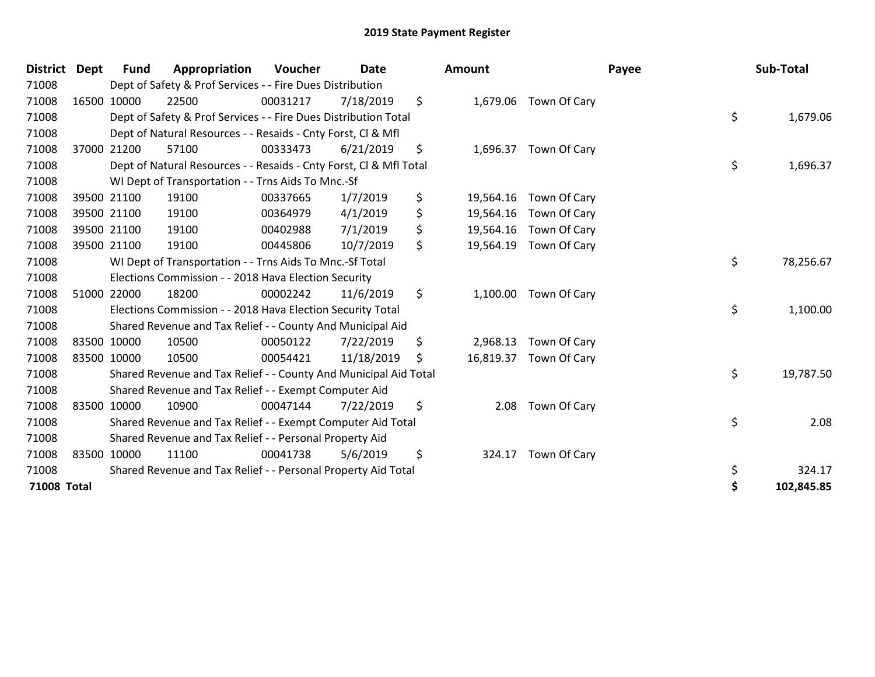| <b>District</b> | <b>Dept</b> | Fund        | Appropriation                                                      | <b>Voucher</b> | <b>Date</b> |    | <b>Amount</b> |                        | Payee | Sub-Total  |
|-----------------|-------------|-------------|--------------------------------------------------------------------|----------------|-------------|----|---------------|------------------------|-------|------------|
| 71008           |             |             | Dept of Safety & Prof Services - - Fire Dues Distribution          |                |             |    |               |                        |       |            |
| 71008           |             | 16500 10000 | 22500                                                              | 00031217       | 7/18/2019   | \$ |               | 1,679.06 Town Of Cary  |       |            |
| 71008           |             |             | Dept of Safety & Prof Services - - Fire Dues Distribution Total    |                |             |    |               |                        | \$    | 1,679.06   |
| 71008           |             |             | Dept of Natural Resources - - Resaids - Cnty Forst, CI & Mfl       |                |             |    |               |                        |       |            |
| 71008           |             | 37000 21200 | 57100                                                              | 00333473       | 6/21/2019   | \$ |               | 1,696.37 Town Of Cary  |       |            |
| 71008           |             |             | Dept of Natural Resources - - Resaids - Cnty Forst, CI & Mfl Total |                |             |    |               |                        | \$    | 1,696.37   |
| 71008           |             |             | WI Dept of Transportation - - Trns Aids To Mnc.-Sf                 |                |             |    |               |                        |       |            |
| 71008           |             | 39500 21100 | 19100                                                              | 00337665       | 1/7/2019    | \$ |               | 19,564.16 Town Of Cary |       |            |
| 71008           |             | 39500 21100 | 19100                                                              | 00364979       | 4/1/2019    | \$ | 19,564.16     | Town Of Cary           |       |            |
| 71008           |             | 39500 21100 | 19100                                                              | 00402988       | 7/1/2019    | \$ |               | 19,564.16 Town Of Cary |       |            |
| 71008           |             | 39500 21100 | 19100                                                              | 00445806       | 10/7/2019   | \$ | 19,564.19     | Town Of Cary           |       |            |
| 71008           |             |             | WI Dept of Transportation - - Trns Aids To Mnc.-Sf Total           |                |             |    |               |                        | \$    | 78,256.67  |
| 71008           |             |             | Elections Commission - - 2018 Hava Election Security               |                |             |    |               |                        |       |            |
| 71008           |             | 51000 22000 | 18200                                                              | 00002242       | 11/6/2019   | \$ | 1,100.00      | Town Of Cary           |       |            |
| 71008           |             |             | Elections Commission - - 2018 Hava Election Security Total         |                |             |    |               |                        | \$    | 1,100.00   |
| 71008           |             |             | Shared Revenue and Tax Relief - - County And Municipal Aid         |                |             |    |               |                        |       |            |
| 71008           |             | 83500 10000 | 10500                                                              | 00050122       | 7/22/2019   | \$ | 2,968.13      | Town Of Cary           |       |            |
| 71008           | 83500 10000 |             | 10500                                                              | 00054421       | 11/18/2019  | S. |               | 16,819.37 Town Of Cary |       |            |
| 71008           |             |             | Shared Revenue and Tax Relief - - County And Municipal Aid Total   |                |             |    |               |                        | \$    | 19,787.50  |
| 71008           |             |             | Shared Revenue and Tax Relief - - Exempt Computer Aid              |                |             |    |               |                        |       |            |
| 71008           |             | 83500 10000 | 10900                                                              | 00047144       | 7/22/2019   | \$ | 2.08          | Town Of Cary           |       |            |
| 71008           |             |             | Shared Revenue and Tax Relief - - Exempt Computer Aid Total        |                |             |    |               |                        | \$    | 2.08       |
| 71008           |             |             | Shared Revenue and Tax Relief - - Personal Property Aid            |                |             |    |               |                        |       |            |
| 71008           |             | 83500 10000 | 11100                                                              | 00041738       | 5/6/2019    | \$ | 324.17        | Town Of Cary           |       |            |
| 71008           |             |             | Shared Revenue and Tax Relief - - Personal Property Aid Total      |                |             |    |               |                        | \$    | 324.17     |
| 71008 Total     |             |             |                                                                    |                |             |    |               |                        | \$    | 102,845.85 |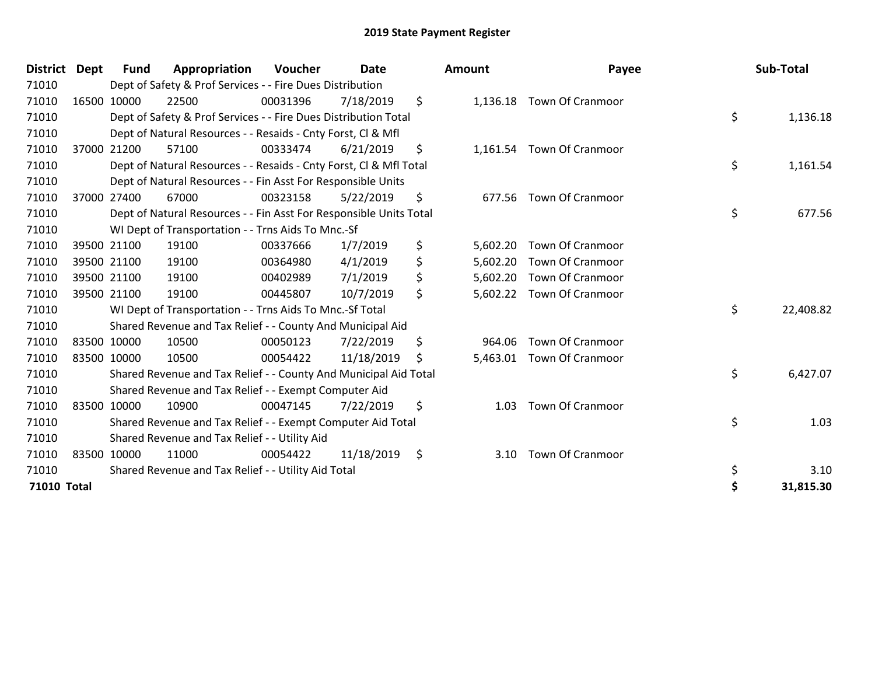| <b>District</b>    | Dept | <b>Fund</b> | Appropriation                                                      | <b>Voucher</b> | <b>Date</b>     | <b>Amount</b>  | Payee                     | Sub-Total       |
|--------------------|------|-------------|--------------------------------------------------------------------|----------------|-----------------|----------------|---------------------------|-----------------|
| 71010              |      |             | Dept of Safety & Prof Services - - Fire Dues Distribution          |                |                 |                |                           |                 |
| 71010              |      | 16500 10000 | 22500                                                              | 00031396       | 7/18/2019       | \$             | 1,136.18 Town Of Cranmoor |                 |
| 71010              |      |             | Dept of Safety & Prof Services - - Fire Dues Distribution Total    |                |                 |                |                           | \$<br>1,136.18  |
| 71010              |      |             | Dept of Natural Resources - - Resaids - Cnty Forst, CI & Mfl       |                |                 |                |                           |                 |
| 71010              |      | 37000 21200 | 57100                                                              | 00333474       | 6/21/2019       | \$             | 1,161.54 Town Of Cranmoor |                 |
| 71010              |      |             | Dept of Natural Resources - - Resaids - Cnty Forst, CI & Mfl Total |                |                 |                |                           | \$<br>1,161.54  |
| 71010              |      |             | Dept of Natural Resources - - Fin Asst For Responsible Units       |                |                 |                |                           |                 |
| 71010              |      | 37000 27400 | 67000                                                              | 00323158       | 5/22/2019       | \$<br>677.56   | <b>Town Of Cranmoor</b>   |                 |
| 71010              |      |             | Dept of Natural Resources - - Fin Asst For Responsible Units Total |                |                 |                |                           | \$<br>677.56    |
| 71010              |      |             | WI Dept of Transportation - - Trns Aids To Mnc.-Sf                 |                |                 |                |                           |                 |
| 71010              |      | 39500 21100 | 19100                                                              | 00337666       | 1/7/2019        | \$<br>5,602.20 | <b>Town Of Cranmoor</b>   |                 |
| 71010              |      | 39500 21100 | 19100                                                              | 00364980       | 4/1/2019        | \$<br>5,602.20 | <b>Town Of Cranmoor</b>   |                 |
| 71010              |      | 39500 21100 | 19100                                                              | 00402989       | 7/1/2019        | \$<br>5,602.20 | <b>Town Of Cranmoor</b>   |                 |
| 71010              |      | 39500 21100 | 19100                                                              | 00445807       | 10/7/2019       | \$             | 5,602.22 Town Of Cranmoor |                 |
| 71010              |      |             | WI Dept of Transportation - - Trns Aids To Mnc.-Sf Total           |                |                 |                |                           | \$<br>22,408.82 |
| 71010              |      |             | Shared Revenue and Tax Relief - - County And Municipal Aid         |                |                 |                |                           |                 |
| 71010              |      | 83500 10000 | 10500                                                              | 00050123       | 7/22/2019       | \$<br>964.06   | <b>Town Of Cranmoor</b>   |                 |
| 71010              |      | 83500 10000 | 10500                                                              | 00054422       | 11/18/2019      | \$             | 5,463.01 Town Of Cranmoor |                 |
| 71010              |      |             | Shared Revenue and Tax Relief - - County And Municipal Aid Total   |                |                 |                |                           | \$<br>6,427.07  |
| 71010              |      |             | Shared Revenue and Tax Relief - - Exempt Computer Aid              |                |                 |                |                           |                 |
| 71010              |      | 83500 10000 | 10900                                                              | 00047145       | 7/22/2019       | \$<br>1.03     | <b>Town Of Cranmoor</b>   |                 |
| 71010              |      |             | Shared Revenue and Tax Relief - - Exempt Computer Aid Total        |                |                 |                |                           | \$<br>1.03      |
| 71010              |      |             | Shared Revenue and Tax Relief - - Utility Aid                      |                |                 |                |                           |                 |
| 71010              |      | 83500 10000 | 11000                                                              | 00054422       | $11/18/2019$ \$ | 3.10           | <b>Town Of Cranmoor</b>   |                 |
| 71010              |      |             | Shared Revenue and Tax Relief - - Utility Aid Total                |                |                 |                |                           | \$<br>3.10      |
| <b>71010 Total</b> |      |             |                                                                    |                |                 |                |                           | 31,815.30       |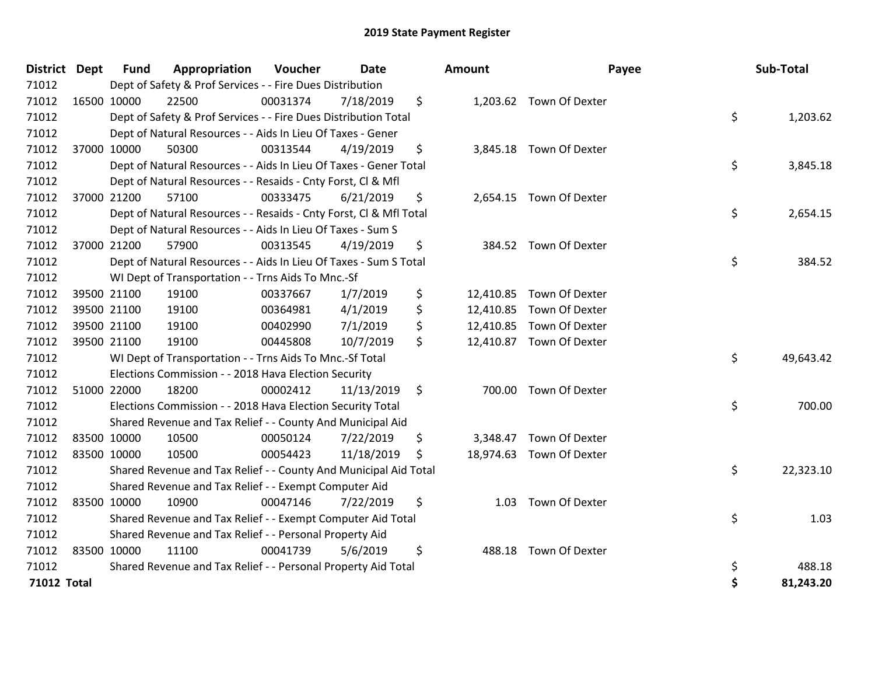| District Dept      | Fund        | Appropriation                                                      | Voucher  | <b>Date</b> | <b>Amount</b> | Payee                    |    | Sub-Total |
|--------------------|-------------|--------------------------------------------------------------------|----------|-------------|---------------|--------------------------|----|-----------|
| 71012              |             | Dept of Safety & Prof Services - - Fire Dues Distribution          |          |             |               |                          |    |           |
| 71012              | 16500 10000 | 22500                                                              | 00031374 | 7/18/2019   | \$            | 1,203.62 Town Of Dexter  |    |           |
| 71012              |             | Dept of Safety & Prof Services - - Fire Dues Distribution Total    |          |             |               |                          | \$ | 1,203.62  |
| 71012              |             | Dept of Natural Resources - - Aids In Lieu Of Taxes - Gener        |          |             |               |                          |    |           |
| 71012              | 37000 10000 | 50300                                                              | 00313544 | 4/19/2019   | \$            | 3,845.18 Town Of Dexter  |    |           |
| 71012              |             | Dept of Natural Resources - - Aids In Lieu Of Taxes - Gener Total  |          |             |               |                          | \$ | 3,845.18  |
| 71012              |             | Dept of Natural Resources - - Resaids - Cnty Forst, Cl & Mfl       |          |             |               |                          |    |           |
| 71012              | 37000 21200 | 57100                                                              | 00333475 | 6/21/2019   | \$            | 2,654.15 Town Of Dexter  |    |           |
| 71012              |             | Dept of Natural Resources - - Resaids - Cnty Forst, CI & Mfl Total |          |             |               |                          | \$ | 2,654.15  |
| 71012              |             | Dept of Natural Resources - - Aids In Lieu Of Taxes - Sum S        |          |             |               |                          |    |           |
| 71012              | 37000 21200 | 57900                                                              | 00313545 | 4/19/2019   | \$            | 384.52 Town Of Dexter    |    |           |
| 71012              |             | Dept of Natural Resources - - Aids In Lieu Of Taxes - Sum S Total  |          |             |               |                          | \$ | 384.52    |
| 71012              |             | WI Dept of Transportation - - Trns Aids To Mnc.-Sf                 |          |             |               |                          |    |           |
| 71012              | 39500 21100 | 19100                                                              | 00337667 | 1/7/2019    | \$            | 12,410.85 Town Of Dexter |    |           |
| 71012              | 39500 21100 | 19100                                                              | 00364981 | 4/1/2019    | \$            | 12,410.85 Town Of Dexter |    |           |
| 71012              | 39500 21100 | 19100                                                              | 00402990 | 7/1/2019    | \$            | 12,410.85 Town Of Dexter |    |           |
| 71012              | 39500 21100 | 19100                                                              | 00445808 | 10/7/2019   | \$            | 12,410.87 Town Of Dexter |    |           |
| 71012              |             | WI Dept of Transportation - - Trns Aids To Mnc .- Sf Total         |          |             |               |                          | \$ | 49,643.42 |
| 71012              |             | Elections Commission - - 2018 Hava Election Security               |          |             |               |                          |    |           |
| 71012              | 51000 22000 | 18200                                                              | 00002412 | 11/13/2019  | \$<br>700.00  | Town Of Dexter           |    |           |
| 71012              |             | Elections Commission - - 2018 Hava Election Security Total         |          |             |               |                          | \$ | 700.00    |
| 71012              |             | Shared Revenue and Tax Relief - - County And Municipal Aid         |          |             |               |                          |    |           |
| 71012              | 83500 10000 | 10500                                                              | 00050124 | 7/22/2019   | \$            | 3,348.47 Town Of Dexter  |    |           |
| 71012              | 83500 10000 | 10500                                                              | 00054423 | 11/18/2019  | \$            | 18,974.63 Town Of Dexter |    |           |
| 71012              |             | Shared Revenue and Tax Relief - - County And Municipal Aid Total   |          |             |               |                          | \$ | 22,323.10 |
| 71012              |             | Shared Revenue and Tax Relief - - Exempt Computer Aid              |          |             |               |                          |    |           |
| 71012              | 83500 10000 | 10900                                                              | 00047146 | 7/22/2019   | \$<br>1.03    | Town Of Dexter           |    |           |
| 71012              |             | Shared Revenue and Tax Relief - - Exempt Computer Aid Total        |          |             |               |                          | \$ | 1.03      |
| 71012              |             | Shared Revenue and Tax Relief - - Personal Property Aid            |          |             |               |                          |    |           |
| 71012              | 83500 10000 | 11100                                                              | 00041739 | 5/6/2019    | \$<br>488.18  | Town Of Dexter           |    |           |
| 71012              |             | Shared Revenue and Tax Relief - - Personal Property Aid Total      |          |             |               |                          | \$ | 488.18    |
| <b>71012 Total</b> |             |                                                                    |          |             |               |                          | Ś  | 81,243.20 |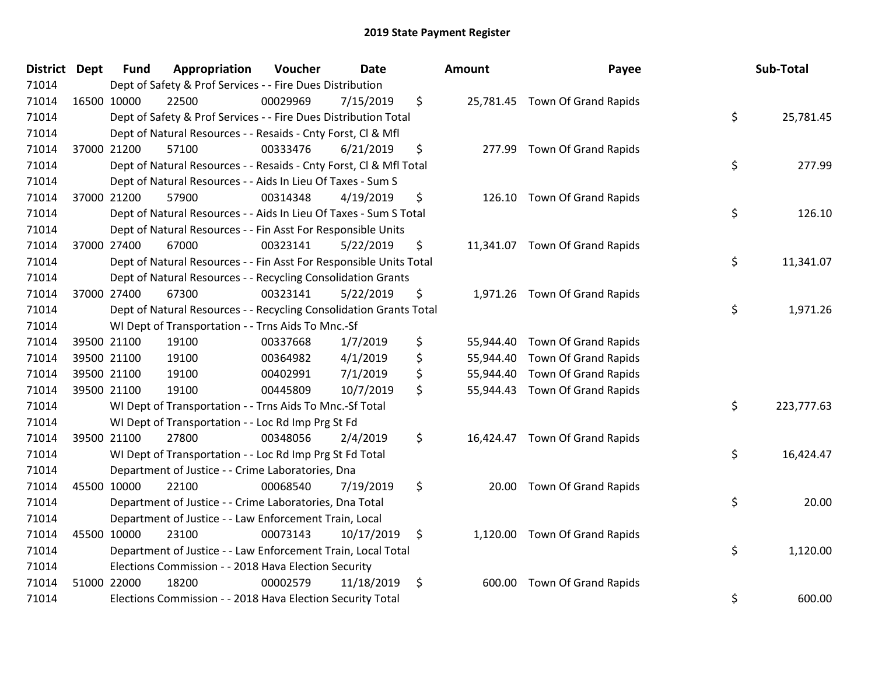| District Dept | Fund        | Appropriation                                                      | Voucher  | <b>Date</b> | <b>Amount</b>   | Payee                          | Sub-Total        |
|---------------|-------------|--------------------------------------------------------------------|----------|-------------|-----------------|--------------------------------|------------------|
| 71014         |             | Dept of Safety & Prof Services - - Fire Dues Distribution          |          |             |                 |                                |                  |
| 71014         | 16500 10000 | 22500                                                              | 00029969 | 7/15/2019   | \$              | 25,781.45 Town Of Grand Rapids |                  |
| 71014         |             | Dept of Safety & Prof Services - - Fire Dues Distribution Total    |          |             |                 |                                | \$<br>25,781.45  |
| 71014         |             | Dept of Natural Resources - - Resaids - Cnty Forst, CI & Mfl       |          |             |                 |                                |                  |
| 71014         | 37000 21200 | 57100                                                              | 00333476 | 6/21/2019   | \$              | 277.99 Town Of Grand Rapids    |                  |
| 71014         |             | Dept of Natural Resources - - Resaids - Cnty Forst, Cl & Mfl Total |          |             |                 |                                | \$<br>277.99     |
| 71014         |             | Dept of Natural Resources - - Aids In Lieu Of Taxes - Sum S        |          |             |                 |                                |                  |
| 71014         | 37000 21200 | 57900                                                              | 00314348 | 4/19/2019   | \$<br>126.10    | <b>Town Of Grand Rapids</b>    |                  |
| 71014         |             | Dept of Natural Resources - - Aids In Lieu Of Taxes - Sum S Total  |          |             |                 |                                | \$<br>126.10     |
| 71014         |             | Dept of Natural Resources - - Fin Asst For Responsible Units       |          |             |                 |                                |                  |
| 71014         | 37000 27400 | 67000                                                              | 00323141 | 5/22/2019   | \$              | 11,341.07 Town Of Grand Rapids |                  |
| 71014         |             | Dept of Natural Resources - - Fin Asst For Responsible Units Total |          |             |                 |                                | \$<br>11,341.07  |
| 71014         |             | Dept of Natural Resources - - Recycling Consolidation Grants       |          |             |                 |                                |                  |
| 71014         | 37000 27400 | 67300                                                              | 00323141 | 5/22/2019   | \$              | 1,971.26 Town Of Grand Rapids  |                  |
| 71014         |             | Dept of Natural Resources - - Recycling Consolidation Grants Total |          |             |                 |                                | \$<br>1,971.26   |
| 71014         |             | WI Dept of Transportation - - Trns Aids To Mnc.-Sf                 |          |             |                 |                                |                  |
| 71014         | 39500 21100 | 19100                                                              | 00337668 | 1/7/2019    | \$<br>55,944.40 | Town Of Grand Rapids           |                  |
| 71014         | 39500 21100 | 19100                                                              | 00364982 | 4/1/2019    | \$              | 55,944.40 Town Of Grand Rapids |                  |
| 71014         | 39500 21100 | 19100                                                              | 00402991 | 7/1/2019    | \$<br>55,944.40 | Town Of Grand Rapids           |                  |
| 71014         | 39500 21100 | 19100                                                              | 00445809 | 10/7/2019   | \$              | 55,944.43 Town Of Grand Rapids |                  |
| 71014         |             | WI Dept of Transportation - - Trns Aids To Mnc.-Sf Total           |          |             |                 |                                | \$<br>223,777.63 |
| 71014         |             | WI Dept of Transportation - - Loc Rd Imp Prg St Fd                 |          |             |                 |                                |                  |
| 71014         | 39500 21100 | 27800                                                              | 00348056 | 2/4/2019    | \$              | 16,424.47 Town Of Grand Rapids |                  |
| 71014         |             | WI Dept of Transportation - - Loc Rd Imp Prg St Fd Total           |          |             |                 |                                | \$<br>16,424.47  |
| 71014         |             | Department of Justice - - Crime Laboratories, Dna                  |          |             |                 |                                |                  |
| 71014         | 45500 10000 | 22100                                                              | 00068540 | 7/19/2019   | \$<br>20.00     | Town Of Grand Rapids           |                  |
| 71014         |             | Department of Justice - - Crime Laboratories, Dna Total            |          |             |                 |                                | \$<br>20.00      |
| 71014         |             | Department of Justice - - Law Enforcement Train, Local             |          |             |                 |                                |                  |
| 71014         | 45500 10000 | 23100                                                              | 00073143 | 10/17/2019  | \$              | 1,120.00 Town Of Grand Rapids  |                  |
| 71014         |             | Department of Justice - - Law Enforcement Train, Local Total       |          |             |                 |                                | \$<br>1,120.00   |
| 71014         |             | Elections Commission - - 2018 Hava Election Security               |          |             |                 |                                |                  |
| 71014         | 51000 22000 | 18200                                                              | 00002579 | 11/18/2019  | \$<br>600.00    | Town Of Grand Rapids           |                  |
| 71014         |             | Elections Commission - - 2018 Hava Election Security Total         |          |             |                 |                                | \$<br>600.00     |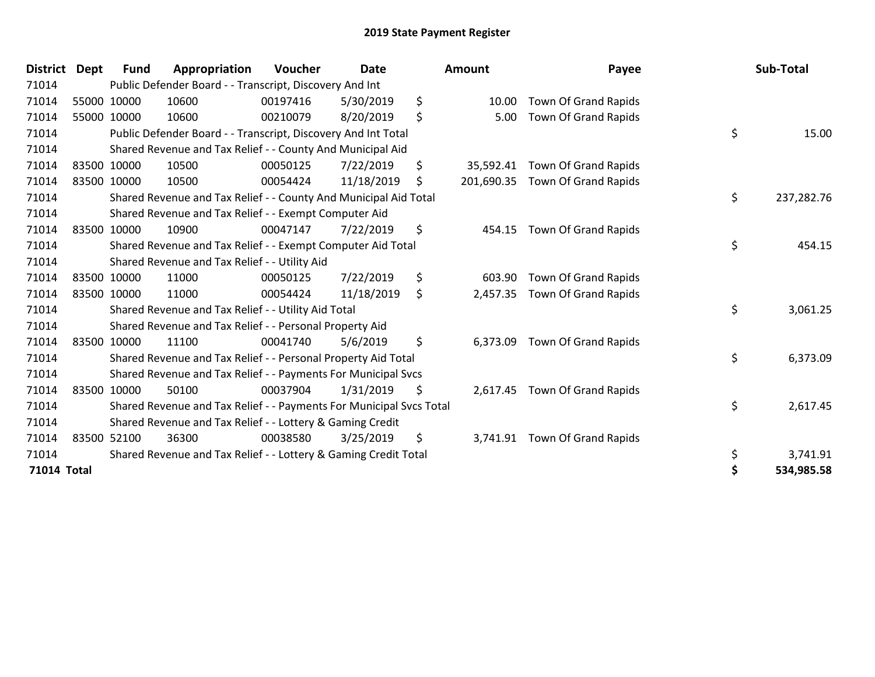| <b>District</b>    | Dept | <b>Fund</b> | Appropriation                                                       | <b>Voucher</b> | <b>Date</b> | <b>Amount</b>   | Payee                           | Sub-Total        |
|--------------------|------|-------------|---------------------------------------------------------------------|----------------|-------------|-----------------|---------------------------------|------------------|
| 71014              |      |             | Public Defender Board - - Transcript, Discovery And Int             |                |             |                 |                                 |                  |
| 71014              |      | 55000 10000 | 10600                                                               | 00197416       | 5/30/2019   | \$<br>10.00     | Town Of Grand Rapids            |                  |
| 71014              |      | 55000 10000 | 10600                                                               | 00210079       | 8/20/2019   | \$<br>5.00      | <b>Town Of Grand Rapids</b>     |                  |
| 71014              |      |             | Public Defender Board - - Transcript, Discovery And Int Total       |                |             |                 |                                 | \$<br>15.00      |
| 71014              |      |             | Shared Revenue and Tax Relief - - County And Municipal Aid          |                |             |                 |                                 |                  |
| 71014              |      | 83500 10000 | 10500                                                               | 00050125       | 7/22/2019   | \$<br>35,592.41 | Town Of Grand Rapids            |                  |
| 71014              |      | 83500 10000 | 10500                                                               | 00054424       | 11/18/2019  | \$              | 201,690.35 Town Of Grand Rapids |                  |
| 71014              |      |             | Shared Revenue and Tax Relief - - County And Municipal Aid Total    |                |             |                 |                                 | \$<br>237,282.76 |
| 71014              |      |             | Shared Revenue and Tax Relief - - Exempt Computer Aid               |                |             |                 |                                 |                  |
| 71014              |      | 83500 10000 | 10900                                                               | 00047147       | 7/22/2019   | \$<br>454.15    | <b>Town Of Grand Rapids</b>     |                  |
| 71014              |      |             | Shared Revenue and Tax Relief - - Exempt Computer Aid Total         |                |             |                 |                                 | \$<br>454.15     |
| 71014              |      |             | Shared Revenue and Tax Relief - - Utility Aid                       |                |             |                 |                                 |                  |
| 71014              |      | 83500 10000 | 11000                                                               | 00050125       | 7/22/2019   | \$<br>603.90    | Town Of Grand Rapids            |                  |
| 71014              |      | 83500 10000 | 11000                                                               | 00054424       | 11/18/2019  | \$<br>2,457.35  | <b>Town Of Grand Rapids</b>     |                  |
| 71014              |      |             | Shared Revenue and Tax Relief - - Utility Aid Total                 |                |             |                 |                                 | \$<br>3,061.25   |
| 71014              |      |             | Shared Revenue and Tax Relief - - Personal Property Aid             |                |             |                 |                                 |                  |
| 71014              |      | 83500 10000 | 11100                                                               | 00041740       | 5/6/2019    | \$<br>6,373.09  | Town Of Grand Rapids            |                  |
| 71014              |      |             | Shared Revenue and Tax Relief - - Personal Property Aid Total       |                |             |                 |                                 | \$<br>6,373.09   |
| 71014              |      |             | Shared Revenue and Tax Relief - - Payments For Municipal Svcs       |                |             |                 |                                 |                  |
| 71014              |      | 83500 10000 | 50100                                                               | 00037904       | 1/31/2019   | \$<br>2,617.45  | Town Of Grand Rapids            |                  |
| 71014              |      |             | Shared Revenue and Tax Relief - - Payments For Municipal Svcs Total |                |             |                 |                                 | \$<br>2,617.45   |
| 71014              |      |             | Shared Revenue and Tax Relief - - Lottery & Gaming Credit           |                |             |                 |                                 |                  |
| 71014              |      | 83500 52100 | 36300                                                               | 00038580       | 3/25/2019   | \$<br>3,741.91  | Town Of Grand Rapids            |                  |
| 71014              |      |             | Shared Revenue and Tax Relief - - Lottery & Gaming Credit Total     |                |             |                 |                                 | \$<br>3,741.91   |
| <b>71014 Total</b> |      |             |                                                                     |                |             |                 |                                 | \$<br>534,985.58 |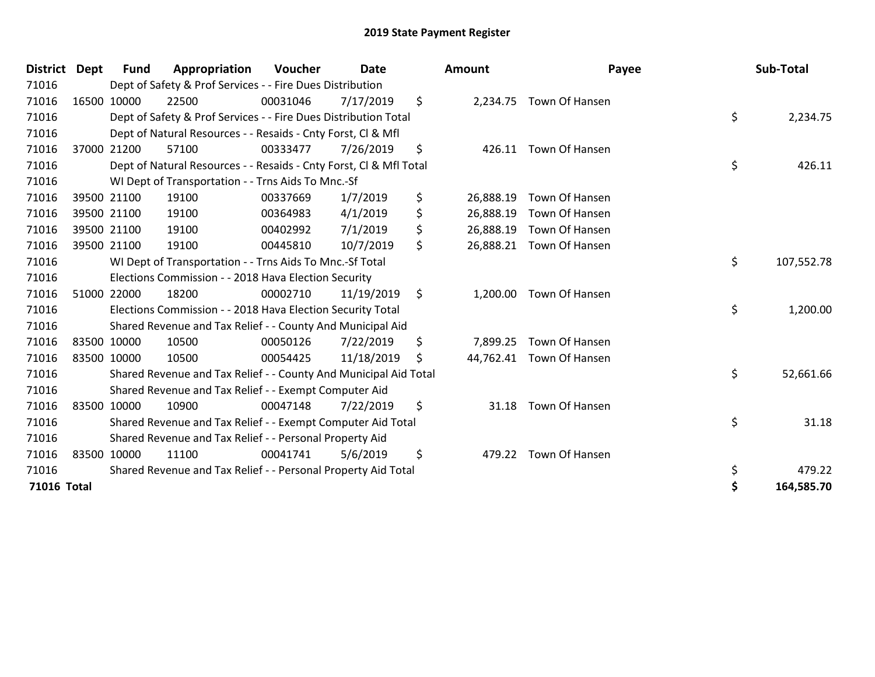| <b>District</b> | <b>Dept</b> | <b>Fund</b> | Appropriation                                                      | Voucher  | <b>Date</b> |    | <b>Amount</b> | Payee                    |    | Sub-Total  |
|-----------------|-------------|-------------|--------------------------------------------------------------------|----------|-------------|----|---------------|--------------------------|----|------------|
| 71016           |             |             | Dept of Safety & Prof Services - - Fire Dues Distribution          |          |             |    |               |                          |    |            |
| 71016           |             | 16500 10000 | 22500                                                              | 00031046 | 7/17/2019   | \$ |               | 2,234.75 Town Of Hansen  |    |            |
| 71016           |             |             | Dept of Safety & Prof Services - - Fire Dues Distribution Total    |          |             |    |               |                          | \$ | 2,234.75   |
| 71016           |             |             | Dept of Natural Resources - - Resaids - Cnty Forst, CI & Mfl       |          |             |    |               |                          |    |            |
| 71016           |             | 37000 21200 | 57100                                                              | 00333477 | 7/26/2019   | \$ |               | 426.11 Town Of Hansen    |    |            |
| 71016           |             |             | Dept of Natural Resources - - Resaids - Cnty Forst, Cl & Mfl Total |          |             |    |               |                          | \$ | 426.11     |
| 71016           |             |             | WI Dept of Transportation - - Trns Aids To Mnc.-Sf                 |          |             |    |               |                          |    |            |
| 71016           |             | 39500 21100 | 19100                                                              | 00337669 | 1/7/2019    | \$ | 26,888.19     | Town Of Hansen           |    |            |
| 71016           |             | 39500 21100 | 19100                                                              | 00364983 | 4/1/2019    | \$ | 26,888.19     | Town Of Hansen           |    |            |
| 71016           |             | 39500 21100 | 19100                                                              | 00402992 | 7/1/2019    | \$ |               | 26,888.19 Town Of Hansen |    |            |
| 71016           |             | 39500 21100 | 19100                                                              | 00445810 | 10/7/2019   | \$ |               | 26,888.21 Town Of Hansen |    |            |
| 71016           |             |             | WI Dept of Transportation - - Trns Aids To Mnc.-Sf Total           |          |             |    |               |                          | \$ | 107,552.78 |
| 71016           |             |             | Elections Commission - - 2018 Hava Election Security               |          |             |    |               |                          |    |            |
| 71016           |             | 51000 22000 | 18200                                                              | 00002710 | 11/19/2019  | \$ | 1,200.00      | Town Of Hansen           |    |            |
| 71016           |             |             | Elections Commission - - 2018 Hava Election Security Total         |          |             |    |               |                          | \$ | 1,200.00   |
| 71016           |             |             | Shared Revenue and Tax Relief - - County And Municipal Aid         |          |             |    |               |                          |    |            |
| 71016           |             | 83500 10000 | 10500                                                              | 00050126 | 7/22/2019   | \$ | 7,899.25      | Town Of Hansen           |    |            |
| 71016           |             | 83500 10000 | 10500                                                              | 00054425 | 11/18/2019  | S  |               | 44,762.41 Town Of Hansen |    |            |
| 71016           |             |             | Shared Revenue and Tax Relief - - County And Municipal Aid Total   |          |             |    |               |                          | \$ | 52,661.66  |
| 71016           |             |             | Shared Revenue and Tax Relief - - Exempt Computer Aid              |          |             |    |               |                          |    |            |
| 71016           |             | 83500 10000 | 10900                                                              | 00047148 | 7/22/2019   | \$ | 31.18         | Town Of Hansen           |    |            |
| 71016           |             |             | Shared Revenue and Tax Relief - - Exempt Computer Aid Total        |          |             |    |               |                          | \$ | 31.18      |
| 71016           |             |             | Shared Revenue and Tax Relief - - Personal Property Aid            |          |             |    |               |                          |    |            |
| 71016           |             | 83500 10000 | 11100                                                              | 00041741 | 5/6/2019    | \$ | 479.22        | Town Of Hansen           |    |            |
| 71016           |             |             | Shared Revenue and Tax Relief - - Personal Property Aid Total      |          |             |    |               |                          | \$ | 479.22     |
| 71016 Total     |             |             |                                                                    |          |             |    |               |                          | Ś  | 164,585.70 |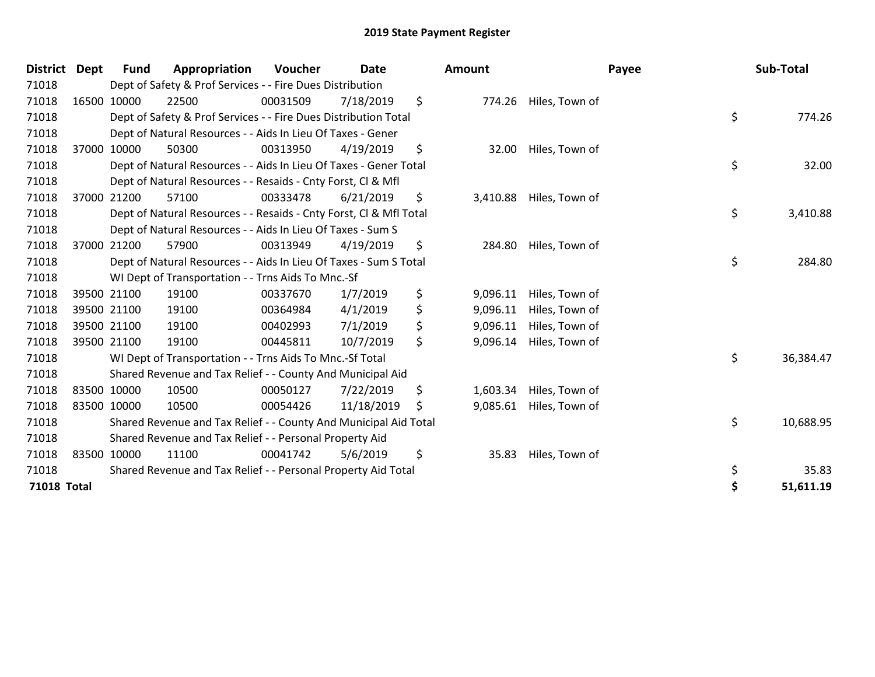| District           | <b>Dept</b> | Fund        | Appropriation                                                      | <b>Voucher</b> | <b>Date</b> |     | <b>Amount</b> |                         | Payee | Sub-Total |
|--------------------|-------------|-------------|--------------------------------------------------------------------|----------------|-------------|-----|---------------|-------------------------|-------|-----------|
| 71018              |             |             | Dept of Safety & Prof Services - - Fire Dues Distribution          |                |             |     |               |                         |       |           |
| 71018              |             | 16500 10000 | 22500                                                              | 00031509       | 7/18/2019   | \$  |               | 774.26 Hiles, Town of   |       |           |
| 71018              |             |             | Dept of Safety & Prof Services - - Fire Dues Distribution Total    |                |             |     |               |                         | \$    | 774.26    |
| 71018              |             |             | Dept of Natural Resources - - Aids In Lieu Of Taxes - Gener        |                |             |     |               |                         |       |           |
| 71018              |             | 37000 10000 | 50300                                                              | 00313950       | 4/19/2019   | \$  | 32.00         | Hiles, Town of          |       |           |
| 71018              |             |             | Dept of Natural Resources - - Aids In Lieu Of Taxes - Gener Total  |                |             |     |               |                         | \$    | 32.00     |
| 71018              |             |             | Dept of Natural Resources - - Resaids - Cnty Forst, CI & Mfl       |                |             |     |               |                         |       |           |
| 71018              |             | 37000 21200 | 57100                                                              | 00333478       | 6/21/2019   | \$  |               | 3,410.88 Hiles, Town of |       |           |
| 71018              |             |             | Dept of Natural Resources - - Resaids - Cnty Forst, CI & Mfl Total |                |             |     |               |                         | \$    | 3,410.88  |
| 71018              |             |             | Dept of Natural Resources - - Aids In Lieu Of Taxes - Sum S        |                |             |     |               |                         |       |           |
| 71018              |             | 37000 21200 | 57900                                                              | 00313949       | 4/19/2019   | \$  | 284.80        | Hiles, Town of          |       |           |
| 71018              |             |             | Dept of Natural Resources - - Aids In Lieu Of Taxes - Sum S Total  |                |             |     |               |                         | \$    | 284.80    |
| 71018              |             |             | WI Dept of Transportation - - Trns Aids To Mnc.-Sf                 |                |             |     |               |                         |       |           |
| 71018              |             | 39500 21100 | 19100                                                              | 00337670       | 1/7/2019    | \$  | 9,096.11      | Hiles, Town of          |       |           |
| 71018              |             | 39500 21100 | 19100                                                              | 00364984       | 4/1/2019    | \$  | 9,096.11      | Hiles, Town of          |       |           |
| 71018              |             | 39500 21100 | 19100                                                              | 00402993       | 7/1/2019    | \$  | 9,096.11      | Hiles, Town of          |       |           |
| 71018              |             | 39500 21100 | 19100                                                              | 00445811       | 10/7/2019   | \$  | 9,096.14      | Hiles, Town of          |       |           |
| 71018              |             |             | WI Dept of Transportation - - Trns Aids To Mnc.-Sf Total           |                |             |     |               |                         | \$    | 36,384.47 |
| 71018              |             |             | Shared Revenue and Tax Relief - - County And Municipal Aid         |                |             |     |               |                         |       |           |
| 71018              |             | 83500 10000 | 10500                                                              | 00050127       | 7/22/2019   | \$  | 1,603.34      | Hiles, Town of          |       |           |
| 71018              |             | 83500 10000 | 10500                                                              | 00054426       | 11/18/2019  | \$. | 9,085.61      | Hiles, Town of          |       |           |
| 71018              |             |             | Shared Revenue and Tax Relief - - County And Municipal Aid Total   |                |             |     |               |                         | \$    | 10,688.95 |
| 71018              |             |             | Shared Revenue and Tax Relief - - Personal Property Aid            |                |             |     |               |                         |       |           |
| 71018              |             | 83500 10000 | 11100                                                              | 00041742       | 5/6/2019    | \$  | 35.83         | Hiles, Town of          |       |           |
| 71018              |             |             | Shared Revenue and Tax Relief - - Personal Property Aid Total      |                |             |     |               |                         | \$    | 35.83     |
| <b>71018 Total</b> |             |             |                                                                    |                |             |     |               |                         | Ś     | 51,611.19 |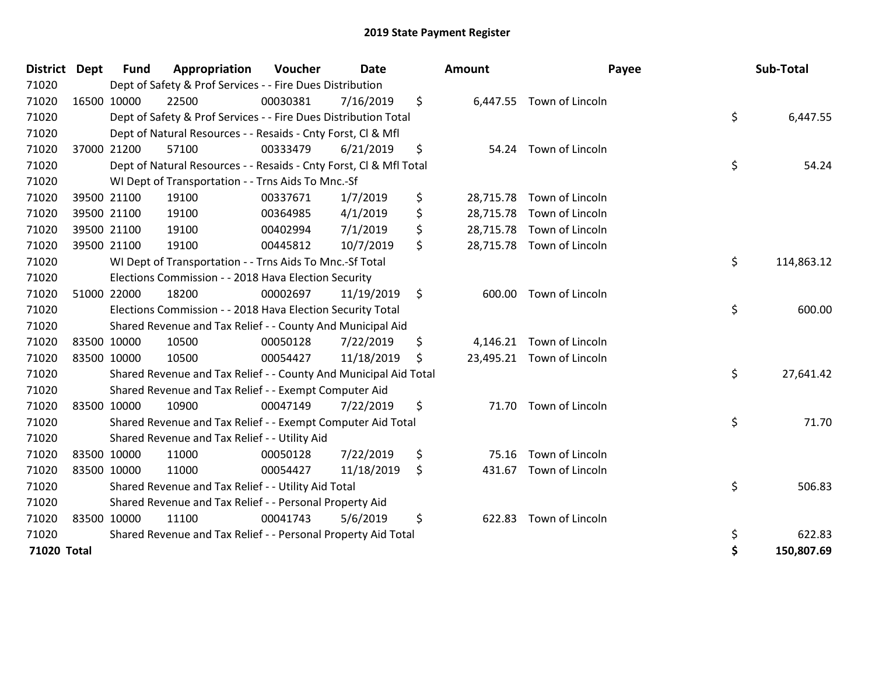| <b>District</b> | <b>Dept</b> | Fund        | Appropriation                                                      | Voucher  | <b>Date</b> | <b>Amount</b>   | Payee                     | Sub-Total        |
|-----------------|-------------|-------------|--------------------------------------------------------------------|----------|-------------|-----------------|---------------------------|------------------|
| 71020           |             |             | Dept of Safety & Prof Services - - Fire Dues Distribution          |          |             |                 |                           |                  |
| 71020           |             | 16500 10000 | 22500                                                              | 00030381 | 7/16/2019   | \$              | 6,447.55 Town of Lincoln  |                  |
| 71020           |             |             | Dept of Safety & Prof Services - - Fire Dues Distribution Total    |          |             |                 |                           | \$<br>6,447.55   |
| 71020           |             |             | Dept of Natural Resources - - Resaids - Cnty Forst, Cl & Mfl       |          |             |                 |                           |                  |
| 71020           |             | 37000 21200 | 57100                                                              | 00333479 | 6/21/2019   | \$              | 54.24 Town of Lincoln     |                  |
| 71020           |             |             | Dept of Natural Resources - - Resaids - Cnty Forst, CI & Mfl Total |          |             |                 |                           | \$<br>54.24      |
| 71020           |             |             | WI Dept of Transportation - - Trns Aids To Mnc.-Sf                 |          |             |                 |                           |                  |
| 71020           |             | 39500 21100 | 19100                                                              | 00337671 | 1/7/2019    | \$<br>28,715.78 | Town of Lincoln           |                  |
| 71020           |             | 39500 21100 | 19100                                                              | 00364985 | 4/1/2019    | \$              | 28,715.78 Town of Lincoln |                  |
| 71020           |             | 39500 21100 | 19100                                                              | 00402994 | 7/1/2019    | \$              | 28,715.78 Town of Lincoln |                  |
| 71020           |             | 39500 21100 | 19100                                                              | 00445812 | 10/7/2019   | \$              | 28,715.78 Town of Lincoln |                  |
| 71020           |             |             | WI Dept of Transportation - - Trns Aids To Mnc.-Sf Total           |          |             |                 |                           | \$<br>114,863.12 |
| 71020           |             |             | Elections Commission - - 2018 Hava Election Security               |          |             |                 |                           |                  |
| 71020           |             | 51000 22000 | 18200                                                              | 00002697 | 11/19/2019  | \$<br>600.00    | Town of Lincoln           |                  |
| 71020           |             |             | Elections Commission - - 2018 Hava Election Security Total         |          |             |                 |                           | \$<br>600.00     |
| 71020           |             |             | Shared Revenue and Tax Relief - - County And Municipal Aid         |          |             |                 |                           |                  |
| 71020           | 83500 10000 |             | 10500                                                              | 00050128 | 7/22/2019   | \$              | 4,146.21 Town of Lincoln  |                  |
| 71020           |             | 83500 10000 | 10500                                                              | 00054427 | 11/18/2019  | \$              | 23,495.21 Town of Lincoln |                  |
| 71020           |             |             | Shared Revenue and Tax Relief - - County And Municipal Aid Total   |          |             |                 |                           | \$<br>27,641.42  |
| 71020           |             |             | Shared Revenue and Tax Relief - - Exempt Computer Aid              |          |             |                 |                           |                  |
| 71020           |             | 83500 10000 | 10900                                                              | 00047149 | 7/22/2019   | \$              | 71.70 Town of Lincoln     |                  |
| 71020           |             |             | Shared Revenue and Tax Relief - - Exempt Computer Aid Total        |          |             |                 |                           | \$<br>71.70      |
| 71020           |             |             | Shared Revenue and Tax Relief - - Utility Aid                      |          |             |                 |                           |                  |
| 71020           |             | 83500 10000 | 11000                                                              | 00050128 | 7/22/2019   | \$<br>75.16     | Town of Lincoln           |                  |
| 71020           | 83500 10000 |             | 11000                                                              | 00054427 | 11/18/2019  | \$              | 431.67 Town of Lincoln    |                  |
| 71020           |             |             | Shared Revenue and Tax Relief - - Utility Aid Total                |          |             |                 |                           | \$<br>506.83     |
| 71020           |             |             | Shared Revenue and Tax Relief - - Personal Property Aid            |          |             |                 |                           |                  |
| 71020           |             | 83500 10000 | 11100                                                              | 00041743 | 5/6/2019    | \$<br>622.83    | Town of Lincoln           |                  |
| 71020           |             |             | Shared Revenue and Tax Relief - - Personal Property Aid Total      |          |             |                 |                           | \$<br>622.83     |
| 71020 Total     |             |             |                                                                    |          |             |                 |                           | \$<br>150,807.69 |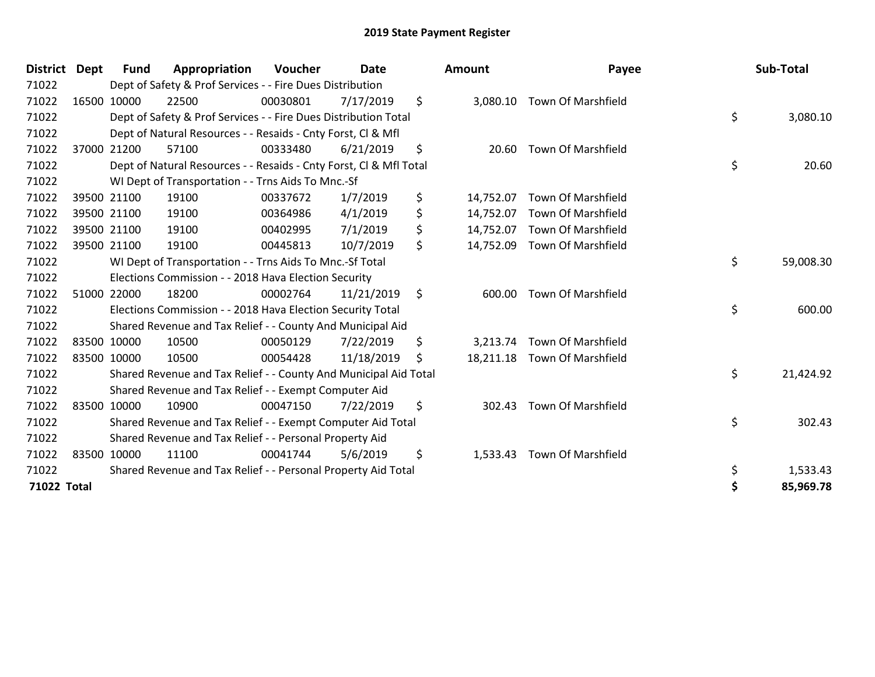| <b>District</b> | <b>Dept</b> | <b>Fund</b> | Appropriation                                                      | Voucher  | <b>Date</b> | Amount          | Payee                        | Sub-Total       |
|-----------------|-------------|-------------|--------------------------------------------------------------------|----------|-------------|-----------------|------------------------------|-----------------|
| 71022           |             |             | Dept of Safety & Prof Services - - Fire Dues Distribution          |          |             |                 |                              |                 |
| 71022           |             | 16500 10000 | 22500                                                              | 00030801 | 7/17/2019   | \$              | 3,080.10 Town Of Marshfield  |                 |
| 71022           |             |             | Dept of Safety & Prof Services - - Fire Dues Distribution Total    |          |             |                 |                              | \$<br>3,080.10  |
| 71022           |             |             | Dept of Natural Resources - - Resaids - Cnty Forst, CI & Mfl       |          |             |                 |                              |                 |
| 71022           |             | 37000 21200 | 57100                                                              | 00333480 | 6/21/2019   | \$<br>20.60     | <b>Town Of Marshfield</b>    |                 |
| 71022           |             |             | Dept of Natural Resources - - Resaids - Cnty Forst, CI & Mfl Total |          |             |                 |                              | \$<br>20.60     |
| 71022           |             |             | WI Dept of Transportation - - Trns Aids To Mnc.-Sf                 |          |             |                 |                              |                 |
| 71022           |             | 39500 21100 | 19100                                                              | 00337672 | 1/7/2019    | \$<br>14,752.07 | Town Of Marshfield           |                 |
| 71022           |             | 39500 21100 | 19100                                                              | 00364986 | 4/1/2019    | \$<br>14,752.07 | <b>Town Of Marshfield</b>    |                 |
| 71022           |             | 39500 21100 | 19100                                                              | 00402995 | 7/1/2019    | \$              | 14,752.07 Town Of Marshfield |                 |
| 71022           |             | 39500 21100 | 19100                                                              | 00445813 | 10/7/2019   | \$<br>14,752.09 | <b>Town Of Marshfield</b>    |                 |
| 71022           |             |             | WI Dept of Transportation - - Trns Aids To Mnc.-Sf Total           |          |             |                 |                              | \$<br>59,008.30 |
| 71022           |             |             | Elections Commission - - 2018 Hava Election Security               |          |             |                 |                              |                 |
| 71022           |             | 51000 22000 | 18200                                                              | 00002764 | 11/21/2019  | \$<br>600.00    | <b>Town Of Marshfield</b>    |                 |
| 71022           |             |             | Elections Commission - - 2018 Hava Election Security Total         |          |             |                 |                              | \$<br>600.00    |
| 71022           |             |             | Shared Revenue and Tax Relief - - County And Municipal Aid         |          |             |                 |                              |                 |
| 71022           |             | 83500 10000 | 10500                                                              | 00050129 | 7/22/2019   | \$<br>3,213.74  | Town Of Marshfield           |                 |
| 71022           |             | 83500 10000 | 10500                                                              | 00054428 | 11/18/2019  | \$              | 18,211.18 Town Of Marshfield |                 |
| 71022           |             |             | Shared Revenue and Tax Relief - - County And Municipal Aid Total   |          |             |                 |                              | \$<br>21,424.92 |
| 71022           |             |             | Shared Revenue and Tax Relief - - Exempt Computer Aid              |          |             |                 |                              |                 |
| 71022           |             | 83500 10000 | 10900                                                              | 00047150 | 7/22/2019   | \$<br>302.43    | <b>Town Of Marshfield</b>    |                 |
| 71022           |             |             | Shared Revenue and Tax Relief - - Exempt Computer Aid Total        |          |             |                 |                              | \$<br>302.43    |
| 71022           |             |             | Shared Revenue and Tax Relief - - Personal Property Aid            |          |             |                 |                              |                 |
| 71022           |             | 83500 10000 | 11100                                                              | 00041744 | 5/6/2019    | \$<br>1,533.43  | <b>Town Of Marshfield</b>    |                 |
| 71022           |             |             | Shared Revenue and Tax Relief - - Personal Property Aid Total      |          |             |                 |                              | 1,533.43        |
| 71022 Total     |             |             |                                                                    |          |             |                 |                              | 85,969.78       |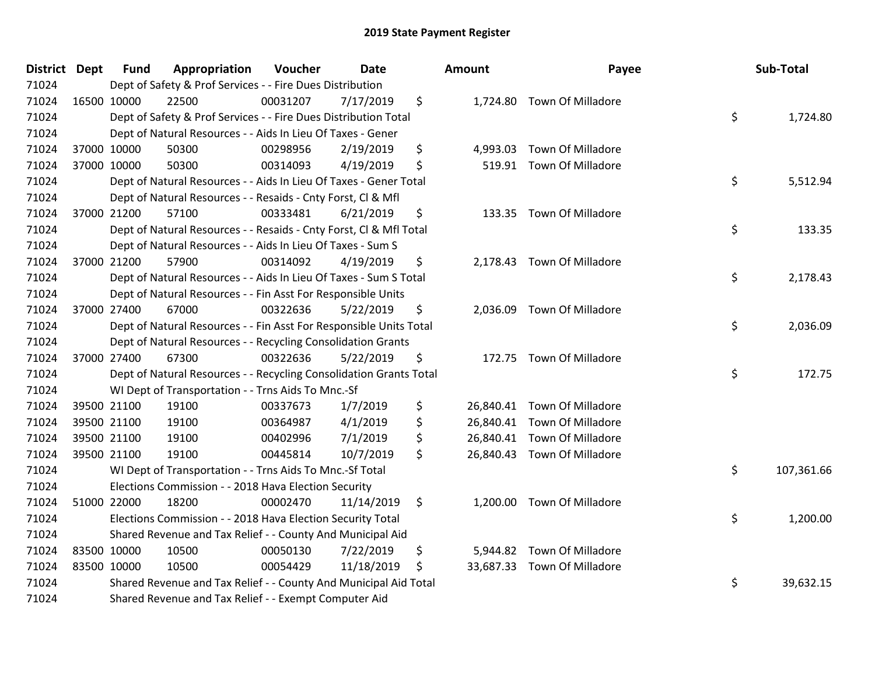| District Dept | <b>Fund</b><br>Appropriation                                       | Voucher  | <b>Date</b> | Amount         | Payee                       | Sub-Total        |
|---------------|--------------------------------------------------------------------|----------|-------------|----------------|-----------------------------|------------------|
| 71024         | Dept of Safety & Prof Services - - Fire Dues Distribution          |          |             |                |                             |                  |
| 71024         | 16500 10000<br>22500                                               | 00031207 | 7/17/2019   | \$             | 1,724.80 Town Of Milladore  |                  |
| 71024         | Dept of Safety & Prof Services - - Fire Dues Distribution Total    |          |             |                |                             | \$<br>1,724.80   |
| 71024         | Dept of Natural Resources - - Aids In Lieu Of Taxes - Gener        |          |             |                |                             |                  |
| 71024         | 37000 10000<br>50300                                               | 00298956 | 2/19/2019   | \$<br>4,993.03 | <b>Town Of Milladore</b>    |                  |
| 71024         | 37000 10000<br>50300                                               | 00314093 | 4/19/2019   | \$             | 519.91 Town Of Milladore    |                  |
| 71024         | Dept of Natural Resources - - Aids In Lieu Of Taxes - Gener Total  |          |             |                |                             | \$<br>5,512.94   |
| 71024         | Dept of Natural Resources - - Resaids - Cnty Forst, Cl & Mfl       |          |             |                |                             |                  |
| 71024         | 37000 21200<br>57100                                               | 00333481 | 6/21/2019   | \$             | 133.35 Town Of Milladore    |                  |
| 71024         | Dept of Natural Resources - - Resaids - Cnty Forst, Cl & Mfl Total |          |             |                |                             | \$<br>133.35     |
| 71024         | Dept of Natural Resources - - Aids In Lieu Of Taxes - Sum S        |          |             |                |                             |                  |
| 71024         | 57900<br>37000 21200                                               | 00314092 | 4/19/2019   | \$             | 2,178.43 Town Of Milladore  |                  |
| 71024         | Dept of Natural Resources - - Aids In Lieu Of Taxes - Sum S Total  |          |             |                |                             | \$<br>2,178.43   |
| 71024         | Dept of Natural Resources - - Fin Asst For Responsible Units       |          |             |                |                             |                  |
| 71024         | 37000 27400<br>67000                                               | 00322636 | 5/22/2019   | \$<br>2,036.09 | <b>Town Of Milladore</b>    |                  |
| 71024         | Dept of Natural Resources - - Fin Asst For Responsible Units Total |          |             |                |                             | \$<br>2,036.09   |
| 71024         | Dept of Natural Resources - - Recycling Consolidation Grants       |          |             |                |                             |                  |
| 71024         | 67300<br>37000 27400                                               | 00322636 | 5/22/2019   | \$             | 172.75 Town Of Milladore    |                  |
| 71024         | Dept of Natural Resources - - Recycling Consolidation Grants Total |          |             |                |                             | \$<br>172.75     |
| 71024         | WI Dept of Transportation - - Trns Aids To Mnc.-Sf                 |          |             |                |                             |                  |
| 71024         | 39500 21100<br>19100                                               | 00337673 | 1/7/2019    | \$             | 26,840.41 Town Of Milladore |                  |
| 71024         | 19100<br>39500 21100                                               | 00364987 | 4/1/2019    | \$             | 26,840.41 Town Of Milladore |                  |
| 71024         | 39500 21100<br>19100                                               | 00402996 | 7/1/2019    | \$             | 26,840.41 Town Of Milladore |                  |
| 71024         | 39500 21100<br>19100                                               | 00445814 | 10/7/2019   | \$             | 26,840.43 Town Of Milladore |                  |
| 71024         | WI Dept of Transportation - - Trns Aids To Mnc.-Sf Total           |          |             |                |                             | \$<br>107,361.66 |
| 71024         | Elections Commission - - 2018 Hava Election Security               |          |             |                |                             |                  |
| 71024         | 51000 22000<br>18200                                               | 00002470 | 11/14/2019  | \$<br>1,200.00 | Town Of Milladore           |                  |
| 71024         | Elections Commission - - 2018 Hava Election Security Total         |          |             |                |                             | \$<br>1,200.00   |
| 71024         | Shared Revenue and Tax Relief - - County And Municipal Aid         |          |             |                |                             |                  |
| 71024         | 83500 10000<br>10500                                               | 00050130 | 7/22/2019   | \$             | 5,944.82 Town Of Milladore  |                  |
| 71024         | 83500 10000<br>10500                                               | 00054429 | 11/18/2019  | \$             | 33,687.33 Town Of Milladore |                  |
| 71024         | Shared Revenue and Tax Relief - - County And Municipal Aid Total   |          |             |                |                             | \$<br>39,632.15  |
| 71024         | Shared Revenue and Tax Relief - - Exempt Computer Aid              |          |             |                |                             |                  |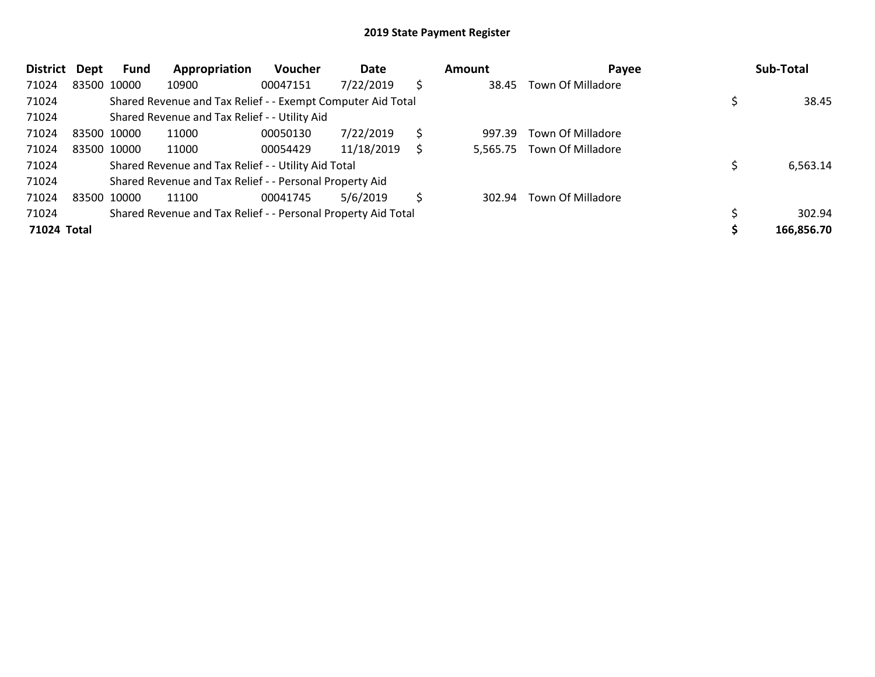| District    | Dept | Fund        | Appropriation                                                 | <b>Voucher</b> | Date       |     | <b>Amount</b> | Payee             | Sub-Total  |
|-------------|------|-------------|---------------------------------------------------------------|----------------|------------|-----|---------------|-------------------|------------|
| 71024       |      | 83500 10000 | 10900                                                         | 00047151       | 7/22/2019  | \$  | 38.45         | Town Of Milladore |            |
| 71024       |      |             | Shared Revenue and Tax Relief - - Exempt Computer Aid Total   |                |            |     |               |                   | 38.45      |
| 71024       |      |             | Shared Revenue and Tax Relief - - Utility Aid                 |                |            |     |               |                   |            |
| 71024       |      | 83500 10000 | 11000                                                         | 00050130       | 7/22/2019  | \$. | 997.39        | Town Of Milladore |            |
| 71024       |      | 83500 10000 | 11000                                                         | 00054429       | 11/18/2019 |     | 5,565.75      | Town Of Milladore |            |
| 71024       |      |             | Shared Revenue and Tax Relief - - Utility Aid Total           |                |            |     |               |                   | 6,563.14   |
| 71024       |      |             | Shared Revenue and Tax Relief - - Personal Property Aid       |                |            |     |               |                   |            |
| 71024       |      | 83500 10000 | 11100                                                         | 00041745       | 5/6/2019   | S   | 302.94        | Town Of Milladore |            |
| 71024       |      |             | Shared Revenue and Tax Relief - - Personal Property Aid Total |                |            |     |               |                   | 302.94     |
| 71024 Total |      |             |                                                               |                |            |     |               |                   | 166,856.70 |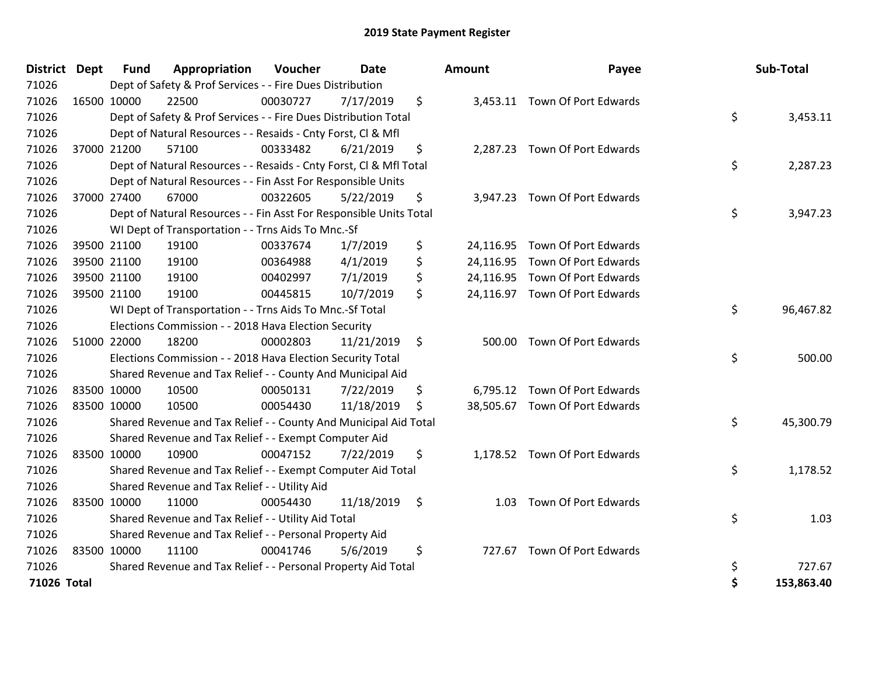| <b>District</b> | Dept | <b>Fund</b> | Appropriation                                                      | Voucher  | <b>Date</b> | Amount     | Payee                          | Sub-Total        |
|-----------------|------|-------------|--------------------------------------------------------------------|----------|-------------|------------|--------------------------------|------------------|
| 71026           |      |             | Dept of Safety & Prof Services - - Fire Dues Distribution          |          |             |            |                                |                  |
| 71026           |      | 16500 10000 | 22500                                                              | 00030727 | 7/17/2019   | \$         | 3,453.11 Town Of Port Edwards  |                  |
| 71026           |      |             | Dept of Safety & Prof Services - - Fire Dues Distribution Total    |          |             |            |                                | \$<br>3,453.11   |
| 71026           |      |             | Dept of Natural Resources - - Resaids - Cnty Forst, CI & Mfl       |          |             |            |                                |                  |
| 71026           |      | 37000 21200 | 57100                                                              | 00333482 | 6/21/2019   | \$         | 2,287.23 Town Of Port Edwards  |                  |
| 71026           |      |             | Dept of Natural Resources - - Resaids - Cnty Forst, Cl & Mfl Total |          |             |            |                                | \$<br>2,287.23   |
| 71026           |      |             | Dept of Natural Resources - - Fin Asst For Responsible Units       |          |             |            |                                |                  |
| 71026           |      | 37000 27400 | 67000                                                              | 00322605 | 5/22/2019   | \$         | 3,947.23 Town Of Port Edwards  |                  |
| 71026           |      |             | Dept of Natural Resources - - Fin Asst For Responsible Units Total |          |             |            |                                | \$<br>3,947.23   |
| 71026           |      |             | WI Dept of Transportation - - Trns Aids To Mnc.-Sf                 |          |             |            |                                |                  |
| 71026           |      | 39500 21100 | 19100                                                              | 00337674 | 1/7/2019    | \$         | 24,116.95 Town Of Port Edwards |                  |
| 71026           |      | 39500 21100 | 19100                                                              | 00364988 | 4/1/2019    | \$         | 24,116.95 Town Of Port Edwards |                  |
| 71026           |      | 39500 21100 | 19100                                                              | 00402997 | 7/1/2019    | \$         | 24,116.95 Town Of Port Edwards |                  |
| 71026           |      | 39500 21100 | 19100                                                              | 00445815 | 10/7/2019   | \$         | 24,116.97 Town Of Port Edwards |                  |
| 71026           |      |             | WI Dept of Transportation - - Trns Aids To Mnc.-Sf Total           |          |             |            |                                | \$<br>96,467.82  |
| 71026           |      |             | Elections Commission - - 2018 Hava Election Security               |          |             |            |                                |                  |
| 71026           |      | 51000 22000 | 18200                                                              | 00002803 | 11/21/2019  | \$         | 500.00 Town Of Port Edwards    |                  |
| 71026           |      |             | Elections Commission - - 2018 Hava Election Security Total         |          |             |            |                                | \$<br>500.00     |
| 71026           |      |             | Shared Revenue and Tax Relief - - County And Municipal Aid         |          |             |            |                                |                  |
| 71026           |      | 83500 10000 | 10500                                                              | 00050131 | 7/22/2019   | \$         | 6,795.12 Town Of Port Edwards  |                  |
| 71026           |      | 83500 10000 | 10500                                                              | 00054430 | 11/18/2019  | \$         | 38,505.67 Town Of Port Edwards |                  |
| 71026           |      |             | Shared Revenue and Tax Relief - - County And Municipal Aid Total   |          |             |            |                                | \$<br>45,300.79  |
| 71026           |      |             | Shared Revenue and Tax Relief - - Exempt Computer Aid              |          |             |            |                                |                  |
| 71026           |      | 83500 10000 | 10900                                                              | 00047152 | 7/22/2019   | \$         | 1,178.52 Town Of Port Edwards  |                  |
| 71026           |      |             | Shared Revenue and Tax Relief - - Exempt Computer Aid Total        |          |             |            |                                | \$<br>1,178.52   |
| 71026           |      |             | Shared Revenue and Tax Relief - - Utility Aid                      |          |             |            |                                |                  |
| 71026           |      | 83500 10000 | 11000                                                              | 00054430 | 11/18/2019  | \$<br>1.03 | Town Of Port Edwards           |                  |
| 71026           |      |             | Shared Revenue and Tax Relief - - Utility Aid Total                |          |             |            |                                | \$<br>1.03       |
| 71026           |      |             | Shared Revenue and Tax Relief - - Personal Property Aid            |          |             |            |                                |                  |
| 71026           |      | 83500 10000 | 11100                                                              | 00041746 | 5/6/2019    | \$         | 727.67 Town Of Port Edwards    |                  |
| 71026           |      |             | Shared Revenue and Tax Relief - - Personal Property Aid Total      |          |             |            |                                | \$<br>727.67     |
| 71026 Total     |      |             |                                                                    |          |             |            |                                | \$<br>153,863.40 |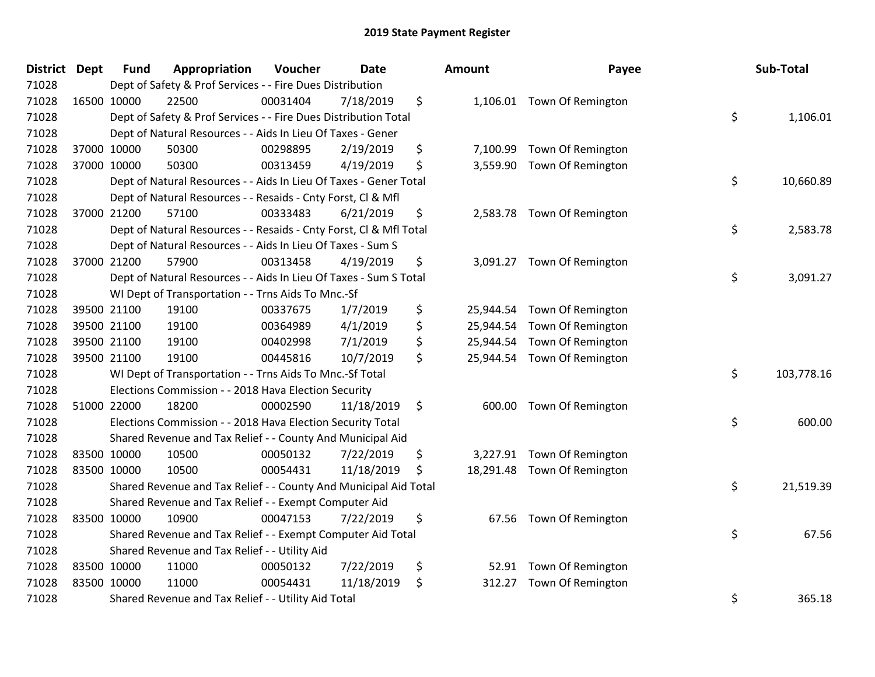| <b>District</b> | <b>Dept</b> | <b>Fund</b> | Appropriation                                                      | Voucher  | Date       | Amount          | Payee                       | Sub-Total        |
|-----------------|-------------|-------------|--------------------------------------------------------------------|----------|------------|-----------------|-----------------------------|------------------|
| 71028           |             |             | Dept of Safety & Prof Services - - Fire Dues Distribution          |          |            |                 |                             |                  |
| 71028           |             | 16500 10000 | 22500                                                              | 00031404 | 7/18/2019  | \$              | 1,106.01 Town Of Remington  |                  |
| 71028           |             |             | Dept of Safety & Prof Services - - Fire Dues Distribution Total    |          |            |                 |                             | \$<br>1,106.01   |
| 71028           |             |             | Dept of Natural Resources - - Aids In Lieu Of Taxes - Gener        |          |            |                 |                             |                  |
| 71028           |             | 37000 10000 | 50300                                                              | 00298895 | 2/19/2019  | \$<br>7,100.99  | Town Of Remington           |                  |
| 71028           |             | 37000 10000 | 50300                                                              | 00313459 | 4/19/2019  | \$<br>3,559.90  | Town Of Remington           |                  |
| 71028           |             |             | Dept of Natural Resources - - Aids In Lieu Of Taxes - Gener Total  |          |            |                 |                             | \$<br>10,660.89  |
| 71028           |             |             | Dept of Natural Resources - - Resaids - Cnty Forst, Cl & Mfl       |          |            |                 |                             |                  |
| 71028           |             | 37000 21200 | 57100                                                              | 00333483 | 6/21/2019  | \$<br>2,583.78  | Town Of Remington           |                  |
| 71028           |             |             | Dept of Natural Resources - - Resaids - Cnty Forst, CI & Mfl Total |          |            |                 |                             | \$<br>2,583.78   |
| 71028           |             |             | Dept of Natural Resources - - Aids In Lieu Of Taxes - Sum S        |          |            |                 |                             |                  |
| 71028           |             | 37000 21200 | 57900                                                              | 00313458 | 4/19/2019  | \$              | 3,091.27 Town Of Remington  |                  |
| 71028           |             |             | Dept of Natural Resources - - Aids In Lieu Of Taxes - Sum S Total  |          |            |                 |                             | \$<br>3,091.27   |
| 71028           |             |             | WI Dept of Transportation - - Trns Aids To Mnc.-Sf                 |          |            |                 |                             |                  |
| 71028           |             | 39500 21100 | 19100                                                              | 00337675 | 1/7/2019   | \$<br>25,944.54 | Town Of Remington           |                  |
| 71028           |             | 39500 21100 | 19100                                                              | 00364989 | 4/1/2019   | \$<br>25,944.54 | Town Of Remington           |                  |
| 71028           |             | 39500 21100 | 19100                                                              | 00402998 | 7/1/2019   | \$<br>25,944.54 | <b>Town Of Remington</b>    |                  |
| 71028           |             | 39500 21100 | 19100                                                              | 00445816 | 10/7/2019  | \$              | 25,944.54 Town Of Remington |                  |
| 71028           |             |             | WI Dept of Transportation - - Trns Aids To Mnc.-Sf Total           |          |            |                 |                             | \$<br>103,778.16 |
| 71028           |             |             | Elections Commission - - 2018 Hava Election Security               |          |            |                 |                             |                  |
| 71028           |             | 51000 22000 | 18200                                                              | 00002590 | 11/18/2019 | \$<br>600.00    | <b>Town Of Remington</b>    |                  |
| 71028           |             |             | Elections Commission - - 2018 Hava Election Security Total         |          |            |                 |                             | \$<br>600.00     |
| 71028           |             |             | Shared Revenue and Tax Relief - - County And Municipal Aid         |          |            |                 |                             |                  |
| 71028           |             | 83500 10000 | 10500                                                              | 00050132 | 7/22/2019  | \$<br>3,227.91  | <b>Town Of Remington</b>    |                  |
| 71028           |             | 83500 10000 | 10500                                                              | 00054431 | 11/18/2019 | \$<br>18,291.48 | <b>Town Of Remington</b>    |                  |
| 71028           |             |             | Shared Revenue and Tax Relief - - County And Municipal Aid Total   |          |            |                 |                             | \$<br>21,519.39  |
| 71028           |             |             | Shared Revenue and Tax Relief - - Exempt Computer Aid              |          |            |                 |                             |                  |
| 71028           |             | 83500 10000 | 10900                                                              | 00047153 | 7/22/2019  | \$              | 67.56 Town Of Remington     |                  |
| 71028           |             |             | Shared Revenue and Tax Relief - - Exempt Computer Aid Total        |          |            |                 |                             | \$<br>67.56      |
| 71028           |             |             | Shared Revenue and Tax Relief - - Utility Aid                      |          |            |                 |                             |                  |
| 71028           |             | 83500 10000 | 11000                                                              | 00050132 | 7/22/2019  | \$<br>52.91     | Town Of Remington           |                  |
| 71028           |             | 83500 10000 | 11000                                                              | 00054431 | 11/18/2019 | \$<br>312.27    | Town Of Remington           |                  |
| 71028           |             |             | Shared Revenue and Tax Relief - - Utility Aid Total                |          |            |                 |                             | \$<br>365.18     |

| าount     | Payee             | Sub-Total        |
|-----------|-------------------|------------------|
| 1,106.01  | Town Of Remington | \$<br>1,106.01   |
| 7,100.99  | Town Of Remington |                  |
| 3,559.90  | Town Of Remington | \$<br>10,660.89  |
| 2,583.78  | Town Of Remington | \$<br>2,583.78   |
| 3,091.27  | Town Of Remington | \$<br>3,091.27   |
| 25,944.54 | Town Of Remington |                  |
| 25,944.54 | Town Of Remington |                  |
| 25,944.54 | Town Of Remington |                  |
| 25,944.54 | Town Of Remington |                  |
|           |                   | \$<br>103,778.16 |
| 600.00    | Town Of Remington | \$<br>600.00     |
| 3,227.91  | Town Of Remington |                  |
| 18,291.48 | Town Of Remington |                  |
|           |                   | \$<br>21,519.39  |
| 67.56     | Town Of Remington | \$<br>67.56      |
| 52.91     | Town Of Remington |                  |
| 312.27    | Town Of Remington |                  |
|           |                   | \$<br>365.18     |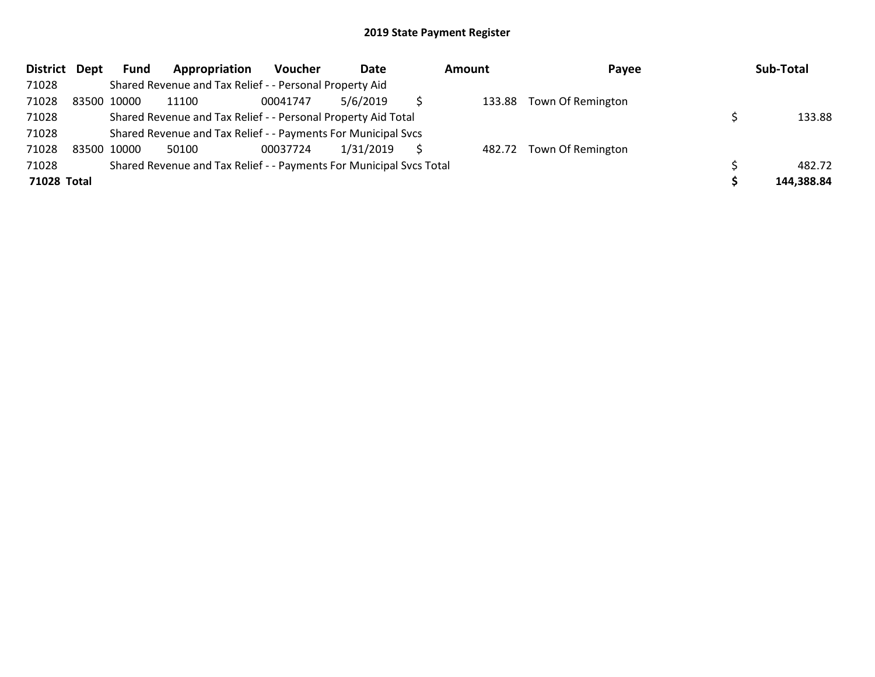| <b>District</b> | Dept | Fund        | Appropriation                                                       | Voucher  | Date      | <b>Amount</b> | Payee                    | Sub-Total  |
|-----------------|------|-------------|---------------------------------------------------------------------|----------|-----------|---------------|--------------------------|------------|
| 71028           |      |             | Shared Revenue and Tax Relief - - Personal Property Aid             |          |           |               |                          |            |
| 71028           |      | 83500 10000 | 11100                                                               | 00041747 | 5/6/2019  |               | 133.88 Town Of Remington |            |
| 71028           |      |             | Shared Revenue and Tax Relief - - Personal Property Aid Total       |          |           |               |                          | 133.88     |
| 71028           |      |             | Shared Revenue and Tax Relief - - Payments For Municipal Svcs       |          |           |               |                          |            |
| 71028           |      | 83500 10000 | 50100                                                               | 00037724 | 1/31/2019 |               | 482.72 Town Of Remington |            |
| 71028           |      |             | Shared Revenue and Tax Relief - - Payments For Municipal Svcs Total |          |           |               |                          | 482.72     |
| 71028 Total     |      |             |                                                                     |          |           |               |                          | 144,388.84 |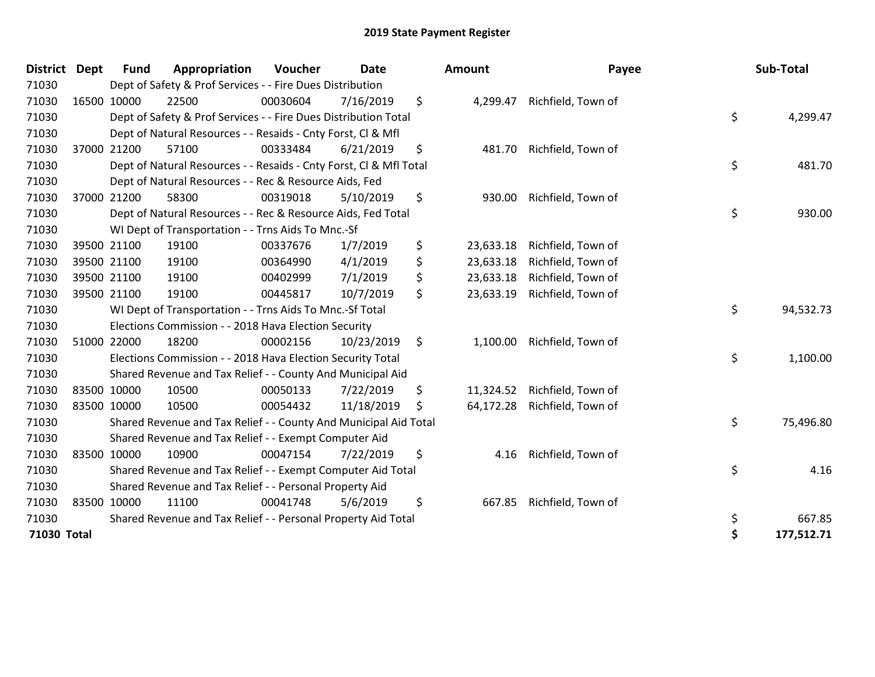| <b>District</b> | <b>Dept</b> | <b>Fund</b> | Appropriation                                                      | Voucher  | <b>Date</b> |     | Amount    |                              | Payee | Sub-Total  |
|-----------------|-------------|-------------|--------------------------------------------------------------------|----------|-------------|-----|-----------|------------------------------|-------|------------|
| 71030           |             |             | Dept of Safety & Prof Services - - Fire Dues Distribution          |          |             |     |           |                              |       |            |
| 71030           |             | 16500 10000 | 22500                                                              | 00030604 | 7/16/2019   | \$  | 4,299.47  | Richfield, Town of           |       |            |
| 71030           |             |             | Dept of Safety & Prof Services - - Fire Dues Distribution Total    |          |             |     |           |                              | \$    | 4,299.47   |
| 71030           |             |             | Dept of Natural Resources - - Resaids - Cnty Forst, Cl & Mfl       |          |             |     |           |                              |       |            |
| 71030           |             | 37000 21200 | 57100                                                              | 00333484 | 6/21/2019   | \$  | 481.70    | Richfield, Town of           |       |            |
| 71030           |             |             | Dept of Natural Resources - - Resaids - Cnty Forst, CI & Mfl Total |          |             |     |           |                              | \$    | 481.70     |
| 71030           |             |             | Dept of Natural Resources - - Rec & Resource Aids, Fed             |          |             |     |           |                              |       |            |
| 71030           |             | 37000 21200 | 58300                                                              | 00319018 | 5/10/2019   | \$  | 930.00    | Richfield, Town of           |       |            |
| 71030           |             |             | Dept of Natural Resources - - Rec & Resource Aids, Fed Total       |          |             |     |           |                              | \$    | 930.00     |
| 71030           |             |             | WI Dept of Transportation - - Trns Aids To Mnc.-Sf                 |          |             |     |           |                              |       |            |
| 71030           |             | 39500 21100 | 19100                                                              | 00337676 | 1/7/2019    | \$  | 23,633.18 | Richfield, Town of           |       |            |
| 71030           |             | 39500 21100 | 19100                                                              | 00364990 | 4/1/2019    | \$  | 23,633.18 | Richfield, Town of           |       |            |
| 71030           |             | 39500 21100 | 19100                                                              | 00402999 | 7/1/2019    | \$  | 23,633.18 | Richfield, Town of           |       |            |
| 71030           |             | 39500 21100 | 19100                                                              | 00445817 | 10/7/2019   | \$  | 23,633.19 | Richfield, Town of           |       |            |
| 71030           |             |             | WI Dept of Transportation - - Trns Aids To Mnc.-Sf Total           |          |             |     |           |                              | \$    | 94,532.73  |
| 71030           |             |             | Elections Commission - - 2018 Hava Election Security               |          |             |     |           |                              |       |            |
| 71030           |             | 51000 22000 | 18200                                                              | 00002156 | 10/23/2019  | \$  |           | 1,100.00 Richfield, Town of  |       |            |
| 71030           |             |             | Elections Commission - - 2018 Hava Election Security Total         |          |             |     |           |                              | \$    | 1,100.00   |
| 71030           |             |             | Shared Revenue and Tax Relief - - County And Municipal Aid         |          |             |     |           |                              |       |            |
| 71030           |             | 83500 10000 | 10500                                                              | 00050133 | 7/22/2019   | \$  | 11,324.52 | Richfield, Town of           |       |            |
| 71030           |             | 83500 10000 | 10500                                                              | 00054432 | 11/18/2019  | \$. |           | 64,172.28 Richfield, Town of |       |            |
| 71030           |             |             | Shared Revenue and Tax Relief - - County And Municipal Aid Total   |          |             |     |           |                              | \$    | 75,496.80  |
| 71030           |             |             | Shared Revenue and Tax Relief - - Exempt Computer Aid              |          |             |     |           |                              |       |            |
| 71030           |             | 83500 10000 | 10900                                                              | 00047154 | 7/22/2019   | \$  | 4.16      | Richfield, Town of           |       |            |
| 71030           |             |             | Shared Revenue and Tax Relief - - Exempt Computer Aid Total        |          |             |     |           |                              | \$    | 4.16       |
| 71030           |             |             | Shared Revenue and Tax Relief - - Personal Property Aid            |          |             |     |           |                              |       |            |
| 71030           |             | 83500 10000 | 11100                                                              | 00041748 | 5/6/2019    | \$  | 667.85    | Richfield, Town of           |       |            |
| 71030           |             |             | Shared Revenue and Tax Relief - - Personal Property Aid Total      |          |             |     |           |                              | \$    | 667.85     |
| 71030 Total     |             |             |                                                                    |          |             |     |           |                              | \$    | 177,512.71 |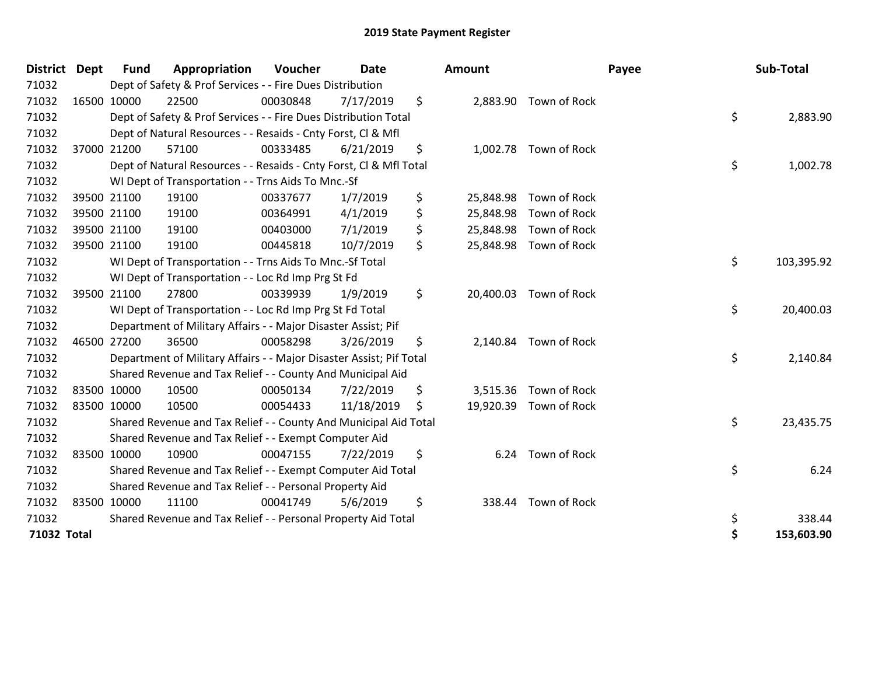| <b>District</b> | <b>Dept</b> | <b>Fund</b> | Appropriation                                                       | Voucher  | <b>Date</b> | Amount          |                        | Payee | Sub-Total  |
|-----------------|-------------|-------------|---------------------------------------------------------------------|----------|-------------|-----------------|------------------------|-------|------------|
| 71032           |             |             | Dept of Safety & Prof Services - - Fire Dues Distribution           |          |             |                 |                        |       |            |
| 71032           |             | 16500 10000 | 22500                                                               | 00030848 | 7/17/2019   | \$              | 2,883.90 Town of Rock  |       |            |
| 71032           |             |             | Dept of Safety & Prof Services - - Fire Dues Distribution Total     |          |             |                 |                        | \$    | 2,883.90   |
| 71032           |             |             | Dept of Natural Resources - - Resaids - Cnty Forst, Cl & Mfl        |          |             |                 |                        |       |            |
| 71032           |             | 37000 21200 | 57100                                                               | 00333485 | 6/21/2019   | \$              | 1,002.78 Town of Rock  |       |            |
| 71032           |             |             | Dept of Natural Resources - - Resaids - Cnty Forst, CI & Mfl Total  |          |             |                 |                        | \$    | 1,002.78   |
| 71032           |             |             | WI Dept of Transportation - - Trns Aids To Mnc.-Sf                  |          |             |                 |                        |       |            |
| 71032           |             | 39500 21100 | 19100                                                               | 00337677 | 1/7/2019    | \$<br>25,848.98 | Town of Rock           |       |            |
| 71032           |             | 39500 21100 | 19100                                                               | 00364991 | 4/1/2019    | \$<br>25,848.98 | Town of Rock           |       |            |
| 71032           |             | 39500 21100 | 19100                                                               | 00403000 | 7/1/2019    | \$<br>25,848.98 | Town of Rock           |       |            |
| 71032           |             | 39500 21100 | 19100                                                               | 00445818 | 10/7/2019   | \$              | 25,848.98 Town of Rock |       |            |
| 71032           |             |             | WI Dept of Transportation - - Trns Aids To Mnc.-Sf Total            |          |             |                 |                        | \$    | 103,395.92 |
| 71032           |             |             | WI Dept of Transportation - - Loc Rd Imp Prg St Fd                  |          |             |                 |                        |       |            |
| 71032           |             | 39500 21100 | 27800                                                               | 00339939 | 1/9/2019    | \$<br>20,400.03 | Town of Rock           |       |            |
| 71032           |             |             | WI Dept of Transportation - - Loc Rd Imp Prg St Fd Total            |          |             |                 |                        | \$    | 20,400.03  |
| 71032           |             |             | Department of Military Affairs - - Major Disaster Assist; Pif       |          |             |                 |                        |       |            |
| 71032           |             | 46500 27200 | 36500                                                               | 00058298 | 3/26/2019   | \$<br>2,140.84  | Town of Rock           |       |            |
| 71032           |             |             | Department of Military Affairs - - Major Disaster Assist; Pif Total |          |             |                 |                        | \$    | 2,140.84   |
| 71032           |             |             | Shared Revenue and Tax Relief - - County And Municipal Aid          |          |             |                 |                        |       |            |
| 71032           |             | 83500 10000 | 10500                                                               | 00050134 | 7/22/2019   | \$<br>3,515.36  | Town of Rock           |       |            |
| 71032           |             | 83500 10000 | 10500                                                               | 00054433 | 11/18/2019  | \$              | 19,920.39 Town of Rock |       |            |
| 71032           |             |             | Shared Revenue and Tax Relief - - County And Municipal Aid Total    |          |             |                 |                        | \$    | 23,435.75  |
| 71032           |             |             | Shared Revenue and Tax Relief - - Exempt Computer Aid               |          |             |                 |                        |       |            |
| 71032           |             | 83500 10000 | 10900                                                               | 00047155 | 7/22/2019   | \$<br>6.24      | Town of Rock           |       |            |
| 71032           |             |             | Shared Revenue and Tax Relief - - Exempt Computer Aid Total         |          |             |                 |                        | \$    | 6.24       |
| 71032           |             |             | Shared Revenue and Tax Relief - - Personal Property Aid             |          |             |                 |                        |       |            |
| 71032           |             | 83500 10000 | 11100                                                               | 00041749 | 5/6/2019    | \$<br>338.44    | Town of Rock           |       |            |
| 71032           |             |             | Shared Revenue and Tax Relief - - Personal Property Aid Total       |          |             |                 |                        | \$    | 338.44     |
| 71032 Total     |             |             |                                                                     |          |             |                 |                        | \$    | 153,603.90 |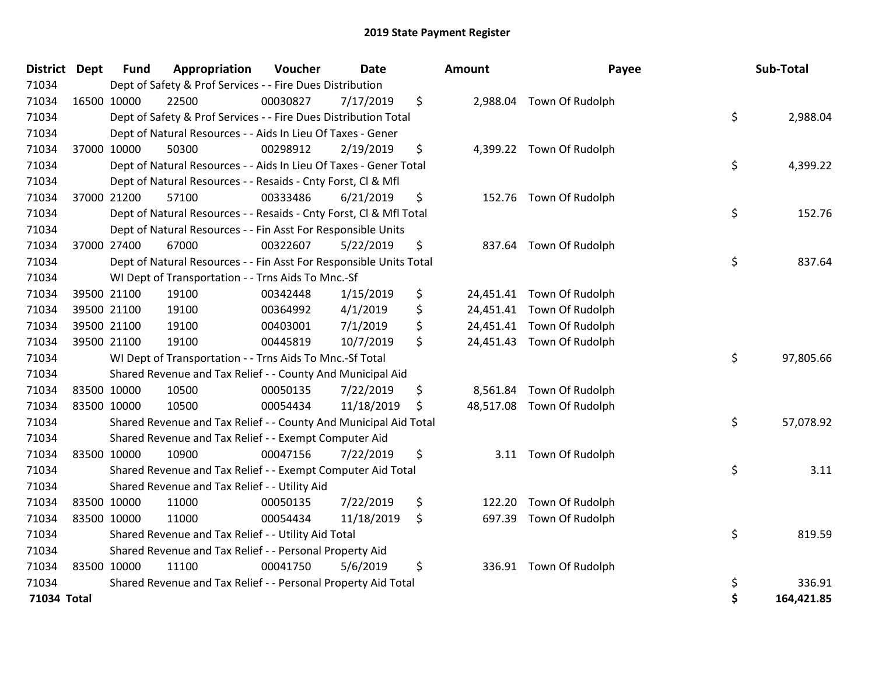| <b>District Dept</b> | <b>Fund</b> | Appropriation                                                      | Voucher  | <b>Date</b> | <b>Amount</b>  | Payee                     |    | Sub-Total  |
|----------------------|-------------|--------------------------------------------------------------------|----------|-------------|----------------|---------------------------|----|------------|
| 71034                |             | Dept of Safety & Prof Services - - Fire Dues Distribution          |          |             |                |                           |    |            |
| 71034                | 16500 10000 | 22500                                                              | 00030827 | 7/17/2019   | \$             | 2,988.04 Town Of Rudolph  |    |            |
| 71034                |             | Dept of Safety & Prof Services - - Fire Dues Distribution Total    |          |             |                |                           | \$ | 2,988.04   |
| 71034                |             | Dept of Natural Resources - - Aids In Lieu Of Taxes - Gener        |          |             |                |                           |    |            |
| 71034                | 37000 10000 | 50300                                                              | 00298912 | 2/19/2019   | \$             | 4,399.22 Town Of Rudolph  |    |            |
| 71034                |             | Dept of Natural Resources - - Aids In Lieu Of Taxes - Gener Total  |          |             |                |                           | \$ | 4,399.22   |
| 71034                |             | Dept of Natural Resources - - Resaids - Cnty Forst, Cl & Mfl       |          |             |                |                           |    |            |
| 71034                | 37000 21200 | 57100                                                              | 00333486 | 6/21/2019   | \$             | 152.76 Town Of Rudolph    |    |            |
| 71034                |             | Dept of Natural Resources - - Resaids - Cnty Forst, CI & Mfl Total |          |             |                |                           | \$ | 152.76     |
| 71034                |             | Dept of Natural Resources - - Fin Asst For Responsible Units       |          |             |                |                           |    |            |
| 71034                | 37000 27400 | 67000                                                              | 00322607 | 5/22/2019   | \$             | 837.64 Town Of Rudolph    |    |            |
| 71034                |             | Dept of Natural Resources - - Fin Asst For Responsible Units Total |          |             |                |                           | \$ | 837.64     |
| 71034                |             | WI Dept of Transportation - - Trns Aids To Mnc.-Sf                 |          |             |                |                           |    |            |
| 71034                | 39500 21100 | 19100                                                              | 00342448 | 1/15/2019   | \$             | 24,451.41 Town Of Rudolph |    |            |
| 71034                | 39500 21100 | 19100                                                              | 00364992 | 4/1/2019    | \$             | 24,451.41 Town Of Rudolph |    |            |
| 71034                | 39500 21100 | 19100                                                              | 00403001 | 7/1/2019    | \$             | 24,451.41 Town Of Rudolph |    |            |
| 71034                | 39500 21100 | 19100                                                              | 00445819 | 10/7/2019   | \$             | 24,451.43 Town Of Rudolph |    |            |
| 71034                |             | WI Dept of Transportation - - Trns Aids To Mnc.-Sf Total           |          |             |                |                           | \$ | 97,805.66  |
| 71034                |             | Shared Revenue and Tax Relief - - County And Municipal Aid         |          |             |                |                           |    |            |
| 71034                | 83500 10000 | 10500                                                              | 00050135 | 7/22/2019   | \$<br>8,561.84 | Town Of Rudolph           |    |            |
| 71034                | 83500 10000 | 10500                                                              | 00054434 | 11/18/2019  | \$             | 48,517.08 Town Of Rudolph |    |            |
| 71034                |             | Shared Revenue and Tax Relief - - County And Municipal Aid Total   |          |             |                |                           | \$ | 57,078.92  |
| 71034                |             | Shared Revenue and Tax Relief - - Exempt Computer Aid              |          |             |                |                           |    |            |
| 71034                | 83500 10000 | 10900                                                              | 00047156 | 7/22/2019   | \$             | 3.11 Town Of Rudolph      |    |            |
| 71034                |             | Shared Revenue and Tax Relief - - Exempt Computer Aid Total        |          |             |                |                           | \$ | 3.11       |
| 71034                |             | Shared Revenue and Tax Relief - - Utility Aid                      |          |             |                |                           |    |            |
| 71034                | 83500 10000 | 11000                                                              | 00050135 | 7/22/2019   | \$<br>122.20   | Town Of Rudolph           |    |            |
| 71034                | 83500 10000 | 11000                                                              | 00054434 | 11/18/2019  | \$<br>697.39   | Town Of Rudolph           |    |            |
| 71034                |             | Shared Revenue and Tax Relief - - Utility Aid Total                |          |             |                |                           | \$ | 819.59     |
| 71034                |             | Shared Revenue and Tax Relief - - Personal Property Aid            |          |             |                |                           |    |            |
| 71034                | 83500 10000 | 11100                                                              | 00041750 | 5/6/2019    | \$             | 336.91 Town Of Rudolph    |    |            |
| 71034                |             | Shared Revenue and Tax Relief - - Personal Property Aid Total      |          |             |                |                           | \$ | 336.91     |
| 71034 Total          |             |                                                                    |          |             |                |                           | Ś  | 164,421.85 |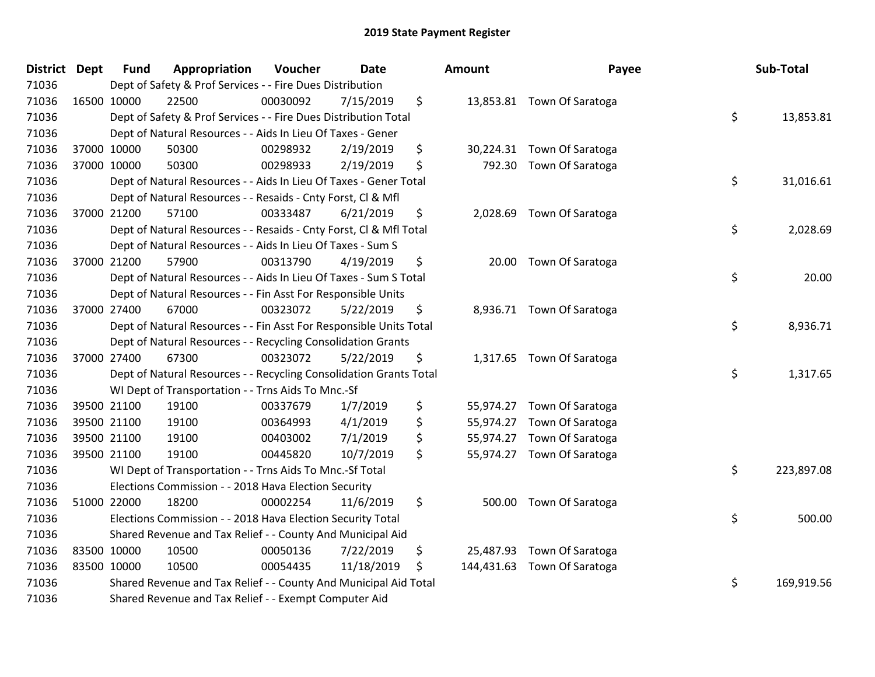| <b>District</b> | <b>Dept</b> | <b>Fund</b> | Appropriation                                                      | Voucher  | <b>Date</b> | Amount           | Payee                      | Sub-Total        |
|-----------------|-------------|-------------|--------------------------------------------------------------------|----------|-------------|------------------|----------------------------|------------------|
| 71036           |             |             | Dept of Safety & Prof Services - - Fire Dues Distribution          |          |             |                  |                            |                  |
| 71036           |             | 16500 10000 | 22500                                                              | 00030092 | 7/15/2019   | \$               | 13,853.81 Town Of Saratoga |                  |
| 71036           |             |             | Dept of Safety & Prof Services - - Fire Dues Distribution Total    |          |             |                  |                            | \$<br>13,853.81  |
| 71036           |             |             | Dept of Natural Resources - - Aids In Lieu Of Taxes - Gener        |          |             |                  |                            |                  |
| 71036           |             | 37000 10000 | 50300                                                              | 00298932 | 2/19/2019   | \$<br>30,224.31  | Town Of Saratoga           |                  |
| 71036           |             | 37000 10000 | 50300                                                              | 00298933 | 2/19/2019   | \$<br>792.30     | Town Of Saratoga           |                  |
| 71036           |             |             | Dept of Natural Resources - - Aids In Lieu Of Taxes - Gener Total  |          |             |                  |                            | \$<br>31,016.61  |
| 71036           |             |             | Dept of Natural Resources - - Resaids - Cnty Forst, Cl & Mfl       |          |             |                  |                            |                  |
| 71036           |             | 37000 21200 | 57100                                                              | 00333487 | 6/21/2019   | \$               | 2,028.69 Town Of Saratoga  |                  |
| 71036           |             |             | Dept of Natural Resources - - Resaids - Cnty Forst, CI & Mfl Total |          |             |                  |                            | \$<br>2,028.69   |
| 71036           |             |             | Dept of Natural Resources - - Aids In Lieu Of Taxes - Sum S        |          |             |                  |                            |                  |
| 71036           |             | 37000 21200 | 57900                                                              | 00313790 | 4/19/2019   | \$<br>20.00      | Town Of Saratoga           |                  |
| 71036           |             |             | Dept of Natural Resources - - Aids In Lieu Of Taxes - Sum S Total  |          |             |                  |                            | \$<br>20.00      |
| 71036           |             |             | Dept of Natural Resources - - Fin Asst For Responsible Units       |          |             |                  |                            |                  |
| 71036           |             | 37000 27400 | 67000                                                              | 00323072 | 5/22/2019   | \$<br>8,936.71   | Town Of Saratoga           |                  |
| 71036           |             |             | Dept of Natural Resources - - Fin Asst For Responsible Units Total |          |             |                  |                            | \$<br>8,936.71   |
| 71036           |             |             | Dept of Natural Resources - - Recycling Consolidation Grants       |          |             |                  |                            |                  |
| 71036           |             | 37000 27400 | 67300                                                              | 00323072 | 5/22/2019   | \$               | 1,317.65 Town Of Saratoga  |                  |
| 71036           |             |             | Dept of Natural Resources - - Recycling Consolidation Grants Total |          |             |                  |                            | \$<br>1,317.65   |
| 71036           |             |             | WI Dept of Transportation - - Trns Aids To Mnc.-Sf                 |          |             |                  |                            |                  |
| 71036           |             | 39500 21100 | 19100                                                              | 00337679 | 1/7/2019    | \$<br>55,974.27  | Town Of Saratoga           |                  |
| 71036           |             | 39500 21100 | 19100                                                              | 00364993 | 4/1/2019    | \$<br>55,974.27  | Town Of Saratoga           |                  |
| 71036           |             | 39500 21100 | 19100                                                              | 00403002 | 7/1/2019    | \$<br>55,974.27  | Town Of Saratoga           |                  |
| 71036           |             | 39500 21100 | 19100                                                              | 00445820 | 10/7/2019   | \$               | 55,974.27 Town Of Saratoga |                  |
| 71036           |             |             | WI Dept of Transportation - - Trns Aids To Mnc.-Sf Total           |          |             |                  |                            | \$<br>223,897.08 |
| 71036           |             |             | Elections Commission - - 2018 Hava Election Security               |          |             |                  |                            |                  |
| 71036           |             | 51000 22000 | 18200                                                              | 00002254 | 11/6/2019   | \$<br>500.00     | Town Of Saratoga           |                  |
| 71036           |             |             | Elections Commission - - 2018 Hava Election Security Total         |          |             |                  |                            | \$<br>500.00     |
| 71036           |             |             | Shared Revenue and Tax Relief - - County And Municipal Aid         |          |             |                  |                            |                  |
| 71036           |             | 83500 10000 | 10500                                                              | 00050136 | 7/22/2019   | \$<br>25,487.93  | Town Of Saratoga           |                  |
| 71036           |             | 83500 10000 | 10500                                                              | 00054435 | 11/18/2019  | \$<br>144,431.63 | Town Of Saratoga           |                  |
| 71036           |             |             | Shared Revenue and Tax Relief - - County And Municipal Aid Total   |          |             |                  |                            | \$<br>169,919.56 |
| 71036           |             |             | Shared Revenue and Tax Relief - - Exempt Computer Aid              |          |             |                  |                            |                  |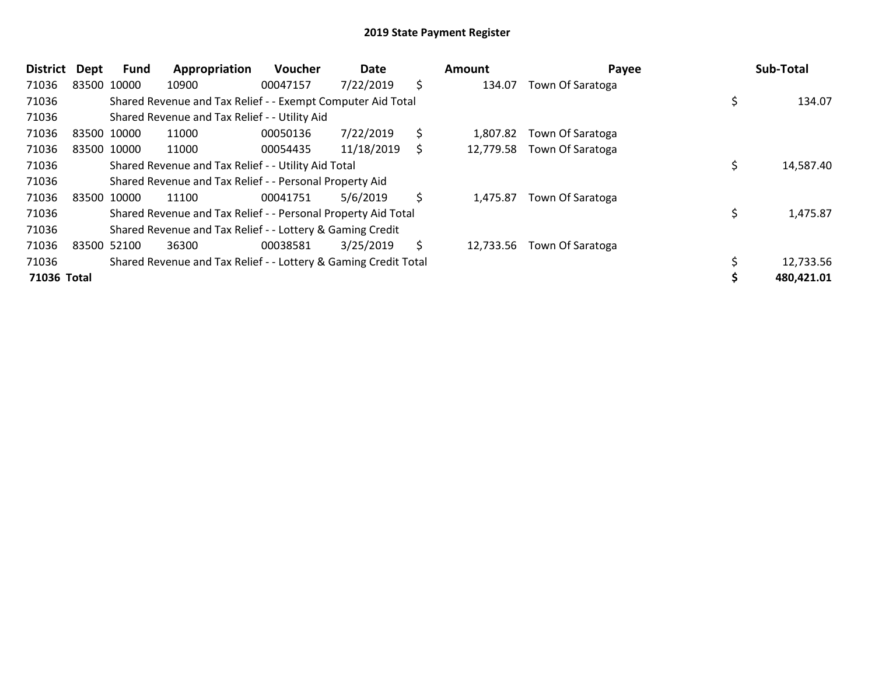| District    | <b>Dept</b> | Fund        | Appropriation                                                   | <b>Voucher</b> | Date       |     | Amount    | Payee                      | Sub-Total  |
|-------------|-------------|-------------|-----------------------------------------------------------------|----------------|------------|-----|-----------|----------------------------|------------|
| 71036       |             | 83500 10000 | 10900                                                           | 00047157       | 7/22/2019  | \$  | 134.07    | Town Of Saratoga           |            |
| 71036       |             |             | Shared Revenue and Tax Relief - - Exempt Computer Aid Total     |                |            |     |           |                            | 134.07     |
| 71036       |             |             | Shared Revenue and Tax Relief - - Utility Aid                   |                |            |     |           |                            |            |
| 71036       |             | 83500 10000 | 11000                                                           | 00050136       | 7/22/2019  | \$  | 1,807.82  | Town Of Saratoga           |            |
| 71036       |             | 83500 10000 | 11000                                                           | 00054435       | 11/18/2019 | \$  |           | 12,779.58 Town Of Saratoga |            |
| 71036       |             |             | Shared Revenue and Tax Relief - - Utility Aid Total             |                |            |     |           |                            | 14,587.40  |
| 71036       |             |             | Shared Revenue and Tax Relief - - Personal Property Aid         |                |            |     |           |                            |            |
| 71036       |             | 83500 10000 | 11100                                                           | 00041751       | 5/6/2019   | \$  | 1,475.87  | Town Of Saratoga           |            |
| 71036       |             |             | Shared Revenue and Tax Relief - - Personal Property Aid Total   |                |            |     |           |                            | 1,475.87   |
| 71036       |             |             | Shared Revenue and Tax Relief - - Lottery & Gaming Credit       |                |            |     |           |                            |            |
| 71036       |             | 83500 52100 | 36300                                                           | 00038581       | 3/25/2019  | \$. | 12,733.56 | Town Of Saratoga           |            |
| 71036       |             |             | Shared Revenue and Tax Relief - - Lottery & Gaming Credit Total |                |            |     |           |                            | 12,733.56  |
| 71036 Total |             |             |                                                                 |                |            |     |           |                            | 480,421.01 |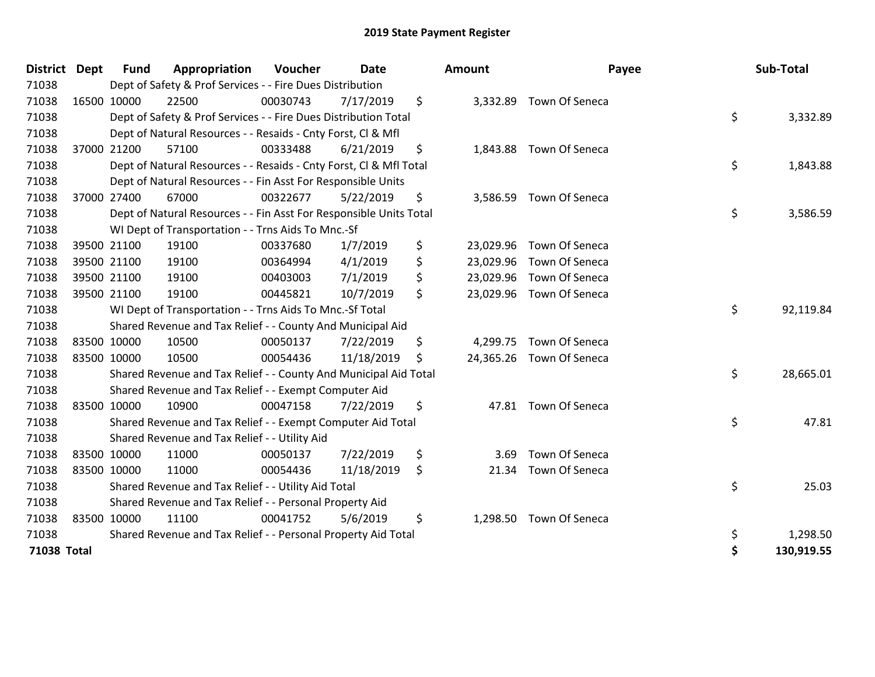| <b>District</b> | <b>Dept</b> | <b>Fund</b> | Appropriation                                                      | Voucher  | <b>Date</b> | <b>Amount</b>   | Payee                    | Sub-Total        |
|-----------------|-------------|-------------|--------------------------------------------------------------------|----------|-------------|-----------------|--------------------------|------------------|
| 71038           |             |             | Dept of Safety & Prof Services - - Fire Dues Distribution          |          |             |                 |                          |                  |
| 71038           |             | 16500 10000 | 22500                                                              | 00030743 | 7/17/2019   | \$              | 3,332.89 Town Of Seneca  |                  |
| 71038           |             |             | Dept of Safety & Prof Services - - Fire Dues Distribution Total    |          |             |                 |                          | \$<br>3,332.89   |
| 71038           |             |             | Dept of Natural Resources - - Resaids - Cnty Forst, CI & Mfl       |          |             |                 |                          |                  |
| 71038           |             | 37000 21200 | 57100                                                              | 00333488 | 6/21/2019   | \$              | 1,843.88 Town Of Seneca  |                  |
| 71038           |             |             | Dept of Natural Resources - - Resaids - Cnty Forst, CI & Mfl Total |          |             |                 |                          | \$<br>1,843.88   |
| 71038           |             |             | Dept of Natural Resources - - Fin Asst For Responsible Units       |          |             |                 |                          |                  |
| 71038           |             | 37000 27400 | 67000                                                              | 00322677 | 5/22/2019   | \$<br>3,586.59  | Town Of Seneca           |                  |
| 71038           |             |             | Dept of Natural Resources - - Fin Asst For Responsible Units Total |          |             |                 |                          | \$<br>3,586.59   |
| 71038           |             |             | WI Dept of Transportation - - Trns Aids To Mnc.-Sf                 |          |             |                 |                          |                  |
| 71038           |             | 39500 21100 | 19100                                                              | 00337680 | 1/7/2019    | \$              | 23,029.96 Town Of Seneca |                  |
| 71038           |             | 39500 21100 | 19100                                                              | 00364994 | 4/1/2019    | \$<br>23,029.96 | Town Of Seneca           |                  |
| 71038           |             | 39500 21100 | 19100                                                              | 00403003 | 7/1/2019    | \$              | 23,029.96 Town Of Seneca |                  |
| 71038           |             | 39500 21100 | 19100                                                              | 00445821 | 10/7/2019   | \$              | 23,029.96 Town Of Seneca |                  |
| 71038           |             |             | WI Dept of Transportation - - Trns Aids To Mnc.-Sf Total           |          |             |                 |                          | \$<br>92,119.84  |
| 71038           |             |             | Shared Revenue and Tax Relief - - County And Municipal Aid         |          |             |                 |                          |                  |
| 71038           | 83500 10000 |             | 10500                                                              | 00050137 | 7/22/2019   | \$              | 4,299.75 Town Of Seneca  |                  |
| 71038           |             | 83500 10000 | 10500                                                              | 00054436 | 11/18/2019  | \$              | 24,365.26 Town Of Seneca |                  |
| 71038           |             |             | Shared Revenue and Tax Relief - - County And Municipal Aid Total   |          |             |                 |                          | \$<br>28,665.01  |
| 71038           |             |             | Shared Revenue and Tax Relief - - Exempt Computer Aid              |          |             |                 |                          |                  |
| 71038           |             | 83500 10000 | 10900                                                              | 00047158 | 7/22/2019   | \$              | 47.81 Town Of Seneca     |                  |
| 71038           |             |             | Shared Revenue and Tax Relief - - Exempt Computer Aid Total        |          |             |                 |                          | \$<br>47.81      |
| 71038           |             |             | Shared Revenue and Tax Relief - - Utility Aid                      |          |             |                 |                          |                  |
| 71038           | 83500 10000 |             | 11000                                                              | 00050137 | 7/22/2019   | \$<br>3.69      | Town Of Seneca           |                  |
| 71038           |             | 83500 10000 | 11000                                                              | 00054436 | 11/18/2019  | \$<br>21.34     | Town Of Seneca           |                  |
| 71038           |             |             | Shared Revenue and Tax Relief - - Utility Aid Total                |          |             |                 |                          | \$<br>25.03      |
| 71038           |             |             | Shared Revenue and Tax Relief - - Personal Property Aid            |          |             |                 |                          |                  |
| 71038           |             | 83500 10000 | 11100                                                              | 00041752 | 5/6/2019    | \$<br>1,298.50  | Town Of Seneca           |                  |
| 71038           |             |             | Shared Revenue and Tax Relief - - Personal Property Aid Total      |          |             |                 |                          | \$<br>1,298.50   |
| 71038 Total     |             |             |                                                                    |          |             |                 |                          | \$<br>130,919.55 |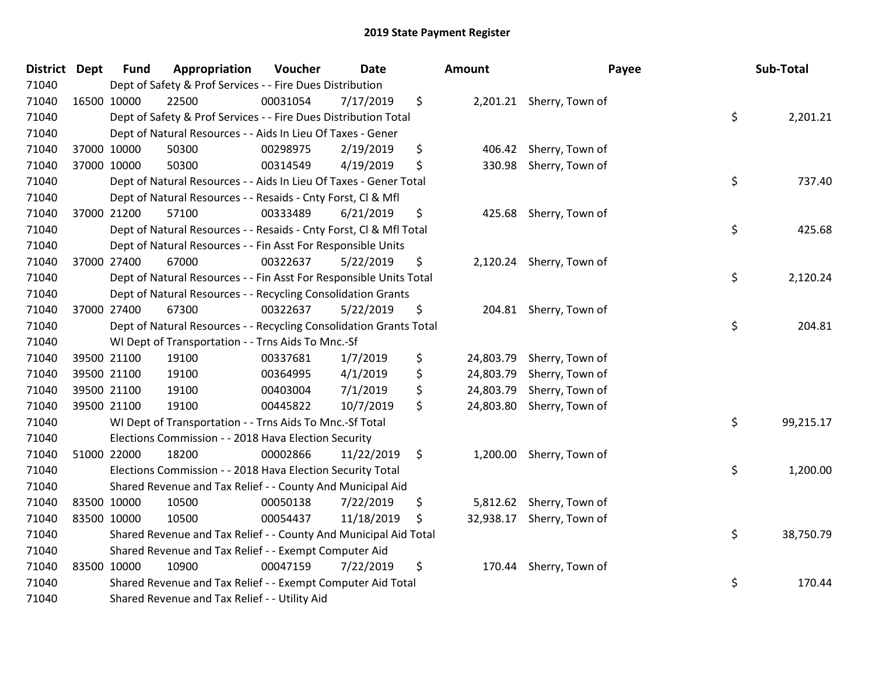| District Dept |             | <b>Fund</b> | Appropriation                                                      | Voucher  | <b>Date</b> | Amount          | Payee                     | Sub-Total       |
|---------------|-------------|-------------|--------------------------------------------------------------------|----------|-------------|-----------------|---------------------------|-----------------|
| 71040         |             |             | Dept of Safety & Prof Services - - Fire Dues Distribution          |          |             |                 |                           |                 |
| 71040         | 16500 10000 |             | 22500                                                              | 00031054 | 7/17/2019   | \$              | 2,201.21 Sherry, Town of  |                 |
| 71040         |             |             | Dept of Safety & Prof Services - - Fire Dues Distribution Total    |          |             |                 |                           | \$<br>2,201.21  |
| 71040         |             |             | Dept of Natural Resources - - Aids In Lieu Of Taxes - Gener        |          |             |                 |                           |                 |
| 71040         |             | 37000 10000 | 50300                                                              | 00298975 | 2/19/2019   | \$              | 406.42 Sherry, Town of    |                 |
| 71040         |             | 37000 10000 | 50300                                                              | 00314549 | 4/19/2019   | \$<br>330.98    | Sherry, Town of           |                 |
| 71040         |             |             | Dept of Natural Resources - - Aids In Lieu Of Taxes - Gener Total  |          |             |                 |                           | \$<br>737.40    |
| 71040         |             |             | Dept of Natural Resources - - Resaids - Cnty Forst, Cl & Mfl       |          |             |                 |                           |                 |
| 71040         |             | 37000 21200 | 57100                                                              | 00333489 | 6/21/2019   | \$              | 425.68 Sherry, Town of    |                 |
| 71040         |             |             | Dept of Natural Resources - - Resaids - Cnty Forst, Cl & Mfl Total |          |             |                 |                           | \$<br>425.68    |
| 71040         |             |             | Dept of Natural Resources - - Fin Asst For Responsible Units       |          |             |                 |                           |                 |
| 71040         |             | 37000 27400 | 67000                                                              | 00322637 | 5/22/2019   | \$              | 2,120.24 Sherry, Town of  |                 |
| 71040         |             |             | Dept of Natural Resources - - Fin Asst For Responsible Units Total |          |             |                 |                           | \$<br>2,120.24  |
| 71040         |             |             | Dept of Natural Resources - - Recycling Consolidation Grants       |          |             |                 |                           |                 |
| 71040         |             | 37000 27400 | 67300                                                              | 00322637 | 5/22/2019   | \$              | 204.81 Sherry, Town of    |                 |
| 71040         |             |             | Dept of Natural Resources - - Recycling Consolidation Grants Total |          |             |                 |                           | \$<br>204.81    |
| 71040         |             |             | WI Dept of Transportation - - Trns Aids To Mnc.-Sf                 |          |             |                 |                           |                 |
| 71040         |             | 39500 21100 | 19100                                                              | 00337681 | 1/7/2019    | \$              | 24,803.79 Sherry, Town of |                 |
| 71040         |             | 39500 21100 | 19100                                                              | 00364995 | 4/1/2019    | \$<br>24,803.79 | Sherry, Town of           |                 |
| 71040         |             | 39500 21100 | 19100                                                              | 00403004 | 7/1/2019    | \$<br>24,803.79 | Sherry, Town of           |                 |
| 71040         |             | 39500 21100 | 19100                                                              | 00445822 | 10/7/2019   | \$              | 24,803.80 Sherry, Town of |                 |
| 71040         |             |             | WI Dept of Transportation - - Trns Aids To Mnc.-Sf Total           |          |             |                 |                           | \$<br>99,215.17 |
| 71040         |             |             | Elections Commission - - 2018 Hava Election Security               |          |             |                 |                           |                 |
| 71040         |             | 51000 22000 | 18200                                                              | 00002866 | 11/22/2019  | \$              | 1,200.00 Sherry, Town of  |                 |
| 71040         |             |             | Elections Commission - - 2018 Hava Election Security Total         |          |             |                 |                           | \$<br>1,200.00  |
| 71040         |             |             | Shared Revenue and Tax Relief - - County And Municipal Aid         |          |             |                 |                           |                 |
| 71040         |             | 83500 10000 | 10500                                                              | 00050138 | 7/22/2019   | \$              | 5,812.62 Sherry, Town of  |                 |
| 71040         | 83500 10000 |             | 10500                                                              | 00054437 | 11/18/2019  | \$              | 32,938.17 Sherry, Town of |                 |
| 71040         |             |             | Shared Revenue and Tax Relief - - County And Municipal Aid Total   |          |             |                 |                           | \$<br>38,750.79 |
| 71040         |             |             | Shared Revenue and Tax Relief - - Exempt Computer Aid              |          |             |                 |                           |                 |
| 71040         |             | 83500 10000 | 10900                                                              | 00047159 | 7/22/2019   | \$              | 170.44 Sherry, Town of    |                 |
| 71040         |             |             | Shared Revenue and Tax Relief - - Exempt Computer Aid Total        |          |             |                 |                           | \$<br>170.44    |
| 71040         |             |             | Shared Revenue and Tax Relief - - Utility Aid                      |          |             |                 |                           |                 |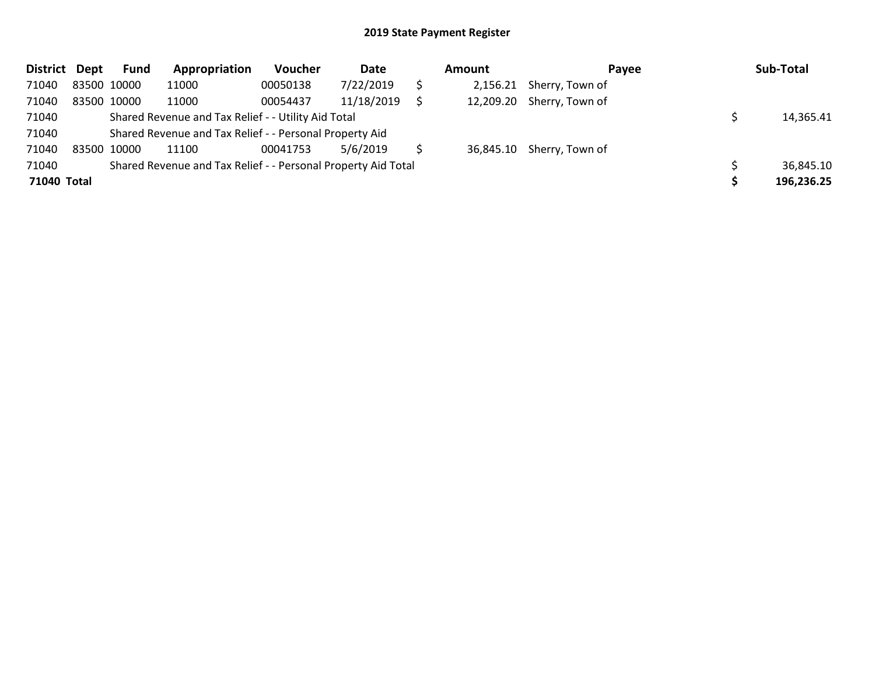| District Dept |             | Fund | Appropriation                                                 | <b>Voucher</b> | Date       | Amount | Payee                     | Sub-Total  |
|---------------|-------------|------|---------------------------------------------------------------|----------------|------------|--------|---------------------------|------------|
| 71040         | 83500 10000 |      | 11000                                                         | 00050138       | 7/22/2019  |        | 2,156.21 Sherry, Town of  |            |
| 71040         | 83500 10000 |      | 11000                                                         | 00054437       | 11/18/2019 |        | 12,209.20 Sherry, Town of |            |
| 71040         |             |      | Shared Revenue and Tax Relief - - Utility Aid Total           |                |            |        |                           | 14,365.41  |
| 71040         |             |      | Shared Revenue and Tax Relief - - Personal Property Aid       |                |            |        |                           |            |
| 71040         | 83500 10000 |      | 11100                                                         | 00041753       | 5/6/2019   |        | 36,845.10 Sherry, Town of |            |
| 71040         |             |      | Shared Revenue and Tax Relief - - Personal Property Aid Total |                |            |        |                           | 36,845.10  |
| 71040 Total   |             |      |                                                               |                |            |        |                           | 196,236.25 |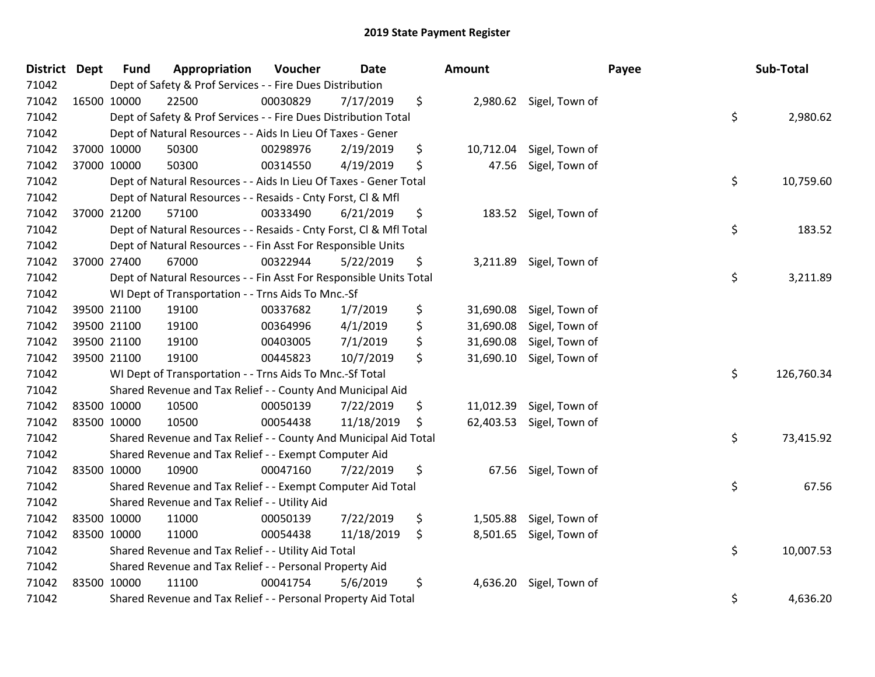| District Dept | <b>Fund</b> | Appropriation                                                      | Voucher  | <b>Date</b> | Amount          |                          | Payee | Sub-Total  |
|---------------|-------------|--------------------------------------------------------------------|----------|-------------|-----------------|--------------------------|-------|------------|
| 71042         |             | Dept of Safety & Prof Services - - Fire Dues Distribution          |          |             |                 |                          |       |            |
| 71042         | 16500 10000 | 22500                                                              | 00030829 | 7/17/2019   | \$              | 2,980.62 Sigel, Town of  |       |            |
| 71042         |             | Dept of Safety & Prof Services - - Fire Dues Distribution Total    |          |             |                 |                          | \$    | 2,980.62   |
| 71042         |             | Dept of Natural Resources - - Aids In Lieu Of Taxes - Gener        |          |             |                 |                          |       |            |
| 71042         | 37000 10000 | 50300                                                              | 00298976 | 2/19/2019   | \$<br>10,712.04 | Sigel, Town of           |       |            |
| 71042         | 37000 10000 | 50300                                                              | 00314550 | 4/19/2019   | \$<br>47.56     | Sigel, Town of           |       |            |
| 71042         |             | Dept of Natural Resources - - Aids In Lieu Of Taxes - Gener Total  |          |             |                 |                          | \$    | 10,759.60  |
| 71042         |             | Dept of Natural Resources - - Resaids - Cnty Forst, Cl & Mfl       |          |             |                 |                          |       |            |
| 71042         | 37000 21200 | 57100                                                              | 00333490 | 6/21/2019   | \$              | 183.52 Sigel, Town of    |       |            |
| 71042         |             | Dept of Natural Resources - - Resaids - Cnty Forst, CI & Mfl Total |          |             |                 |                          | \$    | 183.52     |
| 71042         |             | Dept of Natural Resources - - Fin Asst For Responsible Units       |          |             |                 |                          |       |            |
| 71042         | 37000 27400 | 67000                                                              | 00322944 | 5/22/2019   | \$              | 3,211.89 Sigel, Town of  |       |            |
| 71042         |             | Dept of Natural Resources - - Fin Asst For Responsible Units Total |          |             |                 |                          | \$    | 3,211.89   |
| 71042         |             | WI Dept of Transportation - - Trns Aids To Mnc.-Sf                 |          |             |                 |                          |       |            |
| 71042         | 39500 21100 | 19100                                                              | 00337682 | 1/7/2019    | \$<br>31,690.08 | Sigel, Town of           |       |            |
| 71042         | 39500 21100 | 19100                                                              | 00364996 | 4/1/2019    | \$<br>31,690.08 | Sigel, Town of           |       |            |
| 71042         | 39500 21100 | 19100                                                              | 00403005 | 7/1/2019    | \$<br>31,690.08 | Sigel, Town of           |       |            |
| 71042         | 39500 21100 | 19100                                                              | 00445823 | 10/7/2019   | \$              | 31,690.10 Sigel, Town of |       |            |
| 71042         |             | WI Dept of Transportation - - Trns Aids To Mnc.-Sf Total           |          |             |                 |                          | \$    | 126,760.34 |
| 71042         |             | Shared Revenue and Tax Relief - - County And Municipal Aid         |          |             |                 |                          |       |            |
| 71042         | 83500 10000 | 10500                                                              | 00050139 | 7/22/2019   | \$<br>11,012.39 | Sigel, Town of           |       |            |
| 71042         | 83500 10000 | 10500                                                              | 00054438 | 11/18/2019  | \$              | 62,403.53 Sigel, Town of |       |            |
| 71042         |             | Shared Revenue and Tax Relief - - County And Municipal Aid Total   |          |             |                 |                          | \$    | 73,415.92  |
| 71042         |             | Shared Revenue and Tax Relief - - Exempt Computer Aid              |          |             |                 |                          |       |            |
| 71042         | 83500 10000 | 10900                                                              | 00047160 | 7/22/2019   | \$              | 67.56 Sigel, Town of     |       |            |
| 71042         |             | Shared Revenue and Tax Relief - - Exempt Computer Aid Total        |          |             |                 |                          | \$    | 67.56      |
| 71042         |             | Shared Revenue and Tax Relief - - Utility Aid                      |          |             |                 |                          |       |            |
| 71042         | 83500 10000 | 11000                                                              | 00050139 | 7/22/2019   | \$              | 1,505.88 Sigel, Town of  |       |            |
| 71042         | 83500 10000 | 11000                                                              | 00054438 | 11/18/2019  | \$              | 8,501.65 Sigel, Town of  |       |            |
| 71042         |             | Shared Revenue and Tax Relief - - Utility Aid Total                |          |             |                 |                          | \$    | 10,007.53  |
| 71042         |             | Shared Revenue and Tax Relief - - Personal Property Aid            |          |             |                 |                          |       |            |
| 71042         | 83500 10000 | 11100                                                              | 00041754 | 5/6/2019    | \$              | 4,636.20 Sigel, Town of  |       |            |
| 71042         |             | Shared Revenue and Tax Relief - - Personal Property Aid Total      |          |             |                 |                          | \$    | 4,636.20   |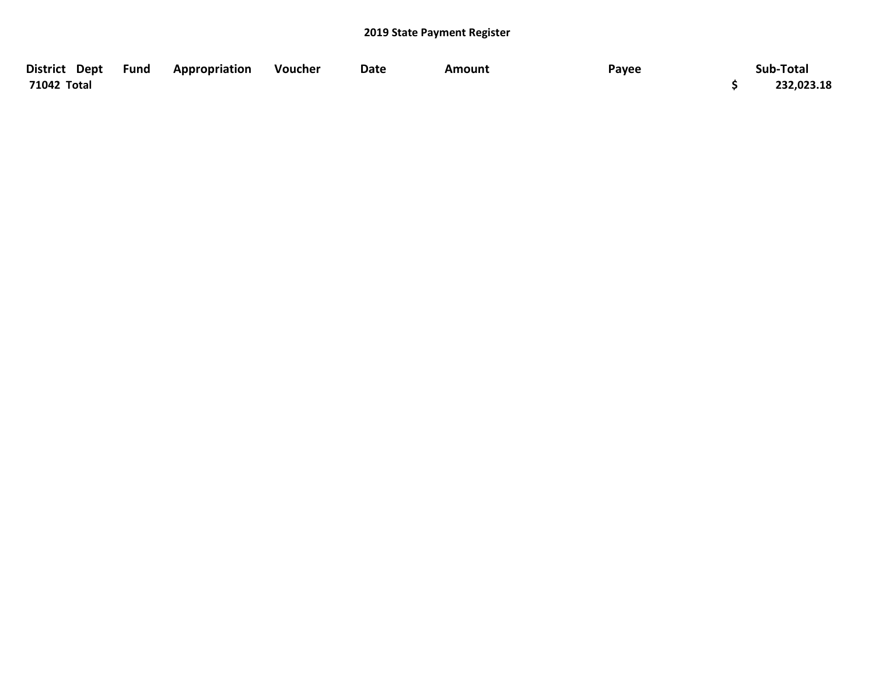| District Dept Fund | Appropriation | Voucher | Date | Amount | Payee | Sub-Total  |
|--------------------|---------------|---------|------|--------|-------|------------|
| 71042 Total        |               |         |      |        |       | 232,023.18 |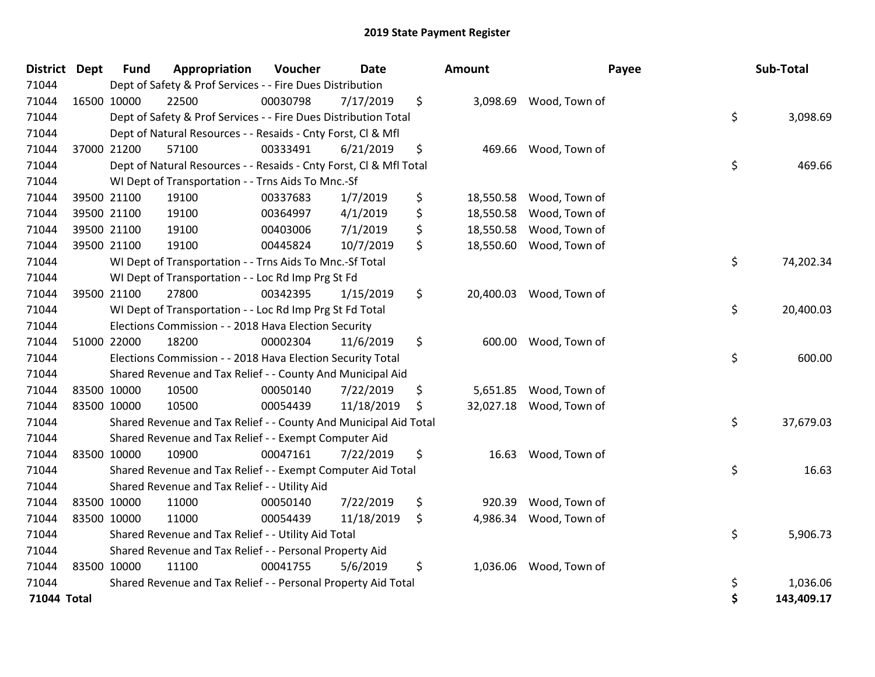| District Dept |             | <b>Fund</b> | Appropriation                                                      | Voucher  | Date       | Amount          | Payee                  | Sub-Total        |
|---------------|-------------|-------------|--------------------------------------------------------------------|----------|------------|-----------------|------------------------|------------------|
| 71044         |             |             | Dept of Safety & Prof Services - - Fire Dues Distribution          |          |            |                 |                        |                  |
| 71044         |             | 16500 10000 | 22500                                                              | 00030798 | 7/17/2019  | \$<br>3,098.69  | Wood, Town of          |                  |
| 71044         |             |             | Dept of Safety & Prof Services - - Fire Dues Distribution Total    |          |            |                 |                        | \$<br>3,098.69   |
| 71044         |             |             | Dept of Natural Resources - - Resaids - Cnty Forst, CI & Mfl       |          |            |                 |                        |                  |
| 71044         |             | 37000 21200 | 57100                                                              | 00333491 | 6/21/2019  | \$<br>469.66    | Wood, Town of          |                  |
| 71044         |             |             | Dept of Natural Resources - - Resaids - Cnty Forst, Cl & Mfl Total |          |            |                 |                        | \$<br>469.66     |
| 71044         |             |             | WI Dept of Transportation - - Trns Aids To Mnc.-Sf                 |          |            |                 |                        |                  |
| 71044         |             | 39500 21100 | 19100                                                              | 00337683 | 1/7/2019   | \$<br>18,550.58 | Wood, Town of          |                  |
| 71044         |             | 39500 21100 | 19100                                                              | 00364997 | 4/1/2019   | \$<br>18,550.58 | Wood, Town of          |                  |
| 71044         |             | 39500 21100 | 19100                                                              | 00403006 | 7/1/2019   | \$<br>18,550.58 | Wood, Town of          |                  |
| 71044         |             | 39500 21100 | 19100                                                              | 00445824 | 10/7/2019  | \$<br>18,550.60 | Wood, Town of          |                  |
| 71044         |             |             | WI Dept of Transportation - - Trns Aids To Mnc.-Sf Total           |          |            |                 |                        | \$<br>74,202.34  |
| 71044         |             |             | WI Dept of Transportation - - Loc Rd Imp Prg St Fd                 |          |            |                 |                        |                  |
| 71044         |             | 39500 21100 | 27800                                                              | 00342395 | 1/15/2019  | \$<br>20,400.03 | Wood, Town of          |                  |
| 71044         |             |             | WI Dept of Transportation - - Loc Rd Imp Prg St Fd Total           |          |            |                 |                        | \$<br>20,400.03  |
| 71044         |             |             | Elections Commission - - 2018 Hava Election Security               |          |            |                 |                        |                  |
| 71044         |             | 51000 22000 | 18200                                                              | 00002304 | 11/6/2019  | \$<br>600.00    | Wood, Town of          |                  |
| 71044         |             |             | Elections Commission - - 2018 Hava Election Security Total         |          |            |                 |                        | \$<br>600.00     |
| 71044         |             |             | Shared Revenue and Tax Relief - - County And Municipal Aid         |          |            |                 |                        |                  |
| 71044         |             | 83500 10000 | 10500                                                              | 00050140 | 7/22/2019  | \$<br>5,651.85  | Wood, Town of          |                  |
| 71044         |             | 83500 10000 | 10500                                                              | 00054439 | 11/18/2019 | \$<br>32,027.18 | Wood, Town of          |                  |
| 71044         |             |             | Shared Revenue and Tax Relief - - County And Municipal Aid Total   |          |            |                 |                        | \$<br>37,679.03  |
| 71044         |             |             | Shared Revenue and Tax Relief - - Exempt Computer Aid              |          |            |                 |                        |                  |
| 71044         |             | 83500 10000 | 10900                                                              | 00047161 | 7/22/2019  | \$<br>16.63     | Wood, Town of          |                  |
| 71044         |             |             | Shared Revenue and Tax Relief - - Exempt Computer Aid Total        |          |            |                 |                        | \$<br>16.63      |
| 71044         |             |             | Shared Revenue and Tax Relief - - Utility Aid                      |          |            |                 |                        |                  |
| 71044         |             | 83500 10000 | 11000                                                              | 00050140 | 7/22/2019  | \$<br>920.39    | Wood, Town of          |                  |
| 71044         | 83500 10000 |             | 11000                                                              | 00054439 | 11/18/2019 | \$<br>4,986.34  | Wood, Town of          |                  |
| 71044         |             |             | Shared Revenue and Tax Relief - - Utility Aid Total                |          |            |                 |                        | \$<br>5,906.73   |
| 71044         |             |             | Shared Revenue and Tax Relief - - Personal Property Aid            |          |            |                 |                        |                  |
| 71044         |             | 83500 10000 | 11100                                                              | 00041755 | 5/6/2019   | \$              | 1,036.06 Wood, Town of |                  |
| 71044         |             |             | Shared Revenue and Tax Relief - - Personal Property Aid Total      |          |            |                 |                        | \$<br>1,036.06   |
| 71044 Total   |             |             |                                                                    |          |            |                 |                        | \$<br>143,409.17 |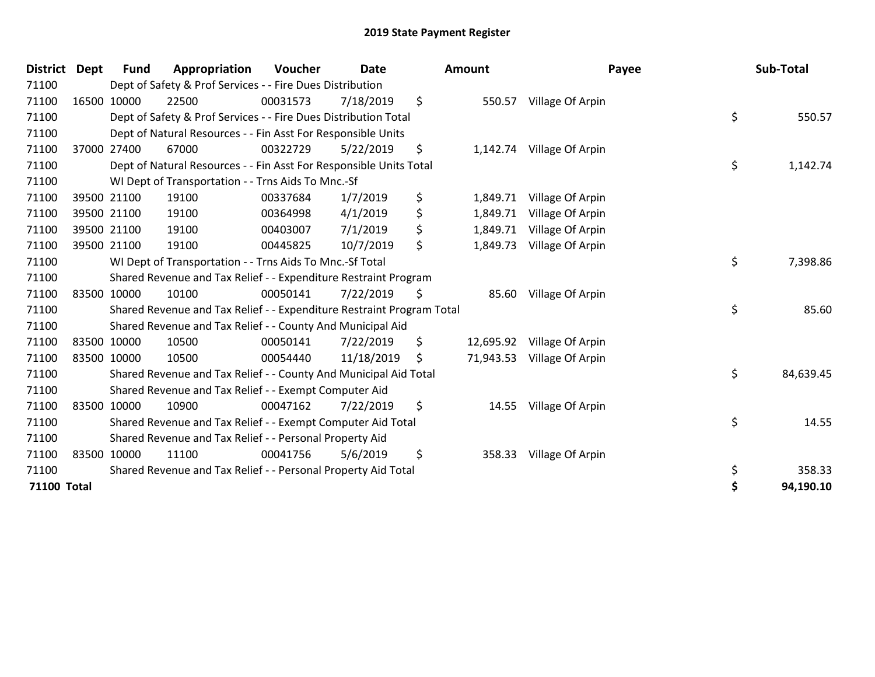| <b>District</b>    | <b>Dept</b> | Fund        | Appropriation                                                         | <b>Voucher</b> | Date       | <b>Amount</b>   | Payee                     | Sub-Total       |
|--------------------|-------------|-------------|-----------------------------------------------------------------------|----------------|------------|-----------------|---------------------------|-----------------|
| 71100              |             |             | Dept of Safety & Prof Services - - Fire Dues Distribution             |                |            |                 |                           |                 |
| 71100              |             | 16500 10000 | 22500                                                                 | 00031573       | 7/18/2019  | \$<br>550.57    | Village Of Arpin          |                 |
| 71100              |             |             | Dept of Safety & Prof Services - - Fire Dues Distribution Total       |                |            |                 |                           | \$<br>550.57    |
| 71100              |             |             | Dept of Natural Resources - - Fin Asst For Responsible Units          |                |            |                 |                           |                 |
| 71100              |             | 37000 27400 | 67000                                                                 | 00322729       | 5/22/2019  | \$              | 1,142.74 Village Of Arpin |                 |
| 71100              |             |             | Dept of Natural Resources - - Fin Asst For Responsible Units Total    |                |            |                 |                           | \$<br>1,142.74  |
| 71100              |             |             | WI Dept of Transportation - - Trns Aids To Mnc.-Sf                    |                |            |                 |                           |                 |
| 71100              |             | 39500 21100 | 19100                                                                 | 00337684       | 1/7/2019   | \$<br>1,849.71  | Village Of Arpin          |                 |
| 71100              |             | 39500 21100 | 19100                                                                 | 00364998       | 4/1/2019   | \$<br>1,849.71  | Village Of Arpin          |                 |
| 71100              |             | 39500 21100 | 19100                                                                 | 00403007       | 7/1/2019   | \$<br>1,849.71  | Village Of Arpin          |                 |
| 71100              |             | 39500 21100 | 19100                                                                 | 00445825       | 10/7/2019  | \$<br>1,849.73  | Village Of Arpin          |                 |
| 71100              |             |             | WI Dept of Transportation - - Trns Aids To Mnc.-Sf Total              |                |            |                 |                           | \$<br>7,398.86  |
| 71100              |             |             | Shared Revenue and Tax Relief - - Expenditure Restraint Program       |                |            |                 |                           |                 |
| 71100              |             | 83500 10000 | 10100                                                                 | 00050141       | 7/22/2019  | \$<br>85.60     | Village Of Arpin          |                 |
| 71100              |             |             | Shared Revenue and Tax Relief - - Expenditure Restraint Program Total |                |            |                 |                           | \$<br>85.60     |
| 71100              |             |             | Shared Revenue and Tax Relief - - County And Municipal Aid            |                |            |                 |                           |                 |
| 71100              |             | 83500 10000 | 10500                                                                 | 00050141       | 7/22/2019  | \$<br>12,695.92 | Village Of Arpin          |                 |
| 71100              |             | 83500 10000 | 10500                                                                 | 00054440       | 11/18/2019 | \$<br>71,943.53 | Village Of Arpin          |                 |
| 71100              |             |             | Shared Revenue and Tax Relief - - County And Municipal Aid Total      |                |            |                 |                           | \$<br>84,639.45 |
| 71100              |             |             | Shared Revenue and Tax Relief - - Exempt Computer Aid                 |                |            |                 |                           |                 |
| 71100              |             | 83500 10000 | 10900                                                                 | 00047162       | 7/22/2019  | \$<br>14.55     | Village Of Arpin          |                 |
| 71100              |             |             | Shared Revenue and Tax Relief - - Exempt Computer Aid Total           |                |            |                 |                           | \$<br>14.55     |
| 71100              |             |             | Shared Revenue and Tax Relief - - Personal Property Aid               |                |            |                 |                           |                 |
| 71100              |             | 83500 10000 | 11100                                                                 | 00041756       | 5/6/2019   | \$<br>358.33    | Village Of Arpin          |                 |
| 71100              |             |             | Shared Revenue and Tax Relief - - Personal Property Aid Total         |                |            |                 |                           | \$<br>358.33    |
| <b>71100 Total</b> |             |             |                                                                       |                |            |                 |                           | \$<br>94,190.10 |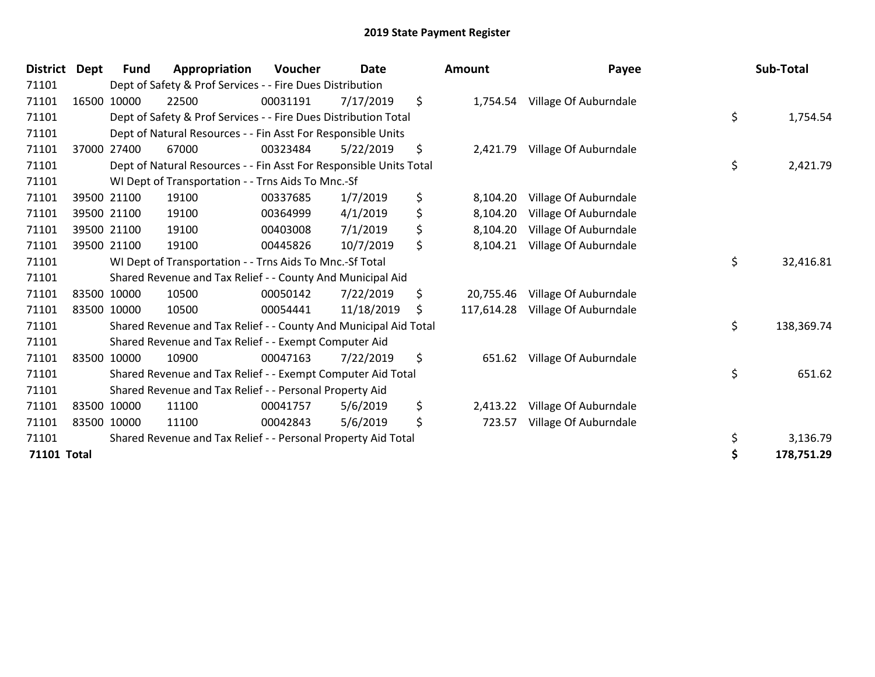| <b>District</b> | <b>Dept</b> | <b>Fund</b> | Appropriation                                                      | Voucher  | Date       | <b>Amount</b>    | Payee                          | Sub-Total        |
|-----------------|-------------|-------------|--------------------------------------------------------------------|----------|------------|------------------|--------------------------------|------------------|
| 71101           |             |             | Dept of Safety & Prof Services - - Fire Dues Distribution          |          |            |                  |                                |                  |
| 71101           |             | 16500 10000 | 22500                                                              | 00031191 | 7/17/2019  | \$               | 1,754.54 Village Of Auburndale |                  |
| 71101           |             |             | Dept of Safety & Prof Services - - Fire Dues Distribution Total    |          |            |                  |                                | \$<br>1,754.54   |
| 71101           |             |             | Dept of Natural Resources - - Fin Asst For Responsible Units       |          |            |                  |                                |                  |
| 71101           |             | 37000 27400 | 67000                                                              | 00323484 | 5/22/2019  | \$<br>2,421.79   | Village Of Auburndale          |                  |
| 71101           |             |             | Dept of Natural Resources - - Fin Asst For Responsible Units Total |          |            |                  |                                | \$<br>2,421.79   |
| 71101           |             |             | WI Dept of Transportation - - Trns Aids To Mnc.-Sf                 |          |            |                  |                                |                  |
| 71101           |             | 39500 21100 | 19100                                                              | 00337685 | 1/7/2019   | \$<br>8,104.20   | Village Of Auburndale          |                  |
| 71101           |             | 39500 21100 | 19100                                                              | 00364999 | 4/1/2019   | \$<br>8,104.20   | Village Of Auburndale          |                  |
| 71101           |             | 39500 21100 | 19100                                                              | 00403008 | 7/1/2019   | \$<br>8,104.20   | Village Of Auburndale          |                  |
| 71101           |             | 39500 21100 | 19100                                                              | 00445826 | 10/7/2019  | \$<br>8,104.21   | Village Of Auburndale          |                  |
| 71101           |             |             | WI Dept of Transportation - - Trns Aids To Mnc.-Sf Total           |          |            |                  |                                | \$<br>32,416.81  |
| 71101           |             |             | Shared Revenue and Tax Relief - - County And Municipal Aid         |          |            |                  |                                |                  |
| 71101           |             | 83500 10000 | 10500                                                              | 00050142 | 7/22/2019  | \$<br>20,755.46  | Village Of Auburndale          |                  |
| 71101           |             | 83500 10000 | 10500                                                              | 00054441 | 11/18/2019 | \$<br>117,614.28 | Village Of Auburndale          |                  |
| 71101           |             |             | Shared Revenue and Tax Relief - - County And Municipal Aid Total   |          |            |                  |                                | \$<br>138,369.74 |
| 71101           |             |             | Shared Revenue and Tax Relief - - Exempt Computer Aid              |          |            |                  |                                |                  |
| 71101           |             | 83500 10000 | 10900                                                              | 00047163 | 7/22/2019  | \$<br>651.62     | Village Of Auburndale          |                  |
| 71101           |             |             | Shared Revenue and Tax Relief - - Exempt Computer Aid Total        |          |            |                  |                                | \$<br>651.62     |
| 71101           |             |             | Shared Revenue and Tax Relief - - Personal Property Aid            |          |            |                  |                                |                  |
| 71101           |             | 83500 10000 | 11100                                                              | 00041757 | 5/6/2019   | \$<br>2,413.22   | Village Of Auburndale          |                  |
| 71101           |             | 83500 10000 | 11100                                                              | 00042843 | 5/6/2019   | \$<br>723.57     | Village Of Auburndale          |                  |
| 71101           |             |             | Shared Revenue and Tax Relief - - Personal Property Aid Total      |          |            |                  |                                | \$<br>3,136.79   |
| 71101 Total     |             |             |                                                                    |          |            |                  |                                | 178,751.29       |

|                    | District Dept | <b>Fund</b> | Appropriation                                                      | Voucher  | <b>Date</b> | <b>Amount</b>    | Payee                 | Sub-Total        |
|--------------------|---------------|-------------|--------------------------------------------------------------------|----------|-------------|------------------|-----------------------|------------------|
| 71101              |               |             | Dept of Safety & Prof Services - - Fire Dues Distribution          |          |             |                  |                       |                  |
| 71101              |               | 16500 10000 | 22500                                                              | 00031191 | 7/17/2019   | \$<br>1,754.54   | Village Of Auburndale |                  |
| 71101              |               |             | Dept of Safety & Prof Services - - Fire Dues Distribution Total    |          |             |                  |                       | \$<br>1,754.54   |
| 71101              |               |             | Dept of Natural Resources - - Fin Asst For Responsible Units       |          |             |                  |                       |                  |
| 71101              |               | 37000 27400 | 67000                                                              | 00323484 | 5/22/2019   | \$<br>2,421.79   | Village Of Auburndale |                  |
| 71101              |               |             | Dept of Natural Resources - - Fin Asst For Responsible Units Total |          |             |                  |                       | \$<br>2,421.79   |
| 71101              |               |             | WI Dept of Transportation - - Trns Aids To Mnc.-Sf                 |          |             |                  |                       |                  |
| 71101              |               | 39500 21100 | 19100                                                              | 00337685 | 1/7/2019    | \$<br>8,104.20   | Village Of Auburndale |                  |
| 71101              |               | 39500 21100 | 19100                                                              | 00364999 | 4/1/2019    | \$<br>8,104.20   | Village Of Auburndale |                  |
| 71101              |               | 39500 21100 | 19100                                                              | 00403008 | 7/1/2019    | \$<br>8,104.20   | Village Of Auburndale |                  |
| 71101              |               | 39500 21100 | 19100                                                              | 00445826 | 10/7/2019   | \$<br>8,104.21   | Village Of Auburndale |                  |
| 71101              |               |             | WI Dept of Transportation - - Trns Aids To Mnc.-Sf Total           |          |             |                  |                       | \$<br>32,416.81  |
| 71101              |               |             | Shared Revenue and Tax Relief - - County And Municipal Aid         |          |             |                  |                       |                  |
| 71101              |               | 83500 10000 | 10500                                                              | 00050142 | 7/22/2019   | \$<br>20,755.46  | Village Of Auburndale |                  |
| 71101              |               | 83500 10000 | 10500                                                              | 00054441 | 11/18/2019  | \$<br>117,614.28 | Village Of Auburndale |                  |
| 71101              |               |             | Shared Revenue and Tax Relief - - County And Municipal Aid Total   |          |             |                  |                       | \$<br>138,369.74 |
| 71101              |               |             | Shared Revenue and Tax Relief - - Exempt Computer Aid              |          |             |                  |                       |                  |
| 71101              |               | 83500 10000 | 10900                                                              | 00047163 | 7/22/2019   | \$<br>651.62     | Village Of Auburndale |                  |
| 71101              |               |             | Shared Revenue and Tax Relief - - Exempt Computer Aid Total        |          |             |                  |                       | \$<br>651.62     |
| 71101              |               |             | Shared Revenue and Tax Relief - - Personal Property Aid            |          |             |                  |                       |                  |
| 71101              |               | 83500 10000 | 11100                                                              | 00041757 | 5/6/2019    | \$<br>2,413.22   | Village Of Auburndale |                  |
| 71101              |               | 83500 10000 | 11100                                                              | 00042843 | 5/6/2019    | \$<br>723.57     | Village Of Auburndale |                  |
| 71101              |               |             | Shared Revenue and Tax Relief - - Personal Property Aid Total      |          |             |                  |                       | \$<br>3,136.79   |
| <b>71101 Total</b> |               |             |                                                                    |          |             |                  |                       | 178,751.29       |
|                    |               |             |                                                                    |          |             |                  |                       |                  |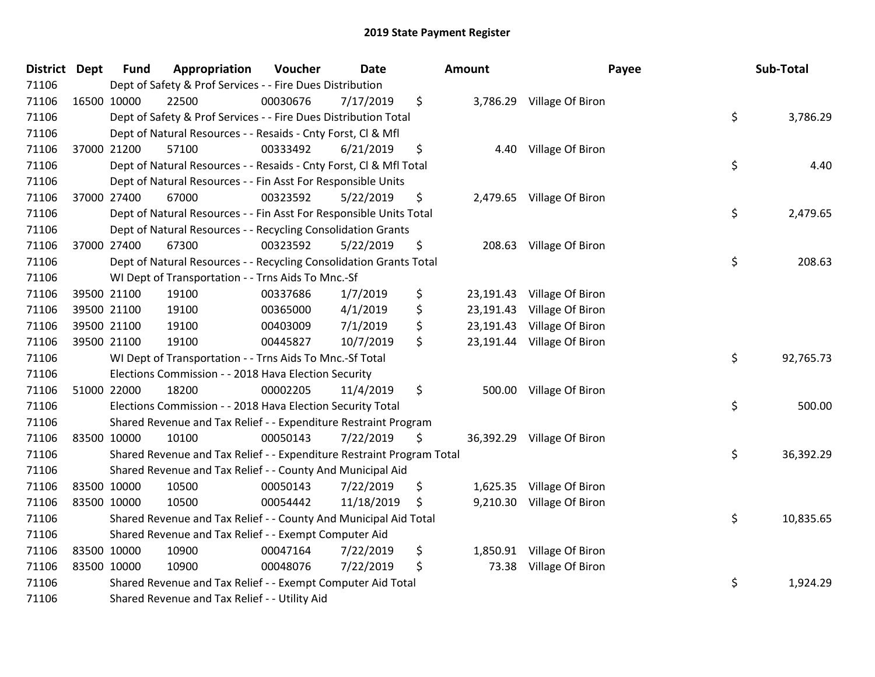| District Dept | <b>Fund</b> | Appropriation                                                         | Voucher  | <b>Date</b> | Amount          |                            | Payee | Sub-Total |
|---------------|-------------|-----------------------------------------------------------------------|----------|-------------|-----------------|----------------------------|-------|-----------|
| 71106         |             | Dept of Safety & Prof Services - - Fire Dues Distribution             |          |             |                 |                            |       |           |
| 71106         | 16500 10000 | 22500                                                                 | 00030676 | 7/17/2019   | \$              | 3,786.29 Village Of Biron  |       |           |
| 71106         |             | Dept of Safety & Prof Services - - Fire Dues Distribution Total       |          |             |                 |                            | \$    | 3,786.29  |
| 71106         |             | Dept of Natural Resources - - Resaids - Cnty Forst, Cl & Mfl          |          |             |                 |                            |       |           |
| 71106         | 37000 21200 | 57100                                                                 | 00333492 | 6/21/2019   | \$<br>4.40      | Village Of Biron           |       |           |
| 71106         |             | Dept of Natural Resources - - Resaids - Cnty Forst, Cl & Mfl Total    |          |             |                 |                            | \$    | 4.40      |
| 71106         |             | Dept of Natural Resources - - Fin Asst For Responsible Units          |          |             |                 |                            |       |           |
| 71106         | 37000 27400 | 67000                                                                 | 00323592 | 5/22/2019   | \$              | 2,479.65 Village Of Biron  |       |           |
| 71106         |             | Dept of Natural Resources - - Fin Asst For Responsible Units Total    |          |             |                 |                            | \$    | 2,479.65  |
| 71106         |             | Dept of Natural Resources - - Recycling Consolidation Grants          |          |             |                 |                            |       |           |
| 71106         | 37000 27400 | 67300                                                                 | 00323592 | 5/22/2019   | \$              | 208.63 Village Of Biron    |       |           |
| 71106         |             | Dept of Natural Resources - - Recycling Consolidation Grants Total    |          |             |                 |                            | \$    | 208.63    |
| 71106         |             | WI Dept of Transportation - - Trns Aids To Mnc.-Sf                    |          |             |                 |                            |       |           |
| 71106         | 39500 21100 | 19100                                                                 | 00337686 | 1/7/2019    | \$<br>23,191.43 | Village Of Biron           |       |           |
| 71106         | 39500 21100 | 19100                                                                 | 00365000 | 4/1/2019    | \$<br>23,191.43 | Village Of Biron           |       |           |
| 71106         | 39500 21100 | 19100                                                                 | 00403009 | 7/1/2019    | \$<br>23,191.43 | Village Of Biron           |       |           |
| 71106         | 39500 21100 | 19100                                                                 | 00445827 | 10/7/2019   | \$              | 23,191.44 Village Of Biron |       |           |
| 71106         |             | WI Dept of Transportation - - Trns Aids To Mnc.-Sf Total              |          |             |                 |                            | \$    | 92,765.73 |
| 71106         |             | Elections Commission - - 2018 Hava Election Security                  |          |             |                 |                            |       |           |
| 71106         | 51000 22000 | 18200                                                                 | 00002205 | 11/4/2019   | \$              | 500.00 Village Of Biron    |       |           |
| 71106         |             | Elections Commission - - 2018 Hava Election Security Total            |          |             |                 |                            | \$    | 500.00    |
| 71106         |             | Shared Revenue and Tax Relief - - Expenditure Restraint Program       |          |             |                 |                            |       |           |
| 71106         | 83500 10000 | 10100                                                                 | 00050143 | 7/22/2019   | \$              | 36,392.29 Village Of Biron |       |           |
| 71106         |             | Shared Revenue and Tax Relief - - Expenditure Restraint Program Total |          |             |                 |                            | \$    | 36,392.29 |
| 71106         |             | Shared Revenue and Tax Relief - - County And Municipal Aid            |          |             |                 |                            |       |           |
| 71106         | 83500 10000 | 10500                                                                 | 00050143 | 7/22/2019   | \$              | 1,625.35 Village Of Biron  |       |           |
| 71106         | 83500 10000 | 10500                                                                 | 00054442 | 11/18/2019  | \$              | 9,210.30 Village Of Biron  |       |           |
| 71106         |             | Shared Revenue and Tax Relief - - County And Municipal Aid Total      |          |             |                 |                            | \$    | 10,835.65 |
| 71106         |             | Shared Revenue and Tax Relief - - Exempt Computer Aid                 |          |             |                 |                            |       |           |
| 71106         | 83500 10000 | 10900                                                                 | 00047164 | 7/22/2019   | \$              | 1,850.91 Village Of Biron  |       |           |
| 71106         | 83500 10000 | 10900                                                                 | 00048076 | 7/22/2019   | \$<br>73.38     | Village Of Biron           |       |           |
| 71106         |             | Shared Revenue and Tax Relief - - Exempt Computer Aid Total           |          |             |                 |                            | \$    | 1,924.29  |
| 71106         |             | Shared Revenue and Tax Relief - - Utility Aid                         |          |             |                 |                            |       |           |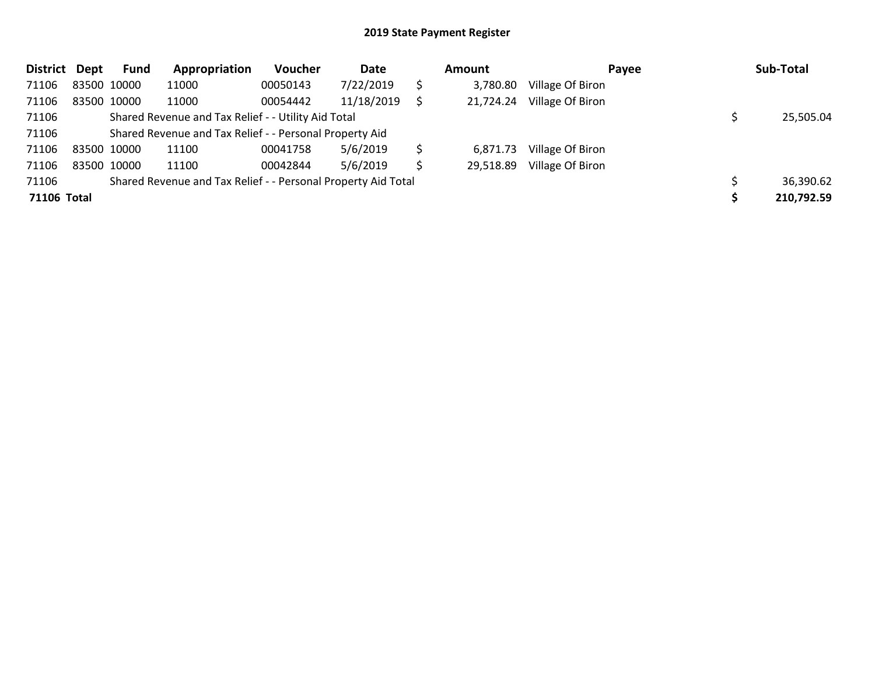| District Dept | <b>Fund</b> | Appropriation                                                 | Voucher  | Date       |   | Amount    | Payee            | Sub-Total  |
|---------------|-------------|---------------------------------------------------------------|----------|------------|---|-----------|------------------|------------|
| 71106         | 83500 10000 | 11000                                                         | 00050143 | 7/22/2019  |   | 3,780.80  | Village Of Biron |            |
| 71106         | 83500 10000 | 11000                                                         | 00054442 | 11/18/2019 |   | 21,724.24 | Village Of Biron |            |
| 71106         |             | Shared Revenue and Tax Relief - - Utility Aid Total           |          |            |   |           |                  | 25,505.04  |
| 71106         |             | Shared Revenue and Tax Relief - - Personal Property Aid       |          |            |   |           |                  |            |
| 71106         | 83500 10000 | 11100                                                         | 00041758 | 5/6/2019   | Ś | 6,871.73  | Village Of Biron |            |
| 71106         | 83500 10000 | 11100                                                         | 00042844 | 5/6/2019   | S | 29,518.89 | Village Of Biron |            |
| 71106         |             | Shared Revenue and Tax Relief - - Personal Property Aid Total |          |            |   |           |                  | 36,390.62  |
| 71106 Total   |             |                                                               |          |            |   |           |                  | 210,792.59 |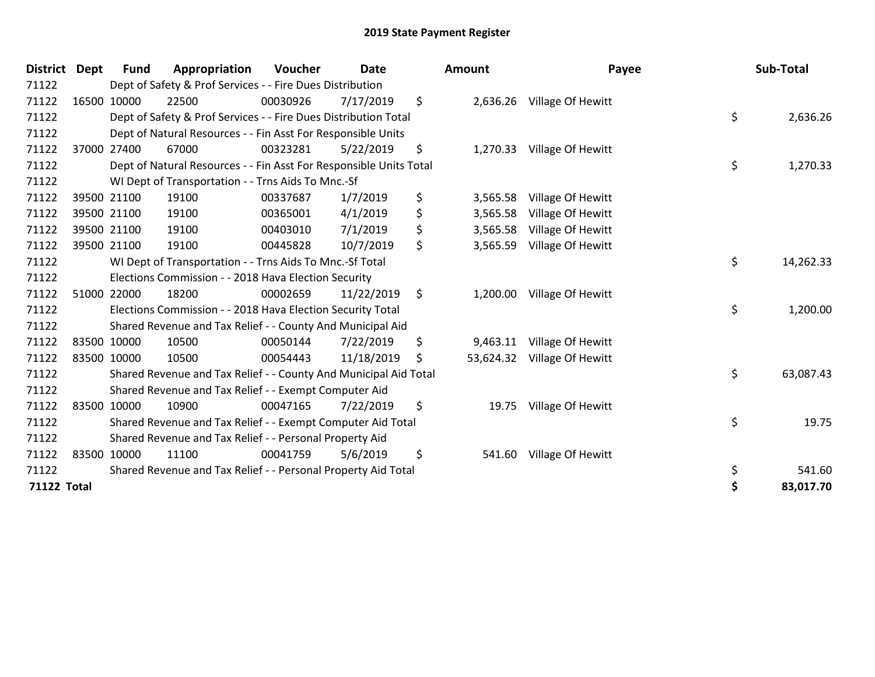| District Dept      | <b>Fund</b> | Appropriation                                                      | Voucher  | <b>Date</b> |         | Amount    | Payee                      | Sub-Total       |
|--------------------|-------------|--------------------------------------------------------------------|----------|-------------|---------|-----------|----------------------------|-----------------|
| 71122              |             | Dept of Safety & Prof Services - - Fire Dues Distribution          |          |             |         |           |                            |                 |
| 71122              | 16500 10000 | 22500                                                              | 00030926 | 7/17/2019   | \$      |           | 2,636.26 Village Of Hewitt |                 |
| 71122              |             | Dept of Safety & Prof Services - - Fire Dues Distribution Total    |          |             |         |           |                            | \$<br>2,636.26  |
| 71122              |             | Dept of Natural Resources - - Fin Asst For Responsible Units       |          |             |         |           |                            |                 |
| 71122              | 37000 27400 | 67000                                                              | 00323281 | 5/22/2019   | \$      | 1,270.33  | Village Of Hewitt          |                 |
| 71122              |             | Dept of Natural Resources - - Fin Asst For Responsible Units Total |          |             |         |           |                            | \$<br>1,270.33  |
| 71122              |             | WI Dept of Transportation - - Trns Aids To Mnc.-Sf                 |          |             |         |           |                            |                 |
| 71122              | 39500 21100 | 19100                                                              | 00337687 | 1/7/2019    | \$      | 3,565.58  | Village Of Hewitt          |                 |
| 71122              | 39500 21100 | 19100                                                              | 00365001 | 4/1/2019    | \$      | 3,565.58  | Village Of Hewitt          |                 |
| 71122              | 39500 21100 | 19100                                                              | 00403010 | 7/1/2019    | \$      | 3,565.58  | Village Of Hewitt          |                 |
| 71122              | 39500 21100 | 19100                                                              | 00445828 | 10/7/2019   | \$      | 3,565.59  | Village Of Hewitt          |                 |
| 71122              |             | WI Dept of Transportation - - Trns Aids To Mnc.-Sf Total           |          |             |         |           |                            | \$<br>14,262.33 |
| 71122              |             | Elections Commission - - 2018 Hava Election Security               |          |             |         |           |                            |                 |
| 71122              | 51000 22000 | 18200                                                              | 00002659 | 11/22/2019  | $\zeta$ | 1,200.00  | Village Of Hewitt          |                 |
| 71122              |             | Elections Commission - - 2018 Hava Election Security Total         |          |             |         |           |                            | \$<br>1,200.00  |
| 71122              |             | Shared Revenue and Tax Relief - - County And Municipal Aid         |          |             |         |           |                            |                 |
| 71122              | 83500 10000 | 10500                                                              | 00050144 | 7/22/2019   | \$      | 9,463.11  | Village Of Hewitt          |                 |
| 71122              | 83500 10000 | 10500                                                              | 00054443 | 11/18/2019  | \$      | 53,624.32 | Village Of Hewitt          |                 |
| 71122              |             | Shared Revenue and Tax Relief - - County And Municipal Aid Total   |          |             |         |           |                            | \$<br>63,087.43 |
| 71122              |             | Shared Revenue and Tax Relief - - Exempt Computer Aid              |          |             |         |           |                            |                 |
| 71122              | 83500 10000 | 10900                                                              | 00047165 | 7/22/2019   | \$      | 19.75     | Village Of Hewitt          |                 |
| 71122              |             | Shared Revenue and Tax Relief - - Exempt Computer Aid Total        |          |             |         |           |                            | \$<br>19.75     |
| 71122              |             | Shared Revenue and Tax Relief - - Personal Property Aid            |          |             |         |           |                            |                 |
| 71122              | 83500 10000 | 11100                                                              | 00041759 | 5/6/2019    | \$      | 541.60    | Village Of Hewitt          |                 |
| 71122              |             | Shared Revenue and Tax Relief - - Personal Property Aid Total      |          |             |         |           |                            | \$<br>541.60    |
| <b>71122 Total</b> |             |                                                                    |          |             |         |           |                            | 83,017.70       |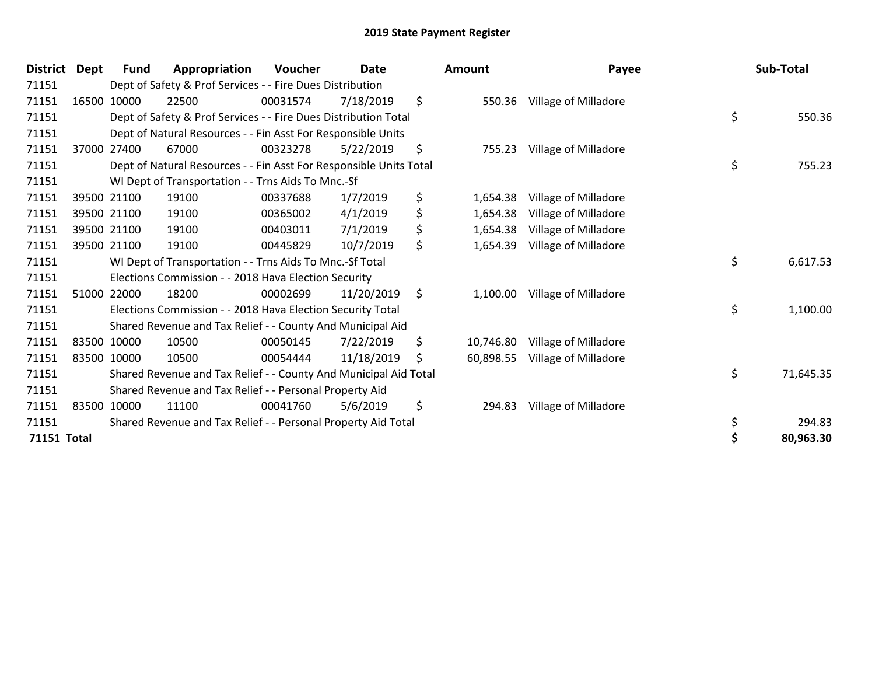| District Dept      | <b>Fund</b> | Appropriation                                                      | Voucher  | Date       | <b>Amount</b>   | Payee                | Sub-Total       |
|--------------------|-------------|--------------------------------------------------------------------|----------|------------|-----------------|----------------------|-----------------|
| 71151              |             | Dept of Safety & Prof Services - - Fire Dues Distribution          |          |            |                 |                      |                 |
| 71151              | 16500 10000 | 22500                                                              | 00031574 | 7/18/2019  | \$<br>550.36    | Village of Milladore |                 |
| 71151              |             | Dept of Safety & Prof Services - - Fire Dues Distribution Total    |          |            |                 |                      | \$<br>550.36    |
| 71151              |             | Dept of Natural Resources - - Fin Asst For Responsible Units       |          |            |                 |                      |                 |
| 71151              | 37000 27400 | 67000                                                              | 00323278 | 5/22/2019  | \$<br>755.23    | Village of Milladore |                 |
| 71151              |             | Dept of Natural Resources - - Fin Asst For Responsible Units Total |          |            |                 |                      | \$<br>755.23    |
| 71151              |             | WI Dept of Transportation - - Trns Aids To Mnc.-Sf                 |          |            |                 |                      |                 |
| 71151              | 39500 21100 | 19100                                                              | 00337688 | 1/7/2019   | \$<br>1,654.38  | Village of Milladore |                 |
| 71151              | 39500 21100 | 19100                                                              | 00365002 | 4/1/2019   | \$<br>1,654.38  | Village of Milladore |                 |
| 71151              | 39500 21100 | 19100                                                              | 00403011 | 7/1/2019   | \$<br>1,654.38  | Village of Milladore |                 |
| 71151              | 39500 21100 | 19100                                                              | 00445829 | 10/7/2019  | \$<br>1,654.39  | Village of Milladore |                 |
| 71151              |             | WI Dept of Transportation - - Trns Aids To Mnc.-Sf Total           |          |            |                 |                      | \$<br>6,617.53  |
| 71151              |             | Elections Commission - - 2018 Hava Election Security               |          |            |                 |                      |                 |
| 71151              | 51000 22000 | 18200                                                              | 00002699 | 11/20/2019 | \$<br>1,100.00  | Village of Milladore |                 |
| 71151              |             | Elections Commission - - 2018 Hava Election Security Total         |          |            |                 |                      | \$<br>1,100.00  |
| 71151              |             | Shared Revenue and Tax Relief - - County And Municipal Aid         |          |            |                 |                      |                 |
| 71151              | 83500 10000 | 10500                                                              | 00050145 | 7/22/2019  | \$<br>10,746.80 | Village of Milladore |                 |
| 71151              | 83500 10000 | 10500                                                              | 00054444 | 11/18/2019 | \$<br>60,898.55 | Village of Milladore |                 |
| 71151              |             | Shared Revenue and Tax Relief - - County And Municipal Aid Total   |          |            |                 |                      | \$<br>71,645.35 |
| 71151              |             | Shared Revenue and Tax Relief - - Personal Property Aid            |          |            |                 |                      |                 |
| 71151              | 83500 10000 | 11100                                                              | 00041760 | 5/6/2019   | \$<br>294.83    | Village of Milladore |                 |
| 71151              |             | Shared Revenue and Tax Relief - - Personal Property Aid Total      |          |            |                 |                      | \$<br>294.83    |
| <b>71151 Total</b> |             |                                                                    |          |            |                 |                      | \$<br>80,963.30 |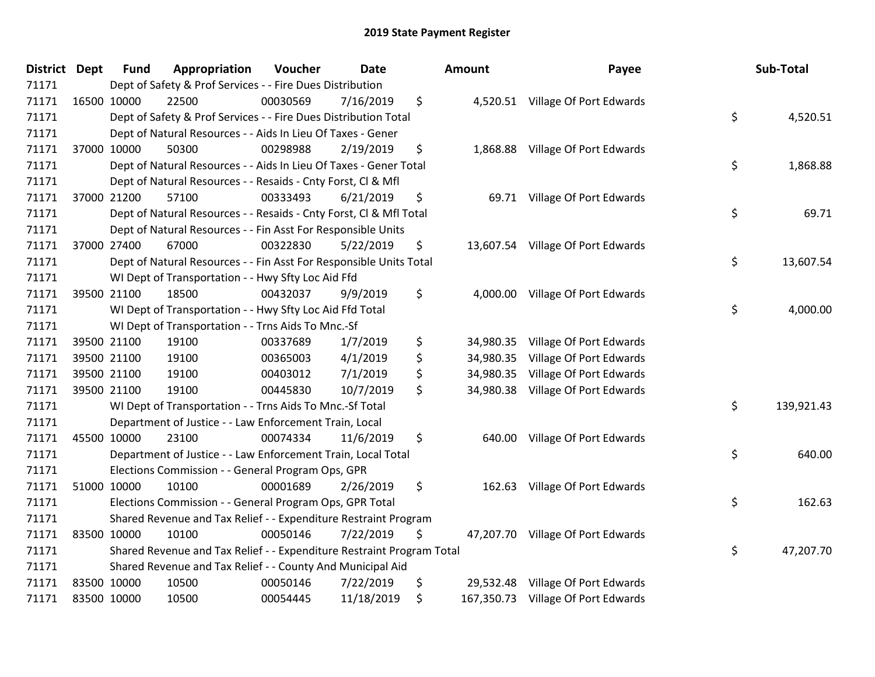| <b>District</b> | Dept | <b>Fund</b> | Appropriation                                                         | Voucher  | <b>Date</b> | <b>Amount</b>   | Payee                              | Sub-Total        |
|-----------------|------|-------------|-----------------------------------------------------------------------|----------|-------------|-----------------|------------------------------------|------------------|
| 71171           |      |             | Dept of Safety & Prof Services - - Fire Dues Distribution             |          |             |                 |                                    |                  |
| 71171           |      | 16500 10000 | 22500                                                                 | 00030569 | 7/16/2019   | \$              | 4,520.51 Village Of Port Edwards   |                  |
| 71171           |      |             | Dept of Safety & Prof Services - - Fire Dues Distribution Total       |          |             |                 |                                    | \$<br>4,520.51   |
| 71171           |      |             | Dept of Natural Resources - - Aids In Lieu Of Taxes - Gener           |          |             |                 |                                    |                  |
| 71171           |      | 37000 10000 | 50300                                                                 | 00298988 | 2/19/2019   | \$              | 1,868.88 Village Of Port Edwards   |                  |
| 71171           |      |             | Dept of Natural Resources - - Aids In Lieu Of Taxes - Gener Total     |          |             |                 |                                    | \$<br>1,868.88   |
| 71171           |      |             | Dept of Natural Resources - - Resaids - Cnty Forst, Cl & Mfl          |          |             |                 |                                    |                  |
| 71171           |      | 37000 21200 | 57100                                                                 | 00333493 | 6/21/2019   | \$              | 69.71 Village Of Port Edwards      |                  |
| 71171           |      |             | Dept of Natural Resources - - Resaids - Cnty Forst, CI & Mfl Total    |          |             |                 |                                    | \$<br>69.71      |
| 71171           |      |             | Dept of Natural Resources - - Fin Asst For Responsible Units          |          |             |                 |                                    |                  |
| 71171           |      | 37000 27400 | 67000                                                                 | 00322830 | 5/22/2019   | \$              | 13,607.54 Village Of Port Edwards  |                  |
| 71171           |      |             | Dept of Natural Resources - - Fin Asst For Responsible Units Total    |          |             |                 |                                    | \$<br>13,607.54  |
| 71171           |      |             | WI Dept of Transportation - - Hwy Sfty Loc Aid Ffd                    |          |             |                 |                                    |                  |
| 71171           |      | 39500 21100 | 18500                                                                 | 00432037 | 9/9/2019    | \$              | 4,000.00 Village Of Port Edwards   |                  |
| 71171           |      |             | WI Dept of Transportation - - Hwy Sfty Loc Aid Ffd Total              |          |             |                 |                                    | \$<br>4,000.00   |
| 71171           |      |             | WI Dept of Transportation - - Trns Aids To Mnc.-Sf                    |          |             |                 |                                    |                  |
| 71171           |      | 39500 21100 | 19100                                                                 | 00337689 | 1/7/2019    | \$<br>34,980.35 | Village Of Port Edwards            |                  |
| 71171           |      | 39500 21100 | 19100                                                                 | 00365003 | 4/1/2019    | \$<br>34,980.35 | Village Of Port Edwards            |                  |
| 71171           |      | 39500 21100 | 19100                                                                 | 00403012 | 7/1/2019    | \$              | 34,980.35 Village Of Port Edwards  |                  |
| 71171           |      | 39500 21100 | 19100                                                                 | 00445830 | 10/7/2019   | \$<br>34,980.38 | Village Of Port Edwards            |                  |
| 71171           |      |             | WI Dept of Transportation - - Trns Aids To Mnc.-Sf Total              |          |             |                 |                                    | \$<br>139,921.43 |
| 71171           |      |             | Department of Justice - - Law Enforcement Train, Local                |          |             |                 |                                    |                  |
| 71171           |      | 45500 10000 | 23100                                                                 | 00074334 | 11/6/2019   | \$              | 640.00 Village Of Port Edwards     |                  |
| 71171           |      |             | Department of Justice - - Law Enforcement Train, Local Total          |          |             |                 |                                    | \$<br>640.00     |
| 71171           |      |             | Elections Commission - - General Program Ops, GPR                     |          |             |                 |                                    |                  |
| 71171           |      | 51000 10000 | 10100                                                                 | 00001689 | 2/26/2019   | \$<br>162.63    | Village Of Port Edwards            |                  |
| 71171           |      |             | Elections Commission - - General Program Ops, GPR Total               |          |             |                 |                                    | \$<br>162.63     |
| 71171           |      |             | Shared Revenue and Tax Relief - - Expenditure Restraint Program       |          |             |                 |                                    |                  |
| 71171           |      | 83500 10000 | 10100                                                                 | 00050146 | 7/22/2019   | \$              | 47,207.70 Village Of Port Edwards  |                  |
| 71171           |      |             | Shared Revenue and Tax Relief - - Expenditure Restraint Program Total |          |             |                 |                                    | \$<br>47,207.70  |
| 71171           |      |             | Shared Revenue and Tax Relief - - County And Municipal Aid            |          |             |                 |                                    |                  |
| 71171           |      | 83500 10000 | 10500                                                                 | 00050146 | 7/22/2019   | \$<br>29,532.48 | Village Of Port Edwards            |                  |
| 71171           |      | 83500 10000 | 10500                                                                 | 00054445 | 11/18/2019  | \$              | 167,350.73 Village Of Port Edwards |                  |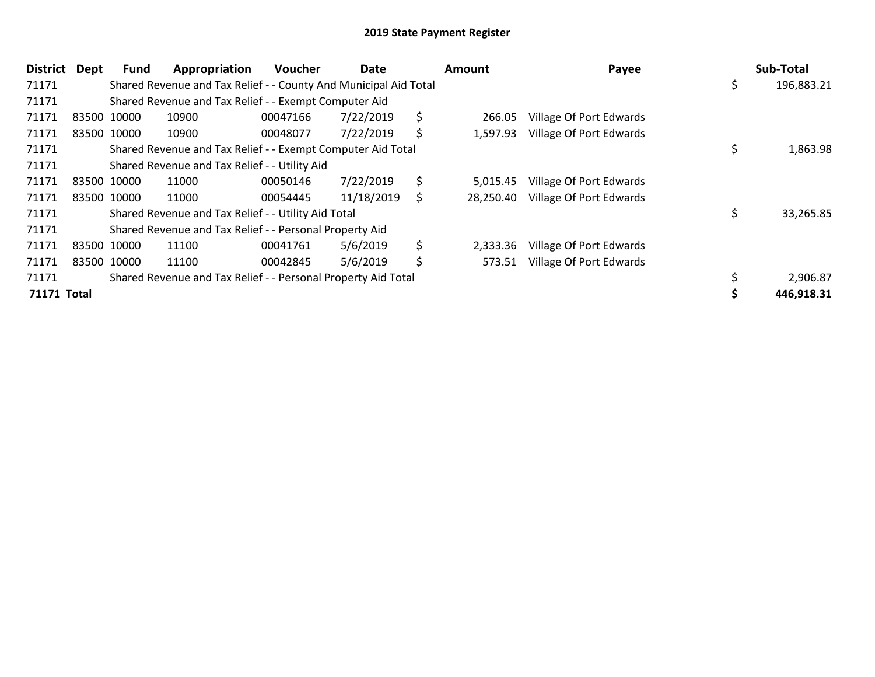| <b>District</b> | <b>Dept</b> | <b>Fund</b> | Appropriation                                                    | Voucher  | Date       |     | <b>Amount</b> | Payee                   |    | Sub-Total  |
|-----------------|-------------|-------------|------------------------------------------------------------------|----------|------------|-----|---------------|-------------------------|----|------------|
| 71171           |             |             | Shared Revenue and Tax Relief - - County And Municipal Aid Total |          |            |     |               |                         | ১  | 196,883.21 |
| 71171           |             |             | Shared Revenue and Tax Relief - - Exempt Computer Aid            |          |            |     |               |                         |    |            |
| 71171           |             | 83500 10000 | 10900                                                            | 00047166 | 7/22/2019  | \$  | 266.05        | Village Of Port Edwards |    |            |
| 71171           |             | 83500 10000 | 10900                                                            | 00048077 | 7/22/2019  | \$  | 1,597.93      | Village Of Port Edwards |    |            |
| 71171           |             |             | Shared Revenue and Tax Relief - - Exempt Computer Aid Total      |          |            |     |               |                         | \$ | 1,863.98   |
| 71171           |             |             | Shared Revenue and Tax Relief - - Utility Aid                    |          |            |     |               |                         |    |            |
| 71171           |             | 83500 10000 | 11000                                                            | 00050146 | 7/22/2019  | \$  | 5.015.45      | Village Of Port Edwards |    |            |
| 71171           |             | 83500 10000 | 11000                                                            | 00054445 | 11/18/2019 | \$. | 28,250.40     | Village Of Port Edwards |    |            |
| 71171           |             |             | Shared Revenue and Tax Relief - - Utility Aid Total              |          |            |     |               |                         |    | 33,265.85  |
| 71171           |             |             | Shared Revenue and Tax Relief - - Personal Property Aid          |          |            |     |               |                         |    |            |
| 71171           |             | 83500 10000 | 11100                                                            | 00041761 | 5/6/2019   | \$  | 2,333.36      | Village Of Port Edwards |    |            |
| 71171           |             | 83500 10000 | 11100                                                            | 00042845 | 5/6/2019   | \$  | 573.51        | Village Of Port Edwards |    |            |
| 71171           |             |             | Shared Revenue and Tax Relief - - Personal Property Aid Total    |          |            |     |               |                         |    | 2,906.87   |
| 71171 Total     |             |             |                                                                  |          |            |     |               |                         |    | 446,918.31 |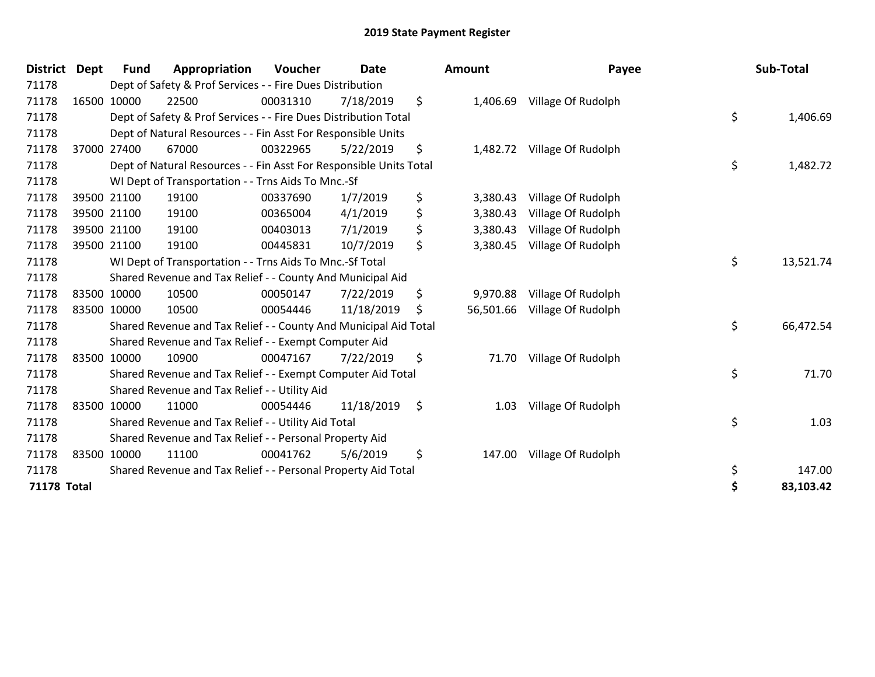| <b>District</b> | <b>Dept</b> | <b>Fund</b> | Appropriation                                                      | Voucher  | <b>Date</b> | <b>Amount</b>   | Payee                       | Sub-Total       |
|-----------------|-------------|-------------|--------------------------------------------------------------------|----------|-------------|-----------------|-----------------------------|-----------------|
| 71178           |             |             | Dept of Safety & Prof Services - - Fire Dues Distribution          |          |             |                 |                             |                 |
| 71178           |             | 16500 10000 | 22500                                                              | 00031310 | 7/18/2019   | \$<br>1,406.69  | Village Of Rudolph          |                 |
| 71178           |             |             | Dept of Safety & Prof Services - - Fire Dues Distribution Total    |          |             |                 |                             | \$<br>1,406.69  |
| 71178           |             |             | Dept of Natural Resources - - Fin Asst For Responsible Units       |          |             |                 |                             |                 |
| 71178           |             | 37000 27400 | 67000                                                              | 00322965 | 5/22/2019   | \$              | 1,482.72 Village Of Rudolph |                 |
| 71178           |             |             | Dept of Natural Resources - - Fin Asst For Responsible Units Total |          |             |                 |                             | \$<br>1,482.72  |
| 71178           |             |             | WI Dept of Transportation - - Trns Aids To Mnc.-Sf                 |          |             |                 |                             |                 |
| 71178           |             | 39500 21100 | 19100                                                              | 00337690 | 1/7/2019    | \$<br>3,380.43  | Village Of Rudolph          |                 |
| 71178           |             | 39500 21100 | 19100                                                              | 00365004 | 4/1/2019    | \$<br>3,380.43  | Village Of Rudolph          |                 |
| 71178           |             | 39500 21100 | 19100                                                              | 00403013 | 7/1/2019    | \$<br>3,380.43  | Village Of Rudolph          |                 |
| 71178           |             | 39500 21100 | 19100                                                              | 00445831 | 10/7/2019   | \$<br>3,380.45  | Village Of Rudolph          |                 |
| 71178           |             |             | WI Dept of Transportation - - Trns Aids To Mnc .- Sf Total         |          |             |                 |                             | \$<br>13,521.74 |
| 71178           |             |             | Shared Revenue and Tax Relief - - County And Municipal Aid         |          |             |                 |                             |                 |
| 71178           |             | 83500 10000 | 10500                                                              | 00050147 | 7/22/2019   | \$<br>9,970.88  | Village Of Rudolph          |                 |
| 71178           |             | 83500 10000 | 10500                                                              | 00054446 | 11/18/2019  | \$<br>56,501.66 | Village Of Rudolph          |                 |
| 71178           |             |             | Shared Revenue and Tax Relief - - County And Municipal Aid Total   |          |             |                 |                             | \$<br>66,472.54 |
| 71178           |             |             | Shared Revenue and Tax Relief - - Exempt Computer Aid              |          |             |                 |                             |                 |
| 71178           |             | 83500 10000 | 10900                                                              | 00047167 | 7/22/2019   | \$<br>71.70     | Village Of Rudolph          |                 |
| 71178           |             |             | Shared Revenue and Tax Relief - - Exempt Computer Aid Total        |          |             |                 |                             | \$<br>71.70     |
| 71178           |             |             | Shared Revenue and Tax Relief - - Utility Aid                      |          |             |                 |                             |                 |
| 71178           |             | 83500 10000 | 11000                                                              | 00054446 | 11/18/2019  | \$<br>1.03      | Village Of Rudolph          |                 |
| 71178           |             |             | Shared Revenue and Tax Relief - - Utility Aid Total                |          |             |                 |                             | \$<br>1.03      |
| 71178           |             |             | Shared Revenue and Tax Relief - - Personal Property Aid            |          |             |                 |                             |                 |
| 71178           |             | 83500 10000 | 11100                                                              | 00041762 | 5/6/2019    | \$<br>147.00    | Village Of Rudolph          |                 |
| 71178           |             |             | Shared Revenue and Tax Relief - - Personal Property Aid Total      |          |             |                 |                             | \$<br>147.00    |
| 71178 Total     |             |             |                                                                    |          |             |                 |                             | \$<br>83,103.42 |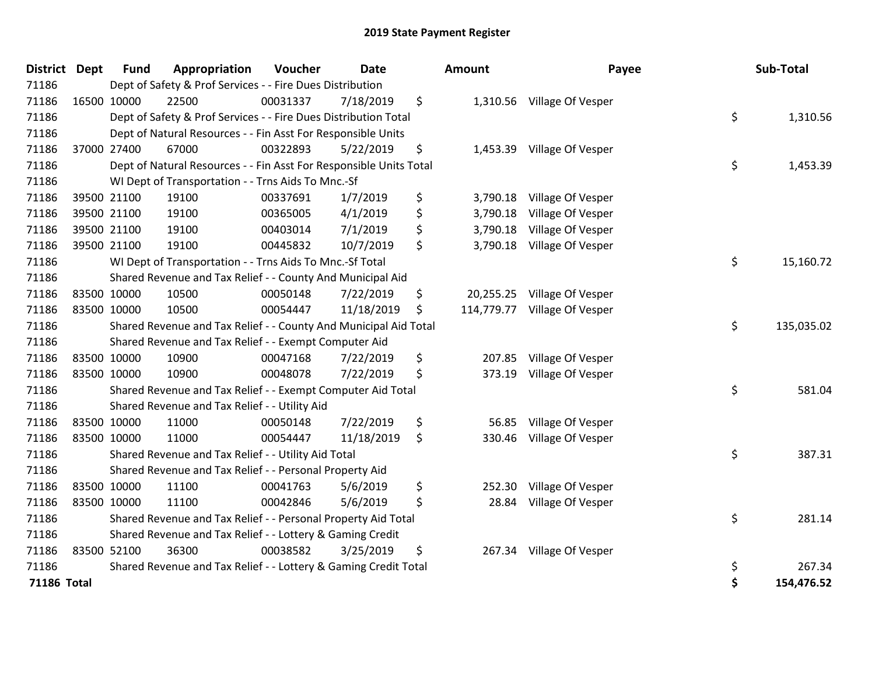| <b>District Dept</b> | <b>Fund</b> | Appropriation                                                      | Voucher  | <b>Date</b> | Amount         | Payee                        | Sub-Total        |
|----------------------|-------------|--------------------------------------------------------------------|----------|-------------|----------------|------------------------------|------------------|
| 71186                |             | Dept of Safety & Prof Services - - Fire Dues Distribution          |          |             |                |                              |                  |
| 71186                | 16500 10000 | 22500                                                              | 00031337 | 7/18/2019   | \$             | 1,310.56 Village Of Vesper   |                  |
| 71186                |             | Dept of Safety & Prof Services - - Fire Dues Distribution Total    |          |             |                |                              | \$<br>1,310.56   |
| 71186                |             | Dept of Natural Resources - - Fin Asst For Responsible Units       |          |             |                |                              |                  |
| 71186                | 37000 27400 | 67000                                                              | 00322893 | 5/22/2019   | \$<br>1,453.39 | Village Of Vesper            |                  |
| 71186                |             | Dept of Natural Resources - - Fin Asst For Responsible Units Total |          |             |                |                              | \$<br>1,453.39   |
| 71186                |             | WI Dept of Transportation - - Trns Aids To Mnc.-Sf                 |          |             |                |                              |                  |
| 71186                | 39500 21100 | 19100                                                              | 00337691 | 1/7/2019    | \$<br>3,790.18 | Village Of Vesper            |                  |
| 71186                | 39500 21100 | 19100                                                              | 00365005 | 4/1/2019    | \$<br>3,790.18 | Village Of Vesper            |                  |
| 71186                | 39500 21100 | 19100                                                              | 00403014 | 7/1/2019    | \$<br>3,790.18 | Village Of Vesper            |                  |
| 71186                | 39500 21100 | 19100                                                              | 00445832 | 10/7/2019   | \$<br>3,790.18 | Village Of Vesper            |                  |
| 71186                |             | WI Dept of Transportation - - Trns Aids To Mnc.-Sf Total           |          |             |                |                              | \$<br>15,160.72  |
| 71186                |             | Shared Revenue and Tax Relief - - County And Municipal Aid         |          |             |                |                              |                  |
| 71186                | 83500 10000 | 10500                                                              | 00050148 | 7/22/2019   | \$             | 20,255.25 Village Of Vesper  |                  |
| 71186                | 83500 10000 | 10500                                                              | 00054447 | 11/18/2019  | \$             | 114,779.77 Village Of Vesper |                  |
| 71186                |             | Shared Revenue and Tax Relief - - County And Municipal Aid Total   |          |             |                |                              | \$<br>135,035.02 |
| 71186                |             | Shared Revenue and Tax Relief - - Exempt Computer Aid              |          |             |                |                              |                  |
| 71186                | 83500 10000 | 10900                                                              | 00047168 | 7/22/2019   | \$<br>207.85   | Village Of Vesper            |                  |
| 71186                | 83500 10000 | 10900                                                              | 00048078 | 7/22/2019   | \$<br>373.19   | Village Of Vesper            |                  |
| 71186                |             | Shared Revenue and Tax Relief - - Exempt Computer Aid Total        |          |             |                |                              | \$<br>581.04     |
| 71186                |             | Shared Revenue and Tax Relief - - Utility Aid                      |          |             |                |                              |                  |
| 71186                | 83500 10000 | 11000                                                              | 00050148 | 7/22/2019   | \$<br>56.85    | Village Of Vesper            |                  |
| 71186                | 83500 10000 | 11000                                                              | 00054447 | 11/18/2019  | \$<br>330.46   | Village Of Vesper            |                  |
| 71186                |             | Shared Revenue and Tax Relief - - Utility Aid Total                |          |             |                |                              | \$<br>387.31     |
| 71186                |             | Shared Revenue and Tax Relief - - Personal Property Aid            |          |             |                |                              |                  |
| 71186                | 83500 10000 | 11100                                                              | 00041763 | 5/6/2019    | \$<br>252.30   | Village Of Vesper            |                  |
| 71186                | 83500 10000 | 11100                                                              | 00042846 | 5/6/2019    | \$<br>28.84    | Village Of Vesper            |                  |
| 71186                |             | Shared Revenue and Tax Relief - - Personal Property Aid Total      |          |             |                |                              | \$<br>281.14     |
| 71186                |             | Shared Revenue and Tax Relief - - Lottery & Gaming Credit          |          |             |                |                              |                  |
| 71186                | 83500 52100 | 36300                                                              | 00038582 | 3/25/2019   | \$             | 267.34 Village Of Vesper     |                  |
| 71186                |             | Shared Revenue and Tax Relief - - Lottery & Gaming Credit Total    |          |             |                |                              | \$<br>267.34     |
| <b>71186 Total</b>   |             |                                                                    |          |             |                |                              | \$<br>154,476.52 |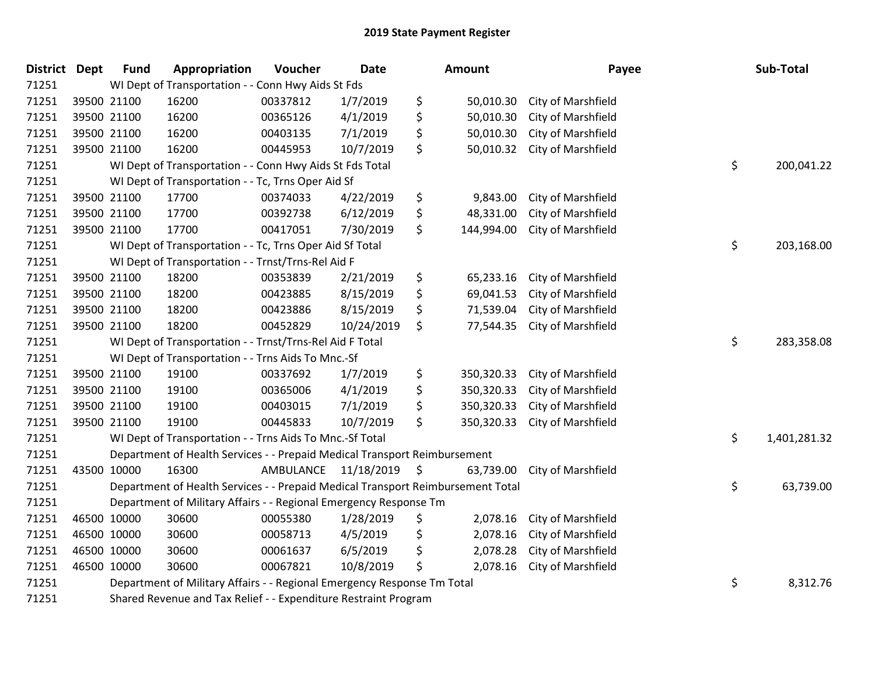| District Dept |             | <b>Fund</b> | Appropriation                                                                   | Voucher   | <b>Date</b> | Amount           | Payee              | Sub-Total          |
|---------------|-------------|-------------|---------------------------------------------------------------------------------|-----------|-------------|------------------|--------------------|--------------------|
| 71251         |             |             | WI Dept of Transportation - - Conn Hwy Aids St Fds                              |           |             |                  |                    |                    |
| 71251         | 39500 21100 |             | 16200                                                                           | 00337812  | 1/7/2019    | \$<br>50,010.30  | City of Marshfield |                    |
| 71251         | 39500 21100 |             | 16200                                                                           | 00365126  | 4/1/2019    | \$<br>50,010.30  | City of Marshfield |                    |
| 71251         | 39500 21100 |             | 16200                                                                           | 00403135  | 7/1/2019    | \$<br>50,010.30  | City of Marshfield |                    |
| 71251         | 39500 21100 |             | 16200                                                                           | 00445953  | 10/7/2019   | \$<br>50,010.32  | City of Marshfield |                    |
| 71251         |             |             | WI Dept of Transportation - - Conn Hwy Aids St Fds Total                        |           |             |                  |                    | \$<br>200,041.22   |
| 71251         |             |             | WI Dept of Transportation - - Tc, Trns Oper Aid Sf                              |           |             |                  |                    |                    |
| 71251         | 39500 21100 |             | 17700                                                                           | 00374033  | 4/22/2019   | \$<br>9,843.00   | City of Marshfield |                    |
| 71251         | 39500 21100 |             | 17700                                                                           | 00392738  | 6/12/2019   | \$<br>48,331.00  | City of Marshfield |                    |
| 71251         | 39500 21100 |             | 17700                                                                           | 00417051  | 7/30/2019   | \$<br>144,994.00 | City of Marshfield |                    |
| 71251         |             |             | WI Dept of Transportation - - Tc, Trns Oper Aid Sf Total                        |           |             |                  |                    | \$<br>203,168.00   |
| 71251         |             |             | WI Dept of Transportation - - Trnst/Trns-Rel Aid F                              |           |             |                  |                    |                    |
| 71251         | 39500 21100 |             | 18200                                                                           | 00353839  | 2/21/2019   | \$<br>65,233.16  | City of Marshfield |                    |
| 71251         | 39500 21100 |             | 18200                                                                           | 00423885  | 8/15/2019   | \$<br>69,041.53  | City of Marshfield |                    |
| 71251         |             | 39500 21100 | 18200                                                                           | 00423886  | 8/15/2019   | \$<br>71,539.04  | City of Marshfield |                    |
| 71251         | 39500 21100 |             | 18200                                                                           | 00452829  | 10/24/2019  | \$<br>77,544.35  | City of Marshfield |                    |
| 71251         |             |             | WI Dept of Transportation - - Trnst/Trns-Rel Aid F Total                        |           |             |                  |                    | \$<br>283,358.08   |
| 71251         |             |             | WI Dept of Transportation - - Trns Aids To Mnc.-Sf                              |           |             |                  |                    |                    |
| 71251         | 39500 21100 |             | 19100                                                                           | 00337692  | 1/7/2019    | \$<br>350,320.33 | City of Marshfield |                    |
| 71251         |             | 39500 21100 | 19100                                                                           | 00365006  | 4/1/2019    | \$<br>350,320.33 | City of Marshfield |                    |
| 71251         | 39500 21100 |             | 19100                                                                           | 00403015  | 7/1/2019    | \$<br>350,320.33 | City of Marshfield |                    |
| 71251         | 39500 21100 |             | 19100                                                                           | 00445833  | 10/7/2019   | \$<br>350,320.33 | City of Marshfield |                    |
| 71251         |             |             | WI Dept of Transportation - - Trns Aids To Mnc.-Sf Total                        |           |             |                  |                    | \$<br>1,401,281.32 |
| 71251         |             |             | Department of Health Services - - Prepaid Medical Transport Reimbursement       |           |             |                  |                    |                    |
| 71251         | 43500 10000 |             | 16300                                                                           | AMBULANCE | 11/18/2019  | \$<br>63,739.00  | City of Marshfield |                    |
| 71251         |             |             | Department of Health Services - - Prepaid Medical Transport Reimbursement Total |           |             |                  |                    | \$<br>63,739.00    |
| 71251         |             |             | Department of Military Affairs - - Regional Emergency Response Tm               |           |             |                  |                    |                    |
| 71251         | 46500 10000 |             | 30600                                                                           | 00055380  | 1/28/2019   | \$<br>2,078.16   | City of Marshfield |                    |
| 71251         | 46500 10000 |             | 30600                                                                           | 00058713  | 4/5/2019    | \$<br>2,078.16   | City of Marshfield |                    |
| 71251         | 46500 10000 |             | 30600                                                                           | 00061637  | 6/5/2019    | \$<br>2,078.28   | City of Marshfield |                    |
| 71251         | 46500 10000 |             | 30600                                                                           | 00067821  | 10/8/2019   | \$<br>2,078.16   | City of Marshfield |                    |
| 71251         |             |             | Department of Military Affairs - - Regional Emergency Response Tm Total         |           |             |                  |                    | \$<br>8,312.76     |
| 71251         |             |             | Shared Revenue and Tax Relief - - Expenditure Restraint Program                 |           |             |                  |                    |                    |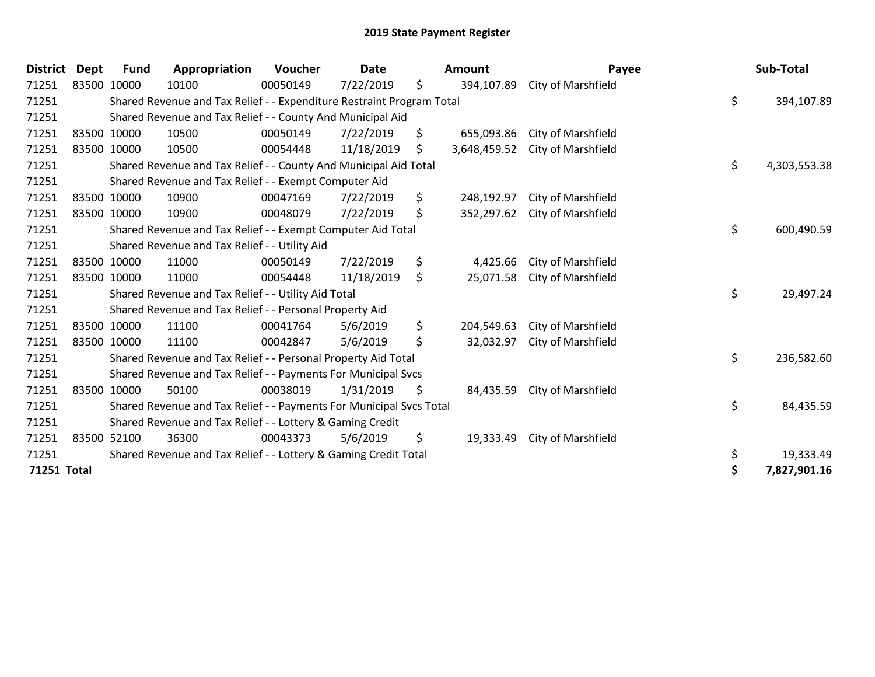| <b>District</b> | Dept        | <b>Fund</b> | Appropriation                                                         | <b>Voucher</b> | Date       | <b>Amount</b>      | Payee                     | Sub-Total          |
|-----------------|-------------|-------------|-----------------------------------------------------------------------|----------------|------------|--------------------|---------------------------|--------------------|
| 71251           |             | 83500 10000 | 10100                                                                 | 00050149       | 7/22/2019  | \$<br>394,107.89   | City of Marshfield        |                    |
| 71251           |             |             | Shared Revenue and Tax Relief - - Expenditure Restraint Program Total |                |            |                    |                           | \$<br>394,107.89   |
| 71251           |             |             | Shared Revenue and Tax Relief - - County And Municipal Aid            |                |            |                    |                           |                    |
| 71251           |             | 83500 10000 | 10500                                                                 | 00050149       | 7/22/2019  | \$<br>655,093.86   | City of Marshfield        |                    |
| 71251           | 83500 10000 |             | 10500                                                                 | 00054448       | 11/18/2019 | \$<br>3,648,459.52 | City of Marshfield        |                    |
| 71251           |             |             | Shared Revenue and Tax Relief - - County And Municipal Aid Total      |                |            |                    |                           | \$<br>4,303,553.38 |
| 71251           |             |             | Shared Revenue and Tax Relief - - Exempt Computer Aid                 |                |            |                    |                           |                    |
| 71251           |             | 83500 10000 | 10900                                                                 | 00047169       | 7/22/2019  | \$<br>248,192.97   | City of Marshfield        |                    |
| 71251           | 83500 10000 |             | 10900                                                                 | 00048079       | 7/22/2019  | \$<br>352,297.62   | <b>City of Marshfield</b> |                    |
| 71251           |             |             | Shared Revenue and Tax Relief - - Exempt Computer Aid Total           |                |            |                    |                           | \$<br>600,490.59   |
| 71251           |             |             | Shared Revenue and Tax Relief - - Utility Aid                         |                |            |                    |                           |                    |
| 71251           |             | 83500 10000 | 11000                                                                 | 00050149       | 7/22/2019  | \$<br>4,425.66     | City of Marshfield        |                    |
| 71251           | 83500 10000 |             | 11000                                                                 | 00054448       | 11/18/2019 | \$<br>25,071.58    | City of Marshfield        |                    |
| 71251           |             |             | Shared Revenue and Tax Relief - - Utility Aid Total                   |                |            |                    |                           | \$<br>29,497.24    |
| 71251           |             |             | Shared Revenue and Tax Relief - - Personal Property Aid               |                |            |                    |                           |                    |
| 71251           |             | 83500 10000 | 11100                                                                 | 00041764       | 5/6/2019   | \$<br>204,549.63   | City of Marshfield        |                    |
| 71251           |             | 83500 10000 | 11100                                                                 | 00042847       | 5/6/2019   | \$<br>32,032.97    | City of Marshfield        |                    |
| 71251           |             |             | Shared Revenue and Tax Relief - - Personal Property Aid Total         |                |            |                    |                           | \$<br>236,582.60   |
| 71251           |             |             | Shared Revenue and Tax Relief - - Payments For Municipal Svcs         |                |            |                    |                           |                    |
| 71251           |             | 83500 10000 | 50100                                                                 | 00038019       | 1/31/2019  | \$<br>84,435.59    | City of Marshfield        |                    |
| 71251           |             |             | Shared Revenue and Tax Relief - - Payments For Municipal Svcs Total   |                |            |                    |                           | \$<br>84,435.59    |
| 71251           |             |             | Shared Revenue and Tax Relief - - Lottery & Gaming Credit             |                |            |                    |                           |                    |
| 71251           |             | 83500 52100 | 36300                                                                 | 00043373       | 5/6/2019   | \$<br>19,333.49    | City of Marshfield        |                    |
| 71251           |             |             | Shared Revenue and Tax Relief - - Lottery & Gaming Credit Total       |                |            |                    |                           | \$<br>19,333.49    |
| 71251 Total     |             |             |                                                                       |                |            |                    |                           | \$<br>7,827,901.16 |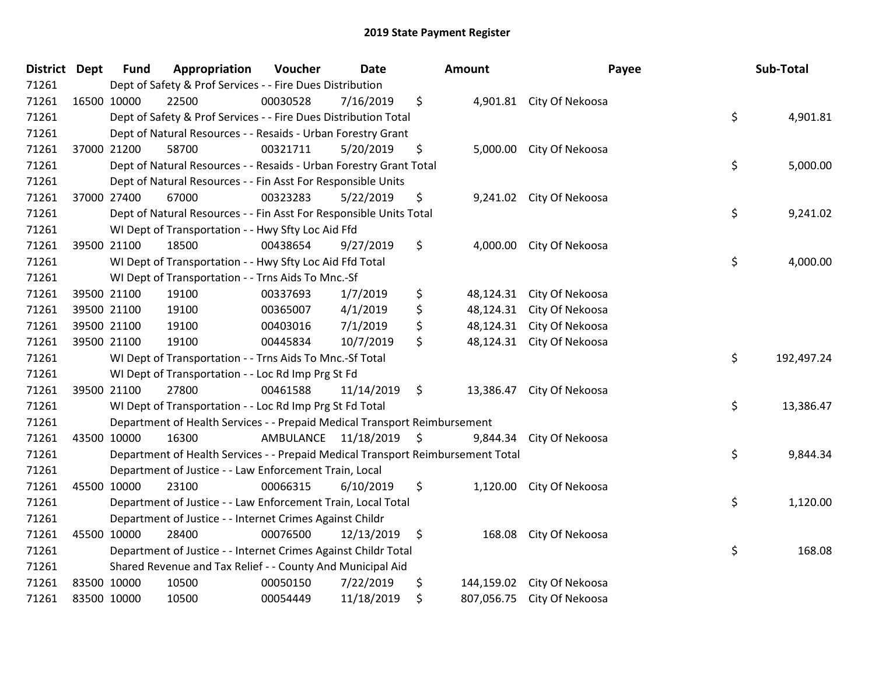| District Dept | <b>Fund</b> | Appropriation                                                                   | Voucher                 | <b>Date</b> |     | Amount     | Payee                      | Sub-Total        |
|---------------|-------------|---------------------------------------------------------------------------------|-------------------------|-------------|-----|------------|----------------------------|------------------|
| 71261         |             | Dept of Safety & Prof Services - - Fire Dues Distribution                       |                         |             |     |            |                            |                  |
| 71261         | 16500 10000 | 22500                                                                           | 00030528                | 7/16/2019   | \$  |            | 4,901.81 City Of Nekoosa   |                  |
| 71261         |             | Dept of Safety & Prof Services - - Fire Dues Distribution Total                 |                         |             |     |            |                            | \$<br>4,901.81   |
| 71261         |             | Dept of Natural Resources - - Resaids - Urban Forestry Grant                    |                         |             |     |            |                            |                  |
| 71261         | 37000 21200 | 58700                                                                           | 00321711                | 5/20/2019   | \$  | 5,000.00   | City Of Nekoosa            |                  |
| 71261         |             | Dept of Natural Resources - - Resaids - Urban Forestry Grant Total              |                         |             |     |            |                            | \$<br>5,000.00   |
| 71261         |             | Dept of Natural Resources - - Fin Asst For Responsible Units                    |                         |             |     |            |                            |                  |
| 71261         | 37000 27400 | 67000                                                                           | 00323283                | 5/22/2019   | \$  |            | 9,241.02 City Of Nekoosa   |                  |
| 71261         |             | Dept of Natural Resources - - Fin Asst For Responsible Units Total              |                         |             |     |            |                            | \$<br>9,241.02   |
| 71261         |             | WI Dept of Transportation - - Hwy Sfty Loc Aid Ffd                              |                         |             |     |            |                            |                  |
| 71261         | 39500 21100 | 18500                                                                           | 00438654                | 9/27/2019   | \$  | 4,000.00   | City Of Nekoosa            |                  |
| 71261         |             | WI Dept of Transportation - - Hwy Sfty Loc Aid Ffd Total                        |                         |             |     |            |                            | \$<br>4,000.00   |
| 71261         |             | WI Dept of Transportation - - Trns Aids To Mnc.-Sf                              |                         |             |     |            |                            |                  |
| 71261         | 39500 21100 | 19100                                                                           | 00337693                | 1/7/2019    | \$  | 48,124.31  | City Of Nekoosa            |                  |
| 71261         | 39500 21100 | 19100                                                                           | 00365007                | 4/1/2019    | \$  | 48,124.31  | City Of Nekoosa            |                  |
| 71261         | 39500 21100 | 19100                                                                           | 00403016                | 7/1/2019    | \$  | 48,124.31  | City Of Nekoosa            |                  |
| 71261         | 39500 21100 | 19100                                                                           | 00445834                | 10/7/2019   | \$  |            | 48,124.31 City Of Nekoosa  |                  |
| 71261         |             | WI Dept of Transportation - - Trns Aids To Mnc.-Sf Total                        |                         |             |     |            |                            | \$<br>192,497.24 |
| 71261         |             | WI Dept of Transportation - - Loc Rd Imp Prg St Fd                              |                         |             |     |            |                            |                  |
| 71261         | 39500 21100 | 27800                                                                           | 00461588                | 11/14/2019  | \$  |            | 13,386.47 City Of Nekoosa  |                  |
| 71261         |             | WI Dept of Transportation - - Loc Rd Imp Prg St Fd Total                        |                         |             |     |            |                            | \$<br>13,386.47  |
| 71261         |             | Department of Health Services - - Prepaid Medical Transport Reimbursement       |                         |             |     |            |                            |                  |
| 71261         | 43500 10000 | 16300                                                                           | AMBULANCE 11/18/2019 \$ |             |     |            | 9,844.34 City Of Nekoosa   |                  |
| 71261         |             | Department of Health Services - - Prepaid Medical Transport Reimbursement Total |                         |             |     |            |                            | \$<br>9,844.34   |
| 71261         |             | Department of Justice - - Law Enforcement Train, Local                          |                         |             |     |            |                            |                  |
| 71261         | 45500 10000 | 23100                                                                           | 00066315                | 6/10/2019   | \$  | 1,120.00   | City Of Nekoosa            |                  |
| 71261         |             | Department of Justice - - Law Enforcement Train, Local Total                    |                         |             |     |            |                            | \$<br>1,120.00   |
| 71261         |             | Department of Justice - - Internet Crimes Against Childr                        |                         |             |     |            |                            |                  |
| 71261         | 45500 10000 | 28400                                                                           | 00076500                | 12/13/2019  | -\$ | 168.08     | City Of Nekoosa            |                  |
| 71261         |             | Department of Justice - - Internet Crimes Against Childr Total                  |                         |             |     |            |                            | \$<br>168.08     |
| 71261         |             | Shared Revenue and Tax Relief - - County And Municipal Aid                      |                         |             |     |            |                            |                  |
| 71261         | 83500 10000 | 10500                                                                           | 00050150                | 7/22/2019   | \$  | 144,159.02 | City Of Nekoosa            |                  |
| 71261         | 83500 10000 | 10500                                                                           | 00054449                | 11/18/2019  | \$  |            | 807,056.75 City Of Nekoosa |                  |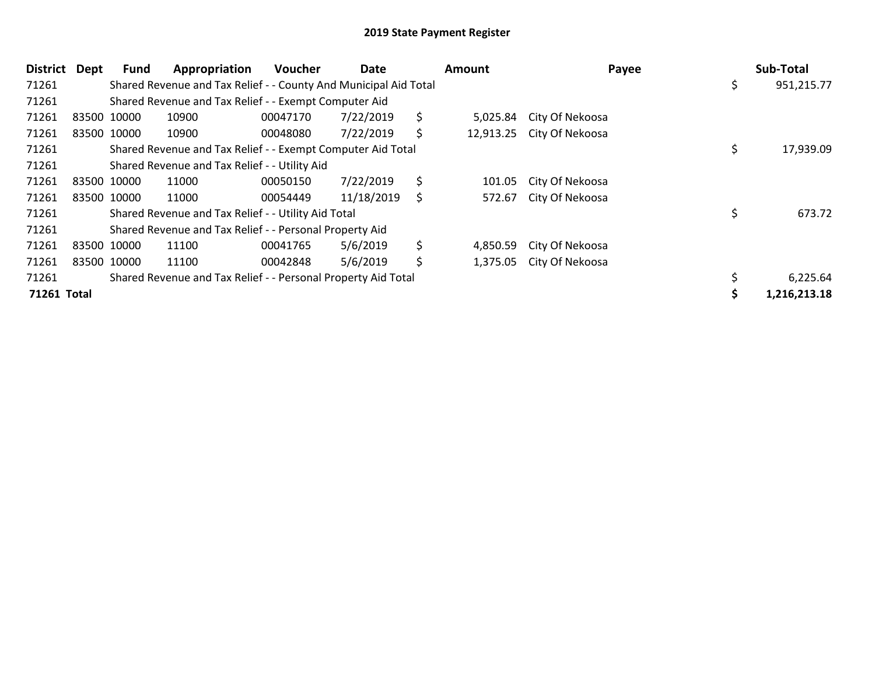| <b>District</b> | Dept | Fund        | Appropriation                                                    | <b>Voucher</b> | Date       | Amount         | Payee                     | Sub-Total    |
|-----------------|------|-------------|------------------------------------------------------------------|----------------|------------|----------------|---------------------------|--------------|
| 71261           |      |             | Shared Revenue and Tax Relief - - County And Municipal Aid Total |                |            |                |                           | 951,215.77   |
| 71261           |      |             | Shared Revenue and Tax Relief - - Exempt Computer Aid            |                |            |                |                           |              |
| 71261           |      | 83500 10000 | 10900                                                            | 00047170       | 7/22/2019  | \$<br>5,025.84 | City Of Nekoosa           |              |
| 71261           |      | 83500 10000 | 10900                                                            | 00048080       | 7/22/2019  | \$             | 12,913.25 City Of Nekoosa |              |
| 71261           |      |             | Shared Revenue and Tax Relief - - Exempt Computer Aid Total      |                |            |                |                           | 17,939.09    |
| 71261           |      |             | Shared Revenue and Tax Relief - - Utility Aid                    |                |            |                |                           |              |
| 71261           |      | 83500 10000 | 11000                                                            | 00050150       | 7/22/2019  | \$<br>101.05   | City Of Nekoosa           |              |
| 71261           |      | 83500 10000 | 11000                                                            | 00054449       | 11/18/2019 | \$<br>572.67   | City Of Nekoosa           |              |
| 71261           |      |             | Shared Revenue and Tax Relief - - Utility Aid Total              |                |            |                |                           | 673.72       |
| 71261           |      |             | Shared Revenue and Tax Relief - - Personal Property Aid          |                |            |                |                           |              |
| 71261           |      | 83500 10000 | 11100                                                            | 00041765       | 5/6/2019   | \$<br>4,850.59 | City Of Nekoosa           |              |
| 71261           |      | 83500 10000 | 11100                                                            | 00042848       | 5/6/2019   | \$<br>1,375.05 | City Of Nekoosa           |              |
| 71261           |      |             | Shared Revenue and Tax Relief - - Personal Property Aid Total    |                |            |                |                           | 6,225.64     |
| 71261 Total     |      |             |                                                                  |                |            |                |                           | 1,216,213.18 |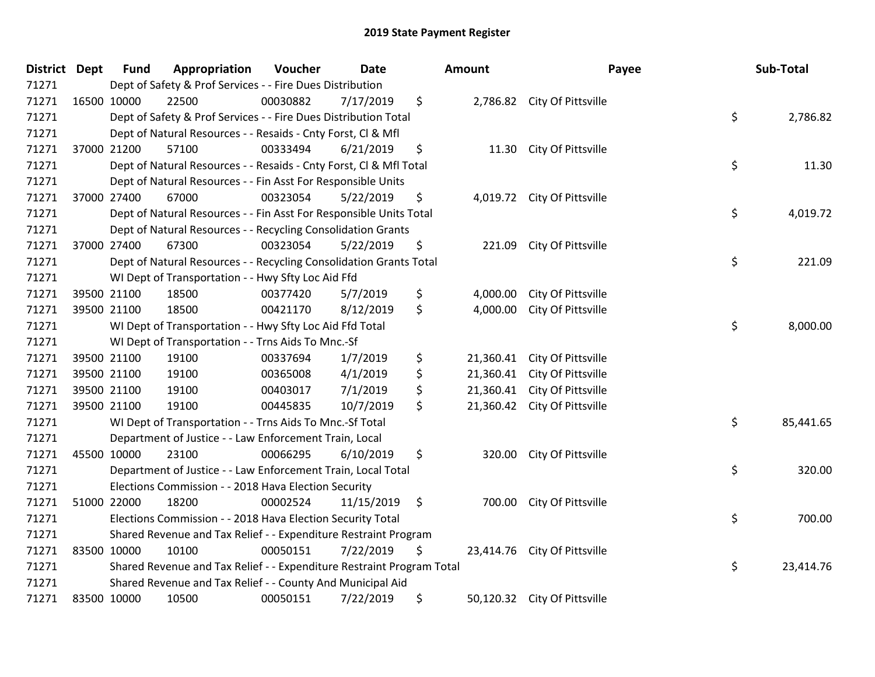| <b>District</b> | <b>Dept</b> | <b>Fund</b> | Appropriation                                                         | Voucher  | <b>Date</b> |     | Amount    |                              | Payee | Sub-Total |
|-----------------|-------------|-------------|-----------------------------------------------------------------------|----------|-------------|-----|-----------|------------------------------|-------|-----------|
| 71271           |             |             | Dept of Safety & Prof Services - - Fire Dues Distribution             |          |             |     |           |                              |       |           |
| 71271           |             | 16500 10000 | 22500                                                                 | 00030882 | 7/17/2019   | \$  |           | 2,786.82 City Of Pittsville  |       |           |
| 71271           |             |             | Dept of Safety & Prof Services - - Fire Dues Distribution Total       |          |             |     |           |                              | \$    | 2,786.82  |
| 71271           |             |             | Dept of Natural Resources - - Resaids - Cnty Forst, CI & Mfl          |          |             |     |           |                              |       |           |
| 71271           |             | 37000 21200 | 57100                                                                 | 00333494 | 6/21/2019   | \$  | 11.30     | City Of Pittsville           |       |           |
| 71271           |             |             | Dept of Natural Resources - - Resaids - Cnty Forst, CI & Mfl Total    |          |             |     |           |                              | \$    | 11.30     |
| 71271           |             |             | Dept of Natural Resources - - Fin Asst For Responsible Units          |          |             |     |           |                              |       |           |
| 71271           |             | 37000 27400 | 67000                                                                 | 00323054 | 5/22/2019   | \$  |           | 4,019.72 City Of Pittsville  |       |           |
| 71271           |             |             | Dept of Natural Resources - - Fin Asst For Responsible Units Total    |          |             |     |           |                              | \$    | 4,019.72  |
| 71271           |             |             | Dept of Natural Resources - - Recycling Consolidation Grants          |          |             |     |           |                              |       |           |
| 71271           |             | 37000 27400 | 67300                                                                 | 00323054 | 5/22/2019   | \$  | 221.09    | City Of Pittsville           |       |           |
| 71271           |             |             | Dept of Natural Resources - - Recycling Consolidation Grants Total    |          |             |     |           |                              | \$    | 221.09    |
| 71271           |             |             | WI Dept of Transportation - - Hwy Sfty Loc Aid Ffd                    |          |             |     |           |                              |       |           |
| 71271           |             | 39500 21100 | 18500                                                                 | 00377420 | 5/7/2019    | \$  | 4,000.00  | City Of Pittsville           |       |           |
| 71271           |             | 39500 21100 | 18500                                                                 | 00421170 | 8/12/2019   | \$  | 4,000.00  | City Of Pittsville           |       |           |
| 71271           |             |             | WI Dept of Transportation - - Hwy Sfty Loc Aid Ffd Total              |          |             |     |           |                              | \$    | 8,000.00  |
| 71271           |             |             | WI Dept of Transportation - - Trns Aids To Mnc.-Sf                    |          |             |     |           |                              |       |           |
| 71271           |             | 39500 21100 | 19100                                                                 | 00337694 | 1/7/2019    | \$  | 21,360.41 | City Of Pittsville           |       |           |
| 71271           |             | 39500 21100 | 19100                                                                 | 00365008 | 4/1/2019    | \$  | 21,360.41 | City Of Pittsville           |       |           |
| 71271           |             | 39500 21100 | 19100                                                                 | 00403017 | 7/1/2019    | \$  | 21,360.41 | City Of Pittsville           |       |           |
| 71271           |             | 39500 21100 | 19100                                                                 | 00445835 | 10/7/2019   | \$  | 21,360.42 | City Of Pittsville           |       |           |
| 71271           |             |             | WI Dept of Transportation - - Trns Aids To Mnc.-Sf Total              |          |             |     |           |                              | \$    | 85,441.65 |
| 71271           |             |             | Department of Justice - - Law Enforcement Train, Local                |          |             |     |           |                              |       |           |
| 71271           |             | 45500 10000 | 23100                                                                 | 00066295 | 6/10/2019   | \$  | 320.00    | City Of Pittsville           |       |           |
| 71271           |             |             | Department of Justice - - Law Enforcement Train, Local Total          |          |             |     |           |                              | \$    | 320.00    |
| 71271           |             |             | Elections Commission - - 2018 Hava Election Security                  |          |             |     |           |                              |       |           |
| 71271           |             | 51000 22000 | 18200                                                                 | 00002524 | 11/15/2019  | -\$ | 700.00    | City Of Pittsville           |       |           |
| 71271           |             |             | Elections Commission - - 2018 Hava Election Security Total            |          |             |     |           |                              | \$    | 700.00    |
| 71271           |             |             | Shared Revenue and Tax Relief - - Expenditure Restraint Program       |          |             |     |           |                              |       |           |
| 71271           |             | 83500 10000 | 10100                                                                 | 00050151 | 7/22/2019   | \$  | 23,414.76 | City Of Pittsville           |       |           |
| 71271           |             |             | Shared Revenue and Tax Relief - - Expenditure Restraint Program Total |          |             |     |           |                              | \$    | 23,414.76 |
| 71271           |             |             | Shared Revenue and Tax Relief - - County And Municipal Aid            |          |             |     |           |                              |       |           |
| 71271           |             | 83500 10000 | 10500                                                                 | 00050151 | 7/22/2019   | \$  |           | 50,120.32 City Of Pittsville |       |           |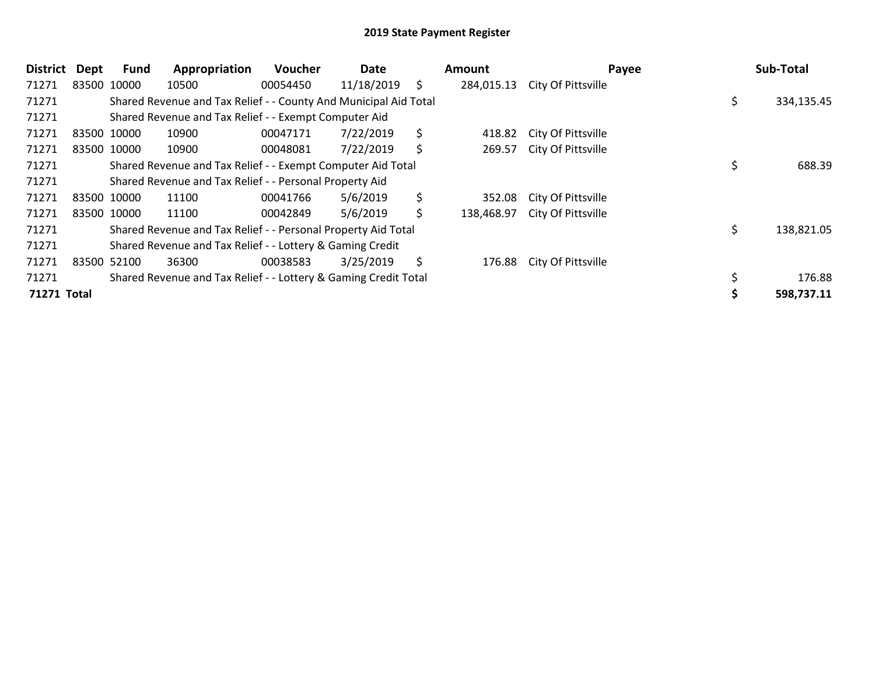| <b>District</b> | <b>Dept</b> | Fund        | Appropriation                                                    | Voucher  | Date       | Amount           | Payee              |     | Sub-Total  |
|-----------------|-------------|-------------|------------------------------------------------------------------|----------|------------|------------------|--------------------|-----|------------|
| 71271           |             | 83500 10000 | 10500                                                            | 00054450 | 11/18/2019 | \$<br>284,015.13 | City Of Pittsville |     |            |
| 71271           |             |             | Shared Revenue and Tax Relief - - County And Municipal Aid Total |          |            |                  |                    | \$. | 334,135.45 |
| 71271           |             |             | Shared Revenue and Tax Relief - - Exempt Computer Aid            |          |            |                  |                    |     |            |
| 71271           |             | 83500 10000 | 10900                                                            | 00047171 | 7/22/2019  | \$<br>418.82     | City Of Pittsville |     |            |
| 71271           |             | 83500 10000 | 10900                                                            | 00048081 | 7/22/2019  | \$<br>269.57     | City Of Pittsville |     |            |
| 71271           |             |             | Shared Revenue and Tax Relief - - Exempt Computer Aid Total      |          |            |                  |                    |     | 688.39     |
| 71271           |             |             | Shared Revenue and Tax Relief - - Personal Property Aid          |          |            |                  |                    |     |            |
| 71271           |             | 83500 10000 | 11100                                                            | 00041766 | 5/6/2019   | \$<br>352.08     | City Of Pittsville |     |            |
| 71271           |             | 83500 10000 | 11100                                                            | 00042849 | 5/6/2019   | \$<br>138,468.97 | City Of Pittsville |     |            |
| 71271           |             |             | Shared Revenue and Tax Relief - - Personal Property Aid Total    |          |            |                  |                    | \$  | 138,821.05 |
| 71271           |             |             | Shared Revenue and Tax Relief - - Lottery & Gaming Credit        |          |            |                  |                    |     |            |
| 71271           |             | 83500 52100 | 36300                                                            | 00038583 | 3/25/2019  | \$<br>176.88     | City Of Pittsville |     |            |
| 71271           |             |             | Shared Revenue and Tax Relief - - Lottery & Gaming Credit Total  |          |            |                  |                    |     | 176.88     |
| 71271 Total     |             |             |                                                                  |          |            |                  |                    |     | 598,737.11 |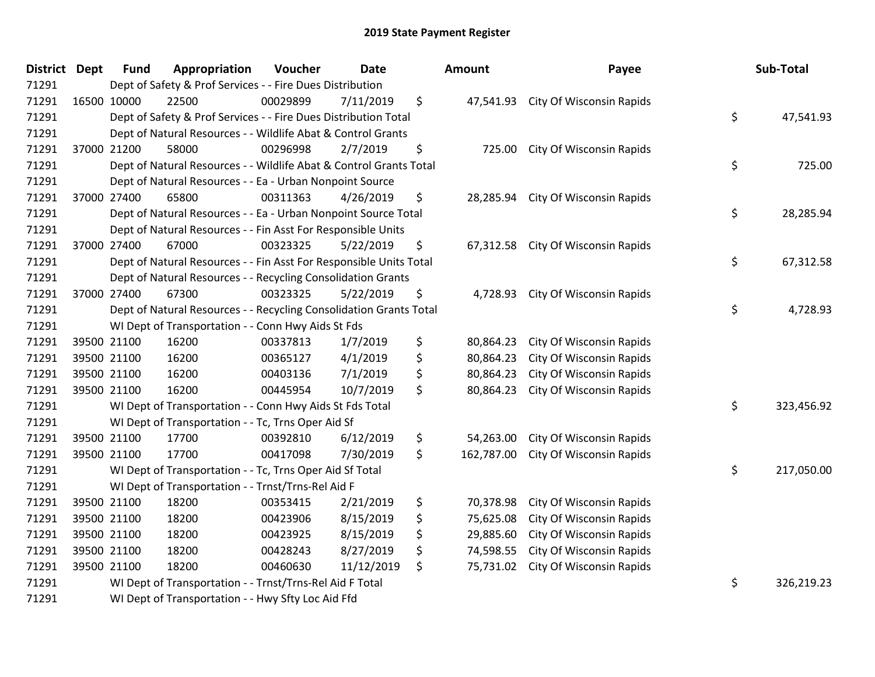| <b>District Dept</b> | <b>Fund</b> | Appropriation                                                      | Voucher  | <b>Date</b> | Amount           | Payee                           | Sub-Total        |
|----------------------|-------------|--------------------------------------------------------------------|----------|-------------|------------------|---------------------------------|------------------|
| 71291                |             | Dept of Safety & Prof Services - - Fire Dues Distribution          |          |             |                  |                                 |                  |
| 71291                | 16500 10000 | 22500                                                              | 00029899 | 7/11/2019   | \$<br>47,541.93  | <b>City Of Wisconsin Rapids</b> |                  |
| 71291                |             | Dept of Safety & Prof Services - - Fire Dues Distribution Total    |          |             |                  |                                 | \$<br>47,541.93  |
| 71291                |             | Dept of Natural Resources - - Wildlife Abat & Control Grants       |          |             |                  |                                 |                  |
| 71291                | 37000 21200 | 58000                                                              | 00296998 | 2/7/2019    | \$<br>725.00     | City Of Wisconsin Rapids        |                  |
| 71291                |             | Dept of Natural Resources - - Wildlife Abat & Control Grants Total |          |             |                  |                                 | \$<br>725.00     |
| 71291                |             | Dept of Natural Resources - - Ea - Urban Nonpoint Source           |          |             |                  |                                 |                  |
| 71291                | 37000 27400 | 65800                                                              | 00311363 | 4/26/2019   | \$<br>28,285.94  | City Of Wisconsin Rapids        |                  |
| 71291                |             | Dept of Natural Resources - - Ea - Urban Nonpoint Source Total     |          |             |                  |                                 | \$<br>28,285.94  |
| 71291                |             | Dept of Natural Resources - - Fin Asst For Responsible Units       |          |             |                  |                                 |                  |
| 71291                | 37000 27400 | 67000                                                              | 00323325 | 5/22/2019   | \$<br>67,312.58  | City Of Wisconsin Rapids        |                  |
| 71291                |             | Dept of Natural Resources - - Fin Asst For Responsible Units Total |          |             |                  |                                 | \$<br>67,312.58  |
| 71291                |             | Dept of Natural Resources - - Recycling Consolidation Grants       |          |             |                  |                                 |                  |
| 71291                | 37000 27400 | 67300                                                              | 00323325 | 5/22/2019   | \$<br>4,728.93   | <b>City Of Wisconsin Rapids</b> |                  |
| 71291                |             | Dept of Natural Resources - - Recycling Consolidation Grants Total |          |             |                  |                                 | \$<br>4,728.93   |
| 71291                |             | WI Dept of Transportation - - Conn Hwy Aids St Fds                 |          |             |                  |                                 |                  |
| 71291                | 39500 21100 | 16200                                                              | 00337813 | 1/7/2019    | \$<br>80,864.23  | City Of Wisconsin Rapids        |                  |
| 71291                | 39500 21100 | 16200                                                              | 00365127 | 4/1/2019    | \$<br>80,864.23  | City Of Wisconsin Rapids        |                  |
| 71291                | 39500 21100 | 16200                                                              | 00403136 | 7/1/2019    | \$<br>80,864.23  | City Of Wisconsin Rapids        |                  |
| 71291                | 39500 21100 | 16200                                                              | 00445954 | 10/7/2019   | \$<br>80,864.23  | City Of Wisconsin Rapids        |                  |
| 71291                |             | WI Dept of Transportation - - Conn Hwy Aids St Fds Total           |          |             |                  |                                 | \$<br>323,456.92 |
| 71291                |             | WI Dept of Transportation - - Tc, Trns Oper Aid Sf                 |          |             |                  |                                 |                  |
| 71291                | 39500 21100 | 17700                                                              | 00392810 | 6/12/2019   | \$<br>54,263.00  | City Of Wisconsin Rapids        |                  |
| 71291                | 39500 21100 | 17700                                                              | 00417098 | 7/30/2019   | \$<br>162,787.00 | City Of Wisconsin Rapids        |                  |
| 71291                |             | WI Dept of Transportation - - Tc, Trns Oper Aid Sf Total           |          |             |                  |                                 | \$<br>217,050.00 |
| 71291                |             | WI Dept of Transportation - - Trnst/Trns-Rel Aid F                 |          |             |                  |                                 |                  |
| 71291                | 39500 21100 | 18200                                                              | 00353415 | 2/21/2019   | \$<br>70,378.98  | City Of Wisconsin Rapids        |                  |
| 71291                | 39500 21100 | 18200                                                              | 00423906 | 8/15/2019   | \$<br>75,625.08  | City Of Wisconsin Rapids        |                  |
| 71291                | 39500 21100 | 18200                                                              | 00423925 | 8/15/2019   | \$<br>29,885.60  | City Of Wisconsin Rapids        |                  |
| 71291                | 39500 21100 | 18200                                                              | 00428243 | 8/27/2019   | \$<br>74,598.55  | City Of Wisconsin Rapids        |                  |
| 71291                | 39500 21100 | 18200                                                              | 00460630 | 11/12/2019  | \$<br>75,731.02  | <b>City Of Wisconsin Rapids</b> |                  |
| 71291                |             | WI Dept of Transportation - - Trnst/Trns-Rel Aid F Total           |          |             |                  |                                 | \$<br>326,219.23 |
| 71291                |             | WI Dept of Transportation - - Hwy Sfty Loc Aid Ffd                 |          |             |                  |                                 |                  |

| lount                                                         | Payee                                                                                                                                    | Sub-Total        |
|---------------------------------------------------------------|------------------------------------------------------------------------------------------------------------------------------------------|------------------|
| 47,541.93                                                     | City Of Wisconsin Rapids                                                                                                                 | \$<br>47,541.93  |
| 725.00                                                        | City Of Wisconsin Rapids                                                                                                                 | \$<br>725.00     |
| 28,285.94                                                     | City Of Wisconsin Rapids                                                                                                                 | \$<br>28,285.94  |
| 67,312.58                                                     | City Of Wisconsin Rapids                                                                                                                 | \$<br>67,312.58  |
| 4,728.93                                                      | City Of Wisconsin Rapids                                                                                                                 | \$<br>4,728.93   |
| 80,864.23<br>80,864.23<br>80,864.23<br>80,864.23              | <b>City Of Wisconsin Rapids</b><br>City Of Wisconsin Rapids<br>City Of Wisconsin Rapids<br>City Of Wisconsin Rapids                      |                  |
|                                                               |                                                                                                                                          | \$<br>323,456.92 |
| 54,263.00<br>162,787.00                                       | City Of Wisconsin Rapids<br>City Of Wisconsin Rapids                                                                                     | \$<br>217,050.00 |
| 70,378.98<br>75,625.08<br>29,885.60<br>74,598.55<br>75,731.02 | City Of Wisconsin Rapids<br>City Of Wisconsin Rapids<br>City Of Wisconsin Rapids<br>City Of Wisconsin Rapids<br>City Of Wisconsin Rapids |                  |
|                                                               |                                                                                                                                          | \$<br>326,219.23 |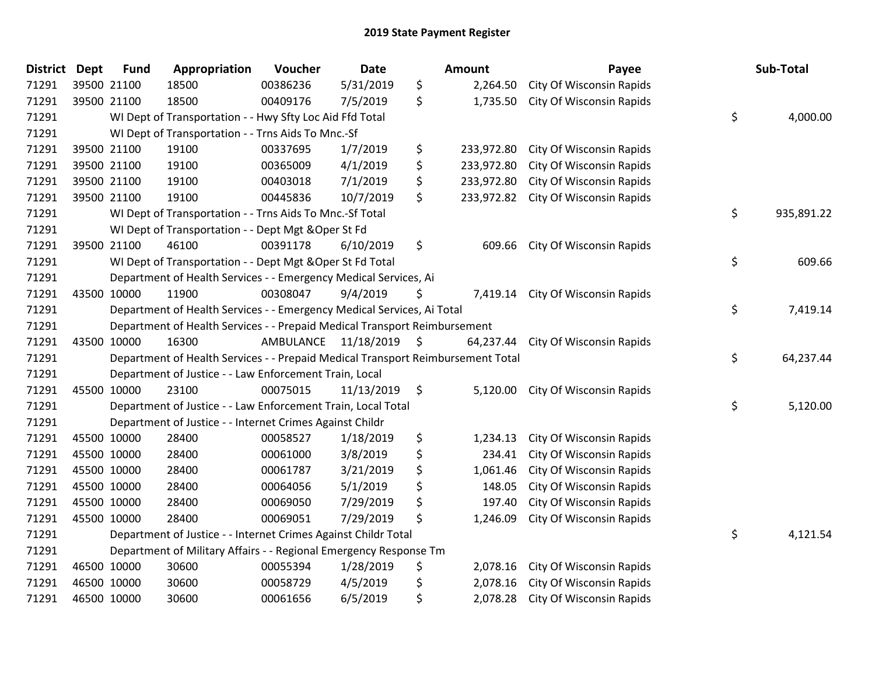| <b>District Dept</b> |             | <b>Fund</b> | Appropriation                                                                   | Voucher   | <b>Date</b> | Amount           | Payee                           | Sub-Total        |
|----------------------|-------------|-------------|---------------------------------------------------------------------------------|-----------|-------------|------------------|---------------------------------|------------------|
| 71291                | 39500 21100 |             | 18500                                                                           | 00386236  | 5/31/2019   | \$<br>2,264.50   | City Of Wisconsin Rapids        |                  |
| 71291                | 39500 21100 |             | 18500                                                                           | 00409176  | 7/5/2019    | \$<br>1,735.50   | City Of Wisconsin Rapids        |                  |
| 71291                |             |             | WI Dept of Transportation - - Hwy Sfty Loc Aid Ffd Total                        |           |             |                  |                                 | \$<br>4,000.00   |
| 71291                |             |             | WI Dept of Transportation - - Trns Aids To Mnc.-Sf                              |           |             |                  |                                 |                  |
| 71291                | 39500 21100 |             | 19100                                                                           | 00337695  | 1/7/2019    | \$<br>233,972.80 | City Of Wisconsin Rapids        |                  |
| 71291                |             | 39500 21100 | 19100                                                                           | 00365009  | 4/1/2019    | \$<br>233,972.80 | <b>City Of Wisconsin Rapids</b> |                  |
| 71291                | 39500 21100 |             | 19100                                                                           | 00403018  | 7/1/2019    | \$<br>233,972.80 | City Of Wisconsin Rapids        |                  |
| 71291                | 39500 21100 |             | 19100                                                                           | 00445836  | 10/7/2019   | \$<br>233,972.82 | City Of Wisconsin Rapids        |                  |
| 71291                |             |             | WI Dept of Transportation - - Trns Aids To Mnc.-Sf Total                        |           |             |                  |                                 | \$<br>935,891.22 |
| 71291                |             |             | WI Dept of Transportation - - Dept Mgt & Oper St Fd                             |           |             |                  |                                 |                  |
| 71291                |             | 39500 21100 | 46100                                                                           | 00391178  | 6/10/2019   | \$<br>609.66     | City Of Wisconsin Rapids        |                  |
| 71291                |             |             | WI Dept of Transportation - - Dept Mgt & Oper St Fd Total                       |           |             |                  |                                 | \$<br>609.66     |
| 71291                |             |             | Department of Health Services - - Emergency Medical Services, Ai                |           |             |                  |                                 |                  |
| 71291                | 43500 10000 |             | 11900                                                                           | 00308047  | 9/4/2019    | \$<br>7,419.14   | City Of Wisconsin Rapids        |                  |
| 71291                |             |             | Department of Health Services - - Emergency Medical Services, Ai Total          |           |             |                  |                                 | \$<br>7,419.14   |
| 71291                |             |             | Department of Health Services - - Prepaid Medical Transport Reimbursement       |           |             |                  |                                 |                  |
| 71291                | 43500 10000 |             | 16300                                                                           | AMBULANCE | 11/18/2019  | \$<br>64,237.44  | City Of Wisconsin Rapids        |                  |
| 71291                |             |             | Department of Health Services - - Prepaid Medical Transport Reimbursement Total |           |             |                  |                                 | \$<br>64,237.44  |
| 71291                |             |             | Department of Justice - - Law Enforcement Train, Local                          |           |             |                  |                                 |                  |
| 71291                | 45500 10000 |             | 23100                                                                           | 00075015  | 11/13/2019  | \$<br>5,120.00   | City Of Wisconsin Rapids        |                  |
| 71291                |             |             | Department of Justice - - Law Enforcement Train, Local Total                    |           |             |                  |                                 | \$<br>5,120.00   |
| 71291                |             |             | Department of Justice - - Internet Crimes Against Childr                        |           |             |                  |                                 |                  |
| 71291                | 45500 10000 |             | 28400                                                                           | 00058527  | 1/18/2019   | \$<br>1,234.13   | City Of Wisconsin Rapids        |                  |
| 71291                | 45500 10000 |             | 28400                                                                           | 00061000  | 3/8/2019    | \$<br>234.41     | City Of Wisconsin Rapids        |                  |
| 71291                | 45500 10000 |             | 28400                                                                           | 00061787  | 3/21/2019   | \$<br>1,061.46   | City Of Wisconsin Rapids        |                  |
| 71291                | 45500 10000 |             | 28400                                                                           | 00064056  | 5/1/2019    | \$<br>148.05     | City Of Wisconsin Rapids        |                  |
| 71291                | 45500 10000 |             | 28400                                                                           | 00069050  | 7/29/2019   | \$<br>197.40     | City Of Wisconsin Rapids        |                  |
| 71291                | 45500 10000 |             | 28400                                                                           | 00069051  | 7/29/2019   | \$<br>1,246.09   | City Of Wisconsin Rapids        |                  |
| 71291                |             |             | Department of Justice - - Internet Crimes Against Childr Total                  |           |             |                  |                                 | \$<br>4,121.54   |
| 71291                |             |             | Department of Military Affairs - - Regional Emergency Response Tm               |           |             |                  |                                 |                  |
| 71291                | 46500 10000 |             | 30600                                                                           | 00055394  | 1/28/2019   | \$<br>2,078.16   | City Of Wisconsin Rapids        |                  |
| 71291                | 46500 10000 |             | 30600                                                                           | 00058729  | 4/5/2019    | \$<br>2,078.16   | City Of Wisconsin Rapids        |                  |
| 71291                | 46500 10000 |             | 30600                                                                           | 00061656  | 6/5/2019    | \$<br>2,078.28   | City Of Wisconsin Rapids        |                  |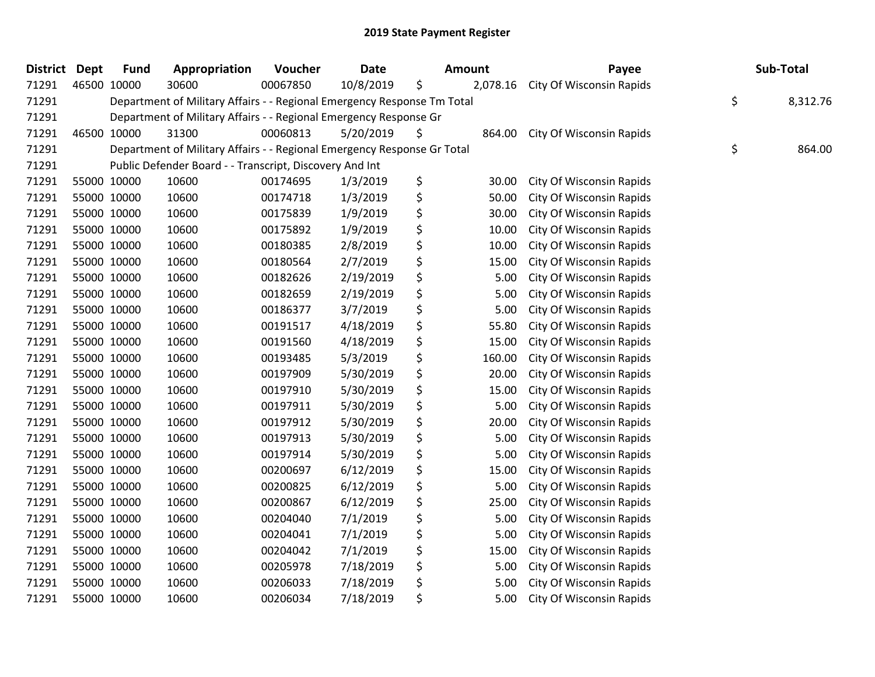| <b>District</b> | <b>Dept</b> | <b>Fund</b> | Appropriation                                                           | Voucher  | <b>Date</b> | <b>Amount</b>  | Payee                           | Sub-Total      |
|-----------------|-------------|-------------|-------------------------------------------------------------------------|----------|-------------|----------------|---------------------------------|----------------|
| 71291           | 46500 10000 |             | 30600                                                                   | 00067850 | 10/8/2019   | \$<br>2,078.16 | City Of Wisconsin Rapids        |                |
| 71291           |             |             | Department of Military Affairs - - Regional Emergency Response Tm Total |          |             |                |                                 | \$<br>8,312.76 |
| 71291           |             |             | Department of Military Affairs - - Regional Emergency Response Gr       |          |             |                |                                 |                |
| 71291           |             | 46500 10000 | 31300                                                                   | 00060813 | 5/20/2019   | \$<br>864.00   | City Of Wisconsin Rapids        |                |
| 71291           |             |             | Department of Military Affairs - - Regional Emergency Response Gr Total |          |             |                |                                 | \$<br>864.00   |
| 71291           |             |             | Public Defender Board - - Transcript, Discovery And Int                 |          |             |                |                                 |                |
| 71291           |             | 55000 10000 | 10600                                                                   | 00174695 | 1/3/2019    | \$<br>30.00    | <b>City Of Wisconsin Rapids</b> |                |
| 71291           |             | 55000 10000 | 10600                                                                   | 00174718 | 1/3/2019    | \$<br>50.00    | City Of Wisconsin Rapids        |                |
| 71291           |             | 55000 10000 | 10600                                                                   | 00175839 | 1/9/2019    | \$<br>30.00    | City Of Wisconsin Rapids        |                |
| 71291           |             | 55000 10000 | 10600                                                                   | 00175892 | 1/9/2019    | \$<br>10.00    | City Of Wisconsin Rapids        |                |
| 71291           |             | 55000 10000 | 10600                                                                   | 00180385 | 2/8/2019    | \$<br>10.00    | City Of Wisconsin Rapids        |                |
| 71291           |             | 55000 10000 | 10600                                                                   | 00180564 | 2/7/2019    | \$<br>15.00    | City Of Wisconsin Rapids        |                |
| 71291           |             | 55000 10000 | 10600                                                                   | 00182626 | 2/19/2019   | \$<br>5.00     | City Of Wisconsin Rapids        |                |
| 71291           |             | 55000 10000 | 10600                                                                   | 00182659 | 2/19/2019   | \$<br>5.00     | City Of Wisconsin Rapids        |                |
| 71291           |             | 55000 10000 | 10600                                                                   | 00186377 | 3/7/2019    | \$<br>5.00     | City Of Wisconsin Rapids        |                |
| 71291           |             | 55000 10000 | 10600                                                                   | 00191517 | 4/18/2019   | \$<br>55.80    | City Of Wisconsin Rapids        |                |
| 71291           |             | 55000 10000 | 10600                                                                   | 00191560 | 4/18/2019   | \$<br>15.00    | City Of Wisconsin Rapids        |                |
| 71291           |             | 55000 10000 | 10600                                                                   | 00193485 | 5/3/2019    | \$<br>160.00   | City Of Wisconsin Rapids        |                |
| 71291           |             | 55000 10000 | 10600                                                                   | 00197909 | 5/30/2019   | \$<br>20.00    | City Of Wisconsin Rapids        |                |
| 71291           |             | 55000 10000 | 10600                                                                   | 00197910 | 5/30/2019   | \$<br>15.00    | City Of Wisconsin Rapids        |                |
| 71291           |             | 55000 10000 | 10600                                                                   | 00197911 | 5/30/2019   | \$<br>5.00     | City Of Wisconsin Rapids        |                |
| 71291           |             | 55000 10000 | 10600                                                                   | 00197912 | 5/30/2019   | \$<br>20.00    | City Of Wisconsin Rapids        |                |
| 71291           |             | 55000 10000 | 10600                                                                   | 00197913 | 5/30/2019   | \$<br>5.00     | City Of Wisconsin Rapids        |                |
| 71291           |             | 55000 10000 | 10600                                                                   | 00197914 | 5/30/2019   | \$<br>5.00     | City Of Wisconsin Rapids        |                |
| 71291           |             | 55000 10000 | 10600                                                                   | 00200697 | 6/12/2019   | \$<br>15.00    | City Of Wisconsin Rapids        |                |
| 71291           |             | 55000 10000 | 10600                                                                   | 00200825 | 6/12/2019   | \$<br>5.00     | City Of Wisconsin Rapids        |                |
| 71291           |             | 55000 10000 | 10600                                                                   | 00200867 | 6/12/2019   | \$<br>25.00    | City Of Wisconsin Rapids        |                |
| 71291           |             | 55000 10000 | 10600                                                                   | 00204040 | 7/1/2019    | \$<br>5.00     | City Of Wisconsin Rapids        |                |
| 71291           |             | 55000 10000 | 10600                                                                   | 00204041 | 7/1/2019    | \$<br>5.00     | City Of Wisconsin Rapids        |                |
| 71291           |             | 55000 10000 | 10600                                                                   | 00204042 | 7/1/2019    | \$<br>15.00    | City Of Wisconsin Rapids        |                |
| 71291           |             | 55000 10000 | 10600                                                                   | 00205978 | 7/18/2019   | \$<br>5.00     | City Of Wisconsin Rapids        |                |
| 71291           |             | 55000 10000 | 10600                                                                   | 00206033 | 7/18/2019   | \$<br>5.00     | City Of Wisconsin Rapids        |                |
| 71291           |             | 55000 10000 | 10600                                                                   | 00206034 | 7/18/2019   | \$<br>5.00     | <b>City Of Wisconsin Rapids</b> |                |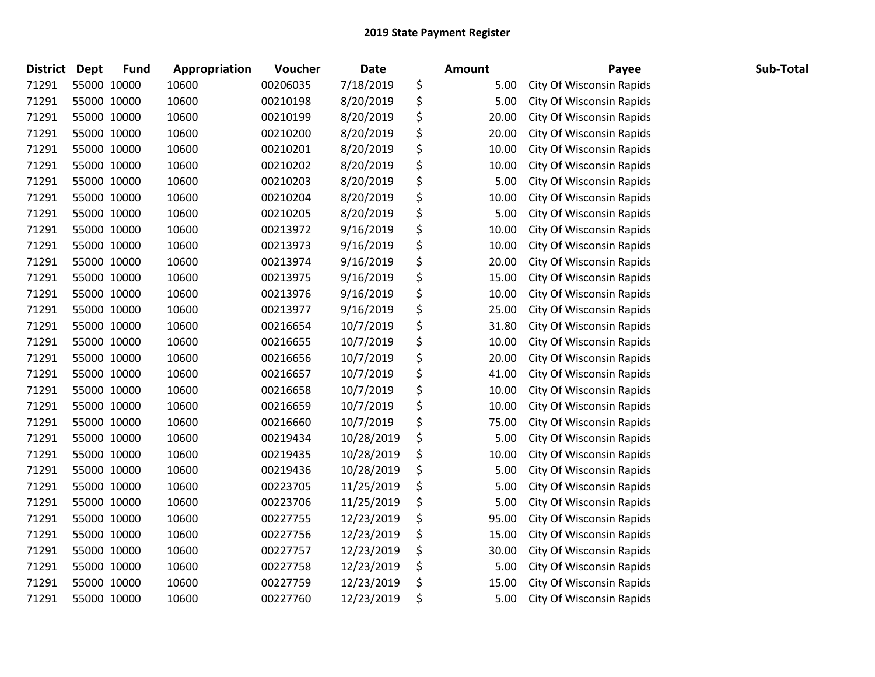| <b>District</b> | <b>Dept</b> | <b>Fund</b> | Appropriation | Voucher  | Date       | <b>Amount</b> | Payee                           | Sub-Total |
|-----------------|-------------|-------------|---------------|----------|------------|---------------|---------------------------------|-----------|
| 71291           | 55000 10000 |             | 10600         | 00206035 | 7/18/2019  | \$<br>5.00    | <b>City Of Wisconsin Rapids</b> |           |
| 71291           | 55000 10000 |             | 10600         | 00210198 | 8/20/2019  | \$<br>5.00    | City Of Wisconsin Rapids        |           |
| 71291           | 55000 10000 |             | 10600         | 00210199 | 8/20/2019  | \$<br>20.00   | City Of Wisconsin Rapids        |           |
| 71291           | 55000 10000 |             | 10600         | 00210200 | 8/20/2019  | \$<br>20.00   | City Of Wisconsin Rapids        |           |
| 71291           | 55000 10000 |             | 10600         | 00210201 | 8/20/2019  | \$<br>10.00   | City Of Wisconsin Rapids        |           |
| 71291           | 55000 10000 |             | 10600         | 00210202 | 8/20/2019  | \$<br>10.00   | City Of Wisconsin Rapids        |           |
| 71291           | 55000 10000 |             | 10600         | 00210203 | 8/20/2019  | \$<br>5.00    | City Of Wisconsin Rapids        |           |
| 71291           | 55000 10000 |             | 10600         | 00210204 | 8/20/2019  | \$<br>10.00   | City Of Wisconsin Rapids        |           |
| 71291           | 55000 10000 |             | 10600         | 00210205 | 8/20/2019  | \$<br>5.00    | City Of Wisconsin Rapids        |           |
| 71291           | 55000 10000 |             | 10600         | 00213972 | 9/16/2019  | \$<br>10.00   | City Of Wisconsin Rapids        |           |
| 71291           | 55000 10000 |             | 10600         | 00213973 | 9/16/2019  | \$<br>10.00   | City Of Wisconsin Rapids        |           |
| 71291           | 55000 10000 |             | 10600         | 00213974 | 9/16/2019  | \$<br>20.00   | City Of Wisconsin Rapids        |           |
| 71291           | 55000 10000 |             | 10600         | 00213975 | 9/16/2019  | \$<br>15.00   | City Of Wisconsin Rapids        |           |
| 71291           | 55000 10000 |             | 10600         | 00213976 | 9/16/2019  | \$<br>10.00   | City Of Wisconsin Rapids        |           |
| 71291           | 55000 10000 |             | 10600         | 00213977 | 9/16/2019  | \$<br>25.00   | City Of Wisconsin Rapids        |           |
| 71291           | 55000 10000 |             | 10600         | 00216654 | 10/7/2019  | \$<br>31.80   | City Of Wisconsin Rapids        |           |
| 71291           | 55000 10000 |             | 10600         | 00216655 | 10/7/2019  | \$<br>10.00   | City Of Wisconsin Rapids        |           |
| 71291           | 55000 10000 |             | 10600         | 00216656 | 10/7/2019  | \$<br>20.00   | City Of Wisconsin Rapids        |           |
| 71291           | 55000 10000 |             | 10600         | 00216657 | 10/7/2019  | \$<br>41.00   | City Of Wisconsin Rapids        |           |
| 71291           | 55000 10000 |             | 10600         | 00216658 | 10/7/2019  | \$<br>10.00   | City Of Wisconsin Rapids        |           |
| 71291           | 55000 10000 |             | 10600         | 00216659 | 10/7/2019  | \$<br>10.00   | City Of Wisconsin Rapids        |           |
| 71291           | 55000 10000 |             | 10600         | 00216660 | 10/7/2019  | \$<br>75.00   | City Of Wisconsin Rapids        |           |
| 71291           | 55000 10000 |             | 10600         | 00219434 | 10/28/2019 | \$<br>5.00    | City Of Wisconsin Rapids        |           |
| 71291           | 55000 10000 |             | 10600         | 00219435 | 10/28/2019 | \$<br>10.00   | City Of Wisconsin Rapids        |           |
| 71291           | 55000 10000 |             | 10600         | 00219436 | 10/28/2019 | \$<br>5.00    | City Of Wisconsin Rapids        |           |
| 71291           | 55000 10000 |             | 10600         | 00223705 | 11/25/2019 | \$<br>5.00    | City Of Wisconsin Rapids        |           |
| 71291           | 55000 10000 |             | 10600         | 00223706 | 11/25/2019 | \$<br>5.00    | City Of Wisconsin Rapids        |           |
| 71291           | 55000 10000 |             | 10600         | 00227755 | 12/23/2019 | \$<br>95.00   | City Of Wisconsin Rapids        |           |
| 71291           | 55000 10000 |             | 10600         | 00227756 | 12/23/2019 | \$<br>15.00   | City Of Wisconsin Rapids        |           |
| 71291           | 55000 10000 |             | 10600         | 00227757 | 12/23/2019 | \$<br>30.00   | City Of Wisconsin Rapids        |           |
| 71291           | 55000 10000 |             | 10600         | 00227758 | 12/23/2019 | \$<br>5.00    | City Of Wisconsin Rapids        |           |
| 71291           | 55000 10000 |             | 10600         | 00227759 | 12/23/2019 | \$<br>15.00   | <b>City Of Wisconsin Rapids</b> |           |
| 71291           | 55000 10000 |             | 10600         | 00227760 | 12/23/2019 | \$<br>5.00    | City Of Wisconsin Rapids        |           |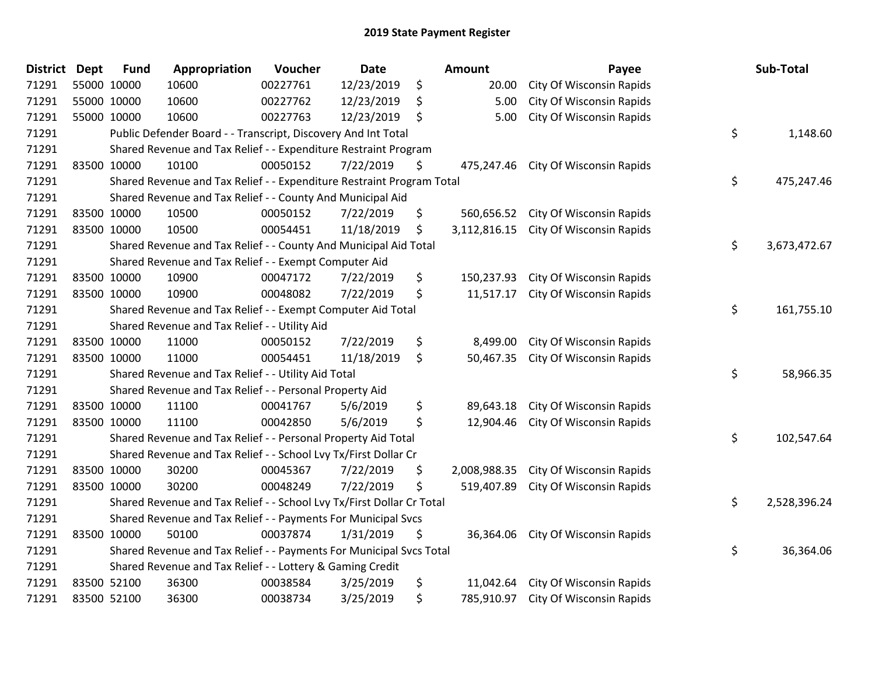| <b>District</b> | <b>Dept</b> | <b>Fund</b> | Appropriation                                                         | Voucher  | <b>Date</b> | <b>Amount</b>      | Payee                           | Sub-Total          |
|-----------------|-------------|-------------|-----------------------------------------------------------------------|----------|-------------|--------------------|---------------------------------|--------------------|
| 71291           |             | 55000 10000 | 10600                                                                 | 00227761 | 12/23/2019  | \$<br>20.00        | City Of Wisconsin Rapids        |                    |
| 71291           |             | 55000 10000 | 10600                                                                 | 00227762 | 12/23/2019  | \$<br>5.00         | City Of Wisconsin Rapids        |                    |
| 71291           |             | 55000 10000 | 10600                                                                 | 00227763 | 12/23/2019  | \$<br>5.00         | City Of Wisconsin Rapids        |                    |
| 71291           |             |             | Public Defender Board - - Transcript, Discovery And Int Total         |          |             |                    |                                 | \$<br>1,148.60     |
| 71291           |             |             | Shared Revenue and Tax Relief - - Expenditure Restraint Program       |          |             |                    |                                 |                    |
| 71291           |             | 83500 10000 | 10100                                                                 | 00050152 | 7/22/2019   | \$<br>475,247.46   | City Of Wisconsin Rapids        |                    |
| 71291           |             |             | Shared Revenue and Tax Relief - - Expenditure Restraint Program Total |          |             |                    |                                 | \$<br>475,247.46   |
| 71291           |             |             | Shared Revenue and Tax Relief - - County And Municipal Aid            |          |             |                    |                                 |                    |
| 71291           |             | 83500 10000 | 10500                                                                 | 00050152 | 7/22/2019   | \$<br>560,656.52   | City Of Wisconsin Rapids        |                    |
| 71291           |             | 83500 10000 | 10500                                                                 | 00054451 | 11/18/2019  | \$<br>3,112,816.15 | City Of Wisconsin Rapids        |                    |
| 71291           |             |             | Shared Revenue and Tax Relief - - County And Municipal Aid Total      |          |             |                    |                                 | \$<br>3,673,472.67 |
| 71291           |             |             | Shared Revenue and Tax Relief - - Exempt Computer Aid                 |          |             |                    |                                 |                    |
| 71291           |             | 83500 10000 | 10900                                                                 | 00047172 | 7/22/2019   | \$<br>150,237.93   | <b>City Of Wisconsin Rapids</b> |                    |
| 71291           |             | 83500 10000 | 10900                                                                 | 00048082 | 7/22/2019   | \$<br>11,517.17    | City Of Wisconsin Rapids        |                    |
| 71291           |             |             | Shared Revenue and Tax Relief - - Exempt Computer Aid Total           |          |             |                    |                                 | \$<br>161,755.10   |
| 71291           |             |             | Shared Revenue and Tax Relief - - Utility Aid                         |          |             |                    |                                 |                    |
| 71291           |             | 83500 10000 | 11000                                                                 | 00050152 | 7/22/2019   | \$<br>8,499.00     | City Of Wisconsin Rapids        |                    |
| 71291           |             | 83500 10000 | 11000                                                                 | 00054451 | 11/18/2019  | \$<br>50,467.35    | City Of Wisconsin Rapids        |                    |
| 71291           |             |             | Shared Revenue and Tax Relief - - Utility Aid Total                   |          |             |                    |                                 | \$<br>58,966.35    |
| 71291           |             |             | Shared Revenue and Tax Relief - - Personal Property Aid               |          |             |                    |                                 |                    |
| 71291           |             | 83500 10000 | 11100                                                                 | 00041767 | 5/6/2019    | \$<br>89,643.18    | City Of Wisconsin Rapids        |                    |
| 71291           |             | 83500 10000 | 11100                                                                 | 00042850 | 5/6/2019    | \$<br>12,904.46    | City Of Wisconsin Rapids        |                    |
| 71291           |             |             | Shared Revenue and Tax Relief - - Personal Property Aid Total         |          |             |                    |                                 | \$<br>102,547.64   |
| 71291           |             |             | Shared Revenue and Tax Relief - - School Lvy Tx/First Dollar Cr       |          |             |                    |                                 |                    |
| 71291           |             | 83500 10000 | 30200                                                                 | 00045367 | 7/22/2019   | \$<br>2,008,988.35 | City Of Wisconsin Rapids        |                    |
| 71291           |             | 83500 10000 | 30200                                                                 | 00048249 | 7/22/2019   | \$<br>519,407.89   | City Of Wisconsin Rapids        |                    |
| 71291           |             |             | Shared Revenue and Tax Relief - - School Lvy Tx/First Dollar Cr Total |          |             |                    |                                 | \$<br>2,528,396.24 |
| 71291           |             |             | Shared Revenue and Tax Relief - - Payments For Municipal Svcs         |          |             |                    |                                 |                    |
| 71291           |             | 83500 10000 | 50100                                                                 | 00037874 | 1/31/2019   | \$<br>36,364.06    | City Of Wisconsin Rapids        |                    |
| 71291           |             |             | Shared Revenue and Tax Relief - - Payments For Municipal Svcs Total   |          |             |                    |                                 | \$<br>36,364.06    |
| 71291           |             |             | Shared Revenue and Tax Relief - - Lottery & Gaming Credit             |          |             |                    |                                 |                    |
| 71291           |             | 83500 52100 | 36300                                                                 | 00038584 | 3/25/2019   | \$<br>11,042.64    | City Of Wisconsin Rapids        |                    |
| 71291           |             | 83500 52100 | 36300                                                                 | 00038734 | 3/25/2019   | \$<br>785,910.97   | City Of Wisconsin Rapids        |                    |